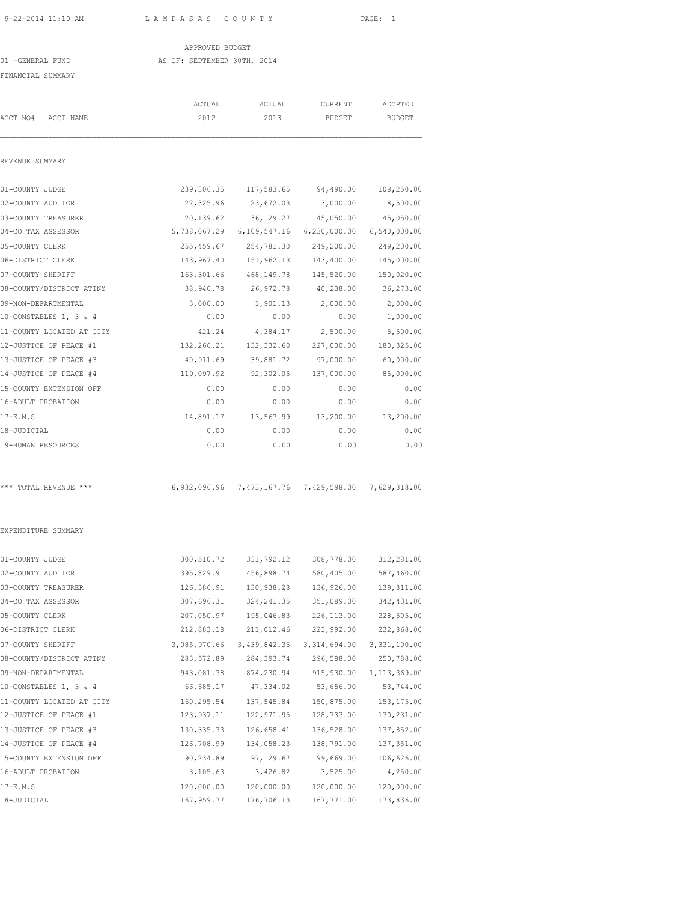### APPROVED BUDGET 01 -GENERAL FUND AS OF: SEPTEMBER 30TH, 2014 FINANCIAL SUMMARY

|                           | ACTUAL       | ACTUAL                                 | CURRENT        | ADOPTED                   |
|---------------------------|--------------|----------------------------------------|----------------|---------------------------|
| ACCT NO#<br>ACCT NAME     | 2012         | 2013                                   | <b>BUDGET</b>  | <b>BUDGET</b>             |
| REVENUE SUMMARY           |              |                                        |                |                           |
|                           |              |                                        |                |                           |
| 01-COUNTY JUDGE           | 239,306.35   | 117,583.65                             | 94,490.00      | 108,250.00                |
| 02-COUNTY AUDITOR         | 22,325.96    | 23,672.03                              | 3,000.00       | 8,500.00                  |
| 03-COUNTY TREASURER       | 20,139.62    | 36,129.27                              | 45,050.00      | 45,050.00                 |
| 04-CO TAX ASSESSOR        |              | 5,738,067.29 6,109,547.16              |                | 6,230,000.00 6,540,000.00 |
| 05-COUNTY CLERK           | 255,459.67   | 254,781.30                             | 249,200.00     | 249,200.00                |
| 06-DISTRICT CLERK         | 143,967.40   | 151,962.13                             | 143,400.00     | 145,000.00                |
| 07-COUNTY SHERIFF         | 163,301.66   | 468,149.78                             | 145,520.00     | 150,020.00                |
| 08-COUNTY/DISTRICT ATTNY  | 38,940.78    | 26,972.78                              | 40,238.00      | 36,273.00                 |
| 09-NON-DEPARTMENTAL       | 3,000.00     | 1,901.13                               | 2,000.00       | 2,000.00                  |
| 10-CONSTABLES 1, 3 & 4    | 0.00         | 0.00                                   | 0.00           | 1,000.00                  |
| 11-COUNTY LOCATED AT CITY | 421.24       | 4,384.17                               | 2,500.00       | 5,500.00                  |
| 12-JUSTICE OF PEACE #1    | 132,266.21   | 132,332.60                             | 227,000.00     | 180, 325.00               |
| 13-JUSTICE OF PEACE #3    | 40,911.69    | 39,881.72                              | 97,000.00      | 60,000.00                 |
| 14-JUSTICE OF PEACE #4    | 119,097.92   | 92,302.05                              | 137,000.00     | 85,000.00                 |
| 15-COUNTY EXTENSION OFF   | 0.00         | 0.00                                   | 0.00           | 0.00                      |
| 16-ADULT PROBATION        | 0.00         | 0.00                                   | 0.00           | 0.00                      |
| $17-E.M.S$                | 14,891.17    | 13,567.99                              | 13,200.00      | 13,200.00                 |
| 18-JUDICIAL               | 0.00         | 0.00                                   | 0.00           | 0.00                      |
| 19-HUMAN RESOURCES        | 0.00         | 0.00                                   | 0.00           | 0.00                      |
| *** TOTAL REVENUE ***     |              | 6,932,096.96 7,473,167.76 7,429,598.00 |                | 7,629,318.00              |
| EXPENDITURE SUMMARY       |              |                                        |                |                           |
| 01-COUNTY JUDGE           | 300,510.72   | 331,792.12                             | 308,778.00     | 312,281.00                |
| 02-COUNTY AUDITOR         | 395,829.91   | 456,898.74                             | 580,405.00     | 587,460.00                |
| 03-COUNTY TREASURER       | 126,386.91   | 130,938.28                             | 136,926.00     | 139,811.00                |
| 04-CO TAX ASSESSOR        | 307,696.31   | 324, 241.35                            | 351,089.00     | 342, 431.00               |
| 05-COUNTY CLERK           | 207,050.97   | 195,046.83                             | 226, 113.00    | 228,505.00                |
| 06-DISTRICT CLERK         | 212,883.18   | 211,012.46                             | 223,992.00     | 232,868.00                |
| 07-COUNTY SHERIFF         | 3,085,970.66 | 3,439,842.36                           | 3, 314, 694.00 | 3,331,100.00              |
| 08-COUNTY/DISTRICT ATTNY  | 283,572.89   | 284,393.74                             | 296,588.00     | 250,788.00                |
| 09-NON-DEPARTMENTAL       | 943,081.38   | 874,230.94                             | 915,930.00     | 1, 113, 369.00            |
| 10-CONSTABLES 1, 3 & 4    | 66,685.17    | 47,334.02                              | 53,656.00      | 53,744.00                 |
| 11-COUNTY LOCATED AT CITY | 160, 295.54  | 137,545.84                             | 150,875.00     | 153, 175.00               |
| 12-JUSTICE OF PEACE #1    | 123, 937.11  | 122,971.95                             | 128,733.00     | 130,231.00                |
| 13-JUSTICE OF PEACE #3    | 130, 335.33  | 126,658.41                             | 136,528.00     | 137,852.00                |
| 14-JUSTICE OF PEACE #4    | 126,708.99   | 134,058.23                             | 138,791.00     | 137, 351.00               |
| 15-COUNTY EXTENSION OFF   | 90,234.89    | 97,129.67                              | 99,669.00      | 106,626.00                |
| 16-ADULT PROBATION        | 3,105.63     | 3,426.82                               | 3,525.00       | 4,250.00                  |
| 17-E.M.S                  | 120,000.00   | 120,000.00                             | 120,000.00     | 120,000.00                |
| 18-JUDICIAL               | 167,959.77   | 176,706.13                             | 167,771.00     | 173,836.00                |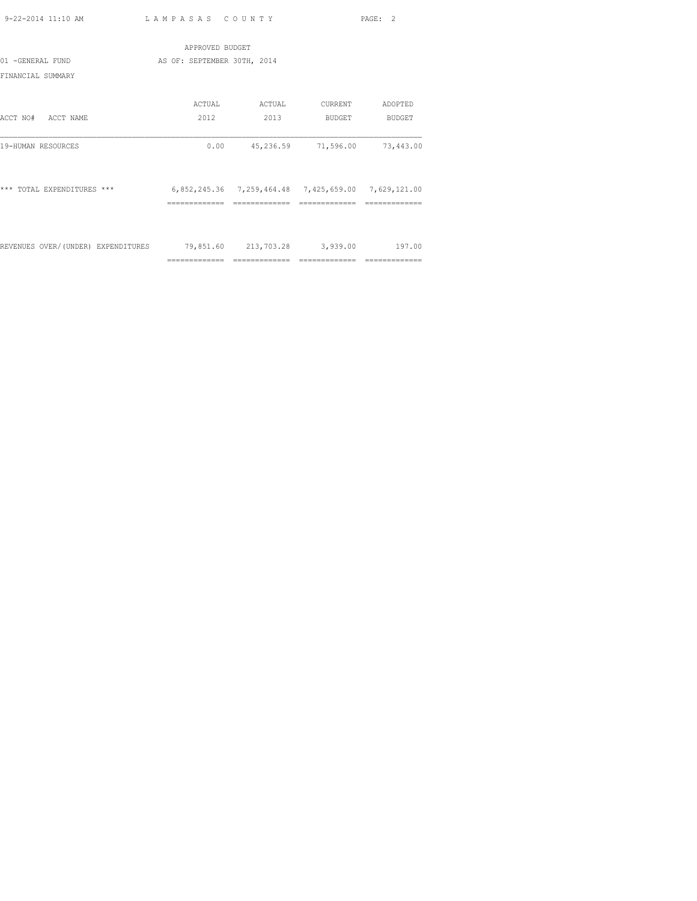|                                    | APPROVED BUDGET             |                                                     |                |                |
|------------------------------------|-----------------------------|-----------------------------------------------------|----------------|----------------|
| 01 -GENERAL FUND                   | AS OF: SEPTEMBER 30TH, 2014 |                                                     |                |                |
| FINANCIAL SUMMARY                  |                             |                                                     |                |                |
|                                    | ACTUAL                      | ACTUAL                                              | CURRENT        | ADOPTED        |
| ACCT NO#<br>ACCT NAME              | 2012                        | 2013                                                | BUDGET         | BUDGET         |
| 19-HUMAN RESOURCES                 | 0.00                        | 45,236.59                                           | 71,596.00      | 73,443.00      |
| *** TOTAL EXPENDITURES ***         |                             | 6,852,245.36 7,259,464.48 7,425,659.00 7,629,121.00 |                |                |
|                                    |                             |                                                     |                |                |
| REVENUES OVER/(UNDER) EXPENDITURES |                             | 79,851.60 213,703.28 3,939.00                       |                | 197.00         |
|                                    | ==============              | =============                                       | ============== | ============== |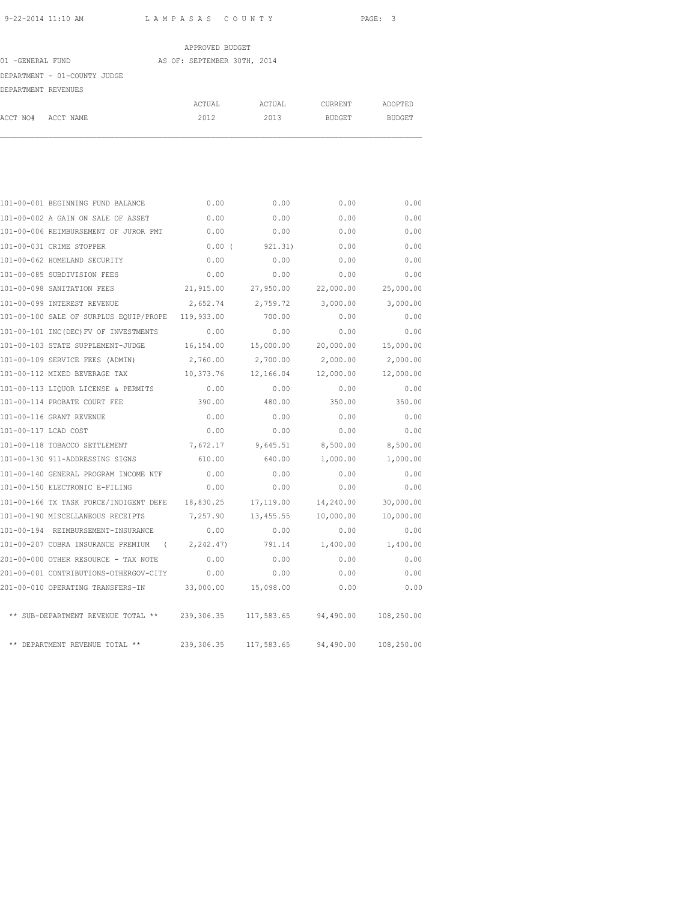|                     |                              | APPROVED BUDGET             |        |         |         |
|---------------------|------------------------------|-----------------------------|--------|---------|---------|
| 01 -GENERAL FUND    |                              | AS OF: SEPTEMBER 30TH, 2014 |        |         |         |
|                     | DEPARTMENT - 01-COUNTY JUDGE |                             |        |         |         |
| DEPARTMENT REVENUES |                              |                             |        |         |         |
|                     |                              | ACTUAL                      | ACTUAL | CURRENT | ADOPTED |
| ACCT NO#            | ACCT NAME                    | 2012                        | 2013   | BUDGET  | BUDGET  |

|                      | 101-00-001 BEGINNING FUND BALANCE           | 0.00       | 0.00       | 0.00      | 0.00       |
|----------------------|---------------------------------------------|------------|------------|-----------|------------|
|                      | 101-00-002 A GAIN ON SALE OF ASSET          | 0.00       | 0.00       | 0.00      | 0.00       |
|                      | 101-00-006 REIMBURSEMENT OF JUROR PMT       | 0.00       | 0.00       | 0.00      | 0.00       |
|                      | 101-00-031 CRIME STOPPER                    | 0.00(      | 921.31)    | 0.00      | 0.00       |
|                      | 101-00-062 HOMELAND SECURITY                | 0.00       | 0.00       | 0.00      | 0.00       |
|                      | 101-00-085 SUBDIVISION FEES                 | 0.00       | 0.00       | 0.00      | 0.00       |
|                      | 101-00-098 SANITATION FEES                  | 21,915.00  | 27,950.00  | 22,000.00 | 25,000.00  |
|                      | 101-00-099 INTEREST REVENUE                 | 2,652.74   | 2,759.72   | 3,000.00  | 3,000.00   |
|                      | 101-00-100 SALE OF SURPLUS EQUIP/PROPE      | 119,933.00 | 700.00     | 0.00      | 0.00       |
|                      | 101-00-101 INC(DEC) FV OF INVESTMENTS       | 0.00       | 0.00       | 0.00      | 0.00       |
|                      | 101-00-103 STATE SUPPLEMENT-JUDGE           | 16,154.00  | 15,000.00  | 20,000.00 | 15,000.00  |
|                      | 101-00-109 SERVICE FEES (ADMIN)             | 2,760.00   | 2,700.00   | 2,000.00  | 2,000.00   |
|                      | 101-00-112 MIXED BEVERAGE TAX               | 10,373.76  | 12,166.04  | 12,000.00 | 12,000.00  |
|                      | 101-00-113 LIQUOR LICENSE & PERMITS         | 0.00       | 0.00       | 0.00      | 0.00       |
|                      | 101-00-114 PROBATE COURT FEE                | 390.00     | 480.00     | 350.00    | 350.00     |
|                      | 101-00-116 GRANT REVENUE                    | 0.00       | 0.00       | 0.00      | 0.00       |
| 101-00-117 LCAD COST |                                             | 0.00       | 0.00       | 0.00      | 0.00       |
|                      | 101-00-118 TOBACCO SETTLEMENT               | 7,672.17   | 9,645.51   | 8,500.00  | 8,500.00   |
|                      | 101-00-130 911-ADDRESSING SIGNS             | 610.00     | 640.00     | 1,000.00  | 1,000.00   |
|                      | 101-00-140 GENERAL PROGRAM INCOME NTF       | 0.00       | 0.00       | 0.00      | 0.00       |
|                      | 101-00-150 ELECTRONIC E-FILING              | 0.00       | 0.00       | 0.00      | 0.00       |
|                      | 101-00-166 TX TASK FORCE/INDIGENT DEFE      | 18,830.25  | 17,119.00  | 14,240.00 | 30,000.00  |
|                      | 101-00-190 MISCELLANEOUS RECEIPTS           | 7,257.90   | 13,455.55  | 10,000.00 | 10,000.00  |
|                      | 101-00-194 REIMBURSEMENT-INSURANCE          | 0.00       | 0.00       | 0.00      | 0.00       |
|                      | 101-00-207 COBRA INSURANCE PREMIUM (        | 2,242.47)  | 791.14     | 1,400.00  | 1,400.00   |
|                      | 201-00-000 OTHER RESOURCE - TAX NOTE        | 0.00       | 0.00       | 0.00      | 0.00       |
|                      | 201-00-001 CONTRIBUTIONS-OTHERGOV-CITY      | 0.00       | 0.00       | 0.00      | 0.00       |
|                      | 201-00-010 OPERATING TRANSFERS-IN 33,000.00 |            | 15,098.00  | 0.00      | 0.00       |
|                      | ** SUB-DEPARTMENT REVENUE TOTAL **          | 239,306.35 | 117,583.65 | 94,490.00 | 108,250.00 |
|                      | ** DEPARTMENT REVENUE TOTAL **              | 239,306.35 | 117,583.65 | 94,490.00 | 108,250.00 |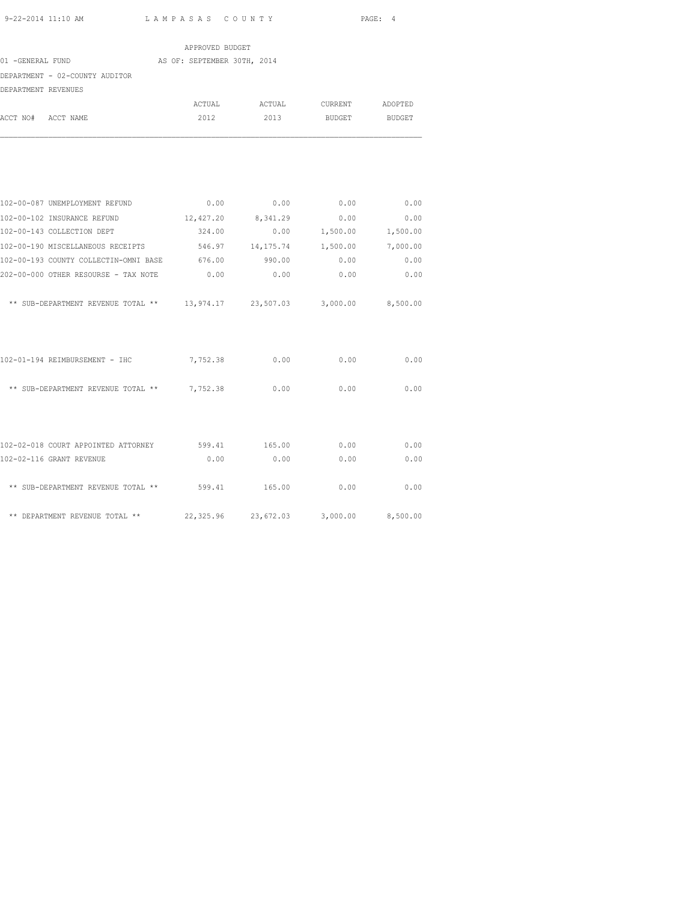|                                                                          | APPROVED BUDGET             |                    |                          |        |
|--------------------------------------------------------------------------|-----------------------------|--------------------|--------------------------|--------|
| 01 -GENERAL FUND                                                         | AS OF: SEPTEMBER 30TH, 2014 |                    |                          |        |
| DEPARTMENT - 02-COUNTY AUDITOR                                           |                             |                    |                          |        |
| DEPARTMENT REVENUES                                                      |                             |                    |                          |        |
|                                                                          | ACTUAL                      | ACTUAL             | CURRENT ADOPTED          |        |
| ACCT NO# ACCT NAME                                                       | 2012                        | 2013               | BUDGET                   | BUDGET |
|                                                                          |                             |                    |                          |        |
| 102-00-087 UNEMPLOYMENT REFUND                                           |                             | $0.00$ 0.00        | 0.00                     | 0.00   |
| 102-00-102 INSURANCE REFUND                                              |                             | 12,427.20 8,341.29 | 0.00                     | 0.00   |
| 102-00-143 COLLECTION DEPT                                               | 324.00                      |                    | $0.00$ 1,500.00 1,500.00 |        |
| 102-00-190 MISCELLANEOUS RECEIPTS 546.97 14, 175.74 1, 500.00 7, 000.00  |                             |                    |                          |        |
| 102-00-193 COUNTY COLLECTIN-OMNI BASE 676.00                             |                             | 990.00             | 0.00                     | 0.00   |
| 202-00-000 OTHER RESOURSE - TAX NOTE                                     | 0.00                        | 0.00               | 0.00                     | 0.00   |
| ** SUB-DEPARTMENT REVENUE TOTAL ** 13,974.17 23,507.03 3,000.00 8,500.00 |                             |                    |                          |        |
| 102-01-194 REIMBURSEMENT - IHC                                           | 7,752.38                    | 0.00               | 0.00                     | 0.00   |
| ** SUB-DEPARTMENT REVENUE TOTAL ** 7,752.38                              |                             | 0.00               | 0.00                     | 0.00   |
| 102-02-018 COURT APPOINTED ATTORNEY 599.41 165.00                        |                             |                    | 0.00                     | 0.00   |
| 102-02-116 GRANT REVENUE                                                 | 0.00                        | 0.00               | 0.00                     | 0.00   |
| ** SUB-DEPARTMENT REVENUE TOTAL ** 599.41                                |                             | 165.00             | 0.00                     | 0.00   |

\*\* DEPARTMENT REVENUE TOTAL \*\* 22,325.96 23,672.03 3,000.00 8,500.00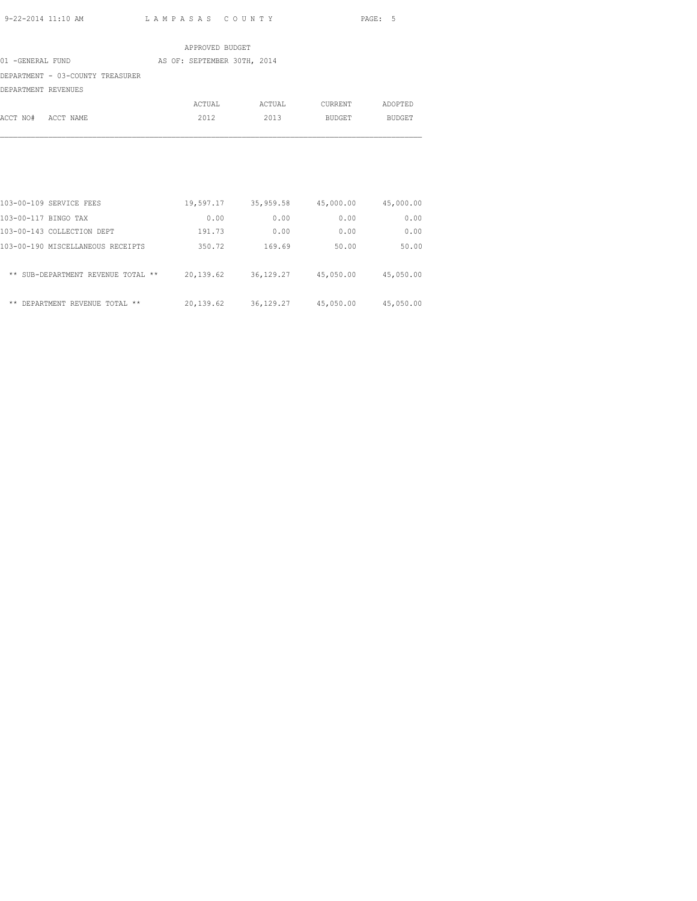|                                  | APPROVED BUDGET             |        |         |         |
|----------------------------------|-----------------------------|--------|---------|---------|
| 01 -GENERAL FUND                 | AS OF: SEPTEMBER 30TH, 2014 |        |         |         |
| DEPARTMENT - 03-COUNTY TREASURER |                             |        |         |         |
| DEPARTMENT REVENUES              |                             |        |         |         |
|                                  | ACTUAL                      | ACTUAL | CURRENT | ADOPTED |
| ACCT NO#<br>ACCT NAME            | 2012                        | 2013   | BUDGET  | BUDGET  |

| 103-00-109 SERVICE FEES            | 19,597.17 | 35,959.58   | 45,000.00 | 45,000.00 |
|------------------------------------|-----------|-------------|-----------|-----------|
| 103-00-117 BINGO TAX               | 0.00      | 0.00        | 0.00      | 0.00      |
| 103-00-143 COLLECTION DEPT         | 191.73    | 0.00        | 0.00      | 0.00      |
| 103-00-190 MISCELLANEOUS RECEIPTS  | 350.72    | 169.69      | 50.00     | 50.00     |
| ** SUB-DEPARTMENT REVENUE TOTAL ** | 20,139.62 | 36, 129. 27 | 45,050.00 | 45,050.00 |
| ** DEPARTMENT REVENUE TOTAL **     | 20,139.62 | 36, 129. 27 | 45,050.00 | 45,050.00 |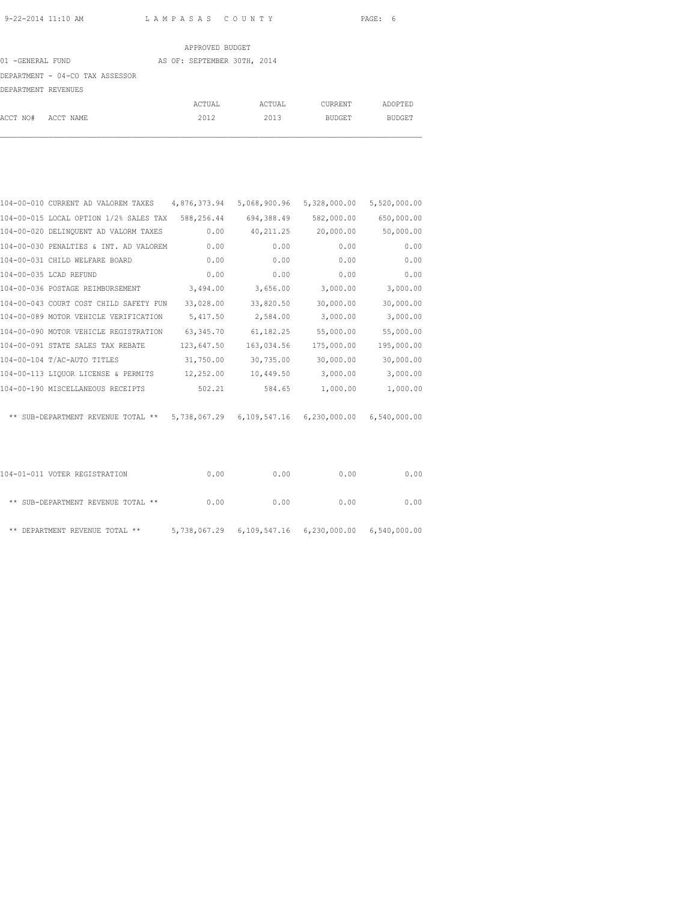|                     |                                 | APPROVED BUDGET             |        |         |         |
|---------------------|---------------------------------|-----------------------------|--------|---------|---------|
| 01 -GENERAL FUND    |                                 | AS OF: SEPTEMBER 30TH, 2014 |        |         |         |
|                     | DEPARTMENT - 04-CO TAX ASSESSOR |                             |        |         |         |
| DEPARTMENT REVENUES |                                 |                             |        |         |         |
|                     |                                 | ACTUAL                      | ACTUAL | CURRENT | ADOPTED |
| ACCT NO#            | ACCT NAME                       | 2012                        | 2013   | BUDGET  | BUDGET  |

| 104-00-010 CURRENT AD VALOREM TAXES    | 4,876,373.94 | 5,068,900.96 | 5,328,000.00 | 5,520,000.00 |
|----------------------------------------|--------------|--------------|--------------|--------------|
| 104-00-015 LOCAL OPTION 1/2% SALES TAX | 588,256.44   | 694,388.49   | 582,000.00   | 650,000.00   |
| 104-00-020 DELINQUENT AD VALORM TAXES  | 0.00         | 40, 211.25   | 20,000.00    | 50,000.00    |
| 104-00-030 PENALTIES & INT. AD VALOREM | 0.00         | 0.00         | 0.00         | 0.00         |
| 104-00-031 CHILD WELFARE BOARD         | 0.00         | 0.00         | 0.00         | 0.00         |
| 104-00-035 LCAD REFUND                 | 0.00         | 0.00         | 0.00         | 0.00         |
| 104-00-036 POSTAGE REIMBURSEMENT       | 3,494.00     | 3,656.00     | 3,000.00     | 3,000.00     |
| 104-00-043 COURT COST CHILD SAFETY FUN | 33,028.00    | 33,820.50    | 30,000.00    | 30,000.00    |
| 104-00-089 MOTOR VEHICLE VERIFICATION  | 5,417.50     | 2,584.00     | 3,000.00     | 3,000.00     |
| 104-00-090 MOTOR VEHICLE REGISTRATION  | 63, 345.70   | 61,182.25    | 55,000.00    | 55,000.00    |
| 104-00-091 STATE SALES TAX REBATE      | 123,647.50   | 163,034.56   | 175,000.00   | 195,000.00   |
| 104-00-104 T/AC-AUTO TITLES            | 31,750.00    | 30,735.00    | 30,000.00    | 30,000.00    |
| 104-00-113 LIQUOR LICENSE & PERMITS    | 12,252.00    | 10,449.50    | 3,000.00     | 3,000.00     |
| 104-00-190 MISCELLANEOUS RECEIPTS      | 502.21       | 584.65       | 1,000.00     | 1,000.00     |
| ** SUB-DEPARTMENT REVENUE TOTAL **     | 5,738,067.29 | 6,109,547.16 | 6,230,000.00 | 6,540,000.00 |

| 104-01-011 VOTER REGISTRATION      | 0.00 | 0.00 | 0.00                                                      | 0.00 |
|------------------------------------|------|------|-----------------------------------------------------------|------|
| ** SUB-DEPARTMENT REVENUE TOTAL ** | 0.00 | 0.00 | 0.00                                                      | 0.00 |
| ** DEPARTMENT REVENUE TOTAL **     |      |      | 5,738,067.29   6,109,547.16   6,230,000.00   6,540,000.00 |      |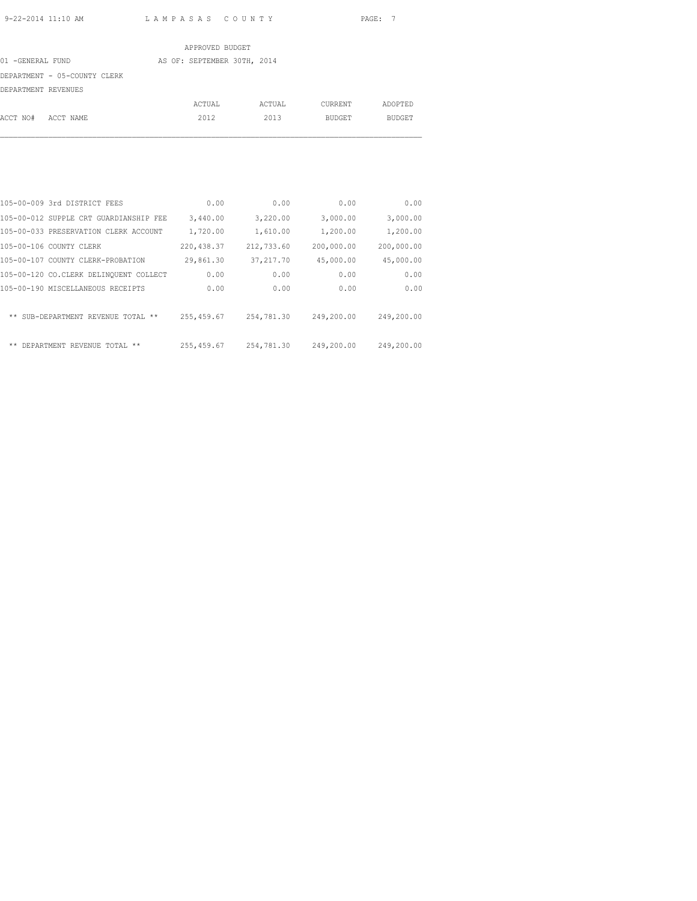|                              | APPROVED BUDGET             |        |               |               |
|------------------------------|-----------------------------|--------|---------------|---------------|
| 01 -GENERAL FUND             | AS OF: SEPTEMBER 30TH, 2014 |        |               |               |
| DEPARTMENT - 05-COUNTY CLERK |                             |        |               |               |
| DEPARTMENT REVENUES          |                             |        |               |               |
|                              | ACTUAL                      | ACTUAL | CURRENT       | ADOPTED       |
| ACCT NO#<br>ACCT NAME        | 2012                        | 2013   | <b>BUDGET</b> | <b>BUDGET</b> |

|       | 105-00-009 3rd DISTRICT FEES           | 0.00        | 0.00       | 0.00       | 0.00       |
|-------|----------------------------------------|-------------|------------|------------|------------|
|       | 105-00-012 SUPPLE CRT GUARDIANSHIP FEE | 3,440.00    | 3,220.00   | 3,000.00   | 3,000.00   |
|       | 105-00-033 PRESERVATION CLERK ACCOUNT  | 1,720.00    | 1,610.00   | 1,200.00   | 1,200.00   |
|       | 105-00-106 COUNTY CLERK                | 220, 438.37 | 212,733.60 | 200,000.00 | 200,000.00 |
|       | 105-00-107 COUNTY CLERK-PROBATION      | 29,861.30   | 37, 217.70 | 45,000.00  | 45,000.00  |
|       | 105-00-120 CO.CLERK DELINOUENT COLLECT | 0.00        | 0.00       | 0.00       | 0.00       |
|       | 105-00-190 MISCELLANEOUS RECEIPTS      | 0.00        | 0.00       | 0.00       | 0.00       |
|       |                                        |             |            |            |            |
|       | ** SUB-DEPARTMENT REVENUE TOTAL **     | 255, 459.67 | 254,781.30 | 249,200.00 | 249,200.00 |
|       |                                        |             |            |            |            |
| $***$ | DEPARTMENT REVENUE TOTAL<br>$* *$      | 255, 459.67 | 254,781.30 | 249,200.00 | 249,200.00 |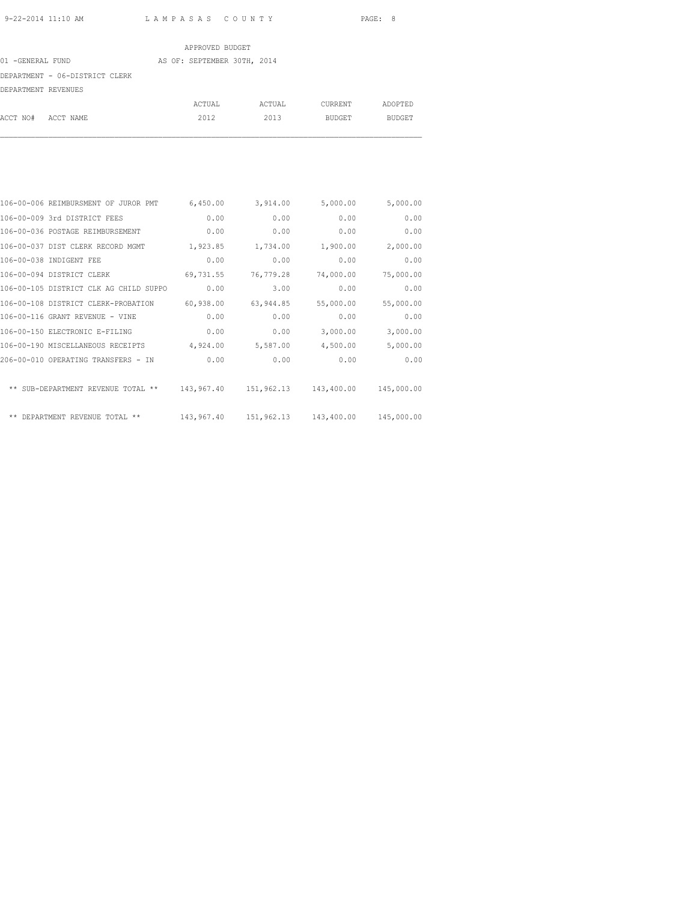|                                | APPROVED BUDGET             |        |         |         |
|--------------------------------|-----------------------------|--------|---------|---------|
| 01 -GENERAL FUND               | AS OF: SEPTEMBER 30TH, 2014 |        |         |         |
| DEPARTMENT - 06-DISTRICT CLERK |                             |        |         |         |
| DEPARTMENT REVENUES            |                             |        |         |         |
|                                | ACTUAL                      | ACTUAL | CURRENT | ADOPTED |
| ACCT NO#<br>ACCT NAME          | 2012                        | 2013   | BUDGET  | BUDGET  |

| 5,000.00   | 5,000.00                           | 3,914.00  | 6,450.00   | 106-00-006 REIMBURSMENT OF JUROR PMT   |  |
|------------|------------------------------------|-----------|------------|----------------------------------------|--|
| 0.00       | 0.00                               | 0.00      | 0.00       | 106-00-009 3rd DISTRICT FEES           |  |
| 0.00       | 0.00                               | 0.00      | 0.00       | 106-00-036 POSTAGE REIMBURSEMENT       |  |
| 2,000.00   | 1,900.00                           | 1,734.00  | 1,923.85   | 106-00-037 DIST CLERK RECORD MGMT      |  |
| 0.00       | 0.00                               | 0.00      | 0.00       | 106-00-038 INDIGENT FEE                |  |
| 75,000.00  | 74,000.00                          | 76,779.28 | 69,731.55  | 106-00-094 DISTRICT CLERK              |  |
| 0.00       | 0.00                               | 3.00      | 0.00       | 106-00-105 DISTRICT CLK AG CHILD SUPPO |  |
| 55,000.00  | 55,000.00                          | 63,944.85 | 60,938.00  | 106-00-108 DISTRICT CLERK-PROBATION    |  |
| 0.00       | 0.00                               | 0.00      | 0.00       | 106-00-116 GRANT REVENUE - VINE        |  |
| 3,000.00   | 3,000.00                           | 0.00      | 0.00       | 106-00-150 ELECTRONIC E-FILING         |  |
| 5,000.00   | 4,500.00                           | 5,587.00  | 4,924.00   | 106-00-190 MISCELLANEOUS RECEIPTS      |  |
| 0.00       | 0.00                               | 0.00      | 0.00       | 206-00-010 OPERATING TRANSFERS - IN    |  |
| 145,000.00 | 143,967.40  151,962.13  143,400.00 |           |            | ** SUB-DEPARTMENT REVENUE TOTAL **     |  |
| 145,000.00 | 151,962.13 143,400.00              |           | 143,967.40 | ** DEPARTMENT REVENUE TOTAL **         |  |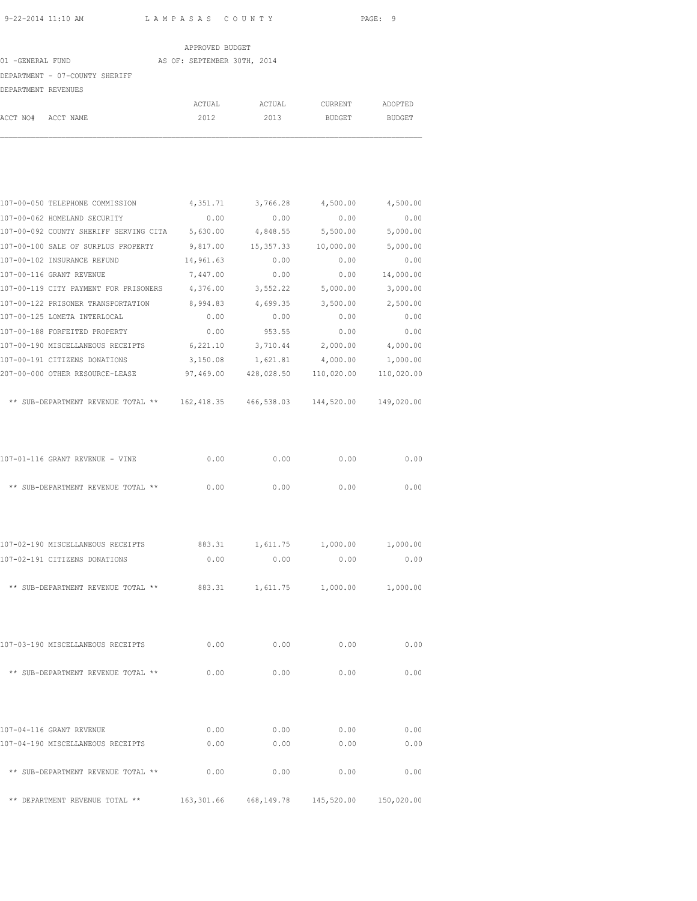|                     |                                 | APPROVED BUDGET             |        |                            |               |
|---------------------|---------------------------------|-----------------------------|--------|----------------------------|---------------|
| 01 -GENERAL FUND    |                                 | AS OF: SEPTEMBER 30TH, 2014 |        |                            |               |
|                     | DEPARTMENT - 07-COUNTY SHERIFF  |                             |        |                            |               |
| DEPARTMENT REVENUES |                                 |                             |        |                            |               |
|                     |                                 | ACTUAL                      | ACTUAL | CURRENT                    | ADOPTED       |
| ACCT NO# ACCT NAME  |                                 | 2012                        | 2013   | BUDGET                     | <b>BUDGET</b> |
|                     |                                 |                             |        |                            |               |
|                     |                                 |                             |        |                            |               |
|                     | 107-00-050 TELEPHONE COMMISSION |                             |        | 4,351.71 3,766.28 4,500.00 | 4,500.        |
|                     | 107-00-062 HOMELAND SECURITY    | 0.00                        | 0.00   | 0.00                       | $\circ$ .     |
|                     |                                 |                             |        |                            |               |

| 4,500.00   | 4,500.00   | 3,766.28   | 4,351.71    | 107-00-050 TELEPHONE COMMISSION        |  |
|------------|------------|------------|-------------|----------------------------------------|--|
| 0.00       | 0.00       | 0.00       | 0.00        | 107-00-062 HOMELAND SECURITY           |  |
| 5,000.00   | 5,500.00   | 4,848.55   | 5,630.00    | 107-00-092 COUNTY SHERIFF SERVING CITA |  |
| 5,000.00   | 10,000.00  | 15, 357.33 | 9,817.00    | 107-00-100 SALE OF SURPLUS PROPERTY    |  |
| 0.00       | 0.00       | 0.00       | 14,961.63   | 107-00-102 INSURANCE REFUND            |  |
| 14,000.00  | 0.00       | 0.00       | 7,447.00    | 107-00-116 GRANT REVENUE               |  |
| 3,000.00   | 5,000.00   | 3,552.22   | 4,376.00    | 107-00-119 CITY PAYMENT FOR PRISONERS  |  |
| 2,500.00   | 3,500.00   | 4,699.35   | 8,994.83    | 107-00-122 PRISONER TRANSPORTATION     |  |
| 0.00       | 0.00       | 0.00       | 0.00        | 107-00-125 LOMETA INTERLOCAL           |  |
| 0.00       | 0.00       | 953.55     | 0.00        | 107-00-188 FORFEITED PROPERTY          |  |
| 4,000.00   | 2,000.00   | 3,710.44   | 6,221.10    | 107-00-190 MISCELLANEOUS RECEIPTS      |  |
| 1,000.00   | 4,000.00   | 1,621.81   | 3,150.08    | 107-00-191 CITIZENS DONATIONS          |  |
| 110,020.00 | 110,020.00 | 428,028.50 | 97,469.00   | 207-00-000 OTHER RESOURCE-LEASE        |  |
|            |            |            |             |                                        |  |
| 149,020.00 | 144,520.00 | 466,538.03 | 162, 418.35 | ** SUB-DEPARTMENT REVENUE TOTAL **     |  |

| 107-01-116 GRANT REVENUE - VINE    | 0.00   | 0.00   | 0.00 | 0.00 |
|------------------------------------|--------|--------|------|------|
| ** SUB-DEPARTMENT REVENUE TOTAL ** | 0. Q.O | 0. Q.O | 0.00 | 0.00 |

| 107-02-190 MISCELLANEOUS RECEIPTS  | 883.31 | 1,611.75 | 1,000.00 | 1,000.00 |
|------------------------------------|--------|----------|----------|----------|
| 107-02-191 CITIZENS DONATIONS      | 0.00   | 0.00     | 0.00     | 0.00     |
| ** SUB-DEPARTMENT REVENUE TOTAL ** | 883.31 | 1,611.75 | 1,000.00 | 1,000.00 |

| 107-03-190 MISCELLANEOUS RECEIPTS  | 0.00 | 0.00 | 0.00 | 0.00 |
|------------------------------------|------|------|------|------|
| ** SUB-DEPARTMENT REVENUE TOTAL ** | 0.00 | 0.00 | 0.00 | 0.00 |
|                                    |      |      |      |      |

| 107-04-116 GRANT REVENUE           | 0.00       | 0.00       | 0.00       | 0.00       |
|------------------------------------|------------|------------|------------|------------|
| 107-04-190 MISCELLANEOUS RECEIPTS  | 0.00       | 0.00       | 0.00       | 0.00       |
| ** SUB-DEPARTMENT REVENUE TOTAL ** | 0.00       | 0.00       | 0.00       | 0.00       |
| ** DEPARTMENT REVENUE TOTAL **     | 163,301.66 | 468,149.78 | 145,520.00 | 150,020.00 |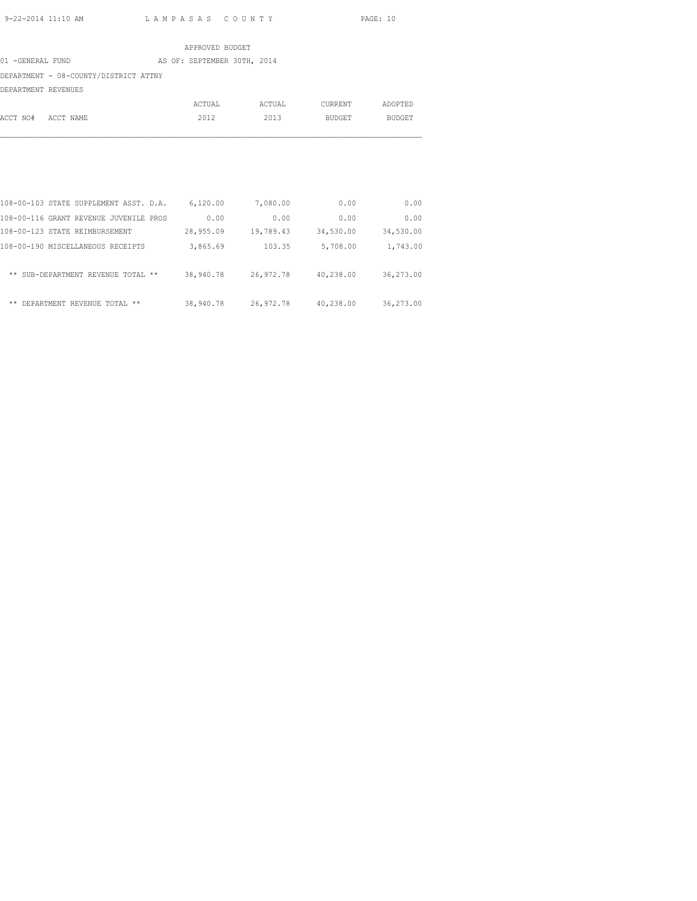|                                       |  | APPROVED BUDGET             |        |         |         |
|---------------------------------------|--|-----------------------------|--------|---------|---------|
| 01 -GENERAL FUND                      |  | AS OF: SEPTEMBER 30TH, 2014 |        |         |         |
| DEPARTMENT - 08-COUNTY/DISTRICT ATTNY |  |                             |        |         |         |
| DEPARTMENT REVENUES                   |  |                             |        |         |         |
|                                       |  | ACTUAL                      | ACTUAL | CURRENT | ADOPTED |
| ACCT NO#<br>ACCT NAME                 |  | 2012                        | 2013   | BUDGET  | BUDGET  |

| 0.00      | 0.00      | 7,080.00  | 6,120.00  | 108-00-103 STATE SUPPLEMENT ASST. D.A. |  |
|-----------|-----------|-----------|-----------|----------------------------------------|--|
| 0.00      | 0.00      | 0.00      | 0.00      | 108-00-116 GRANT REVENUE JUVENILE PROS |  |
| 34,530.00 | 34,530.00 | 19,789.43 | 28,955.09 | 108-00-123 STATE REIMBURSEMENT         |  |
| 1,743.00  | 5,708.00  | 103.35    | 3,865.69  | 108-00-190 MISCELLANEOUS RECEIPTS      |  |
| 36,273.00 | 40,238.00 | 26,972.78 | 38,940.78 | ** SUB-DEPARTMENT REVENUE TOTAL **     |  |
| 36,273.00 | 40,238.00 | 26,972.78 | 38,940.78 | DEPARTMENT REVENUE TOTAL **<br>**      |  |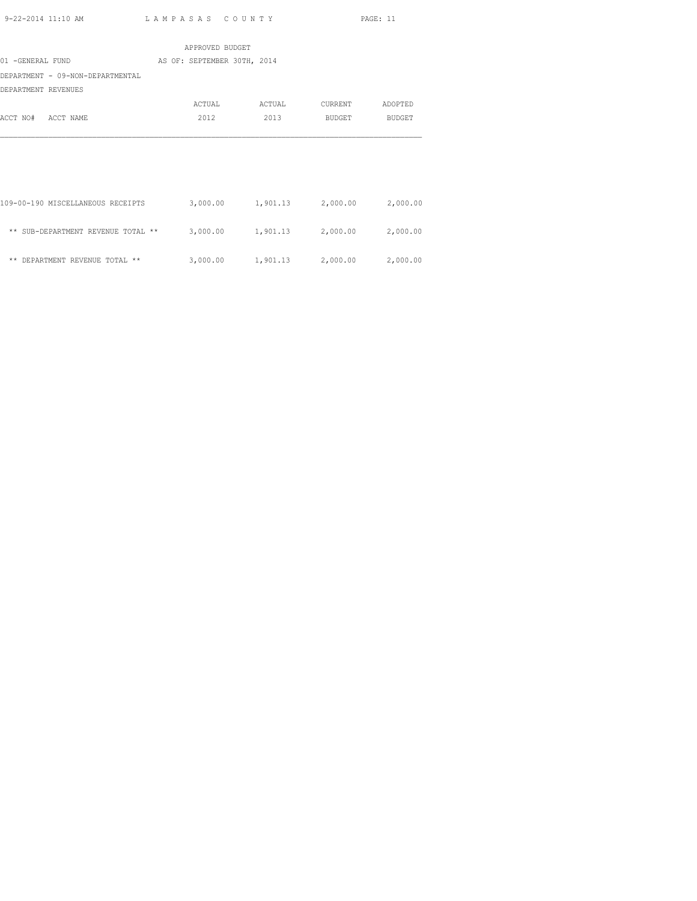|                                    | APPROVED BUDGET             |                                     |         |               |
|------------------------------------|-----------------------------|-------------------------------------|---------|---------------|
| 01 -GENERAL FUND                   | AS OF: SEPTEMBER 30TH, 2014 |                                     |         |               |
| DEPARTMENT - 09-NON-DEPARTMENTAL   |                             |                                     |         |               |
| DEPARTMENT REVENUES                |                             |                                     |         |               |
|                                    | ACTUAL                      | ACTUAL                              | CURRENT | ADOPTED       |
| ACCT NO#<br>ACCT NAME              | 2012                        | 2013                                | BUDGET  | <b>BUDGET</b> |
|                                    |                             |                                     |         |               |
|                                    |                             |                                     |         |               |
|                                    |                             |                                     |         |               |
|                                    |                             |                                     |         |               |
| 109-00-190 MISCELLANEOUS RECEIPTS  |                             | 3,000.00 1,901.13 2,000.00 2,000.00 |         |               |
|                                    |                             |                                     |         |               |
| ** SUB-DEPARTMENT REVENUE TOTAL ** |                             | 3,000.00 1,901.13 2,000.00          |         | 2,000.00      |
|                                    |                             |                                     |         |               |
| ** DEPARTMENT REVENUE TOTAL **     | 3,000.00                    | 1,901.13 2,000.00                   |         | 2,000.00      |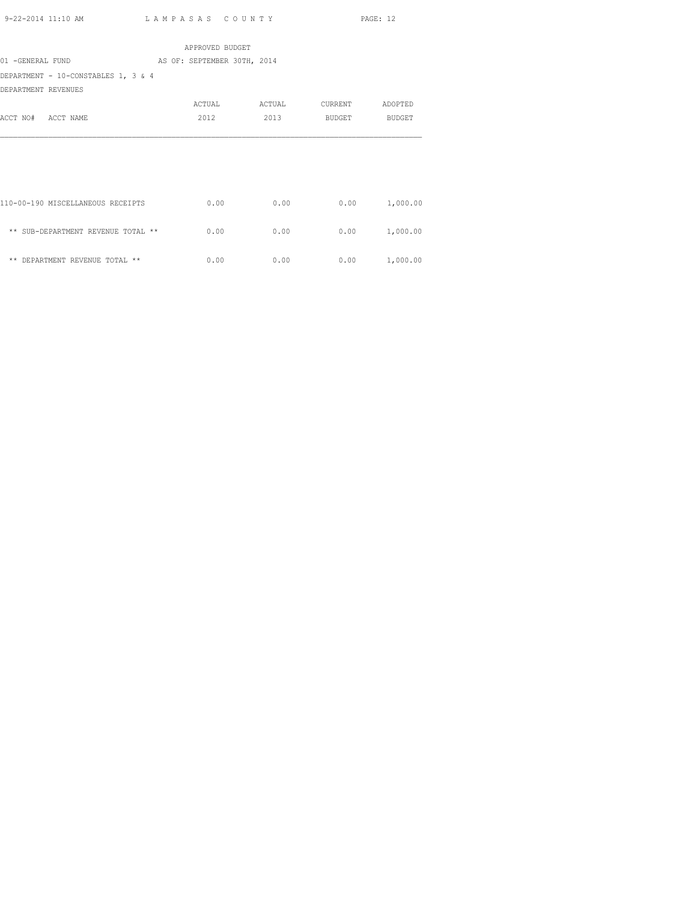|                                     | APPROVED BUDGET             |        |         |          |
|-------------------------------------|-----------------------------|--------|---------|----------|
| 01 -GENERAL FUND                    | AS OF: SEPTEMBER 30TH, 2014 |        |         |          |
| DEPARTMENT - 10-CONSTABLES 1, 3 & 4 |                             |        |         |          |
| DEPARTMENT REVENUES                 |                             |        |         |          |
|                                     | ACTUAL                      | ACTUAL | CURRENT | ADOPTED  |
| ACCT NO# ACCT NAME                  | 2012                        | 2013   | BUDGET  | BUDGET   |
|                                     |                             |        |         |          |
|                                     |                             |        |         |          |
|                                     |                             |        |         |          |
|                                     |                             |        |         |          |
|                                     |                             |        |         |          |
| 110-00-190 MISCELLANEOUS RECEIPTS   | 0.00                        | 0.00   | 0.00    | 1,000.00 |
|                                     |                             |        |         |          |
| ** SUB-DEPARTMENT REVENUE TOTAL **  | 0.00                        | 0.00   | 0.00    | 1,000.00 |

 $\star\star$  DEPARTMENT REVENUE TOTAL  $\star\star$  0.00 0.00 0.00 0.00 0.00 1,000.00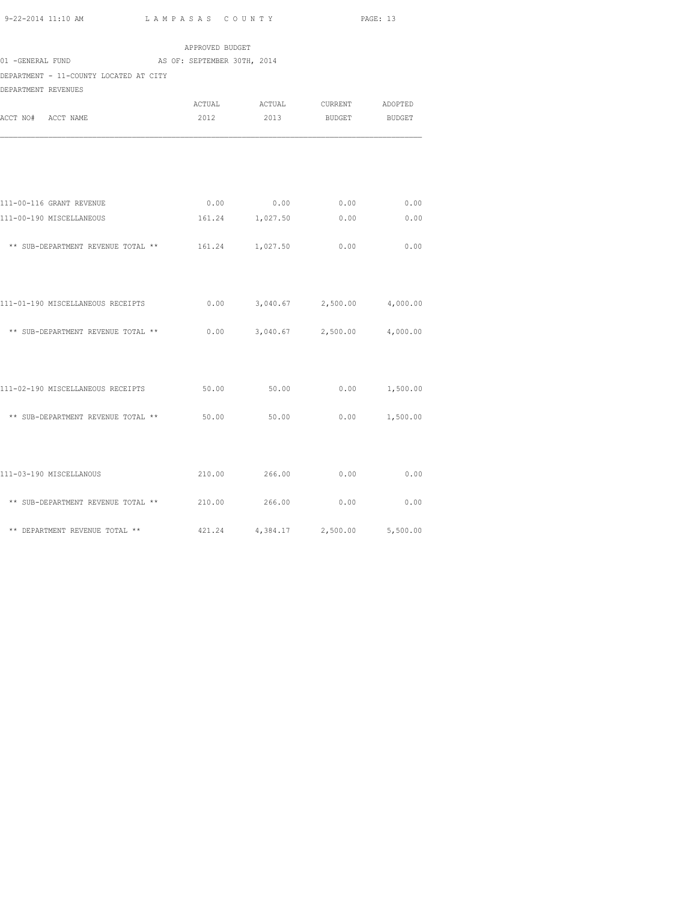| 9-22-2014 11:10 AM |  |
|--------------------|--|

L A M P A S A S C O U N T Y PAGE: 13

|                                                                        | APPROVED BUDGET             |                                         |               |               |
|------------------------------------------------------------------------|-----------------------------|-----------------------------------------|---------------|---------------|
| 01 -GENERAL FUND                                                       | AS OF: SEPTEMBER 30TH, 2014 |                                         |               |               |
| DEPARTMENT - 11-COUNTY LOCATED AT CITY                                 |                             |                                         |               |               |
| DEPARTMENT REVENUES                                                    |                             |                                         |               |               |
|                                                                        |                             | ACTUAL ACTUAL CURRENT ADOPTED           |               |               |
| ACCT NO# ACCT NAME                                                     | 2012                        | 2013                                    | <b>BUDGET</b> | <b>BUDGET</b> |
|                                                                        |                             |                                         |               |               |
| 111-00-116 GRANT REVENUE                                               |                             | $0.00$ 0.00 0.00                        |               | 0.00          |
| 111-00-190 MISCELLANEOUS                                               |                             | 161.24 1,027.50 0.00                    |               | 0.00          |
| ** SUB-DEPARTMENT REVENUE TOTAL **                                     |                             | 161.24 1,027.50                         | 0.00          | 0.00          |
| 111-01-190 MISCELLANEOUS RECEIPTS                                      |                             | $0.00$ $3,040.67$ $2,500.00$ $4,000.00$ |               |               |
|                                                                        |                             |                                         |               |               |
| ** SUB-DEPARTMENT REVENUE TOTAL ** $0.00$ 3,040.67 $2,500.00$ 4,000.00 |                             |                                         |               |               |
|                                                                        |                             |                                         |               |               |
| 111-02-190 MISCELLANEOUS RECEIPTS 650.00 50.00 6000 1,500.00           |                             |                                         |               |               |
| ** SUB-DEPARTMENT REVENUE TOTAL **                                     | 50.00                       | 50.00                                   | 0.00          | 1,500.00      |
|                                                                        |                             |                                         |               |               |
| 111-03-190 MISCELLANOUS                                                |                             | 210.00 266.00                           | 0.00          | 0.00          |
| ** SUB-DEPARTMENT REVENUE TOTAL ** 210.00 266.00                       |                             |                                         | 0.00          | 0.00          |

\*\* DEPARTMENT REVENUE TOTAL \*\* 421.24 4,384.17 2,500.00 5,500.00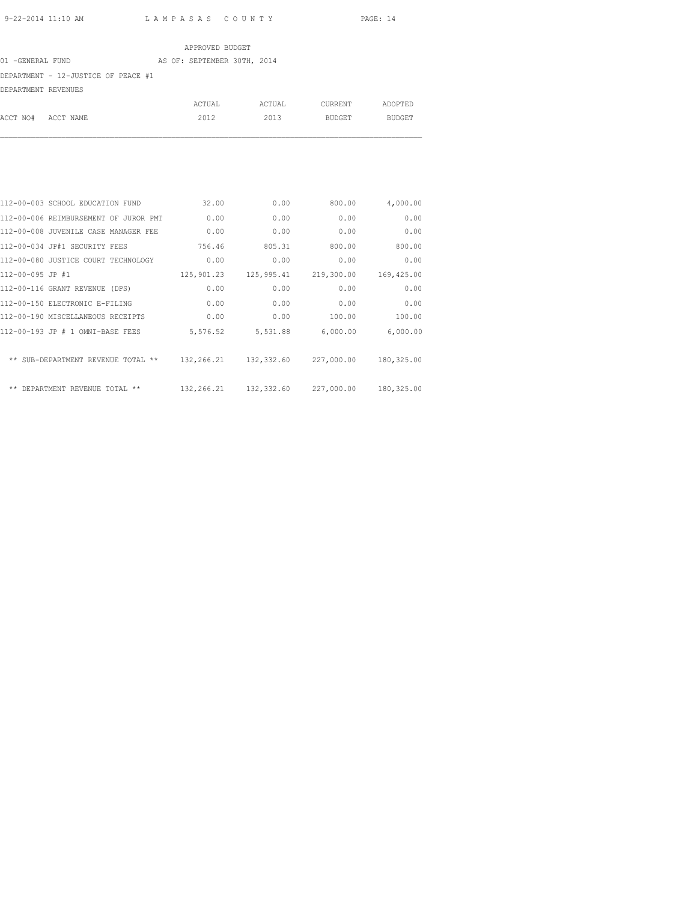ACCT NO# ACCT NAME 2012 2013 BUDGET BUDGET

## APPROVED BUDGET 01 -GENERAL FUND AS OF: SEPTEMBER 30TH, 2014 DEPARTMENT - 12-JUSTICE OF PEACE #1 DEPARTMENT REVENUES ACTUAL ACTUAL CURRENT ADOPTED

|                  | 112-00-003 SCHOOL EDUCATION FUND      | 32.00      | 0.00       | 800.00     | 4,000.00     |
|------------------|---------------------------------------|------------|------------|------------|--------------|
|                  | 112-00-006 REIMBURSEMENT OF JUROR PMT | 0.00       | 0.00       | 0.00       | 0.00         |
|                  | 112-00-008 JUVENILE CASE MANAGER FEE  | 0.00       | 0.00       | 0.00       | 0.00         |
|                  | 112-00-034 JP#1 SECURITY FEES         | 756.46     | 805.31     | 800.00     | 800.00       |
|                  | 112-00-080 JUSTICE COURT TECHNOLOGY   | 0.00       | 0.00       | 0.00       | 0.00         |
| 112-00-095 JP #1 |                                       | 125,901.23 | 125,995.41 | 219,300.00 | 169,425.00   |
|                  | 112-00-116 GRANT REVENUE (DPS)        | 0.00       | 0.00       | 0.00       | 0.00         |
|                  | 112-00-150 ELECTRONIC E-FILING        | 0.00       | 0.00       | 0.00       | 0.00         |
|                  | 112-00-190 MISCELLANEOUS RECEIPTS     | 0.00       | 0.00       | 100.00     | 100.00       |
|                  | 112-00-193 JP # 1 OMNI-BASE FEES      | 5,576.52   | 5,531.88   | 6,000.00   | 6,000.00     |
|                  | ** SUB-DEPARTMENT REVENUE TOTAL **    | 132,266.21 | 132,332.60 | 227,000.00 | 180,325.00   |
|                  | ** DEPARTMENT REVENUE TOTAL **        | 132,266.21 | 132,332.60 | 227,000.00 | 180, 325, 00 |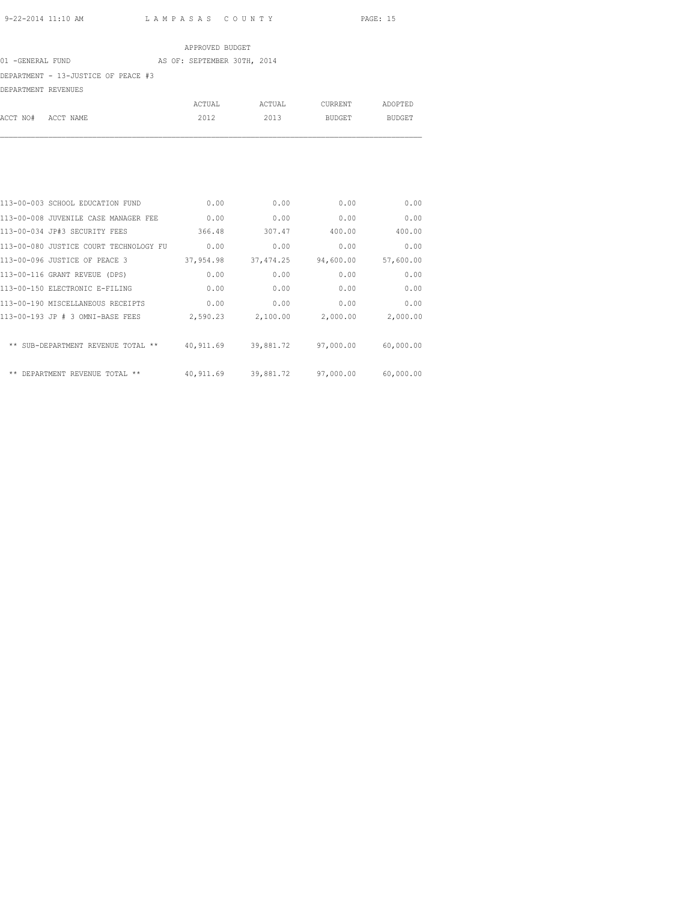ACCT NO# ACCT NAME 2012 2013 BUDGET BUDGET

## APPROVED BUDGET 01 -GENERAL FUND AS OF: SEPTEMBER 30TH, 2014 DEPARTMENT - 13-JUSTICE OF PEACE #3 DEPARTMENT REVENUES ACTUAL ACTUAL CURRENT ADOPTED

| 113-00-003 SCHOOL EDUCATION FUND       | 0.00      | 0.00       | 0.00      | 0.00      |
|----------------------------------------|-----------|------------|-----------|-----------|
| 113-00-008 JUVENILE CASE MANAGER FEE   | 0.00      | 0.00       | 0.00      | 0.00      |
| 113-00-034 JP#3 SECURITY FEES          | 366.48    | 307.47     | 400.00    | 400.00    |
| 113-00-080 JUSTICE COURT TECHNOLOGY FU | 0.00      | 0.00       | 0.00      | 0.00      |
| 113-00-096 JUSTICE OF PEACE 3          | 37,954.98 | 37, 474.25 | 94,600.00 | 57,600.00 |
| 113-00-116 GRANT REVEUE (DPS)          | 0.00      | 0.00       | 0.00      | 0.00      |
| 113-00-150 ELECTRONIC E-FILING         | 0.00      | 0.00       | 0.00      | 0.00      |
| 113-00-190 MISCELLANEOUS RECEIPTS      | 0.00      | 0.00       | 0.00      | 0.00      |
| 113-00-193 JP # 3 OMNI-BASE FEES       | 2,590.23  | 2,100.00   | 2,000.00  | 2,000.00  |
|                                        |           |            |           |           |
| ** SUB-DEPARTMENT REVENUE TOTAL **     | 40,911.69 | 39,881.72  | 97,000.00 | 60,000.00 |
|                                        |           |            |           |           |
| $* *$<br>DEPARTMENT REVENUE TOTAL **   | 40,911.69 | 39,881.72  | 97,000.00 | 60,000.00 |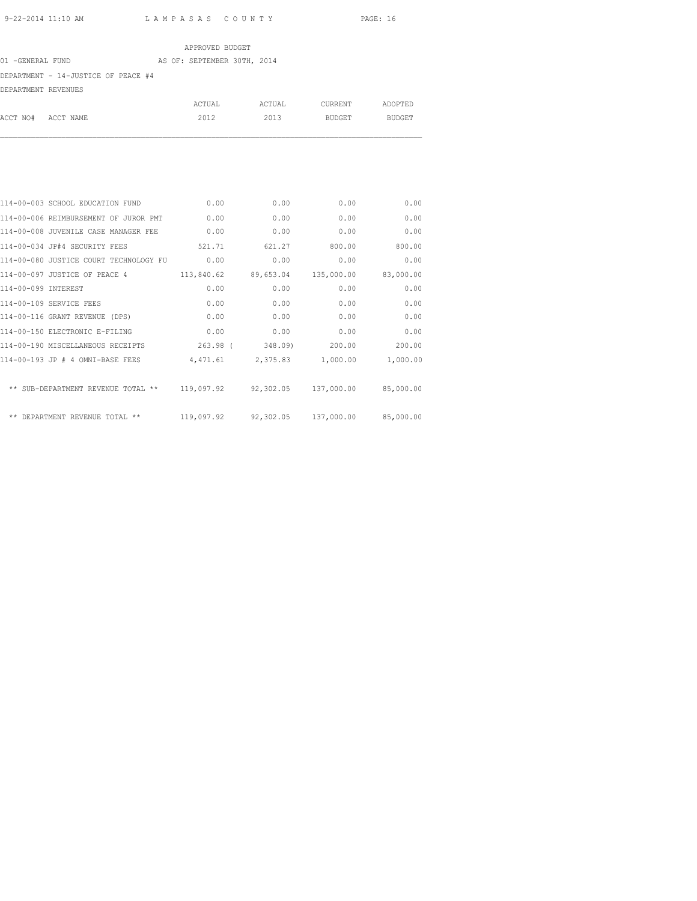#### APPROVED BUDGET 01 -GENERAL FUND AS OF: SEPTEMBER 30TH, 2014

#### DEPARTMENT - 14-JUSTICE OF PEACE #4

DEPARTMENT REVENUES

|                    | ACTUAL | ACTUAL | CURRENT | ADOPTED |
|--------------------|--------|--------|---------|---------|
| ACCT NO# ACCT NAME | 2012   | 2013   | BUDGET  | BUDGET  |

|                     | 114-00-003 SCHOOL EDUCATION FUND       | 0.00       | 0.00      | 0.00                 | 0.00      |
|---------------------|----------------------------------------|------------|-----------|----------------------|-----------|
|                     | 114-00-006 REIMBURSEMENT OF JUROR PMT  | 0.00       | 0.00      | 0.00                 | 0.00      |
|                     | 114-00-008 JUVENILE CASE MANAGER FEE   | 0.00       | 0.00      | 0.00                 | 0.00      |
|                     | 114-00-034 JP#4 SECURITY FEES          | 521.71     | 621.27    | 800.00               | 800.00    |
|                     | 114-00-080 JUSTICE COURT TECHNOLOGY FU | 0.00       | 0.00      | 0.00                 | 0.00      |
|                     | 114-00-097 JUSTICE OF PEACE 4          | 113,840.62 | 89,653.04 | 135,000.00           | 83,000.00 |
| 114-00-099 INTEREST |                                        | 0.00       | 0.00      | 0.00                 | 0.00      |
|                     | 114-00-109 SERVICE FEES                | 0.00       | 0.00      | 0.00                 | 0.00      |
|                     | 114-00-116 GRANT REVENUE (DPS)         | 0.00       | 0.00      | 0.00                 | 0.00      |
|                     | 114-00-150 ELECTRONIC E-FILING         | 0.00       | 0.00      | 0.00                 | 0.00      |
|                     | 114-00-190 MISCELLANEOUS RECEIPTS      | $263.98$ ( | 348.09)   | 200.00               | 200.00    |
|                     | 114-00-193 JP # 4 OMNI-BASE FEES       | 4,471.61   | 2,375.83  | 1,000.00             | 1,000.00  |
|                     | ** SUB-DEPARTMENT REVENUE TOTAL **     | 119,097.92 |           | 92,302.05 137,000.00 | 85,000.00 |
|                     | ** DEPARTMENT REVENUE TOTAL **         | 119,097.92 |           | 92,302.05 137,000.00 | 85,000.00 |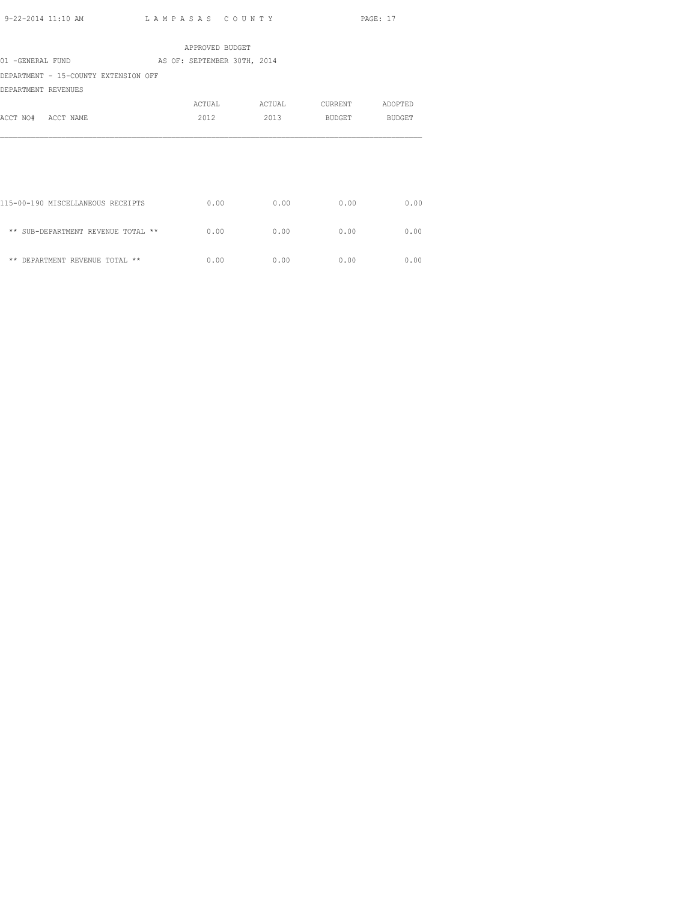|                                      | APPROVED BUDGET             |        |         |         |
|--------------------------------------|-----------------------------|--------|---------|---------|
| 01 -GENERAL FUND                     | AS OF: SEPTEMBER 30TH, 2014 |        |         |         |
| DEPARTMENT - 15-COUNTY EXTENSION OFF |                             |        |         |         |
| DEPARTMENT REVENUES                  |                             |        |         |         |
|                                      | ACTUAL                      | ACTUAL | CURRENT | ADOPTED |
| ACCT NO# ACCT NAME                   | 2012                        | 2013   | BUDGET  | BUDGET  |
|                                      |                             |        |         |         |
|                                      |                             |        |         |         |
|                                      |                             |        |         |         |
|                                      |                             |        |         |         |
|                                      |                             |        |         |         |
| 115-00-190 MISCELLANEOUS RECEIPTS    | 0.00                        | 0.00   | 0.00    | 0.00    |
|                                      |                             |        |         |         |
| ** SUB-DEPARTMENT REVENUE TOTAL **   | 0.00                        | 0.00   | 0.00    | 0.00    |
|                                      |                             |        |         |         |
| ** DEPARTMENT REVENUE TOTAL **       | 0.00                        | 0.00   | 0.00    | 0.00    |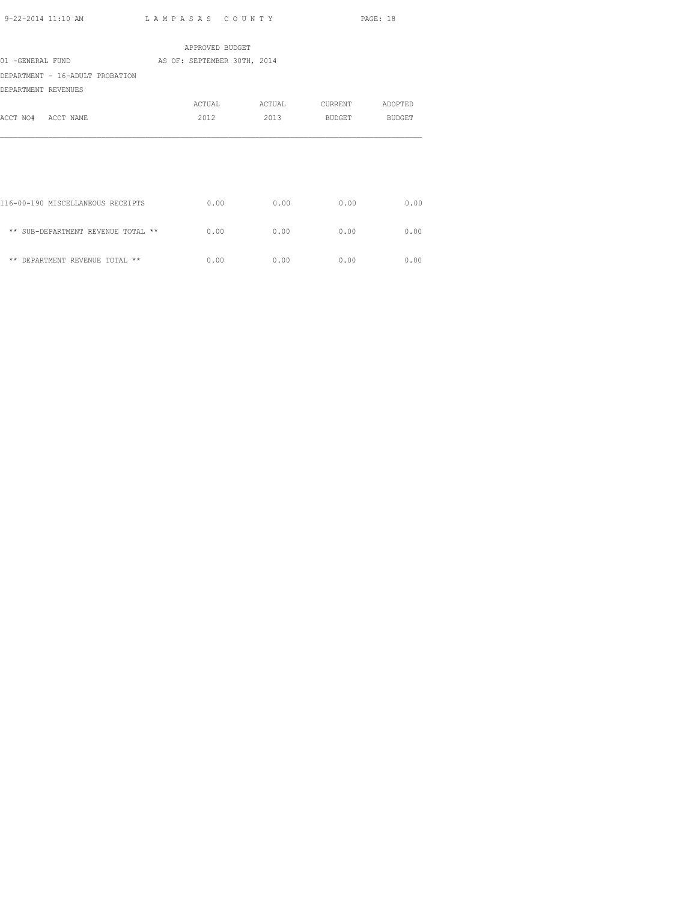|                                    | APPROVED BUDGET             |      |                       |         |
|------------------------------------|-----------------------------|------|-----------------------|---------|
| 01 -GENERAL FUND                   | AS OF: SEPTEMBER 30TH, 2014 |      |                       |         |
| DEPARTMENT - 16-ADULT PROBATION    |                             |      |                       |         |
| DEPARTMENT REVENUES                |                             |      |                       |         |
|                                    |                             |      | ACTUAL ACTUAL CURRENT | ADOPTED |
| ACCT NO# ACCT NAME                 | 2012                        |      | 2013 BUDGET BUDGET    |         |
|                                    |                             |      |                       |         |
|                                    |                             |      |                       |         |
|                                    |                             |      |                       |         |
|                                    |                             |      |                       |         |
|                                    |                             |      |                       |         |
| 116-00-190 MISCELLANEOUS RECEIPTS  | 0.00                        | 0.00 | 0.00                  | 0.00    |
|                                    |                             |      |                       |         |
| ** SUB-DEPARTMENT REVENUE TOTAL ** | 0.00                        | 0.00 | 0.00                  | 0.00    |
| ** DEPARTMENT REVENUE TOTAL **     | 0.00                        | 0.00 | 0.00                  | 0.00    |
|                                    |                             |      |                       |         |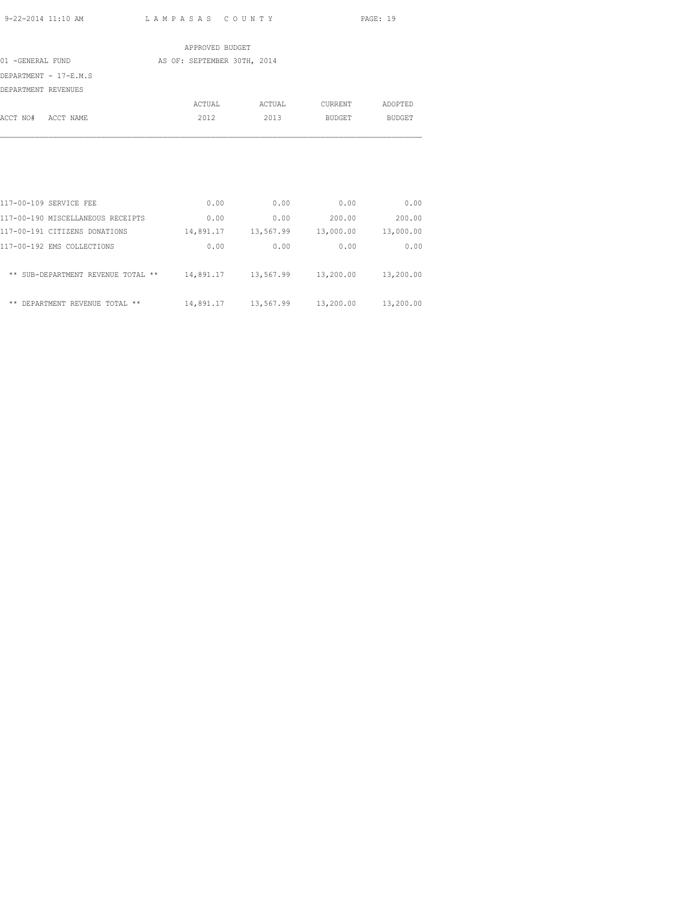|                     |                       |  | APPROVED BUDGET             |        |         |         |               |
|---------------------|-----------------------|--|-----------------------------|--------|---------|---------|---------------|
| 01 -GENERAL FUND    |                       |  | AS OF: SEPTEMBER 30TH, 2014 |        |         |         |               |
|                     | DEPARTMENT - 17-E.M.S |  |                             |        |         |         |               |
| DEPARTMENT REVENUES |                       |  |                             |        |         |         |               |
|                     |                       |  | ACTUAL                      | ACTUAL | CURRENT | ADOPTED |               |
| ACCT NO# ACCT NAME  |                       |  | 2012                        | 2013   | BUDGET  |         | <b>BUDGET</b> |
|                     |                       |  |                             |        |         |         |               |
|                     |                       |  |                             |        |         |         |               |
|                     |                       |  |                             |        |         |         |               |

| 117-00-109 SERVICE FEE             | 0.00      | 0.00      | 0.00      | 0.00      |
|------------------------------------|-----------|-----------|-----------|-----------|
| 117-00-190 MISCELLANEOUS RECEIPTS  | 0.00      | 0.00      | 200.00    | 200.00    |
| 117-00-191 CITIZENS DONATIONS      | 14,891.17 | 13,567.99 | 13,000.00 | 13,000.00 |
| 117-00-192 EMS COLLECTIONS         | 0.00      | 0.00      | 0.00      | 0.00      |
| ** SUB-DEPARTMENT REVENUE TOTAL ** | 14,891.17 | 13,567.99 | 13,200.00 | 13,200.00 |
| **<br>DEPARTMENT REVENUE TOTAL **  | 14,891.17 | 13,567.99 | 13,200.00 | 13,200.00 |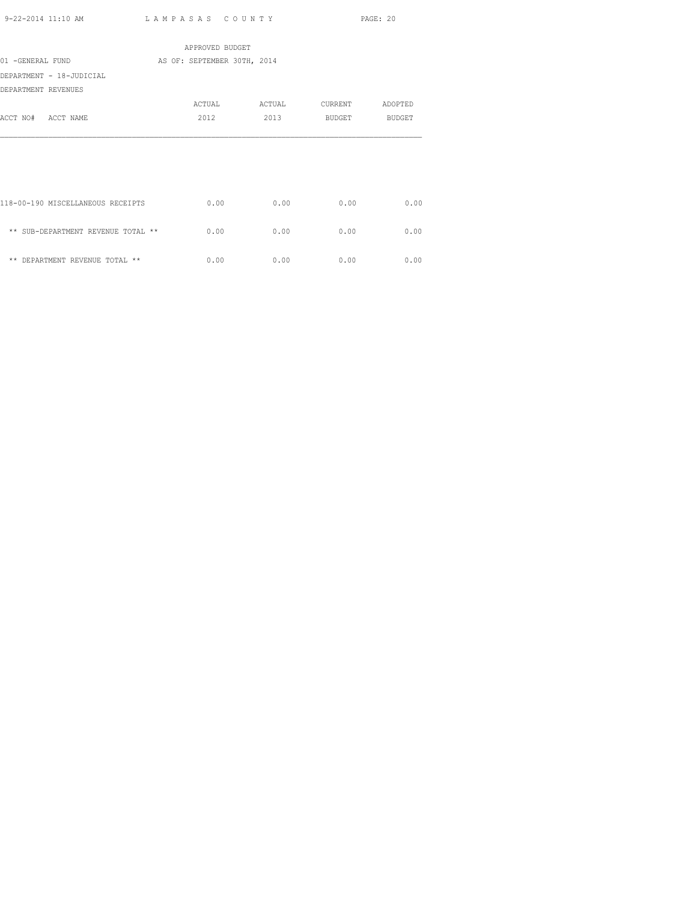|                                    | APPROVED BUDGET             |        |         |         |
|------------------------------------|-----------------------------|--------|---------|---------|
| 01 -GENERAL FUND                   | AS OF: SEPTEMBER 30TH, 2014 |        |         |         |
| DEPARTMENT - 18-JUDICIAL           |                             |        |         |         |
| DEPARTMENT REVENUES                |                             |        |         |         |
|                                    | ACTUAL                      | ACTUAL | CURRENT | ADOPTED |
| ACCT NO# ACCT NAME                 | 2012                        | 2013   | BUDGET  | BUDGET  |
|                                    |                             |        |         |         |
| 118-00-190 MISCELLANEOUS RECEIPTS  | 0.00                        | 0.00   | 0.00    | 0.00    |
| ** SUB-DEPARTMENT REVENUE TOTAL ** | 0.00                        | 0.00   | 0.00    | 0.00    |
| ** DEPARTMENT REVENUE TOTAL **     | 0.00                        | 0.00   | 0.00    | 0.00    |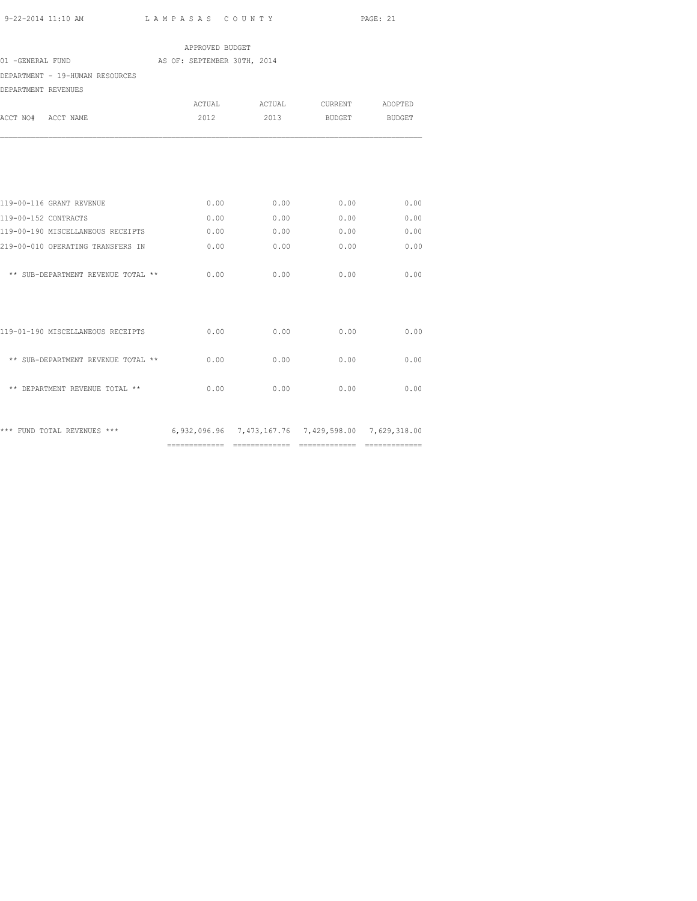============= ============= ============= =============

|                                                                                 | APPROVED BUDGET             |                               |                    |      |
|---------------------------------------------------------------------------------|-----------------------------|-------------------------------|--------------------|------|
| 01 -GENERAL FUND                                                                | AS OF: SEPTEMBER 30TH, 2014 |                               |                    |      |
| DEPARTMENT - 19-HUMAN RESOURCES                                                 |                             |                               |                    |      |
| DEPARTMENT REVENUES                                                             |                             |                               |                    |      |
|                                                                                 |                             | ACTUAL ACTUAL CURRENT ADOPTED |                    |      |
| ACCT NO# ACCT NAME                                                              | 2012                        |                               | 2013 BUDGET BUDGET |      |
|                                                                                 |                             |                               |                    |      |
| 119-00-116 GRANT REVENUE                                                        | 0.00                        | 0.00                          | 0.00               | 0.00 |
| 119-00-152 CONTRACTS                                                            | 0.00                        | 0.00                          | 0.00               | 0.00 |
| 119-00-190 MISCELLANEOUS RECEIPTS                                               | 0.00                        | 0.00                          | 0.00               | 0.00 |
| 219-00-010 OPERATING TRANSFERS IN                                               | 0.00                        | 0.00                          | 0.00               | 0.00 |
| ** SUB-DEPARTMENT REVENUE TOTAL **                                              | 0.00                        | 0.00                          | 0.00               | 0.00 |
|                                                                                 |                             |                               |                    |      |
| 119-01-190 MISCELLANEOUS RECEIPTS                                               | 0.00                        | 0.00                          | 0.00               | 0.00 |
| ** SUB-DEPARTMENT REVENUE TOTAL **                                              | 0.00                        | 0.00                          | 0.00               | 0.00 |
| ** DEPARTMENT REVENUE TOTAL **                                                  | 0.00                        | 0.00                          | 0.00               | 0.00 |
| *** FUND TOTAL REVENUES *** 6,932,096.96 7,473,167.76 7,429,598.00 7,629,318.00 |                             |                               |                    |      |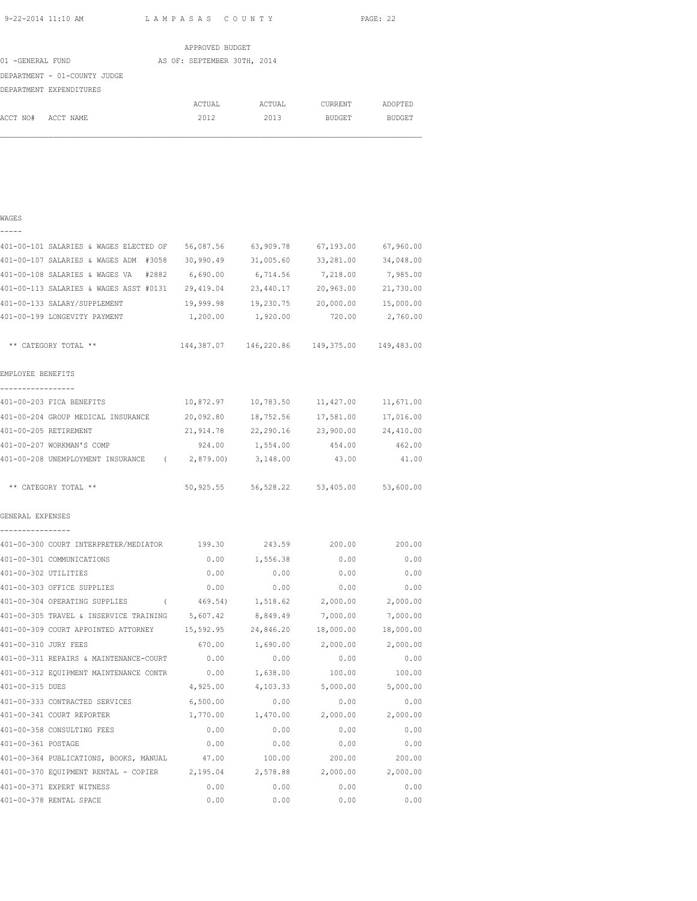|                  |                              | APPROVED BUDGET             |        |                |               |
|------------------|------------------------------|-----------------------------|--------|----------------|---------------|
| 01 -GENERAL FUND |                              | AS OF: SEPTEMBER 30TH, 2014 |        |                |               |
|                  | DEPARTMENT - 01-COUNTY JUDGE |                             |        |                |               |
|                  | DEPARTMENT EXPENDITURES      |                             |        |                |               |
|                  |                              | ACTUAL                      | ACTUAL | <b>CURRENT</b> | ADOPTED       |
| ACCT NO#         | ACCT NAME                    | 2012                        | 2013   | <b>BUDGET</b>  | <b>BUDGET</b> |
|                  |                              |                             |        |                |               |
|                  |                              |                             |        |                |               |

#### WAGES

| _ | — | – | _ |  |
|---|---|---|---|--|
|   |   |   |   |  |

| 401-00-101 SALARIES & WAGES ELECTED OF        | 56,087.56  | 63,909.78  | 67,193.00  | 67,960.00  |
|-----------------------------------------------|------------|------------|------------|------------|
| 401-00-107 SALARIES & WAGES ADM #3058         | 30,990.49  | 31,005.60  | 33,281.00  | 34,048.00  |
| 401-00-108 SALARIES & WAGES VA<br>#2882       | 6,690.00   | 6,714.56   | 7,218.00   | 7,985.00   |
| 401-00-113 SALARIES & WAGES ASST #0131        | 29,419.04  | 23,440.17  | 20,963.00  | 21,730.00  |
| 401-00-133 SALARY/SUPPLEMENT                  | 19,999.98  | 19,230.75  | 20,000.00  | 15,000.00  |
| 401-00-199 LONGEVITY PAYMENT                  | 1,200.00   | 1,920.00   | 720.00     | 2,760.00   |
| ** CATEGORY TOTAL **                          | 144,387.07 | 146,220.86 | 149,375.00 | 149,483.00 |
| EMPLOYEE BENEFITS                             |            |            |            |            |
| 401-00-203 FICA BENEFITS                      | 10,872.97  | 10,783.50  | 11,427.00  | 11,671.00  |
| 401-00-204 GROUP MEDICAL INSURANCE            | 20,092.80  | 18,752.56  | 17,581.00  | 17,016.00  |
| 401-00-205 RETIREMENT                         | 21,914.78  | 22,290.16  | 23,900.00  | 24,410.00  |
| 401-00-207 WORKMAN'S COMP                     | 924.00     | 1,554.00   | 454.00     | 462.00     |
| 401-00-208 UNEMPLOYMENT INSURANCE (           | 2,879.00)  | 3,148.00   | 43.00      | 41.00      |
| ** CATEGORY TOTAL **                          | 50,925.55  | 56,528.22  | 53,405.00  | 53,600.00  |
| GENERAL EXPENSES<br>-----------------         |            |            |            |            |
| 401-00-300 COURT INTERPRETER/MEDIATOR         | 199.30     | 243.59     | 200.00     | 200.00     |
| 401-00-301 COMMUNICATIONS                     | 0.00       | 1,556.38   | 0.00       | 0.00       |
| 401-00-302 UTILITIES                          | 0.00       | 0.00       | 0.00       | 0.00       |
| 401-00-303 OFFICE SUPPLIES                    | 0.00       | 0.00       | 0.00       | 0.00       |
| 401-00-304 OPERATING SUPPLIES<br>$\sqrt{2}$   | 469.54)    | 1,518.62   | 2,000.00   | 2,000.00   |
| 401-00-305 TRAVEL & INSERVICE TRAINING        | 5,607.42   | 8,849.49   | 7,000.00   | 7,000.00   |
| 401-00-309 COURT APPOINTED ATTORNEY           | 15,592.95  | 24,846.20  | 18,000.00  | 18,000.00  |
| 401-00-310 JURY FEES                          | 670.00     | 1,690.00   | 2,000.00   | 2,000.00   |
| 401-00-311 REPAIRS & MAINTENANCE-COURT        | 0.00       | 0.00       | 0.00       | 0.00       |
| 401-00-312 EQUIPMENT MAINTENANCE CONTR        | 0.00       | 1,638.00   | 100.00     | 100.00     |
| 401-00-315 DUES                               | 4,925.00   | 4,103.33   | 5,000.00   | 5,000.00   |
| 401-00-333 CONTRACTED SERVICES                | 6,500.00   | 0.00       | 0.00       | 0.00       |
| 401-00-341 COURT REPORTER                     | 1,770.00   | 1,470.00   | 2,000.00   | 2,000.00   |
| 401-00-358 CONSULTING FEES                    | 0.00       | 0.00       | 0.00       | 0.00       |
| 401-00-361 POSTAGE                            | 0.00       | 0.00       | 0.00       | 0.00       |
| 401-00-364 PUBLICATIONS, BOOKS, MANUAL        | 47.00      | 100.00     | 200.00     | 200.00     |
| 401-00-370 EQUIPMENT RENTAL - COPIER 2,195.04 |            | 2,578.88   | 2,000.00   | 2,000.00   |
| 401-00-371 EXPERT WITNESS                     | 0.00       | 0.00       | 0.00       | 0.00       |
| 401-00-378 RENTAL SPACE                       | 0.00       | 0.00       | 0.00       | 0.00       |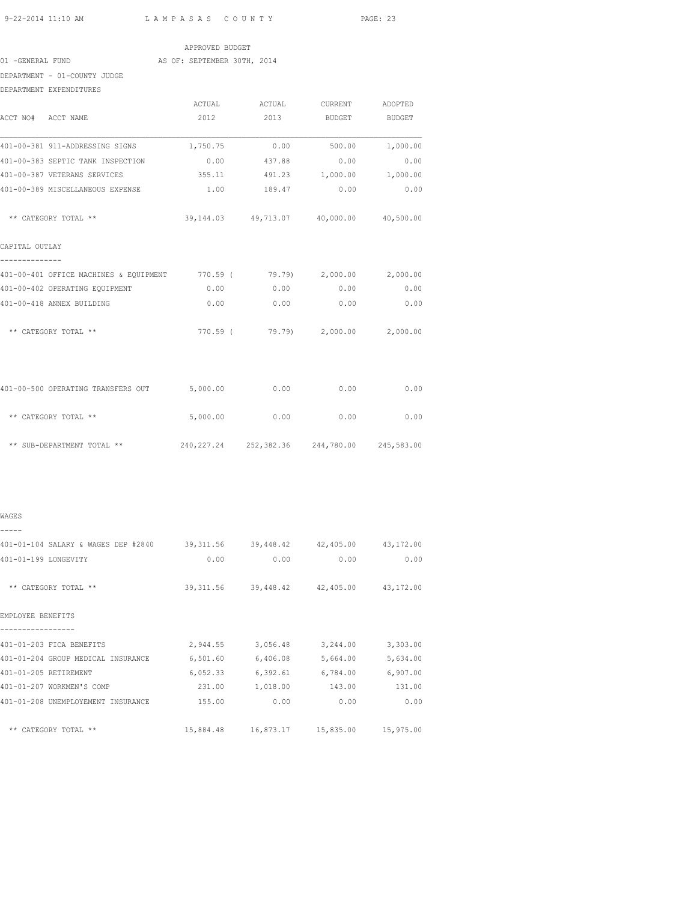| 9-22-2014 11:10 AM LAMPASAS COUNTY                                             |                             |                                             |      | PAGE: 23 |
|--------------------------------------------------------------------------------|-----------------------------|---------------------------------------------|------|----------|
|                                                                                | APPROVED BUDGET             |                                             |      |          |
| 01 - GENERAL FUND                                                              | AS OF: SEPTEMBER 30TH, 2014 |                                             |      |          |
| DEPARTMENT - 01-COUNTY JUDGE                                                   |                             |                                             |      |          |
| DEPARTMENT EXPENDITURES                                                        |                             |                                             |      |          |
|                                                                                |                             | ACTUAL ACTUAL CURRENT ADOPTED               |      |          |
| ACCT NO# ACCT NAME                                                             | 2012                        | 2013 BUDGET BUDGET                          |      |          |
| 401-00-381 911-ADDRESSING SIGNS                                                |                             | $1,750.75$ 0.00 500.00 1,000.00             |      |          |
| 401-00-383 SEPTIC TANK INSPECTION $0.00$ $437.88$ $0.00$ $0.00$                |                             |                                             |      |          |
| 401-00-387 VETERANS SERVICES 6 355.11 491.23 1,000.00 1,000.00                 |                             |                                             |      |          |
| 401-00-389 MISCELLANEOUS EXPENSE 1.00 189.47 0.00                              |                             |                                             |      | 0.00     |
| ** CATEGORY TOTAL **                                                           |                             | 39,144.03 49,713.07 40,000.00 40,500.00     |      |          |
| CAPITAL OUTLAY                                                                 |                             |                                             |      |          |
| 401-00-401 OFFICE MACHINES & EQUIPMENT 770.59 ( 79.79) 2,000.00 2,000.00       |                             |                                             |      |          |
| 401-00-402 OPERATING EQUIPMENT                                                 | 0.00                        | 0.00                                        | 0.00 | 0.00     |
| 401-00-418 ANNEX BUILDING                                                      |                             | $0.00$ 0.00 0.00                            |      | 0.00     |
| ** CATEGORY TOTAL **                                                           |                             | 770.59 ( 79.79) 2,000.00 2,000.00           |      |          |
| 401-00-500 OPERATING TRANSFERS OUT 5,000.00 0.00 0.00 0.00                     |                             |                                             |      | 0.00     |
| ** CATEGORY TOTAL **                                                           |                             | 5,000.00 0.00                               | 0.00 | 0.00     |
| ** SUB-DEPARTMENT TOTAL ** $240,227.24$ $252,382.36$ $244,780.00$ $245,583.00$ |                             |                                             |      |          |
| WAGES                                                                          |                             |                                             |      |          |
|                                                                                |                             |                                             |      |          |
| 401-01-104 SALARY & WAGES DEP #2840 39,311.56 39,448.42 42,405.00 43,172.00    |                             |                                             |      |          |
| 401-01-199 LONGEVITY                                                           | 0.00                        | 0.00                                        | 0.00 | 0.00     |
| ** CATEGORY TOTAL **                                                           |                             | 39, 311.56 39, 448.42 42, 405.00 43, 172.00 |      |          |
| EMPLOYEE BENEFITS                                                              |                             |                                             |      |          |
| 401-01-203 FICA BENEFITS                                                       |                             | 2,944.55 3,056.48 3,244.00 3,303.00         |      |          |
| 401-01-204 GROUP MEDICAL INSURANCE                                             |                             | $6,501.60$ $6,406.08$ $5,664.00$ $5,634.00$ |      |          |

401-01-205 RETIREMENT 6,052.33 6,392.61 6,784.00 6,907.00 401-01-207 WORKMEN'S COMP 231.00 1,018.00 143.00 131.00 401-01-208 UNEMPLOYEMENT INSURANCE 155.00 0.00 0.00 0.00

\*\* CATEGORY TOTAL \*\* 15,884.48 16,873.17 15,835.00 15,975.00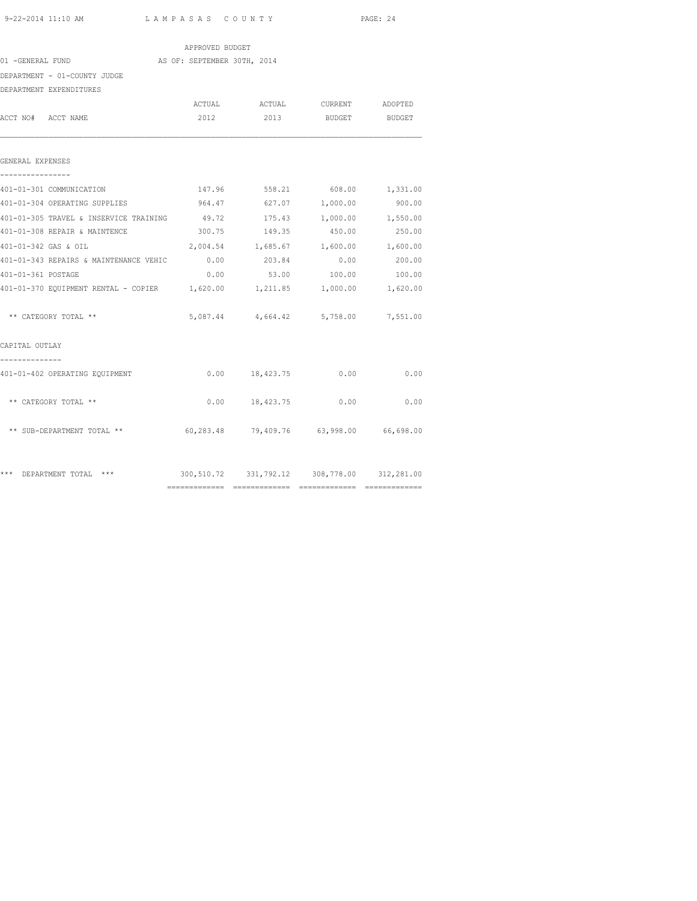|                                                                          |                                             |                                         |              | PAGE: 24 |
|--------------------------------------------------------------------------|---------------------------------------------|-----------------------------------------|--------------|----------|
|                                                                          | APPROVED BUDGET                             |                                         |              |          |
| 01 -GENERAL FUND AS OF: SEPTEMBER 30TH, 2014                             |                                             |                                         |              |          |
| DEPARTMENT - 01-COUNTY JUDGE                                             |                                             |                                         |              |          |
| DEPARTMENT EXPENDITURES                                                  |                                             |                                         |              |          |
|                                                                          |                                             | ACTUAL ACTUAL CURRENT ADOPTED           |              |          |
| ACCT NO# ACCT NAME                                                       |                                             | 2012 2013 BUDGET BUDGET                 |              |          |
| GENERAL EXPENSES                                                         |                                             |                                         |              |          |
| 401-01-301 COMMUNICATION                                                 |                                             | 147.96 558.21 608.00 1,331.00           |              |          |
| 401-01-304 OPERATING SUPPLIES                                            | 964.47                                      | 627.07                                  | 1,000.00     | 900.00   |
| 401-01-305 TRAVEL & INSERVICE TRAINING $49.72$ 175.43 1,000.00 1,550.00  |                                             |                                         |              |          |
| 401-01-308 REPAIR & MAINTENCE                                            |                                             | 300.75 149.35 450.00                    |              | 250.00   |
| 401-01-342 GAS & OIL                                                     | 2,004.54 1,685.67 1,600.00 1,600.00         |                                         |              |          |
| 401-01-343 REPAIRS & MAINTENANCE VEHIC                                   | 0.00                                        | 203.84                                  | 0.00         | 200.00   |
| 401-01-361 POSTAGE                                                       | 0.00                                        |                                         | 53.00 100.00 | 100.00   |
| 401-01-370 EQUIPMENT RENTAL - COPIER 1,620.00 1,211.85 1,000.00 1,620.00 |                                             |                                         |              |          |
| ** CATEGORY TOTAL **                                                     |                                             | 5,087.44 4,664.42 5,758.00 7,551.00     |              |          |
| CAPITAL OUTLAY                                                           |                                             |                                         |              |          |
| 401-01-402 OPERATING EQUIPMENT                                           |                                             | $0.00$ 18,423.75                        | 0.00         | 0.00     |
| ** CATEGORY TOTAL **                                                     |                                             | $0.00$ 18,423.75 0.00 0.00              |              |          |
| ** SUB-DEPARTMENT TOTAL **                                               |                                             | 60,283.48 79,409.76 63,998.00 66,698.00 |              |          |
| *** DEPARTMENT TOTAL ***                                                 | 300,510.72 331,792.12 308,778.00 312,281.00 |                                         |              |          |

============= ============= ============= =============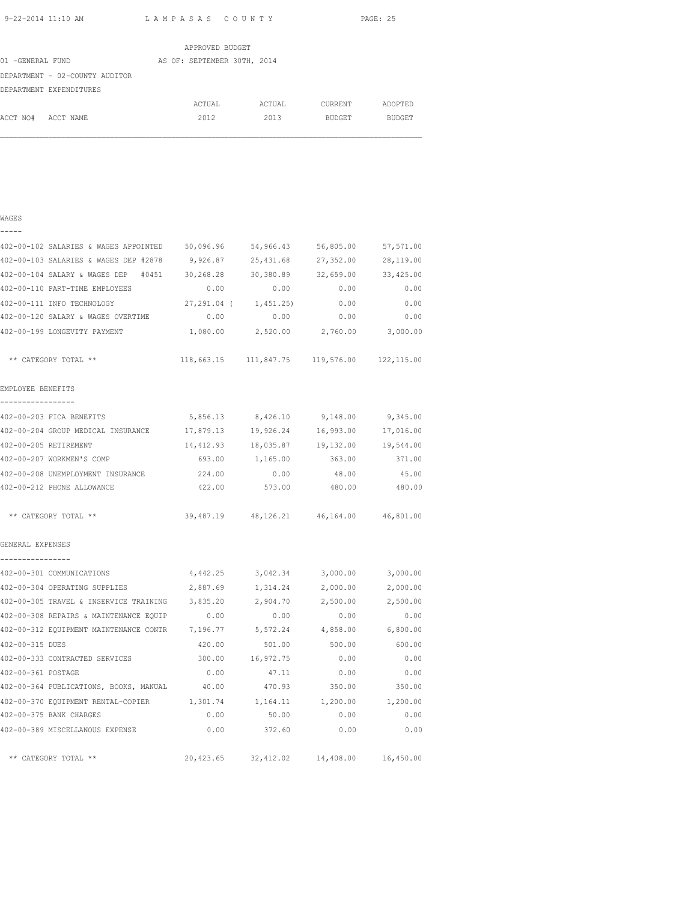|                                | APPROVED BUDGET             |        |               |               |
|--------------------------------|-----------------------------|--------|---------------|---------------|
| 01 -GENERAL FUND               | AS OF: SEPTEMBER 30TH, 2014 |        |               |               |
| DEPARTMENT - 02-COUNTY AUDITOR |                             |        |               |               |
| DEPARTMENT EXPENDITURES        |                             |        |               |               |
|                                | ACTUAL                      | ACTUAL | CURRENT       | ADOPTED       |
| ACCT NO#<br>ACCT NAME          | 2012                        | 2013   | <b>BUDGET</b> | <b>BUDGET</b> |

| ۰,<br>٦ |  |
|---------|--|
|         |  |

| 402-00-102 SALARIES & WAGES APPOINTED 50,096.96 54,966.43                  |          |                 | 56,805.00                                   | 57,571.00 |
|----------------------------------------------------------------------------|----------|-----------------|---------------------------------------------|-----------|
| 402-00-103 SALARIES & WAGES DEP #2878 9,926.87 25,431.68                   |          |                 | 27,352.00                                   | 28,119.00 |
| 402-00-104 SALARY & WAGES DEP #0451 30,268.28 30,380.89 32,659.00          |          |                 |                                             | 33,425.00 |
| 402-00-110 PART-TIME EMPLOYEES                                             | 0.00     | 0.00            | 0.00                                        | 0.00      |
| 402-00-111 INFO TECHNOLOGY                                                 |          |                 | 27, 291.04 ( 1, 451.25) 0.00                | 0.00      |
| 402-00-120 SALARY & WAGES OVERTIME                                         | 0.00     |                 | $0.00$ 0.00                                 | 0.00      |
| 402-00-199 LONGEVITY PAYMENT                                               |          |                 | $1,080.00$ $2,520.00$ $2,760.00$ $3,000.00$ |           |
| ** CATEGORY TOTAL **                                                       |          |                 | 118,663.15 111,847.75 119,576.00 122,115.00 |           |
| EMPLOYEE BENEFITS                                                          |          |                 |                                             |           |
| ________________                                                           |          |                 |                                             |           |
| 402-00-203 FICA BENEFITS                                                   |          |                 | 5,856.13 8,426.10 9,148.00 9,345.00         |           |
| 402-00-204 GROUP MEDICAL INSURANCE 17,879.13 19,926.24 16,993.00 17,016.00 |          |                 |                                             |           |
| 402-00-205 RETIREMENT                                                      |          |                 | 14,412.93  18,035.87  19,132.00  19,544.00  |           |
| 402-00-207 WORKMEN'S COMP                                                  |          | 693.00 1,165.00 | 363.00                                      | 371.00    |
| 402-00-208 UNEMPLOYMENT INSURANCE 224.00                                   |          | 0.00            | 48.00                                       | 45.00     |
| 402-00-212 PHONE ALLOWANCE                                                 | 422.00   | 573.00          | 480.00                                      | 480.00    |
| ** CATEGORY TOTAL **                                                       |          |                 | 39,487.19 48,126.21 46,164.00 46,801.00     |           |
| GENERAL EXPENSES                                                           |          |                 |                                             |           |
| ________________<br>402-00-301 COMMUNICATIONS                              |          |                 | 4,442.25 3,042.34 3,000.00 3,000.00         |           |
| 402-00-304 OPERATING SUPPLIES                                              | 2,887.69 | 1,314.24        | 2,000.00                                    | 2,000.00  |
| 402-00-305 TRAVEL & INSERVICE TRAINING                                     | 3,835.20 | 2,904.70        | 2,500.00                                    | 2,500.00  |
| 402-00-308 REPAIRS & MAINTENANCE EQUIP                                     | 0.00     | 0.00            | 0.00                                        | 0.00      |
| 402-00-312 EQUIPMENT MAINTENANCE CONTR                                     | 7,196.77 | 5,572.24        | 4,858.00                                    | 6,800.00  |
| 402-00-315 DUES                                                            | 420.00   | 501.00          | 500.00                                      | 600.00    |
| 402-00-333 CONTRACTED SERVICES                                             | 300.00   | 16,972.75       | 0.00                                        | 0.00      |
| 402-00-361 POSTAGE                                                         | 0.00     | 47.11           | 0.00                                        | 0.00      |
| 402-00-364 PUBLICATIONS, BOOKS, MANUAL                                     | 40.00    | 470.93          | 350.00                                      | 350.00    |
| 402-00-370 EQUIPMENT RENTAL-COPIER 1,301.74                                |          | 1,164.11        | 1,200.00                                    | 1,200.00  |
| 402-00-375 BANK CHARGES                                                    | 0.00     | 50.00           | 0.00                                        | 0.00      |
| 402-00-389 MISCELLANOUS EXPENSE                                            | 0.00     | 372.60          | 0.00                                        | 0.00      |
| ** CATEGORY TOTAL **                                                       |          |                 | 20,423.65 32,412.02 14,408.00 16,450.00     |           |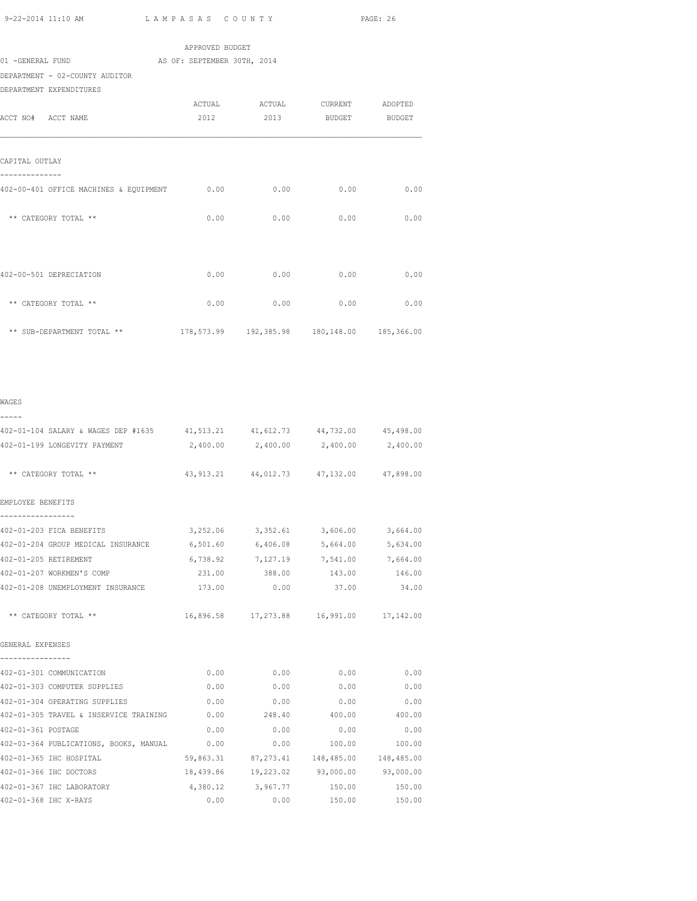| 9-22-2014 11:10 AM                                 | LAMPASAS COUNTY             | PAGE: 26 |                                                |          |
|----------------------------------------------------|-----------------------------|----------|------------------------------------------------|----------|
|                                                    | APPROVED BUDGET             |          |                                                |          |
| 01 -GENERAL FUND                                   | AS OF: SEPTEMBER 30TH, 2014 |          |                                                |          |
| DEPARTMENT - 02-COUNTY AUDITOR                     |                             |          |                                                |          |
| DEPARTMENT EXPENDITURES                            |                             |          |                                                |          |
|                                                    |                             |          | ACTUAL ACTUAL CURRENT ADOPTED                  |          |
| ACCT NO# ACCT NAME                                 | 2012                        |          | 2013 BUDGET BUDGET                             |          |
| CAPITAL OUTLAY<br>--------------                   |                             |          |                                                |          |
| 402-00-401 OFFICE MACHINES & EQUIPMENT             | 0.00                        | 0.00     | 0.00                                           | 0.00     |
| ** CATEGORY TOTAL **                               | 0.00                        | 0.00     | 0.00                                           | 0.00     |
| 402-00-501 DEPRECIATION                            | 0.00                        | 0.00     | 0.00                                           | 0.00     |
| ** CATEGORY TOTAL **                               | 0.00                        | 0.00     | 0.00                                           | 0.00     |
| ** SUB-DEPARTMENT TOTAL **                         |                             |          | 178,573.99  192,385.98  180,148.00  185,366.00 |          |
|                                                    |                             |          |                                                |          |
| WAGES<br>-----                                     |                             |          |                                                |          |
| 402-01-104 SALARY & WAGES DEP #1635                |                             |          | 41,513.21 41,612.73 44,732.00 45,498.00        |          |
| 402-01-199 LONGEVITY PAYMENT                       | 2,400.00                    | 2,400.00 | 2,400.00                                       | 2,400.00 |
| ** CATEGORY TOTAL **                               |                             |          | 43,913.21 44,012.73 47,132.00 47,898.00        |          |
| EMPLOYEE BENEFITS                                  |                             |          |                                                |          |
| -----------------                                  |                             |          |                                                |          |
| 402-01-203 FICA BENEFITS                           | 3,252.06                    | 3,352.61 | 3,606.00                                       | 3,664.00 |
| 402-01-204 GROUP MEDICAL INSURANCE                 | 6,501.60                    | 6,406.08 | 5,664.00                                       | 5,634.00 |
| 402-01-205 RETIREMENT<br>402-01-207 WORKMEN'S COMP | 6,738.92                    | 7,127.19 | 7,541.00                                       | 7,664.00 |
|                                                    | 231.00                      | 388 00   | 143 00                                         | 146 00   |

| 402-01-205 RETIREMENT                  | 6,738.92  |                   | 7,127.19 7,541.00                       | 7,664.00  |
|----------------------------------------|-----------|-------------------|-----------------------------------------|-----------|
| 402-01-207 WORKMEN'S COMP              | 231.00    | 388.00            | 143.00                                  | 146.00    |
| 402-01-208 UNEMPLOYMENT INSURANCE      | 173.00    | 0.00              | 37.00                                   | 34.00     |
| ** CATEGORY TOTAL **                   |           |                   | 16,896.58 17,273.88 16,991.00 17,142.00 |           |
| GENERAL EXPENSES                       |           |                   |                                         |           |
| 402-01-301 COMMUNICATION               | 0.00      | 0.00              | 0.00                                    | 0.00      |
| 402-01-303 COMPUTER SUPPLIES           | 0.00      | 0.00              | 0.00                                    | 0.00      |
| 402-01-304 OPERATING SUPPLIES          | 0.00      | 0.00              | 0.00                                    | 0.00      |
| 402-01-305 TRAVEL & INSERVICE TRAINING | 0.00      | 248.40            | 400.00                                  | 400.00    |
| 402-01-361 POSTAGE                     | 0.00      | 0.00              | 0.00                                    | 0.00      |
| 402-01-364 PUBLICATIONS, BOOKS, MANUAL | 0.00      | 0.00              | 100.00                                  | 100.00    |
| 402-01-365 IHC HOSPITAL                | 59,863.31 |                   | 87, 273.41 148, 485.00 148, 485.00      |           |
| 402-01-366 IHC DOCTORS                 | 18,439.86 |                   | 19,223.02 93,000.00                     | 93,000.00 |
| 402-01-367 IHC LABORATORY              |           | 4,380.12 3,967.77 | 150.00                                  | 150.00    |
| 402-01-368 IHC X-RAYS                  | 0.00      | 0.00              | 150.00                                  | 150.00    |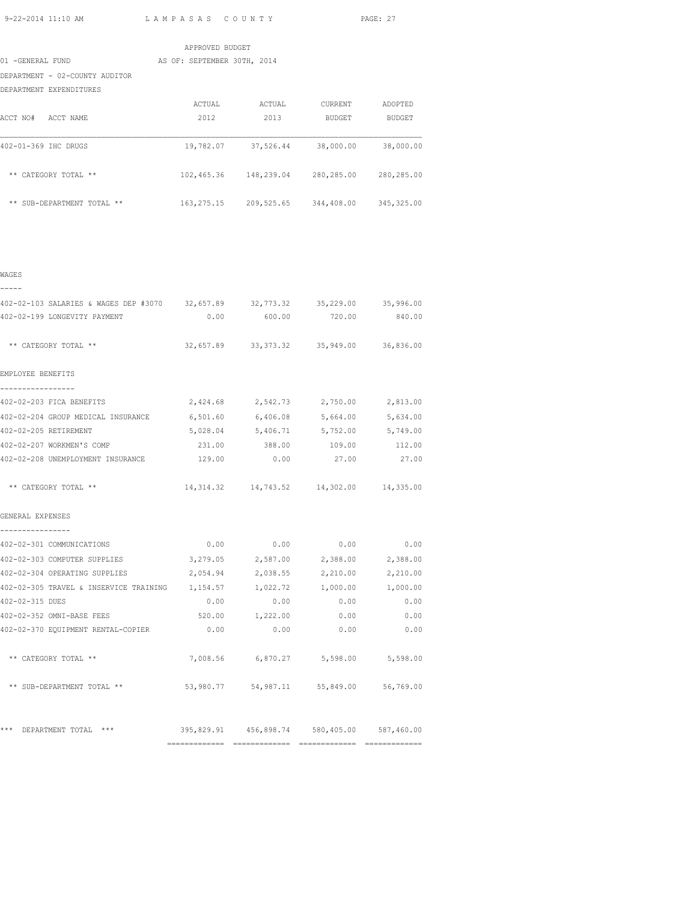|                                | APPROVED BUDGET             |            |            |             |
|--------------------------------|-----------------------------|------------|------------|-------------|
| 01 -GENERAL FUND               | AS OF: SEPTEMBER 30TH, 2014 |            |            |             |
| DEPARTMENT - 02-COUNTY AUDITOR |                             |            |            |             |
| DEPARTMENT EXPENDITURES        |                             |            |            |             |
|                                | ACTUAL                      | ACTUAL     | CURRENT    | ADOPTED     |
| ACCT NO#<br>ACCT NAME          | 2012                        | 2013       | BUDGET     | BUDGET      |
| 402-01-369 IHC DRUGS           | 19,782.07                   | 37,526.44  | 38,000.00  | 38,000.00   |
| ** CATEGORY TOTAL **           | 102,465.36                  | 148,239.04 | 280,285.00 | 280,285.00  |
| ** SUB-DEPARTMENT TOTAL **     | 163, 275. 15                | 209,525.65 | 344,408.00 | 345, 325.00 |
|                                |                             |            |            |             |

| ۰,<br>۰, |  |
|----------|--|

| 402-02-103 SALARIES & WAGES DEP #3070 32,657.89 32,773.32 35,229.00 35,996.00 |          |                                                |      |                   |
|-------------------------------------------------------------------------------|----------|------------------------------------------------|------|-------------------|
| 402-02-199 LONGEVITY PAYMENT                                                  |          | $0.00$ 600.00 720.00 840.00                    |      |                   |
| ** CATEGORY TOTAL **                                                          |          | 32,657.89 33,373.32 35,949.00 36,836.00        |      |                   |
| EMPLOYEE BENEFITS                                                             |          |                                                |      |                   |
| -----------------                                                             |          |                                                |      |                   |
| 402-02-203 FICA BENEFITS                                                      |          | $2,424.68$ $2,542.73$ $2,750.00$ $2,813.00$    |      |                   |
| 402-02-204 GROUP MEDICAL INSURANCE 6,501.60 6,406.08 5,664.00 5,634.00        |          |                                                |      |                   |
| 402-02-205 RETIREMENT                                                         |          | 5,028.04 5,406.71 5,752.00 5,749.00            |      |                   |
| 402-02-207 WORKMEN'S COMP                                                     |          | 231.00 388.00 109.00 112.00                    |      |                   |
| 402-02-208 UNEMPLOYMENT INSURANCE 129.00 0.00 0.00 27.00 27.00                |          |                                                |      |                   |
| ** CATEGORY TOTAL **                                                          |          | 14, 314.32  14, 743.52  14, 302.00  14, 335.00 |      |                   |
| GENERAL EXPENSES                                                              |          |                                                |      |                   |
| ----------------<br>402-02-301 COMMUNICATIONS                                 |          | $0.00$ $0.00$ $0.00$ $0.00$ $0.00$             |      |                   |
| 402-02-303 COMPUTER SUPPLIES 3,279.05 2,587.00 2,388.00 2,388.00              |          |                                                |      |                   |
| 402-02-304 OPERATING SUPPLIES                                                 | 2,054.94 | 2,038.55                                       |      | 2,210.00 2,210.00 |
| 402-02-305 TRAVEL & INSERVICE TRAINING 1,154.57 1,022.72 1,000.00 1,000.00    |          |                                                |      |                   |
| 402-02-315 DUES                                                               |          | $0.00$ $0.00$ $0.00$ $0.00$ $0.00$             |      |                   |
| 402-02-352 OMNI-BASE FEES                                                     |          | 520.00 1,222.00                                | 0.00 | 0.00              |
| 402-02-370 EQUIPMENT RENTAL-COPIER                                            | 0.00     | 0.00                                           | 0.00 | 0.00              |
| ** CATEGORY TOTAL **                                                          |          | 7,008.56 6,870.27 5,598.00 5,598.00            |      |                   |
| ** SUB-DEPARTMENT TOTAL ** 53,980.77 54,987.11 55,849.00 56,769.00            |          |                                                |      |                   |
| *** DEPARTMENT TOTAL *** 395,829.91 456,898.74 580,405.00 587,460.00          |          |                                                |      |                   |
|                                                                               |          |                                                |      |                   |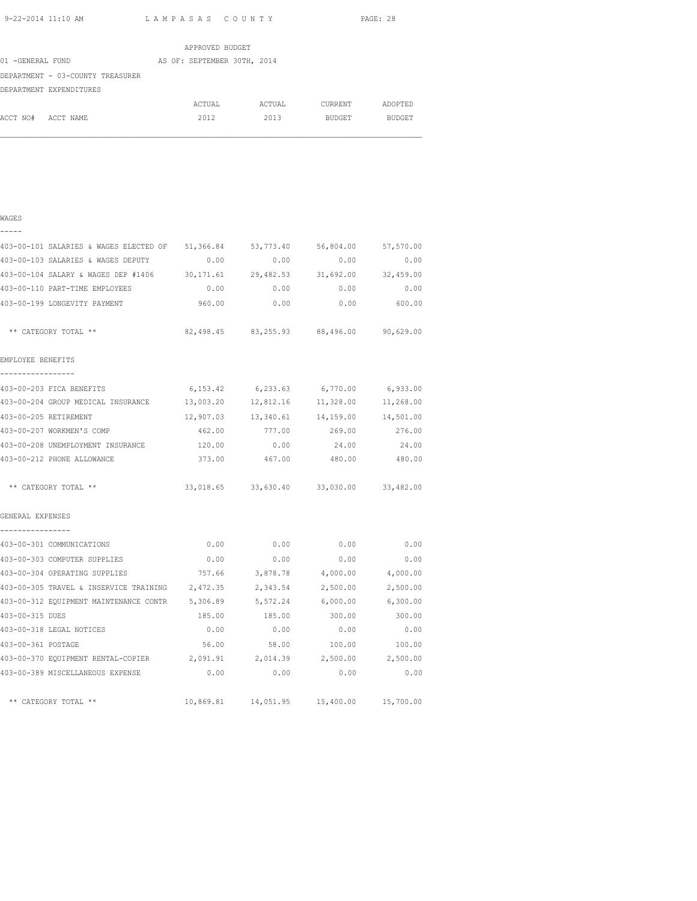|                                  | APPROVED BUDGET             |        |         |         |
|----------------------------------|-----------------------------|--------|---------|---------|
| 01 -GENERAL FUND                 | AS OF: SEPTEMBER 30TH, 2014 |        |         |         |
| DEPARTMENT - 03-COUNTY TREASURER |                             |        |         |         |
| DEPARTMENT EXPENDITURES          |                             |        |         |         |
|                                  | ACTUAL                      | ACTUAL | CURRENT | ADOPTED |
| ACCT NO#<br>ACCT NAME            | 2012                        | 2013   | BUDGET  | BUDGET  |

| ×<br>٠ |  |
|--------|--|

| $\overline{\phantom{0}}$ | - | - | - |  |
|--------------------------|---|---|---|--|
|                          |   |   |   |  |

| 403-00-101 SALARIES & WAGES ELECTED OF                                      |        | 51,366.84 53,773.40                        | 56,804.00 | 57,570.00     |
|-----------------------------------------------------------------------------|--------|--------------------------------------------|-----------|---------------|
| 403-00-103 SALARIES & WAGES DEPUTY                                          | 0.00   | 0.00                                       | 0.00      | 0.00          |
| 403-00-104 SALARY & WAGES DEP #1406 30,171.61 29,482.53 31,692.00 32,459.00 |        |                                            |           |               |
| 403-00-110 PART-TIME EMPLOYEES                                              |        | $0.00$ 0.00                                |           | $0.00$ 0.00   |
| 403-00-199 LONGEVITY PAYMENT                                                | 960.00 | 0.00                                       |           | $0.00$ 600.00 |
| ** CATEGORY TOTAL **                                                        |        | 82,498.45 83,255.93 88,496.00 90,629.00    |           |               |
| EMPLOYEE BENEFITS<br>-----------------                                      |        |                                            |           |               |
| 403-00-203 FICA BENEFITS                                                    |        | 6, 153.42 6, 233.63 6, 770.00 6, 933.00    |           |               |
| 403-00-204 GROUP MEDICAL INSURANCE 13,003.20 12,812.16                      |        |                                            | 11,328.00 | 11,268.00     |
| 403-00-205 RETIREMENT                                                       |        | 12,907.03  13,340.61  14,159.00  14,501.00 |           |               |
| 403-00-207 WORKMEN'S COMP                                                   |        | 462.00 777.00 269.00 276.00                |           |               |
| 403-00-208 UNEMPLOYMENT INSURANCE 120.00                                    |        | 0.00                                       | 24.00     | 24.00         |
| 403-00-212 PHONE ALLOWANCE                                                  | 373.00 | 467.00                                     | 480.00    | 480.00        |
| ** CATEGORY TOTAL **                                                        |        | 33,018.65 33,630.40 33,030.00 33,482.00    |           |               |
| GENERAL EXPENSES                                                            |        |                                            |           |               |
| ----------------                                                            |        |                                            |           |               |
| 403-00-301 COMMUNICATIONS                                                   | 0.00   | 0.00                                       | 0.00      | 0.00          |
| 403-00-303 COMPUTER SUPPLIES                                                | 0.00   | 0.00                                       | 0.00      | 0.00          |
| 403-00-304 OPERATING SUPPLIES 757.66 3,878.78 4,000.00 4,000.00             |        |                                            |           |               |
| 403-00-305 TRAVEL & INSERVICE TRAINING 2,472.35                             |        | 2,343.54                                   | 2,500.00  | 2,500.00      |
| 403-00-312 EQUIPMENT MAINTENANCE CONTR 5,306.89 5,572.24 6,000.00 6,300.00  |        |                                            |           |               |
| 403-00-315 DUES                                                             |        | 185.00 185.00 300.00 300.00                |           |               |
| 403-00-318 LEGAL NOTICES                                                    | 0.00   | 0.00                                       | 0.00      | 0.00          |
| 403-00-361 POSTAGE                                                          | 56.00  | 58.00                                      | 100.00    | 100.00        |
| 403-00-370 EQUIPMENT RENTAL-COPIER 2,091.91 2,014.39 2,500.00 2,500.00      |        |                                            |           |               |
| 403-00-389 MISCELLANEOUS EXPENSE                                            | 0.00   | 0.00                                       | 0.00      | 0.00          |
| ** CATEGORY TOTAL **                                                        |        | 10,869.81  14,051.95  15,400.00  15,700.00 |           |               |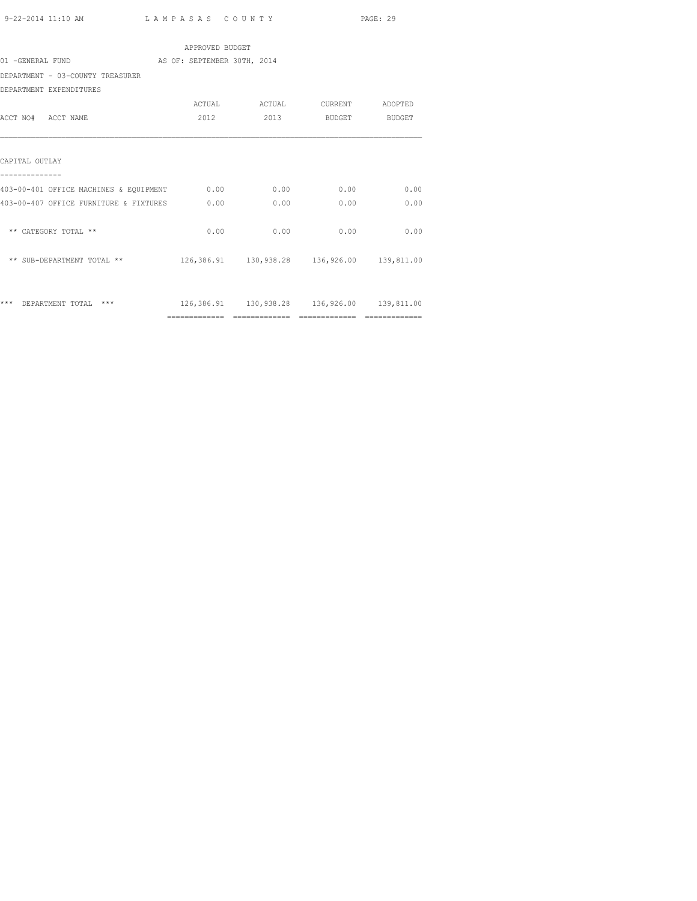|                                                 | APPROVED BUDGET |      |                                                |      |
|-------------------------------------------------|-----------------|------|------------------------------------------------|------|
| 01 -GENERAL FUND<br>AS OF: SEPTEMBER 30TH, 2014 |                 |      |                                                |      |
| DEPARTMENT - 03-COUNTY TREASURER                |                 |      |                                                |      |
| DEPARTMENT EXPENDITURES                         |                 |      |                                                |      |
|                                                 |                 |      | ACTUAL ACTUAL CURRENT ADOPTED                  |      |
| ACCT NO# ACCT NAME                              | 2012            |      | 2013 BUDGET BUDGET                             |      |
|                                                 |                 |      |                                                |      |
| CAPITAL OUTLAY                                  |                 |      |                                                |      |
| 403-00-401 OFFICE MACHINES & EQUIPMENT 0.00     |                 | 0.00 | 0.00                                           | 0.00 |
| 403-00-407 OFFICE FURNITURE & FIXTURES 0.00     |                 | 0.00 | 0.00                                           | 0.00 |
| ** CATEGORY TOTAL **                            | 0.00            | 0.00 | 0.00                                           | 0.00 |
| ** SUB-DEPARTMENT TOTAL **                      |                 |      | 126,386.91  130,938.28  136,926.00  139,811.00 |      |
|                                                 |                 |      |                                                |      |
| *** DEPARTMENT TOTAL ***                        |                 |      | 126,386.91  130,938.28  136,926.00  139,811.00 |      |
|                                                 |                 |      |                                                |      |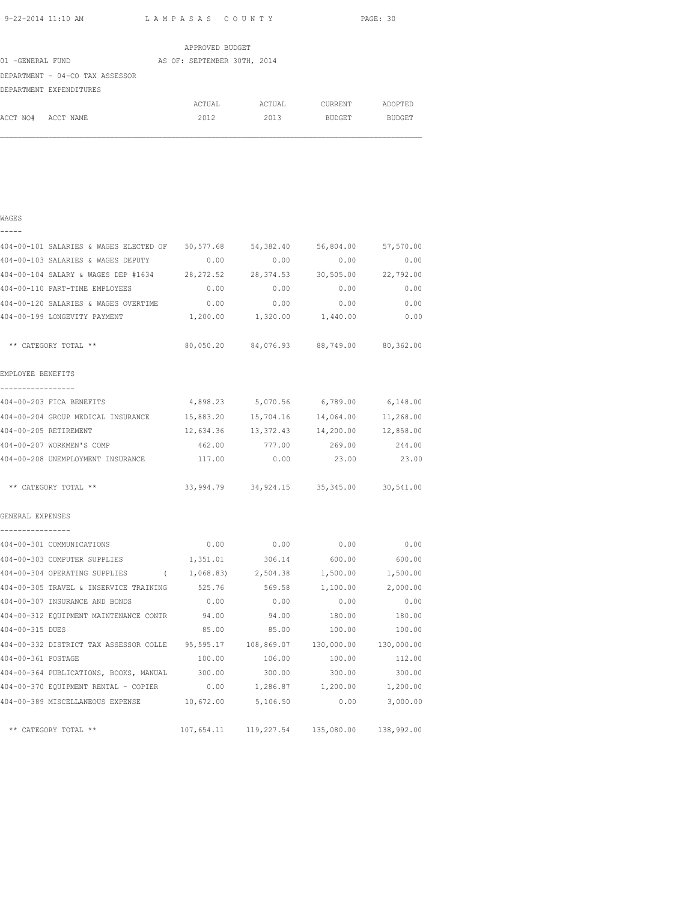|                                 | APPROVED BUDGET             |        |         |               |
|---------------------------------|-----------------------------|--------|---------|---------------|
| 01 -GENERAL FUND                | AS OF: SEPTEMBER 30TH, 2014 |        |         |               |
| DEPARTMENT - 04-CO TAX ASSESSOR |                             |        |         |               |
| DEPARTMENT EXPENDITURES         |                             |        |         |               |
|                                 | ACTUAL                      | ACTUAL | CURRENT | ADOPTED       |
| ACCT NO#<br>ACCT NAME           | 2012                        | 2013   | BUDGET  | <b>BUDGET</b> |

| ×<br>۰. | ٠<br>۰. |
|---------|---------|
|         |         |

| 404-00-101 SALARIES & WAGES ELECTED OF 50,577.68                                  |           | 54,382.40                                                          | 56,804.00 57,570.00                       |           |
|-----------------------------------------------------------------------------------|-----------|--------------------------------------------------------------------|-------------------------------------------|-----------|
| 404-00-103 SALARIES & WAGES DEPUTY                                                | 0.00      | 0.00                                                               | 0.00                                      | 0.00      |
| 404-00-104 SALARY & WAGES DEP #1634 28,272.52 28,374.53 30,505.00 22,792.00       |           |                                                                    |                                           |           |
| 404-00-110 PART-TIME EMPLOYEES                                                    |           |                                                                    | $0.00$ $0.00$ $0.00$ $0.00$ $0.00$ $0.00$ |           |
| 404-00-120 SALARIES & WAGES OVERTIME $0.00$ $0.00$ $0.00$ $0.00$ $0.00$           |           |                                                                    |                                           |           |
| 404-00-199 LONGEVITY PAYMENT 1,200.00 1,320.00 1,440.00 0.00                      |           |                                                                    |                                           |           |
| ** CATEGORY TOTAL **                                                              |           |                                                                    | 80,050.20 84,076.93 88,749.00 80,362.00   |           |
| EMPLOYEE BENEFITS                                                                 |           |                                                                    |                                           |           |
| -----------------<br>404-00-203 FICA BENEFITS 4,898.23 5,070.56 6,789.00 6,148.00 |           |                                                                    |                                           |           |
| 404-00-204 GROUP MEDICAL INSURANCE 15,883.20 15,704.16 14,064.00 11,268.00        |           |                                                                    |                                           |           |
| 404-00-205 RETIREMENT                                                             | 12,634.36 | 13,372.43                                                          | 14,200.00                                 | 12,858.00 |
| 404-00-207 WORKMEN'S COMP                                                         |           |                                                                    | 462.00 777.00 269.00 244.00               |           |
| 404-00-208 UNEMPLOYMENT INSURANCE 117.00                                          |           |                                                                    | $0.00$ 23.00 23.00                        |           |
| ** CATEGORY TOTAL **                                                              |           |                                                                    | 33,994.79 34,924.15 35,345.00 30,541.00   |           |
| GENERAL EXPENSES<br>----------------                                              |           |                                                                    |                                           |           |
| 404-00-301 COMMUNICATIONS                                                         |           |                                                                    | $0.00$ 0.00 0.00 0.00 0.00                |           |
| 404-00-303 COMPUTER SUPPLIES 1,351.01 306.14 600.00                               |           |                                                                    |                                           | 600.00    |
| 404-00-304 OPERATING SUPPLIES ( 1,068.83) 2,504.38 1,500.00 1,500.00              |           |                                                                    |                                           |           |
| 404-00-305 TRAVEL & INSERVICE TRAINING 525.76 569.58 1,100.00 2,000.00            |           |                                                                    |                                           |           |
| 404-00-307 INSURANCE AND BONDS                                                    |           | $0.00$ 0.00                                                        | 0.00                                      | 0.00      |
| 404-00-312 EQUIPMENT MAINTENANCE CONTR 94.00                                      |           | 94.00                                                              | 180.00                                    | 180.00    |
| 404-00-315 DUES                                                                   | 85.00     | 85.00                                                              | 100.00                                    | 100.00    |
| 404-00-332 DISTRICT TAX ASSESSOR COLLE 95,595.17 108,869.07 130,000.00 130,000.00 |           |                                                                    |                                           |           |
| 404-00-361 POSTAGE                                                                |           |                                                                    | $100.00$ $106.00$ $100.00$ $112.00$       |           |
| 404-00-364 PUBLICATIONS, BOOKS, MANUAL 300.00 300.00 300.00 300.00 300.00         |           |                                                                    |                                           |           |
| 404-00-370 EQUIPMENT RENTAL - COPIER 0.00 1,286.87 1,200.00 1,200.00              |           |                                                                    |                                           |           |
| 404-00-389 MISCELLANEOUS EXPENSE 10,672.00                                        |           | 5,106.50                                                           | 0.00                                      | 3,000.00  |
| ** CATEGORY TOTAL **                                                              |           | $107,654.11 \qquad 119,227.54 \qquad 135,080.00 \qquad 138,992.00$ |                                           |           |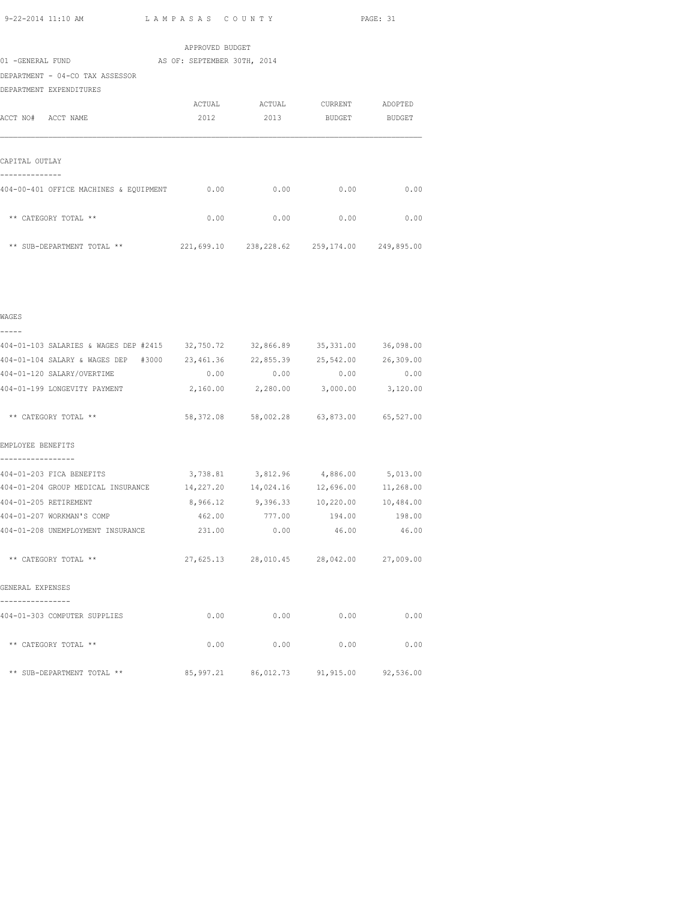|                                        | APPROVED BUDGET                             |        |                 |        |
|----------------------------------------|---------------------------------------------|--------|-----------------|--------|
| 01 -GENERAL FUND                       | AS OF: SEPTEMBER 30TH, 2014                 |        |                 |        |
| DEPARTMENT - 04-CO TAX ASSESSOR        |                                             |        |                 |        |
| DEPARTMENT EXPENDITURES                |                                             |        |                 |        |
|                                        | ACTUAL                                      | ACTUAL | CURRENT ADOPTED |        |
| ACCT NO# ACCT NAME                     | 2012                                        | 2013   | BUDGET          | BUDGET |
|                                        |                                             |        |                 |        |
| CAPITAL OUTLAY                         |                                             |        |                 |        |
| 404-00-401 OFFICE MACHINES & EQUIPMENT | 0.00                                        | 0.00   | 0.00            | 0.00   |
| ** CATEGORY TOTAL **                   | 0.00                                        | 0.00   | 0.00            | 0.00   |
| ** SUB-DEPARTMENT TOTAL **             | 221,699.10 238,228.62 259,174.00 249,895.00 |        |                 |        |

|  | ۰, | ٠<br>٦ |
|--|----|--------|
|  |    |        |

404-01-103 SALARIES & WAGES DEP #2415 32,750.72 32,866.89 35,331.00 36,098.00 404-01-104 SALARY & WAGES DEP #3000 23,461.36 22,855.39 25,542.00 26,309.00 404-01-120 SALARY/OVERTIME 0.00 0.00 0.00 0.00 404-01-199 LONGEVITY PAYMENT 2,160.00 2,280.00 3,000.00 3,120.00 \*\* CATEGORY TOTAL \*\* 58,372.08 58,002.28 63,873.00 65,527.00 EMPLOYEE BENEFITS ----------------- 404-01-203 FICA BENEFITS 3,738.81 3,812.96 4,886.00 5,013.00 404-01-204 GROUP MEDICAL INSURANCE 14,227.20 14,024.16 12,696.00 11,268.00 404-01-205 RETIREMENT 8,966.12 9,396.33 10,220.00 10,484.00 404-01-207 WORKMAN'S COMP 462.00 777.00 194.00 198.00 404-01-208 UNEMPLOYMENT INSURANCE 231.00 0.00 46.00 46.00 \*\* CATEGORY TOTAL \*\* 27,625.13 28,010.45 28,042.00 27,009.00 GENERAL EXPENSES ---------------- 404-01-303 COMPUTER SUPPLIES 0.00 0.00 0.00 0.00 \*\* CATEGORY TOTAL \*\* 0.00 0.00 0.00 0.00 \*\* SUB-DEPARTMENT TOTAL \*\* 85,997.21 86,012.73 91,915.00 92,536.00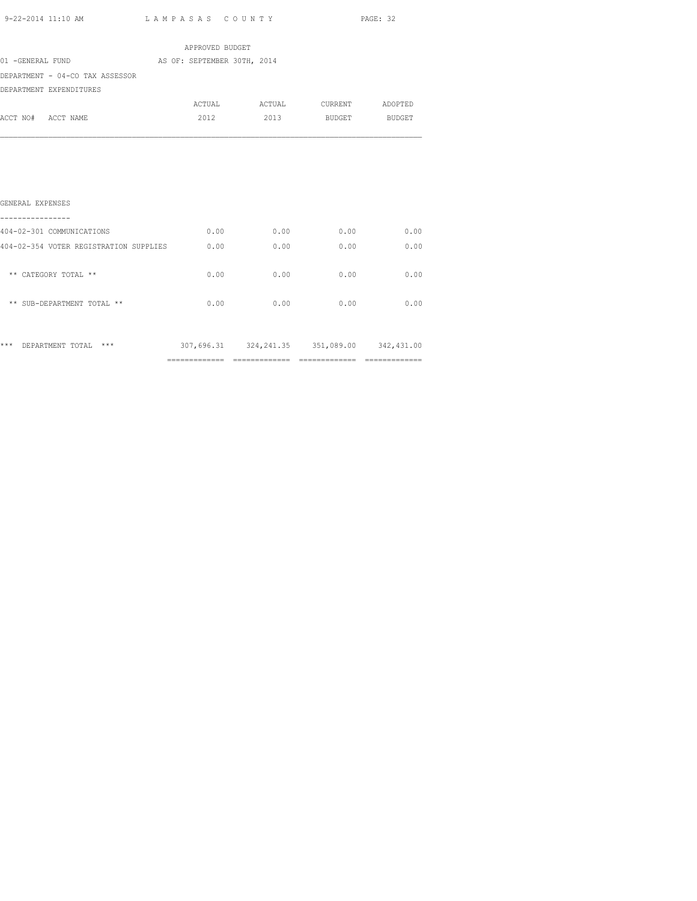| 9-22-2014 11:10 AM                     | LAMPASAS COUNTY             |                                             |               | PAGE: 32 |
|----------------------------------------|-----------------------------|---------------------------------------------|---------------|----------|
|                                        | APPROVED BUDGET             |                                             |               |          |
| 01 -GENERAL FUND                       | AS OF: SEPTEMBER 30TH, 2014 |                                             |               |          |
| DEPARTMENT - 04-CO TAX ASSESSOR        |                             |                                             |               |          |
| DEPARTMENT EXPENDITURES                |                             |                                             |               |          |
|                                        |                             | ACTUAL ACTUAL CURRENT ADOPTED               |               |          |
| ACCT NO# ACCT NAME                     | 2012                        | 2013                                        | BUDGET BUDGET |          |
| GENERAL EXPENSES                       |                             |                                             |               |          |
| 404-02-301 COMMUNICATIONS              | 0.00                        | 0.00                                        | 0.00          | 0.00     |
| 404-02-354 VOTER REGISTRATION SUPPLIES | 0.00                        | 0.00                                        | 0.00          | 0.00     |
| ** CATEGORY TOTAL **                   | 0.00                        | 0.00                                        | 0.00          | 0.00     |
| ** SUB-DEPARTMENT TOTAL **             | 0.00                        | 0.00                                        | 0.00          | 0.00     |
| *** DEPARTMENT TOTAL ***               |                             | 307,696.31 324,241.35 351,089.00 342,431.00 |               |          |

============= ============= ============= =============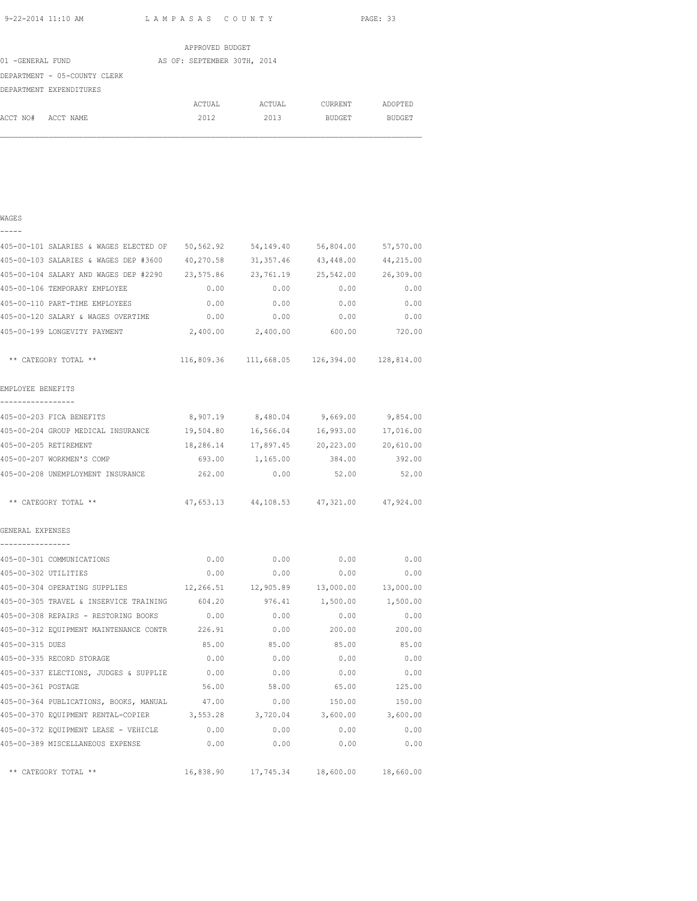|                              | APPROVED BUDGET             |        |               |               |
|------------------------------|-----------------------------|--------|---------------|---------------|
| 01 -GENERAL FUND             | AS OF: SEPTEMBER 30TH, 2014 |        |               |               |
| DEPARTMENT - 05-COUNTY CLERK |                             |        |               |               |
| DEPARTMENT EXPENDITURES      |                             |        |               |               |
|                              | ACTUAL                      | ACTUAL | CURRENT       | ADOPTED       |
| ACCT NO#<br>ACCT NAME        | 2012                        | 2013   | <b>BUDGET</b> | <b>BUDGET</b> |

|  | ۰, |  |  |
|--|----|--|--|
|  |    |  |  |

| 405-00-101 SALARIES & WAGES ELECTED OF                                        | 50,562.92 | 54,149.40                                   | 56,804.00                | 57,570.00 |
|-------------------------------------------------------------------------------|-----------|---------------------------------------------|--------------------------|-----------|
| 405-00-103 SALARIES & WAGES DEP #3600                                         | 40,270.58 | 31,357.46                                   | 43,448.00                | 44,215.00 |
| 405-00-104 SALARY AND WAGES DEP #2290 23,575.86                               |           | 23,761.19                                   | 25,542.00                | 26,309.00 |
| 405-00-106 TEMPORARY EMPLOYEE                                                 | 0.00      | 0.00                                        | 0.00                     | 0.00      |
| 405-00-110 PART-TIME EMPLOYEES                                                | 0.00      | 0.00                                        | 0.00                     | 0.00      |
| 405-00-120 SALARY & WAGES OVERTIME                                            | 0.00      | 0.00                                        | 0.00                     | 0.00      |
| 405-00-199 LONGEVITY PAYMENT                                                  |           | 2,400.00 2,400.00                           | 600.00                   | 720.00    |
| ** CATEGORY TOTAL **                                                          |           | 116,809.36 111,668.05 126,394.00 128,814.00 |                          |           |
| EMPLOYEE BENEFITS                                                             |           |                                             |                          |           |
| -----------------<br>405-00-203 FICA BENEFITS                                 |           | 8,907.19 8,480.04                           | 9,669.00                 | 9,854.00  |
| 405-00-204 GROUP MEDICAL INSURANCE 19,504.80                                  |           | 16,566.04                                   | 16,993.00                | 17,016.00 |
| 405-00-205 RETIREMENT                                                         | 18,286.14 | 17,897.45                                   | 20,223.00                | 20,610.00 |
| 405-00-207 WORKMEN'S COMP                                                     |           | 693.00 1,165.00                             | 384.00                   | 392.00    |
| 405-00-208 UNEMPLOYMENT INSURANCE                                             | 262.00    | 0.00                                        | 52.00                    | 52.00     |
| ** CATEGORY TOTAL **                                                          |           | 47,653.13 44,108.53 47,321.00 47,924.00     |                          |           |
| GENERAL EXPENSES                                                              |           |                                             |                          |           |
| ----------------                                                              |           |                                             |                          |           |
| 405-00-301 COMMUNICATIONS                                                     | 0.00      | 0.00                                        | 0.00                     | 0.00      |
| 405-00-302 UTILITIES                                                          | 0.00      | 0.00                                        | 0.00                     | 0.00      |
| 405-00-304 OPERATING SUPPLIES $12,266.51$ $12,905.89$ $13,000.00$ $13,000.00$ |           |                                             |                          |           |
| 405-00-305 TRAVEL & INSERVICE TRAINING 604.20                                 |           |                                             | 976.41 1,500.00 1,500.00 |           |
| 405-00-308 REPAIRS - RESTORING BOOKS                                          | 0.00      | 0.00                                        | 0.00                     | 0.00      |
| 405-00-312 EQUIPMENT MAINTENANCE CONTR 226.91                                 |           | 0.00                                        | 200.00                   | 200.00    |
| 405-00-315 DUES                                                               | 85.00     | 85.00                                       | 85.00                    | 85.00     |
| 405-00-335 RECORD STORAGE                                                     | 0.00      | 0.00                                        | 0.00                     | 0.00      |
| 405-00-337 ELECTIONS, JUDGES & SUPPLIE                                        | 0.00      | 0.00                                        | 0.00                     | 0.00      |
| 405-00-361 POSTAGE                                                            | 56.00     | 58.00                                       | 65.00                    | 125.00    |
| 405-00-364 PUBLICATIONS, BOOKS, MANUAL                                        | 47.00     | 0.00                                        | 150.00                   | 150.00    |
| 405-00-370 EQUIPMENT RENTAL-COPIER 3,553.28                                   |           | 3,720.04                                    | 3,600.00                 | 3,600.00  |
| 405-00-372 EQUIPMENT LEASE - VEHICLE                                          | 0.00      | 0.00                                        | 0.00                     | 0.00      |
| 405-00-389 MISCELLANEOUS EXPENSE                                              | 0.00      | 0.00                                        | 0.00                     | 0.00      |
| ** CATEGORY TOTAL **                                                          |           | 16,838.90  17,745.34  18,600.00  18,660.00  |                          |           |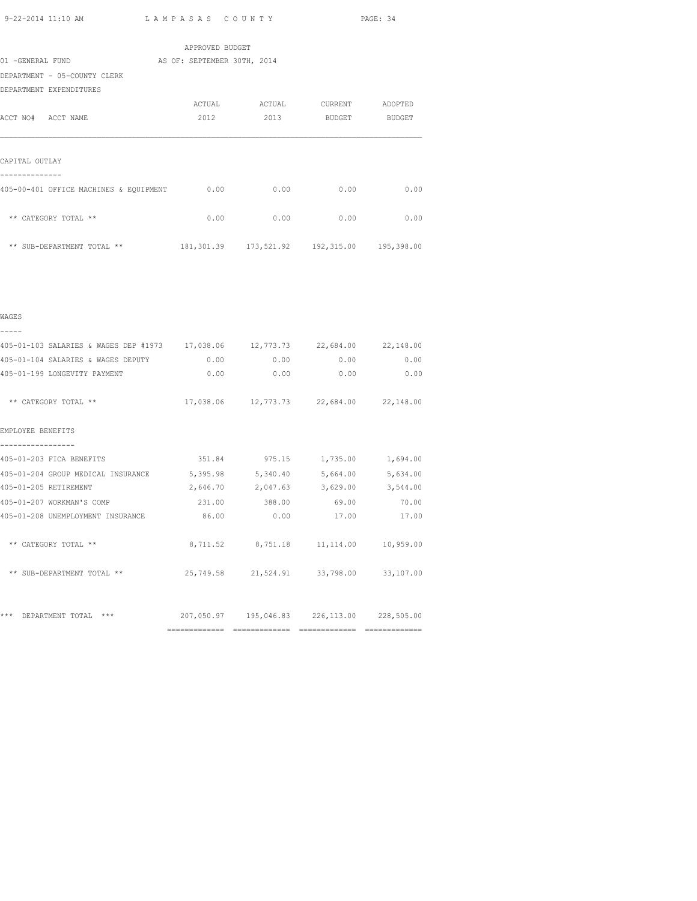APPROVED BUDGET 01 -GENERAL FUND AS OF: SEPTEMBER 30TH, 2014 DEPARTMENT - 05-COUNTY CLERK DEPARTMENT EXPENDITURES ACTUAL ACTUAL CURRENT ADOPTED ACCT NO# ACCT NAME 2012 2013 BUDGET BUDGET CAPITAL OUTLAY -------------- 405-00-401 OFFICE MACHINES & EQUIPMENT 0.00 0.00 0.00 0.00  $**$  CATEGORY TOTAL  $**$  0.00 0.00 0.00 0.00 0.00 0.00

| ** SUB-DEPARTMENT TOTAL **<br>the contract of the contract of the contract of the contract of the contract of the contract of the contract of | 181,301.39 | 173,521.92 | 192,315.00 | 195,398.00 |
|-----------------------------------------------------------------------------------------------------------------------------------------------|------------|------------|------------|------------|
|                                                                                                                                               |            |            |            |            |

| 405-01-103 SALARIES & WAGES DEP #1973 | 17,038.06 | 12,773.73 | 22,684.00 | 22,148.00 |
|---------------------------------------|-----------|-----------|-----------|-----------|
| 405-01-104 SALARIES & WAGES DEPUTY    | 0.00      | 0.00      | 0.00      | 0.00      |
| 405-01-199 LONGEVITY PAYMENT          | 0.00      | 0.00      | 0.00      | 0.00      |
| ** CATEGORY TOTAL **                  | 17,038.06 | 12,773.73 | 22,684.00 | 22,148.00 |
| EMPLOYEE BENEFITS                     |           |           |           |           |
|                                       |           |           |           |           |
| 405-01-203 FICA BENEFITS              | 351.84    | 975.15    | 1,735.00  | 1,694.00  |
|                                       |           |           |           |           |

WAGES

| 405-01-104 SALARIES & WAGES DEPUTY | 0.00                       | 0.00   | 0.00                                           | 0.00     |
|------------------------------------|----------------------------|--------|------------------------------------------------|----------|
| 405-01-199 LONGEVITY PAYMENT       |                            | 0.00   | 0.00<br>0.00                                   | 0.00     |
| ** CATEGORY TOTAL **               |                            |        | 17,038.06 12,773.73 22,684.00 22,148.00        |          |
| EMPLOYEE BENEFITS                  |                            |        |                                                |          |
| 405-01-203 FICA BENEFITS           |                            |        | 351.84 975.15 1,735.00 1,694.00                |          |
| 405-01-204 GROUP MEDICAL INSURANCE | 5,395.98 5,340.40 5,664.00 |        |                                                | 5,634.00 |
| 405-01-205 RETIREMENT              |                            |        | 2,646.70 2,047.63 3,629.00                     | 3,544.00 |
| 405-01-207 WORKMAN'S COMP          | 231.00                     | 388.00 | 69.00                                          | 70.00    |
| 405-01-208 UNEMPLOYMENT INSURANCE  | 86.00                      | 0.00   | 17.00                                          | 17.00    |
| ** CATEGORY TOTAL **               |                            |        | 8,711.52 8,751.18 11,114.00 10,959.00          |          |
| ** SUB-DEPARTMENT TOTAL **         |                            |        | 25,749.58 21,524.91 33,798.00 33,107.00        |          |
|                                    |                            |        |                                                |          |
| ***<br>$***$<br>DEPARTMENT TOTAL   |                            |        | 207,050.97  195,046.83  226,113.00  228,505.00 |          |
|                                    | =============              |        | ============== ===============                 |          |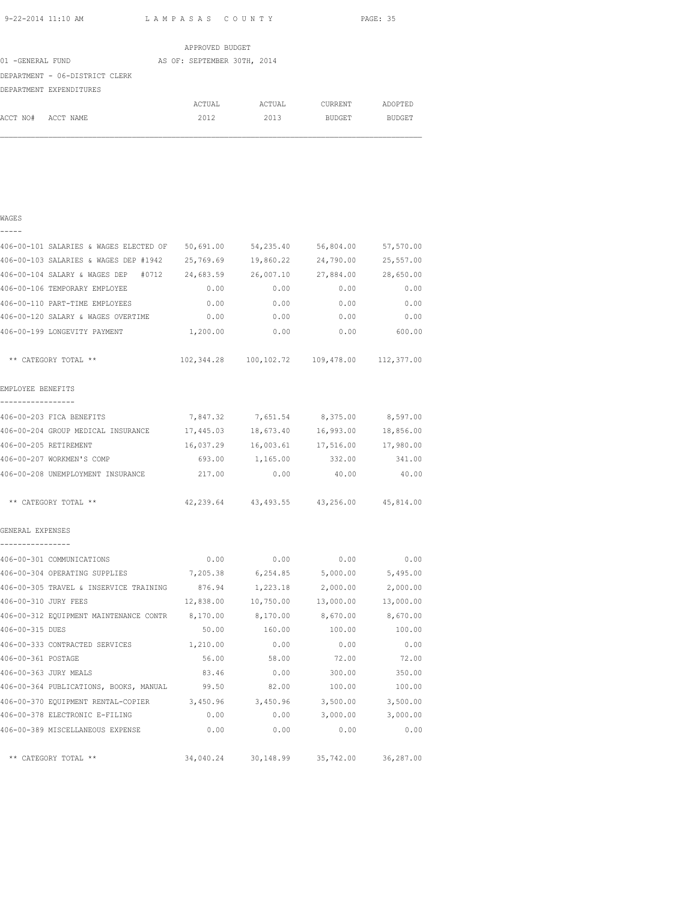|                                | APPROVED BUDGET             |        |         |               |
|--------------------------------|-----------------------------|--------|---------|---------------|
| 01 -GENERAL FUND               | AS OF: SEPTEMBER 30TH, 2014 |        |         |               |
| DEPARTMENT - 06-DISTRICT CLERK |                             |        |         |               |
| DEPARTMENT EXPENDITURES        |                             |        |         |               |
|                                | ACTUAL                      | ACTUAL | CURRENT | ADOPTED       |
| ACCT NO#<br>ACCT NAME          | 2012                        | 2013   | BUDGET  | <b>BUDGET</b> |

# WAGES ----- 406-00-101 SALARIES & WAGES ELECTED OF 50,691.00 54,235.40 56,804.00 57,570.00 406-00-103 SALARIES & WAGES DEP #1942 25,769.69 19,860.22 24,790.00 25,557.00 406-00-104 SALARY & WAGES DEP #0712 24,683.59 26,007.10 27,884.00 28,650.00 406-00-106 TEMPORARY EMPLOYEE 0.00 0.00 0.00 0.00 406-00-110 PART-TIME EMPLOYEES 0.00 0.00 0.00 0.00 406-00-120 SALARY & WAGES OVERTIME 0.00 0.00 0.00 0.00 406-00-199 LONGEVITY PAYMENT 1,200.00 0.00 0.00 600.00 \*\* CATEGORY TOTAL \*\* 102,344.28 100,102.72 109,478.00 112,377.00 EMPLOYEE BENEFITS ----------------- 406-00-203 FICA BENEFITS 7,847.32 7,651.54 8,375.00 8,597.00 406-00-204 GROUP MEDICAL INSURANCE 17,445.03 18,673.40 16,993.00 18,856.00 406-00-205 RETIREMENT 16,037.29 16,003.61 17,516.00 17,980.00 406-00-207 WORKMEN'S COMP 693.00 1,165.00 332.00 341.00 406-00-208 UNEMPLOYMENT INSURANCE 217.00 0.00 40.00 40.00 \*\* CATEGORY TOTAL \*\* 42,239.64 43,493.55 43,256.00 45,814.00 GENERAL EXPENSES ---------------- 406-00-301 COMMUNICATIONS 0.00 0.00 0.00 0.00 406-00-304 OPERATING SUPPLIES 7,205.38 6,254.85 5,000.00 5,495.00 406-00-305 TRAVEL & INSERVICE TRAINING 876.94 1,223.18 2,000.00 2,000.00 406-00-310 JURY FEES 12,838.00 10,750.00 13,000.00 13,000.00 406-00-312 EQUIPMENT MAINTENANCE CONTR 8,170.00 8,170.00 8,670.00 8,670.00 406-00-315 DUES 50.00 160.00 100.00 100.00 406-00-333 CONTRACTED SERVICES 1,210.00 0.00 0.00 0.00 406-00-361 POSTAGE 56.00 58.00 72.00 72.00 406-00-363 JURY MEALS 83.46 0.00 300.00 350.00 406-00-364 PUBLICATIONS, BOOKS, MANUAL 99.50 82.00 100.00 100.00 406-00-370 EQUIPMENT RENTAL-COPIER 3,450.96 3,450.96 3,500.00 3,500.00 406-00-378 ELECTRONIC E-FILING 0.00 0.00 3,000.00 3,000.00 406-00-389 MISCELLANEOUS EXPENSE 0.00 0.00 0.00 0.00 \*\* CATEGORY TOTAL \*\* 34,040.24 30,148.99 35,742.00 36,287.00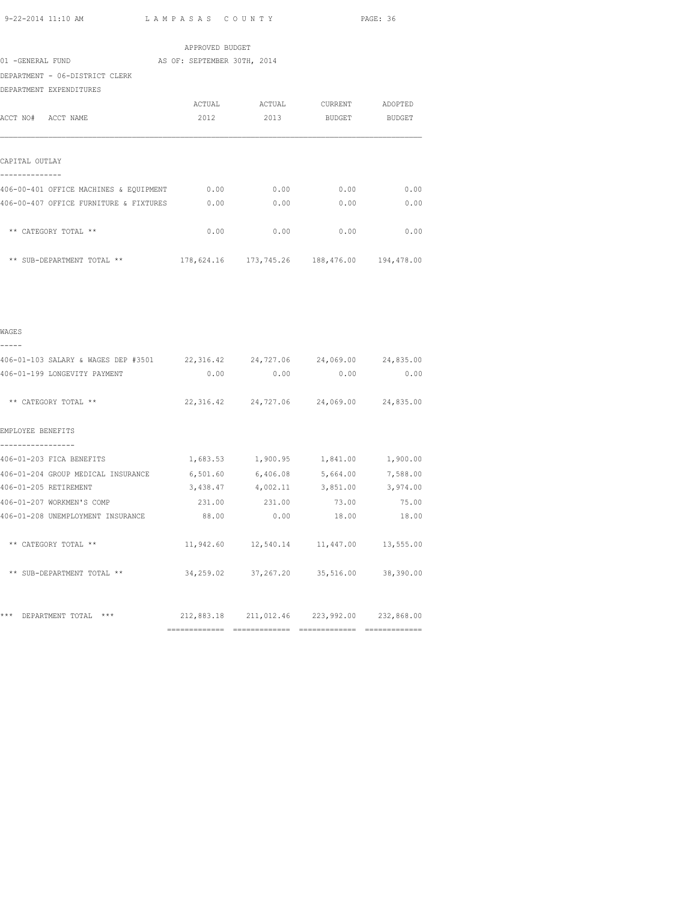|                                        | APPROVED BUDGET             |        |                                                |         |
|----------------------------------------|-----------------------------|--------|------------------------------------------------|---------|
| 01 -GENERAL FUND                       | AS OF: SEPTEMBER 30TH, 2014 |        |                                                |         |
| DEPARTMENT - 06-DISTRICT CLERK         |                             |        |                                                |         |
| DEPARTMENT EXPENDITURES                |                             |        |                                                |         |
|                                        | ACTUAL                      | ACTUAL | CURRENT                                        | ADOPTED |
| ACCT NO# ACCT NAME                     | 2012                        | 2013   | BUDGET                                         | BUDGET  |
| CAPITAL OUTLAY                         |                             |        |                                                |         |
| 406-00-401 OFFICE MACHINES & EQUIPMENT | 0.00                        | 0.00   | 0.00                                           | 0.00    |
| 406-00-407 OFFICE FURNITURE & FIXTURES | 0.00                        | 0.00   | 0.00                                           | 0.00    |
| ** CATEGORY TOTAL **                   | 0.00                        | 0.00   | 0.00                                           | 0.00    |
| ** SUB-DEPARTMENT TOTAL **             |                             |        | 178,624.16  173,745.26  188,476.00  194,478.00 |         |

| WAGES                                                                       |       |             |                                             |              |
|-----------------------------------------------------------------------------|-------|-------------|---------------------------------------------|--------------|
| 406-01-103 SALARY & WAGES DEP #3501 22,316.42 24,727.06 24,069.00 24,835.00 |       |             |                                             |              |
| 406-01-199 LONGEVITY PAYMENT                                                |       | $0.00$ 0.00 |                                             | 0.00<br>0.00 |
| ** CATEGORY TOTAL **                                                        |       |             | 22,316.42 24,727.06 24,069.00 24,835.00     |              |
| EMPLOYEE BENEFITS                                                           |       |             |                                             |              |
| 406-01-203 FICA BENEFITS                                                    |       |             | 1,683.53 1,900.95 1,841.00 1,900.00         |              |
| 406-01-204 GROUP MEDICAL INSURANCE 6,501.60 6,406.08 5,664.00 7,588.00      |       |             |                                             |              |
| 406-01-205 RETIREMENT                                                       |       |             | 3,438.47 4,002.11 3,851.00 3,974.00         |              |
| 406-01-207 WORKMEN'S COMP                                                   |       |             | 231.00 231.00 73.00 75.00                   |              |
| 406-01-208 UNEMPLOYMENT INSURANCE                                           | 88.00 |             | $0.00$ 18.00                                | 18.00        |
| ** CATEGORY TOTAL **                                                        |       |             | 11,942.60  12,540.14  11,447.00  13,555.00  |              |
| ** SUB-DEPARTMENT TOTAL **                                                  |       |             | 34,259.02 37,267.20 35,516.00 38,390.00     |              |
| ***<br>$***$                                                                |       |             | 212,883.18 211,012.46 223,992.00 232,868.00 |              |
| DEPARTMENT TOTAL                                                            |       |             |                                             |              |
|                                                                             |       |             |                                             |              |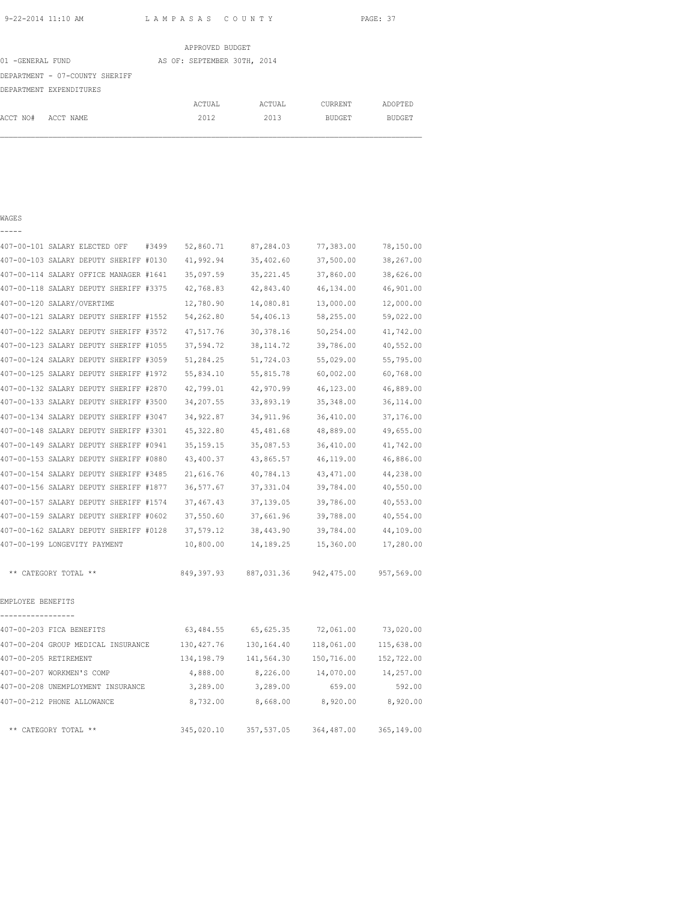|                                | APPROVED BUDGET             |        |         |               |
|--------------------------------|-----------------------------|--------|---------|---------------|
| 01 -GENERAL FUND               | AS OF: SEPTEMBER 30TH, 2014 |        |         |               |
| DEPARTMENT - 07-COUNTY SHERIFF |                             |        |         |               |
| DEPARTMENT EXPENDITURES        |                             |        |         |               |
|                                | ACTUAL                      | ACTUAL | CURRENT | ADOPTED       |
| ACCT NO#<br>ACCT NAME          | 2012                        | 2013   | BUDGET  | <b>BUDGET</b> |

## WAGES

-----

| 407-00-101 SALARY ELECTED OFF<br>#3499 | 52,860.71   | 87,284.03  | 77,383.00   | 78,150.00  |
|----------------------------------------|-------------|------------|-------------|------------|
| 407-00-103 SALARY DEPUTY SHERIFF #0130 | 41,992.94   | 35,402.60  | 37,500.00   | 38,267.00  |
| 407-00-114 SALARY OFFICE MANAGER #1641 | 35,097.59   | 35, 221.45 | 37,860.00   | 38,626.00  |
| 407-00-118 SALARY DEPUTY SHERIFF #3375 | 42,768.83   | 42,843.40  | 46,134.00   | 46,901.00  |
| 407-00-120 SALARY/OVERTIME             | 12,780.90   | 14,080.81  | 13,000.00   | 12,000.00  |
| 407-00-121 SALARY DEPUTY SHERIFF #1552 | 54,262.80   | 54,406.13  | 58,255.00   | 59,022.00  |
| 407-00-122 SALARY DEPUTY SHERIFF #3572 | 47,517.76   | 30, 378.16 | 50,254.00   | 41,742.00  |
| 407-00-123 SALARY DEPUTY SHERIFF #1055 | 37,594.72   | 38, 114.72 | 39,786.00   | 40,552.00  |
| 407-00-124 SALARY DEPUTY SHERIFF #3059 | 51,284.25   | 51,724.03  | 55,029.00   | 55,795.00  |
| 407-00-125 SALARY DEPUTY SHERIFF #1972 | 55,834.10   | 55,815.78  | 60,002.00   | 60,768.00  |
| 407-00-132 SALARY DEPUTY SHERIFF #2870 | 42,799.01   | 42,970.99  | 46,123.00   | 46,889.00  |
| 407-00-133 SALARY DEPUTY SHERIFF #3500 | 34,207.55   | 33,893.19  | 35, 348.00  | 36,114.00  |
| 407-00-134 SALARY DEPUTY SHERIFF #3047 | 34,922.87   | 34, 911.96 | 36,410.00   | 37,176.00  |
| 407-00-148 SALARY DEPUTY SHERIFF #3301 | 45,322.80   | 45,481.68  | 48,889.00   | 49,655.00  |
| 407-00-149 SALARY DEPUTY SHERIFF #0941 | 35, 159. 15 | 35,087.53  | 36,410.00   | 41,742.00  |
| 407-00-153 SALARY DEPUTY SHERIFF #0880 | 43,400.37   | 43,865.57  | 46,119.00   | 46,886.00  |
| 407-00-154 SALARY DEPUTY SHERIFF #3485 | 21,616.76   | 40,784.13  | 43, 471.00  | 44,238.00  |
| 407-00-156 SALARY DEPUTY SHERIFF #1877 | 36,577.67   | 37, 331.04 | 39,784.00   | 40,550.00  |
| 407-00-157 SALARY DEPUTY SHERIFF #1574 | 37, 467. 43 | 37,139.05  | 39,786.00   | 40,553.00  |
| 407-00-159 SALARY DEPUTY SHERIFF #0602 | 37,550.60   | 37,661.96  | 39,788.00   | 40,554.00  |
| 407-00-162 SALARY DEPUTY SHERIFF #0128 | 37,579.12   | 38,443.90  | 39,784.00   | 44,109.00  |
| 407-00-199 LONGEVITY PAYMENT           | 10,800.00   | 14,189.25  | 15,360.00   | 17,280.00  |
| ** CATEGORY TOTAL **                   | 849,397.93  | 887,031.36 | 942, 475.00 | 957,569.00 |
| EMPLOYEE BENEFITS                      |             |            |             |            |
|                                        |             |            |             |            |
| 407-00-203 FICA BENEFITS               | 63,484.55   | 65,625.35  | 72,061.00   | 73,020.00  |
| 407-00-204 GROUP MEDICAL INSURANCE     | 130, 427.76 | 130,164.40 | 118,061.00  | 115,638.00 |
| 407-00-205 RETIREMENT                  | 134,198.79  | 141,564.30 | 150,716.00  | 152,722.00 |
| 407-00-207 WORKMEN'S COMP              | 4,888.00    | 8,226.00   | 14,070.00   | 14,257.00  |
| 407-00-208 UNEMPLOYMENT INSURANCE      | 3,289.00    | 3,289.00   | 659.00      | 592.00     |
| 407-00-212 PHONE ALLOWANCE             | 8,732.00    | 8,668.00   | 8,920.00    | 8,920.00   |
| ** CATEGORY TOTAL **                   | 345,020.10  | 357,537.05 | 364,487.00  | 365,149.00 |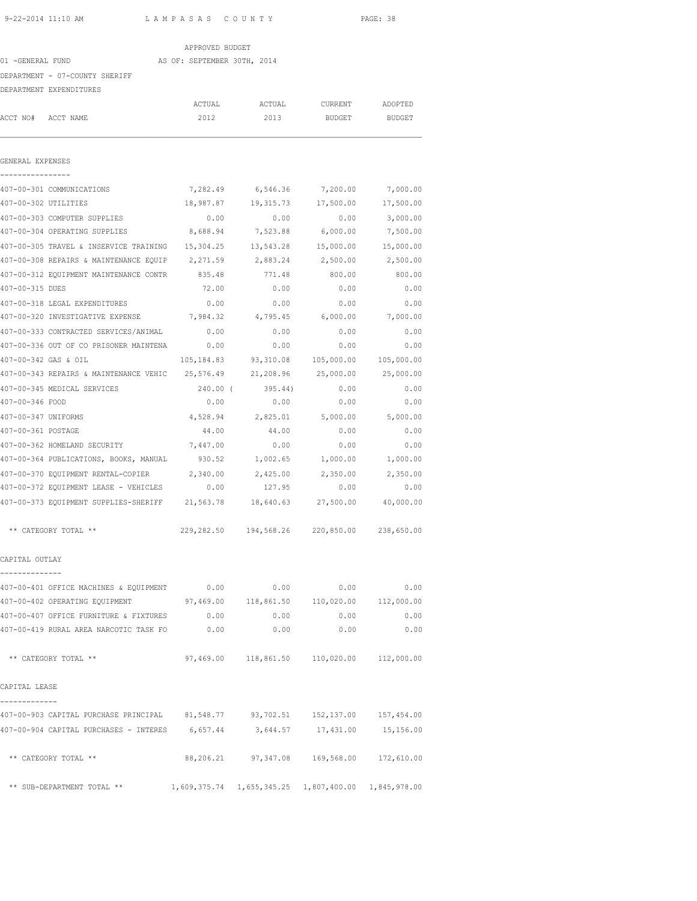| 9-22-2014 11:10 AM                                                              | LAMPASAS COUNTY             |                                               |                    | PAGE: 38              |
|---------------------------------------------------------------------------------|-----------------------------|-----------------------------------------------|--------------------|-----------------------|
|                                                                                 | APPROVED BUDGET             |                                               |                    |                       |
| 01 -GENERAL FUND                                                                | AS OF: SEPTEMBER 30TH, 2014 |                                               |                    |                       |
| DEPARTMENT - 07-COUNTY SHERIFF                                                  |                             |                                               |                    |                       |
| DEPARTMENT EXPENDITURES                                                         |                             |                                               |                    |                       |
|                                                                                 | ACTUAL                      | ACTUAL                                        | CURRENT            | ADOPTED               |
| ACCT NO# ACCT NAME                                                              | 2012                        | 2013                                          | BUDGET             | <b>BUDGET</b>         |
| GENERAL EXPENSES                                                                |                             |                                               |                    |                       |
| 407-00-301 COMMUNICATIONS                                                       |                             | 7,282.49 6,546.36                             | 7,200.00           | 7,000.00              |
| 407-00-302 UTILITIES                                                            | 18,987.87                   | 19,315.73                                     | 17,500.00          | 17,500.00             |
| 407-00-303 COMPUTER SUPPLIES                                                    | 0.00                        | 0.00                                          | 0.00               | 3,000.00              |
| 407-00-304 OPERATING SUPPLIES                                                   | 8,688.94                    | 7,523.88                                      | 6,000.00           | 7,500.00              |
| 407-00-305 TRAVEL & INSERVICE TRAINING                                          | 15,304.25                   | 13,543.28                                     | 15,000.00          | 15,000.00             |
| 407-00-308 REPAIRS & MAINTENANCE EQUIP                                          | 2,271.59                    | 2,883.24                                      | 2,500.00           | 2,500.00              |
| 407-00-312 EQUIPMENT MAINTENANCE CONTR 835.48                                   |                             | 771.48                                        | 800.00             | 800.00                |
| 407-00-315 DUES                                                                 | 72.00                       | 0.00                                          | 0.00               | 0.00                  |
| 407-00-318 LEGAL EXPENDITURES                                                   | 0.00                        | 0.00                                          | 0.00               | 0.00                  |
| 407-00-320 INVESTIGATIVE EXPENSE 7,984.32 4,795.45                              |                             |                                               | 6,000.00           | 7,000.00              |
| 407-00-333 CONTRACTED SERVICES/ANIMAL                                           | 0.00                        | 0.00                                          | 0.00               | 0.00                  |
| 407-00-336 OUT OF CO PRISONER MAINTENA                                          | 0.00                        | 0.00                                          | 0.00               | 0.00                  |
| 407-00-342 GAS & OIL                                                            | 105,184.83                  | 93,310.08                                     |                    | 105,000.00 105,000.00 |
| 407-00-343 REPAIRS & MAINTENANCE VEHIC 25,576.49                                |                             | 21,208.96                                     | 25,000.00          | 25,000.00             |
| 407-00-345 MEDICAL SERVICES                                                     | 240.00 (                    | 395.44)                                       | 0.00               | 0.00                  |
| 407-00-346 FOOD                                                                 | 0.00                        | 0.00                                          | 0.00               | 0.00                  |
| 407-00-347 UNIFORMS                                                             | 4,528.94                    | 2,825.01                                      | 5,000.00           | 5,000.00              |
| 407-00-361 POSTAGE                                                              | 44.00                       | 44.00                                         | 0.00               | 0.00                  |
| 407-00-362 HOMELAND SECURITY                                                    | 7,447.00                    | 0.00                                          | 0.00               | 0.00                  |
| 407-00-364 PUBLICATIONS, BOOKS, MANUAL                                          | 930.52                      |                                               | 1,002.65 1,000.00  | 1,000.00              |
| 407-00-370 EQUIPMENT RENTAL-COPIER 2,340.00 2,425.00 2,350.00                   |                             |                                               |                    | 2,350.00              |
| 407-00-372 EQUIPMENT LEASE - VEHICLES 0.00                                      |                             | 127.95                                        | 0.00               | 0.00                  |
| 407-00-373 EQUIPMENT SUPPLIES-SHERIFF 21,563.78                                 |                             | 18,640.63                                     | 27,500.00          | 40,000.00             |
| ** CATEGORY TOTAL **                                                            |                             | 229,282.50 194,568.26 220,850.00 238,650.00   |                    |                       |
| CAPITAL OUTLAY                                                                  |                             |                                               |                    |                       |
| 407-00-401 OFFICE MACHINES & EQUIPMENT 0.00                                     |                             | 0.00                                          | 0.00               | 0.00                  |
| 407-00-402 OPERATING EQUIPMENT 407,469.00 118,861.50 110,020.00 112,000.00      |                             |                                               |                    |                       |
| 407-00-407 OFFICE FURNITURE & FIXTURES 0.00                                     |                             | 0.00                                          |                    | 0.00<br>0.00          |
| 407-00-419 RURAL AREA NARCOTIC TASK FO 0.00                                     |                             | 0.00                                          | 0.00               | 0.00                  |
| ** CATEGORY TOTAL **                                                            |                             | 97,469.00  118,861.50  110,020.00  112,000.00 |                    |                       |
| CAPITAL LEASE                                                                   |                             |                                               |                    |                       |
| 407-00-903 CAPITAL PURCHASE PRINCIPAL 81,548.77 93,702.51 152,137.00 157,454.00 |                             |                                               |                    |                       |
| 407-00-904 CAPITAL PURCHASES - INTERES 6,657.44                                 |                             |                                               | 3,644.57 17,431.00 | 15,156.00             |
| ** CATEGORY TOTAL **                                                            |                             | 88,206.21 97,347.08 169,568.00 172,610.00     |                    |                       |
| ** SUB-DEPARTMENT TOTAL ** 1,609,375.74 1,655,345.25 1,807,400.00 1,845,978.00  |                             |                                               |                    |                       |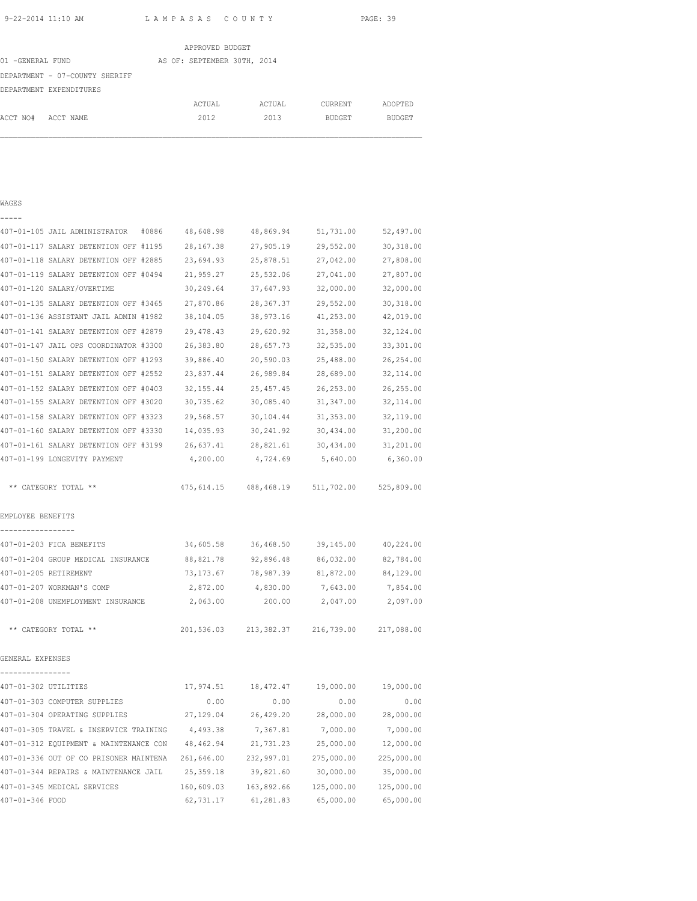|                                |  | APPROVED BUDGET             |        |               |               |
|--------------------------------|--|-----------------------------|--------|---------------|---------------|
| 01 -GENERAL FUND               |  | AS OF: SEPTEMBER 30TH, 2014 |        |               |               |
| DEPARTMENT - 07-COUNTY SHERIFF |  |                             |        |               |               |
| DEPARTMENT EXPENDITURES        |  |                             |        |               |               |
|                                |  | ACTUAL                      | ACTUAL | CURRENT       | ADOPTED       |
| ACCT NO#<br>ACCT NAME          |  | 2012                        | 2013   | <b>BUDGET</b> | <b>BUDGET</b> |

## WAGES -----

| 407-01-105 JAIL ADMINISTRATOR<br>#0886   | 48,648.98  | 48,869.94                           | 51,731.00  | 52,497.00  |
|------------------------------------------|------------|-------------------------------------|------------|------------|
| 407-01-117 SALARY DETENTION OFF #1195    | 28, 167.38 | 27,905.19                           | 29,552.00  | 30,318.00  |
| 407-01-118 SALARY DETENTION OFF #2885    | 23,694.93  | 25,878.51                           | 27,042.00  | 27,808.00  |
| 407-01-119 SALARY DETENTION OFF #0494    | 21,959.27  | 25,532.06                           | 27,041.00  | 27,807.00  |
| 407-01-120 SALARY/OVERTIME               | 30,249.64  | 37,647.93                           | 32,000.00  | 32,000.00  |
| 407-01-135 SALARY DETENTION OFF #3465    | 27,870.86  | 28, 367.37                          | 29,552.00  | 30, 318.00 |
| 407-01-136 ASSISTANT JAIL ADMIN #1982    | 38,104.05  | 38,973.16                           | 41,253.00  | 42,019.00  |
| 407-01-141 SALARY DETENTION OFF #2879    | 29,478.43  | 29,620.92                           | 31,358.00  | 32,124.00  |
| 407-01-147 JAIL OPS COORDINATOR #3300    | 26,383.80  | 28,657.73                           | 32,535.00  | 33,301.00  |
| 407-01-150 SALARY DETENTION OFF #1293    | 39,886.40  | 20,590.03                           | 25,488.00  | 26,254.00  |
| 407-01-151 SALARY DETENTION OFF #2552    | 23,837.44  | 26,989.84                           | 28,689.00  | 32, 114.00 |
| 407-01-152 SALARY DETENTION OFF #0403    | 32, 155.44 | 25, 457.45                          | 26, 253.00 | 26,255.00  |
| 407-01-155 SALARY DETENTION OFF #3020    | 30,735.62  | 30,085.40                           | 31,347.00  | 32, 114.00 |
| 407-01-158 SALARY DETENTION OFF #3323    | 29,568.57  | 30,104.44                           | 31, 353.00 | 32,119.00  |
| 407-01-160 SALARY DETENTION OFF #3330    | 14,035.93  | 30, 241.92                          | 30,434.00  | 31,200.00  |
| 407-01-161 SALARY DETENTION OFF #3199    | 26,637.41  | 28,821.61                           | 30,434.00  | 31,201.00  |
| 407-01-199 LONGEVITY PAYMENT             | 4,200.00   | 4,724.69                            | 5,640.00   | 6,360.00   |
| ** CATEGORY TOTAL **                     |            | 475, 614.15 488, 468.19 511, 702.00 |            | 525,809.00 |
| EMPLOYEE BENEFITS                        |            |                                     |            |            |
| _________________                        |            |                                     |            |            |
| 407-01-203 FICA BENEFITS                 | 34,605.58  | 36,468.50                           | 39,145.00  | 40,224.00  |
| 407-01-204 GROUP MEDICAL INSURANCE       | 88,821.78  | 92,896.48                           | 86,032.00  | 82,784.00  |
| 407-01-205 RETIREMENT                    | 73,173.67  | 78,987.39                           | 81,872.00  | 84,129.00  |
| 407-01-207 WORKMAN'S COMP                | 2,872.00   | 4,830.00                            | 7,643.00   | 7,854.00   |
| 407-01-208 UNEMPLOYMENT INSURANCE        | 2,063.00   | 200.00                              | 2,047.00   | 2,097.00   |
| ** CATEGORY TOTAL **                     | 201,536.03 | 213,382.37                          | 216,739.00 | 217,088.00 |
| GENERAL EXPENSES                         |            |                                     |            |            |
| ----------------<br>407-01-302 UTILITIES | 17,974.51  | 18,472.47                           | 19,000.00  | 19,000.00  |
| 407-01-303 COMPUTER SUPPLIES             | 0.00       | 0.00                                | 0.00       | 0.00       |
| 407-01-304 OPERATING SUPPLIES            | 27,129.04  | 26,429.20                           | 28,000.00  | 28,000.00  |
| 407-01-305 TRAVEL & INSERVICE TRAINING   | 4,493.38   | 7,367.81                            | 7,000.00   | 7,000.00   |
| 407-01-312 EQUIPMENT & MAINTENANCE CON   | 48,462.94  | 21,731.23                           | 25,000.00  | 12,000.00  |
| 407-01-336 OUT OF CO PRISONER MAINTENA   | 261,646.00 | 232,997.01                          | 275,000.00 | 225,000.00 |
| 407-01-344 REPAIRS & MAINTENANCE JAIL    | 25,359.18  | 39,821.60                           | 30,000.00  | 35,000.00  |
| 407-01-345 MEDICAL SERVICES              | 160,609.03 | 163,892.66                          | 125,000.00 | 125,000.00 |
| 407-01-346 FOOD                          | 62,731.17  | 61,281.83                           | 65,000.00  | 65,000.00  |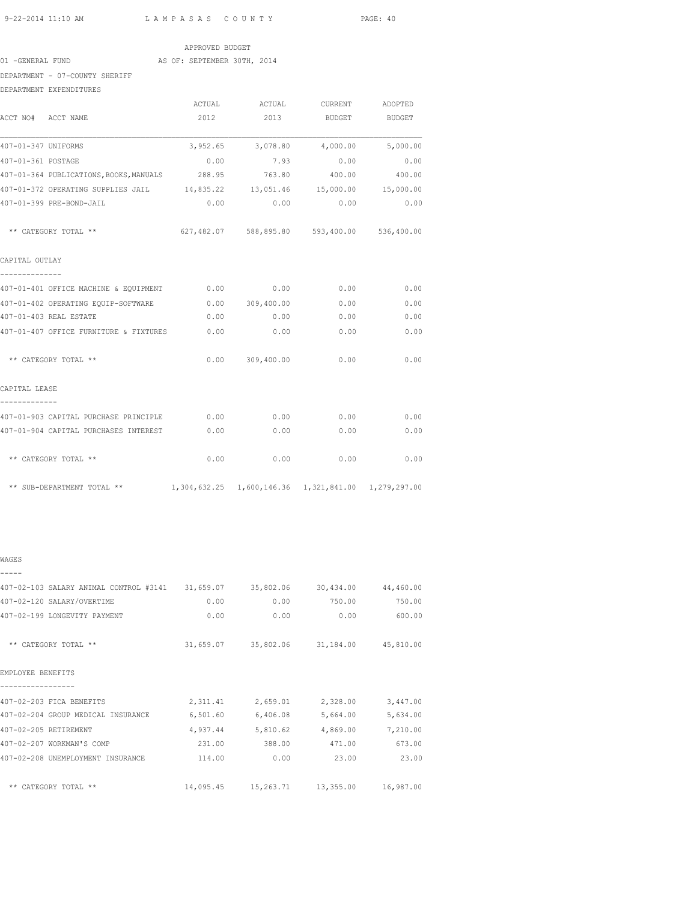01 -GENERAL FUND AS OF: SEPTEMBER 30TH, 2014

DEPARTMENT - 07-COUNTY SHERIFF

DEPARTMENT EXPENDITURES

|                                                                                |      | ACTUAL ACTUAL CURRENT ADOPTED               |              |        |
|--------------------------------------------------------------------------------|------|---------------------------------------------|--------------|--------|
| ACCT NO# ACCT NAME                                                             |      | 2012 2013 BUDGET BUDGET                     |              |        |
| 407-01-347 UNIFORMS                                                            |      | $3,952.65$ $3,078.80$ $4,000.00$ $5,000.00$ |              |        |
| 407-01-361 POSTAGE                                                             |      | $0.00$ 7.93 0.00 0.00                       |              |        |
| 407-01-364 PUBLICATIONS, BOOKS, MANUALS 288.95 763.80                          |      |                                             | 400.00       | 400.00 |
| 407-01-372 OPERATING SUPPLIES JAIL $14,835.22$ 13,051.46 15,000.00 15,000.00   |      |                                             |              |        |
| 407-01-399 PRE-BOND-JAIL                                                       |      | $0.00$ $0.00$ $0.00$ $0.00$ $0.00$          |              |        |
| ** CATEGORY TOTAL **                                                           |      | 627,482.07 588,895.80 593,400.00 536,400.00 |              |        |
| CAPITAL OUTLAY                                                                 |      |                                             |              |        |
| --------------                                                                 |      |                                             |              | 0.00   |
| 407-01-402 OPERATING EQUIP-SOFTWARE                                            |      | $0.00$ 309,400.00 0.00                      |              | 0.00   |
| 407-01-403 REAL ESTATE                                                         | 0.00 | 0.00                                        | 0.00         | 0.00   |
| 407-01-407 OFFICE FURNITURE & FIXTURES                                         | 0.00 | 0.00                                        | 0.00         | 0.00   |
| ** CATEGORY TOTAL **                                                           |      | $0.00$ 309,400.00                           | 0.00         | 0.00   |
| CAPITAL LEASE                                                                  |      |                                             |              |        |
| 407-01-903 CAPITAL PURCHASE PRINCIPLE 0.00                                     |      | 0.00                                        | 0.00         | 0.00   |
| 407-01-904 CAPITAL PURCHASES INTEREST                                          | 0.00 |                                             | 0.00<br>0.00 | 0.00   |
| ** CATEGORY TOTAL **                                                           | 0.00 | 0.00                                        | 0.00         | 0.00   |
| ** SUB-DEPARTMENT TOTAL ** 1,304,632.25 1,600,146.36 1,321,841.00 1,279,297.00 |      |                                             |              |        |

## WAGES

| 407-02-103 SALARY ANIMAL CONTROL #3141 | 31,659.07 | 35,802.06                       | 30,434.00 44,460.00 |           |
|----------------------------------------|-----------|---------------------------------|---------------------|-----------|
| 407-02-120 SALARY/OVERTIME             | 0.00      | 0.00                            | 750.00              | 750.00    |
| 407-02-199 LONGEVITY PAYMENT           | 0.00      | 0.00                            | 0.00                | 600.00    |
| ** CATEGORY TOTAL **                   | 31,659.07 | 35,802.06                       | 31,184.00 45,810.00 |           |
| EMPLOYEE BENEFITS                      |           |                                 |                     |           |
| 407-02-203 FICA BENEFITS               | 2,311.41  | 2,659.01                        | 2,328.00            | 3,447.00  |
| 407-02-204 GROUP MEDICAL INSURANCE     | 6,501.60  | 6,406.08                        | 5,664.00            | 5,634.00  |
| 407-02-205 RETIREMENT                  | 4,937.44  | 5,810.62                        | 4,869.00            | 7,210.00  |
| 407-02-207 WORKMAN'S COMP              | 231.00    | 388.00                          | 471.00              | 673.00    |
| 407-02-208 UNEMPLOYMENT INSURANCE      | 114.00    | 0.00                            | 23.00               | 23.00     |
| CATEGORY TOTAL **<br>$***$             |           | 14,095.45  15,263.71  13,355.00 |                     | 16,987.00 |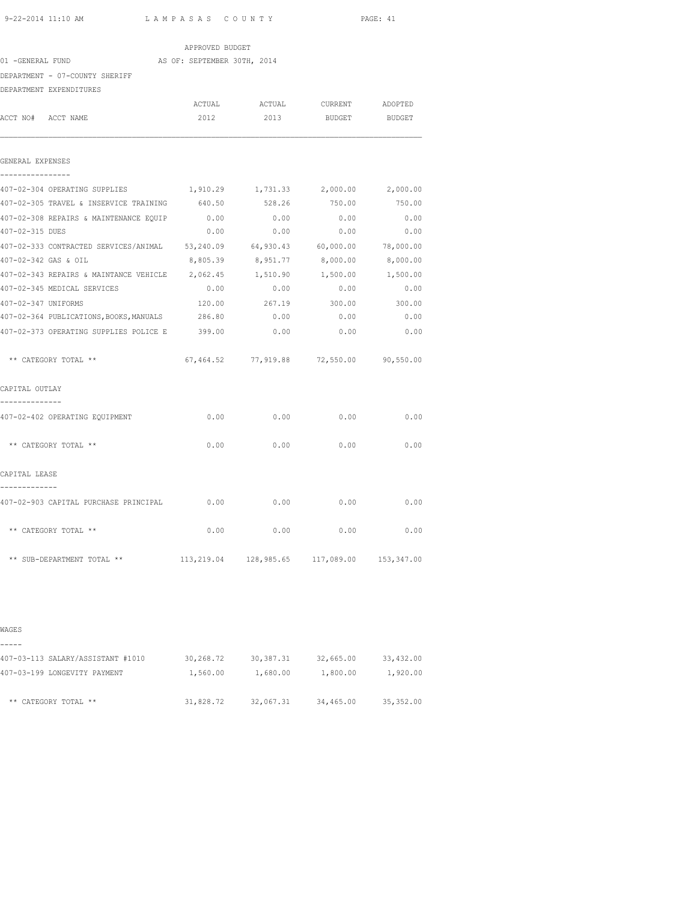| 9-22-2014 11:10 AM                   |                                                           | LAMPASAS COUNTY             |          |                                         | PAGE: 41  |  |
|--------------------------------------|-----------------------------------------------------------|-----------------------------|----------|-----------------------------------------|-----------|--|
|                                      |                                                           | APPROVED BUDGET             |          |                                         |           |  |
| 01 -GENERAL FUND                     |                                                           | AS OF: SEPTEMBER 30TH, 2014 |          |                                         |           |  |
|                                      | DEPARTMENT - 07-COUNTY SHERIFF                            |                             |          |                                         |           |  |
|                                      | DEPARTMENT EXPENDITURES                                   |                             |          |                                         |           |  |
|                                      |                                                           | ACTUAL                      | ACTUAL   | CURRENT                                 | ADOPTED   |  |
| ACCT NO# ACCT NAME                   |                                                           | 2012                        | 2013     | BUDGET                                  | BUDGET    |  |
| GENERAL EXPENSES<br>---------------- |                                                           |                             |          |                                         |           |  |
|                                      | 407-02-304 OPERATING SUPPLIES                             | 1,910.29                    |          | 1,731.33 2,000.00                       | 2,000.00  |  |
|                                      | 407-02-305 TRAVEL & INSERVICE TRAINING                    | 640.50                      | 528.26   | 750.00                                  | 750.00    |  |
|                                      | 407-02-308 REPAIRS & MAINTENANCE EQUIP                    | 0.00                        | 0.00     | 0.00                                    | 0.00      |  |
| 407-02-315 DUES                      |                                                           | 0.00                        | 0.00     | 0.00                                    | 0.00      |  |
|                                      | 407-02-333 CONTRACTED SERVICES/ANIMAL 53,240.09 64,930.43 |                             |          | 60,000.00                               | 78,000.00 |  |
| 407-02-342 GAS & OIL                 |                                                           | 8,805.39                    | 8,951.77 | 8,000.00                                | 8,000.00  |  |
|                                      | 407-02-343 REPAIRS & MAINTANCE VEHICLE 2,062.45           |                             | 1,510.90 | 1,500.00                                | 1,500.00  |  |
|                                      | 407-02-345 MEDICAL SERVICES                               | 0.00                        | 0.00     | 0.00                                    | 0.00      |  |
| 407-02-347 UNIFORMS                  |                                                           | 120.00                      | 267.19   | 300.00                                  | 300.00    |  |
|                                      | 407-02-364 PUBLICATIONS, BOOKS, MANUALS                   | 286.80                      | 0.00     | 0.00                                    | 0.00      |  |
|                                      | 407-02-373 OPERATING SUPPLIES POLICE E 399.00             |                             | 0.00     | 0.00                                    | 0.00      |  |
|                                      | ** CATEGORY TOTAL **                                      |                             |          | 67,464.52 77,919.88 72,550.00 90,550.00 |           |  |
| CAPITAL OUTLAY<br>--------------     |                                                           |                             |          |                                         |           |  |
|                                      | 407-02-402 OPERATING EQUIPMENT                            | 0.00                        | 0.00     | 0.00                                    | 0.00      |  |
|                                      | ** CATEGORY TOTAL **                                      | 0.00                        | 0.00     | 0.00                                    | 0.00      |  |
| CAPITAL LEASE                        |                                                           |                             |          |                                         |           |  |
| . _ _ _ _ _ _ _ _ _ _ _ _            | 407-02-903 CAPITAL PURCHASE PRINCIPAL                     | 0.00                        | 0.00     | 0.00                                    | 0.00      |  |
|                                      | ** CATEGORY TOTAL **                                      | 0.00                        | 0.00     | 0.00                                    | 0.00      |  |

WAGES ----- 407-03-113 SALARY/ASSISTANT #1010 30,268.72 30,387.31 32,665.00 33,432.00 407-03-199 LONGEVITY PAYMENT 1,560.00 1,680.00 1,800.00 1,920.00 \*\* CATEGORY TOTAL \*\* 31,828.72 32,067.31 34,465.00 35,352.00

\*\* SUB-DEPARTMENT TOTAL \*\* 113,219.04 128,985.65 117,089.00 153,347.00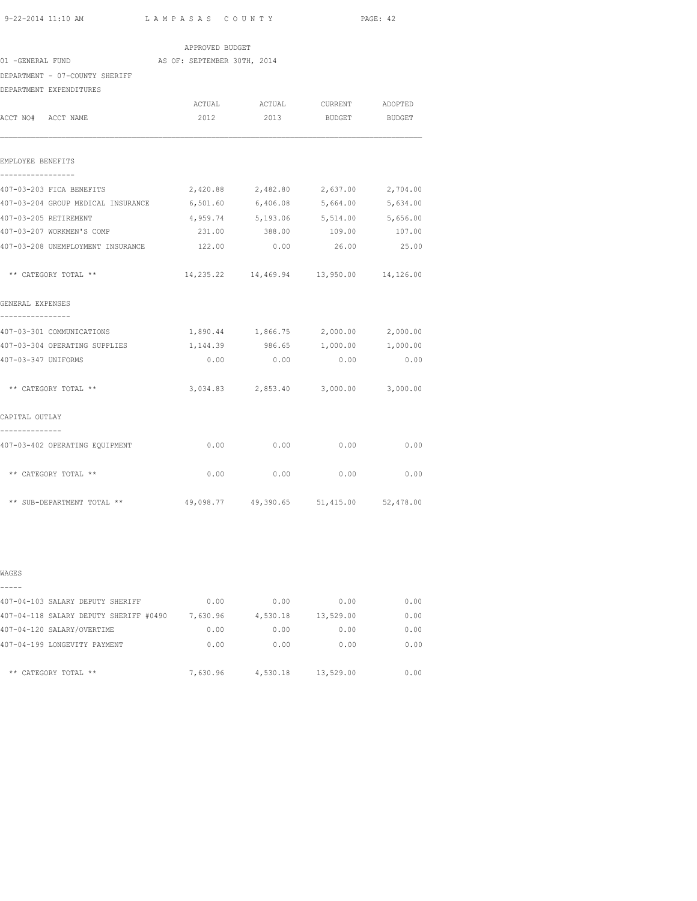| $9-22-2014$ 11.10 AM |  |  |  |
|----------------------|--|--|--|

11:10 AM L A M P A S A S C O U N T Y PAGE: 42

| 01 -GENERAL FUND                                 | APPROVED BUDGET<br>AS OF: SEPTEMBER 30TH, 2014 |                                         |                   |          |
|--------------------------------------------------|------------------------------------------------|-----------------------------------------|-------------------|----------|
| DEPARTMENT - 07-COUNTY SHERIFF                   |                                                |                                         |                   |          |
| DEPARTMENT EXPENDITURES                          |                                                |                                         |                   |          |
|                                                  |                                                |                                         |                   |          |
| ACCT NO# ACCT NAME                               | 2012                                           | ACTUAL ACTUAL CURRENT ADOPTED<br>2013   | BUDGET BUDGET     |          |
|                                                  |                                                |                                         |                   |          |
| EMPLOYEE BENEFITS<br>----------------            |                                                |                                         |                   |          |
| 407-03-203 FICA BENEFITS                         | 2,420.88                                       |                                         | 2,482.80 2,637.00 | 2,704.00 |
| 407-03-204 GROUP MEDICAL INSURANCE               |                                                | 6,501.60 6,406.08 5,664.00              |                   | 5,634.00 |
| 407-03-205 RETIREMENT                            |                                                | 4,959.74 5,193.06 5,514.00 5,656.00     |                   |          |
| 407-03-207 WORKMEN'S COMP                        |                                                | 231.00 388.00 109.00 107.00             |                   |          |
| 407-03-208 UNEMPLOYMENT INSURANCE                | 122.00                                         | 0.00                                    | 26.00             | 25.00    |
| ** CATEGORY TOTAL **                             |                                                | 14,235.22 14,469.94 13,950.00 14,126.00 |                   |          |
| GENERAL EXPENSES                                 |                                                |                                         |                   |          |
| 407-03-301 COMMUNICATIONS                        |                                                | 1,890.44 1,866.75 2,000.00 2,000.00     |                   |          |
| 407-03-304 OPERATING SUPPLIES                    |                                                | 1,144.39 986.65 1,000.00 1,000.00       |                   |          |
| 407-03-347 UNIFORMS                              | 0.00                                           | 0.00                                    | 0.00              | 0.00     |
| ** CATEGORY TOTAL **                             |                                                | 3,034.83 2,853.40 3,000.00 3,000.00     |                   |          |
| CAPITAL OUTLAY                                   |                                                |                                         |                   |          |
| --------------<br>407-03-402 OPERATING EQUIPMENT |                                                | $0.00$ 0.00                             | 0.00              | 0.00     |
| ** CATEGORY TOTAL **                             | 0.00                                           | 0.00                                    | 0.00              | 0.00     |
| ** SUB-DEPARTMENT TOTAL **                       |                                                | 49,098.77 49,390.65 51,415.00 52,478.00 |                   |          |

| ۰,<br>۰, |  |
|----------|--|

| 407-04-103 SALARY DEPUTY SHERIFF       | 0.00     | 0.00     | 0.00      | 0.00 |
|----------------------------------------|----------|----------|-----------|------|
| 407-04-118 SALARY DEPUTY SHERIFF #0490 | 7,630.96 | 4,530.18 | 13,529.00 | 0.00 |
| 407-04-120 SALARY/OVERTIME             | 0.00     | 0.00     | 0.00      | 0.00 |
| 407-04-199 LONGEVITY PAYMENT           | 0.00     | 0.00     | 0.00      | 0.00 |
| ** CATEGORY TOTAL **                   | 7,630.96 | 4,530.18 | 13,529.00 | 0.00 |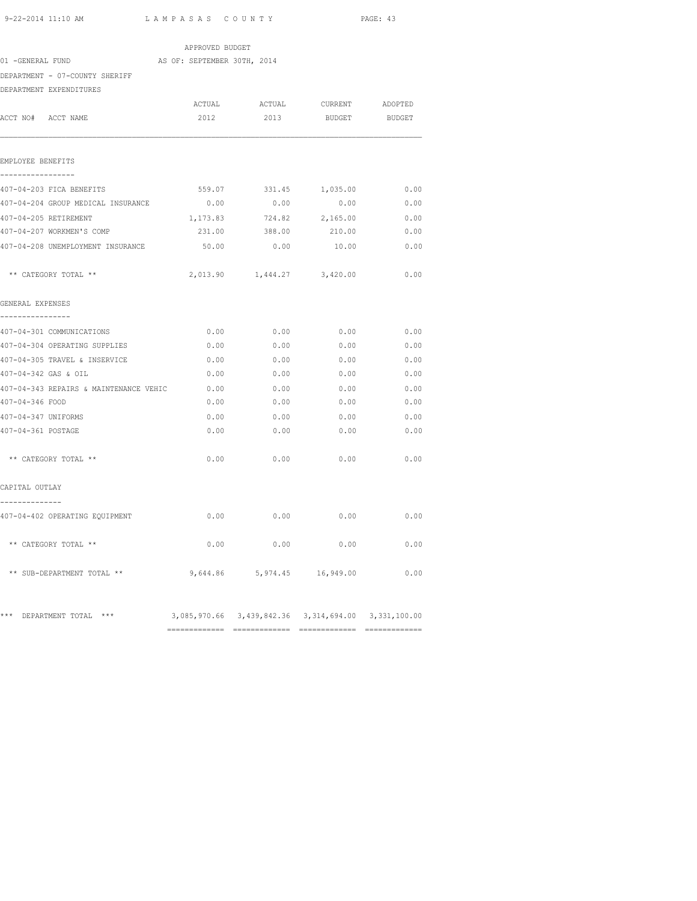============= ============= ============= =============

| 9-22-2014 11:10 AM   |                                        | LAMPASAS COUNTY             |                                                     | PAGE: 43      |        |  |
|----------------------|----------------------------------------|-----------------------------|-----------------------------------------------------|---------------|--------|--|
|                      |                                        | APPROVED BUDGET             |                                                     |               |        |  |
| 01 -GENERAL FUND     |                                        | AS OF: SEPTEMBER 30TH, 2014 |                                                     |               |        |  |
|                      | DEPARTMENT - 07-COUNTY SHERIFF         |                             |                                                     |               |        |  |
|                      | DEPARTMENT EXPENDITURES                |                             |                                                     |               |        |  |
|                      |                                        |                             | ACTUAL ACTUAL CURRENT ADOPTED                       |               |        |  |
| ACCT NO# ACCT NAME   |                                        | 2012                        | 2013                                                | <b>BUDGET</b> | BUDGET |  |
| EMPLOYEE BENEFITS    |                                        |                             |                                                     |               |        |  |
|                      | 407-04-203 FICA BENEFITS               | 559.07                      | 331.45                                              | 1,035.00      | 0.00   |  |
|                      | 407-04-204 GROUP MEDICAL INSURANCE     | 0.00                        | 0.00                                                | 0.00          | 0.00   |  |
|                      | 407-04-205 RETIREMENT                  |                             | 1,173.83 724.82 2,165.00                            |               | 0.00   |  |
|                      | 407-04-207 WORKMEN'S COMP              |                             | 231.00 388.00 210.00                                |               | 0.00   |  |
|                      | 407-04-208 UNEMPLOYMENT INSURANCE      |                             |                                                     |               | 0.00   |  |
|                      | ** CATEGORY TOTAL **                   |                             | 2,013.90 1,444.27 3,420.00                          |               | 0.00   |  |
| GENERAL EXPENSES     |                                        |                             |                                                     |               |        |  |
|                      | 407-04-301 COMMUNICATIONS              | 0.00                        | 0.00                                                | 0.00          | 0.00   |  |
|                      | 407-04-304 OPERATING SUPPLIES          | 0.00                        | 0.00                                                | 0.00          | 0.00   |  |
|                      | 407-04-305 TRAVEL & INSERVICE          | 0.00                        | 0.00                                                | 0.00          | 0.00   |  |
| 407-04-342 GAS & OIL |                                        | 0.00                        | 0.00                                                | 0.00          | 0.00   |  |
|                      | 407-04-343 REPAIRS & MAINTENANCE VEHIC | 0.00                        | 0.00                                                | 0.00          | 0.00   |  |
| 407-04-346 FOOD      |                                        | 0.00                        | 0.00                                                | 0.00          | 0.00   |  |
| 407-04-347 UNIFORMS  |                                        | 0.00                        | 0.00                                                | 0.00          | 0.00   |  |
| 407-04-361 POSTAGE   |                                        | 0.00                        | 0.00                                                | 0.00          | 0.00   |  |
|                      | ** CATEGORY TOTAL **                   | 0.00                        | 0.00                                                | 0.00          | 0.00   |  |
| CAPITAL OUTLAY       |                                        |                             |                                                     |               |        |  |
|                      | 407-04-402 OPERATING EQUIPMENT         |                             | 0.00<br>0.00                                        | 0.00          | 0.00   |  |
|                      | ** CATEGORY TOTAL **                   | 0.00                        | 0.00                                                | 0.00          | 0.00   |  |
|                      | ** SUB-DEPARTMENT TOTAL **             |                             | 9,644.86 5,974.45 16,949.00                         |               | 0.00   |  |
| ***                  | DEPARTMENT TOTAL ***                   |                             | 3,085,970.66 3,439,842.36 3,314,694.00 3,331,100.00 |               |        |  |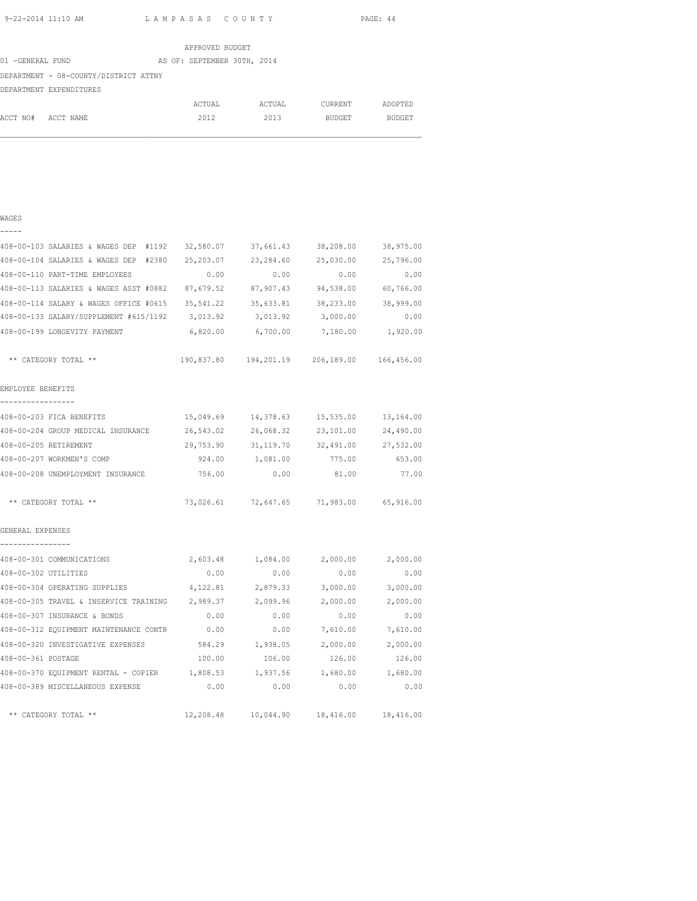|                  |                                       |  | APPROVED BUDGET             |        |               |               |
|------------------|---------------------------------------|--|-----------------------------|--------|---------------|---------------|
| 01 -GENERAL FUND |                                       |  | AS OF: SEPTEMBER 30TH, 2014 |        |               |               |
|                  | DEPARTMENT - 08-COUNTY/DISTRICT ATTNY |  |                             |        |               |               |
|                  | DEPARTMENT EXPENDITURES               |  |                             |        |               |               |
|                  |                                       |  | ACTUAL                      | ACTUAL | CURRENT       | ADOPTED       |
| ACCT NO#         | ACCT NAME                             |  | 2012                        | 2013   | <b>BUDGET</b> | <b>BUDGET</b> |

| . .<br>٦ |  |
|----------|--|
|          |  |

| 408-00-103 SALARIES & WAGES DEP #1192 32,580.07                      |           | 37,661.43           | 38,208.00                                      | 38,975.00 |
|----------------------------------------------------------------------|-----------|---------------------|------------------------------------------------|-----------|
| 408-00-104 SALARIES & WAGES DEP #2380 25,203.07                      |           | 23, 284.60          | 25,030.00                                      | 25,796.00 |
| 408-00-110 PART-TIME EMPLOYEES                                       | 0.00      | 0.00                | 0.00                                           | 0.00      |
| 408-00-113 SALARIES & WAGES ASST #0882 87,679.52                     |           | 87,907.43           | 94,538.00                                      | 60,766.00 |
| 408-00-114 SALARY & WAGES OFFICE #0615 35,541.22 35,633.81 38,233.00 |           |                     |                                                | 38,999.00 |
| 408-00-133 SALARY/SUPPLEMENT #615/1192 3,013.92                      |           | 3,013.92            | 3,000.00                                       | 0.00      |
| 408-00-199 LONGEVITY PAYMENT                                         |           |                     | 6,820.00 6,700.00 7,180.00 1,920.00            |           |
| ** CATEGORY TOTAL **                                                 |           |                     | 190,837.80  194,201.19  206,189.00  166,456.00 |           |
| EMPLOYEE BENEFITS                                                    |           |                     |                                                |           |
| -----------------<br>408-00-203 FICA BENEFITS                        |           |                     | 15,049.69  14,378.63  15,535.00  13,164.00     |           |
| 408-00-204 GROUP MEDICAL INSURANCE                                   | 26,543.02 | 26,068.32           | 23,101.00                                      | 24,490.00 |
| 408-00-205 RETIREMENT                                                |           | 29,753.90 31,119.70 | 32,491.00 27,532.00                            |           |
| 408-00-207 WORKMEN'S COMP                                            |           | 924.00 1,081.00     | 775.00                                         | 653.00    |
| 408-00-208 UNEMPLOYMENT INSURANCE 756.00 0.00                        |           |                     | 81.00                                          | 77.00     |
| ** CATEGORY TOTAL **                                                 |           |                     | 73,026.61 72,647.65 71,983.00 65,916.00        |           |
| GENERAL EXPENSES<br>________________                                 |           |                     |                                                |           |
| 408-00-301 COMMUNICATIONS                                            | 2,603.48  |                     | 1,084.00 2,000.00 2,000.00                     |           |
| 408-00-302 UTILITIES                                                 | 0.00      | 0.00                | 0.00                                           | 0.00      |
| 408-00-304 OPERATING SUPPLIES                                        |           | 4, 122.81 2, 879.33 | 3,000.00                                       | 3,000.00  |
| 408-00-305 TRAVEL & INSERVICE TRAINING 2,989.37 2,099.96 2,000.00    |           |                     |                                                | 2,000.00  |
| 408-00-307 INSURANCE & BONDS                                         | 0.00      | 0.00                | 0.00                                           | 0.00      |
| 408-00-312 EQUIPMENT MAINTENANCE CONTR                               | 0.00      | 0.00                | 7,610.00                                       | 7,610.00  |
| 408-00-320 INVESTIGATIVE EXPENSES                                    | 584.29    | 1,938.05            | 2,000.00                                       | 2,000.00  |
| 408-00-361 POSTAGE                                                   | 100.00    | 106.00              | 126.00                                         | 126.00    |
| 408-00-370 EQUIPMENT RENTAL - COPIER 1,808.53 1,937.56 1,680.00      |           |                     |                                                | 1,680.00  |
| 408-00-389 MISCELLANEOUS EXPENSE                                     | 0.00      | 0.00                | 0.00                                           | 0.00      |
| ** CATEGORY TOTAL **                                                 | 12,208.48 | 10,044.90           | 18,416.00                                      | 18,416.00 |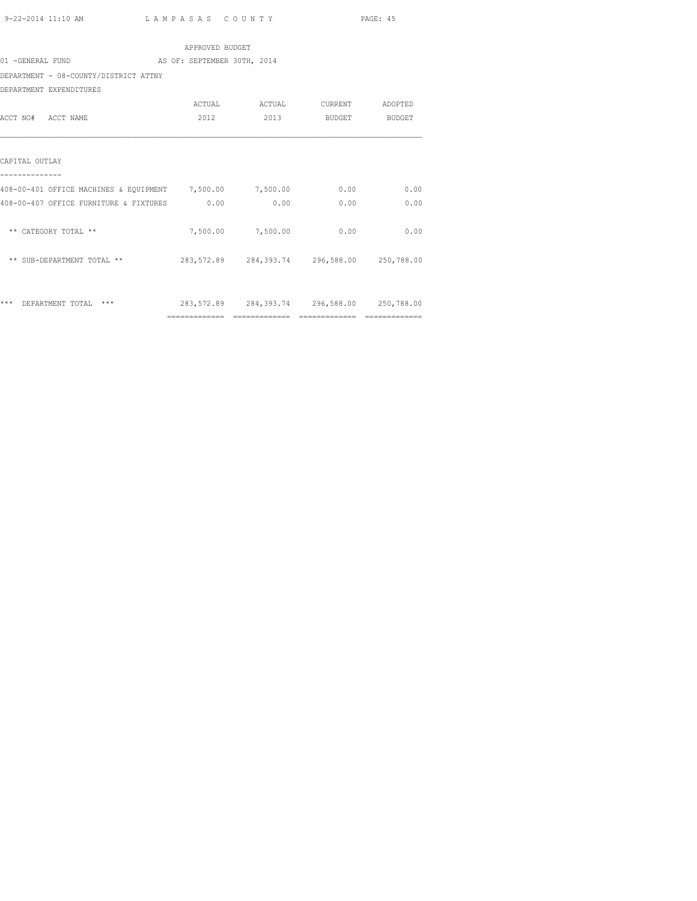|                                                          | APPROVED BUDGET             |                   |                                             |      |
|----------------------------------------------------------|-----------------------------|-------------------|---------------------------------------------|------|
| 01 -GENERAL FUND                                         | AS OF: SEPTEMBER 30TH, 2014 |                   |                                             |      |
| DEPARTMENT - 08-COUNTY/DISTRICT ATTNY                    |                             |                   |                                             |      |
| DEPARTMENT EXPENDITURES                                  |                             |                   |                                             |      |
|                                                          |                             |                   |                                             |      |
| ACCT NO# ACCT NAME                                       | 2012                        |                   | 2013 BUDGET BUDGET                          |      |
| CAPITAL OUTLAY                                           |                             |                   |                                             |      |
| 408-00-401 OFFICE MACHINES & EQUIPMENT 7,500.00 7,500.00 |                             |                   | 0.00                                        | 0.00 |
| 408-00-407 OFFICE FURNITURE & FIXTURES 0.00              |                             | 0.00              | 0.00                                        | 0.00 |
| ** CATEGORY TOTAL **                                     |                             | 7,500.00 7,500.00 | 0.00                                        | 0.00 |
| ** SUB-DEPARTMENT TOTAL **                               |                             |                   | 283,572.89 284,393.74 296,588.00 250,788.00 |      |
| ***<br>DEPARTMENT TOTAL ***                              |                             |                   | 283,572.89 284,393.74 296,588.00 250,788.00 |      |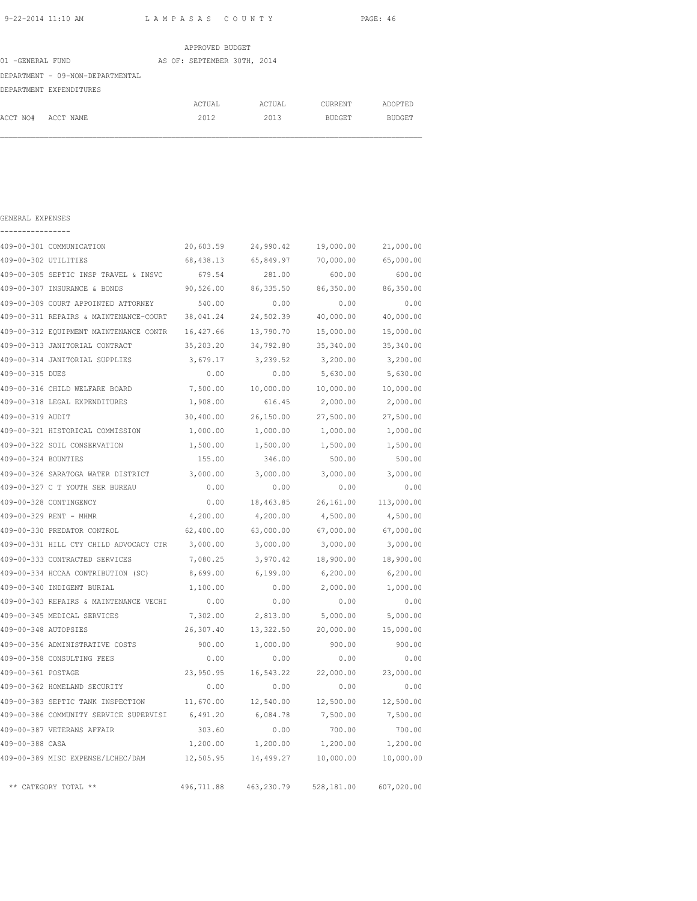| APPROVED BUDGET  |                                  |  |                             |  |        |               |               |
|------------------|----------------------------------|--|-----------------------------|--|--------|---------------|---------------|
| 01 -GENERAL FUND |                                  |  | AS OF: SEPTEMBER 30TH, 2014 |  |        |               |               |
|                  | DEPARTMENT - 09-NON-DEPARTMENTAL |  |                             |  |        |               |               |
|                  | DEPARTMENT EXPENDITURES          |  |                             |  |        |               |               |
|                  |                                  |  | ACTUAL                      |  | ACTUAL | CURRENT       | ADOPTED       |
| ACCT NO#         | ACCT NAME                        |  | 2012                        |  | 2013   | <b>BUDGET</b> | <b>BUDGET</b> |

| GENERAL EXPENSES     |                                        |            |            |            |            |
|----------------------|----------------------------------------|------------|------------|------------|------------|
|                      | 409-00-301 COMMUNICATION               | 20,603.59  | 24,990.42  | 19,000.00  | 21,000.00  |
| 409-00-302 UTILITIES |                                        | 68,438.13  | 65,849.97  | 70,000.00  | 65,000.00  |
|                      | 409-00-305 SEPTIC INSP TRAVEL & INSVC  | 679.54     | 281.00     | 600.00     | 600.00     |
|                      | 409-00-307 INSURANCE & BONDS           | 90,526.00  | 86, 335.50 | 86,350.00  | 86,350.00  |
|                      | 409-00-309 COURT APPOINTED ATTORNEY    | 540.00     | 0.00       | 0.00       | 0.00       |
|                      | 409-00-311 REPAIRS & MAINTENANCE-COURT | 38,041.24  | 24,502.39  | 40,000.00  | 40,000.00  |
|                      | 409-00-312 EQUIPMENT MAINTENANCE CONTR | 16,427.66  | 13,790.70  | 15,000.00  | 15,000.00  |
|                      | 409-00-313 JANITORIAL CONTRACT         | 35,203.20  | 34,792.80  | 35,340.00  | 35,340.00  |
|                      | 409-00-314 JANITORIAL SUPPLIES         | 3,679.17   | 3,239.52   | 3,200.00   | 3,200.00   |
| 409-00-315 DUES      |                                        | 0.00       | 0.00       | 5,630.00   | 5,630.00   |
|                      | 409-00-316 CHILD WELFARE BOARD         | 7,500.00   | 10,000.00  | 10,000.00  | 10,000.00  |
|                      | 409-00-318 LEGAL EXPENDITURES          | 1,908.00   | 616.45     | 2,000.00   | 2,000.00   |
| 409-00-319 AUDIT     |                                        | 30,400.00  | 26,150.00  | 27,500.00  | 27,500.00  |
|                      | 409-00-321 HISTORICAL COMMISSION       | 1,000.00   | 1,000.00   | 1,000.00   | 1,000.00   |
|                      | 409-00-322 SOIL CONSERVATION           | 1,500.00   | 1,500.00   | 1,500.00   | 1,500.00   |
| 409-00-324 BOUNTIES  |                                        | 155.00     | 346.00     | 500.00     | 500.00     |
|                      | 409-00-326 SARATOGA WATER DISTRICT     | 3,000.00   | 3,000.00   | 3,000.00   | 3,000.00   |
|                      | 409-00-327 C T YOUTH SER BUREAU        | 0.00       | 0.00       | 0.00       | 0.00       |
|                      | 409-00-328 CONTINGENCY                 | 0.00       | 18,463.85  | 26,161.00  | 113,000.00 |
|                      | 409-00-329 RENT - MHMR                 | 4,200.00   | 4,200.00   | 4,500.00   | 4,500.00   |
|                      | 409-00-330 PREDATOR CONTROL            | 62,400.00  | 63,000.00  | 67,000.00  | 67,000.00  |
|                      | 409-00-331 HILL CTY CHILD ADVOCACY CTR | 3,000.00   | 3,000.00   | 3,000.00   | 3,000.00   |
|                      | 409-00-333 CONTRACTED SERVICES         | 7,080.25   | 3,970.42   | 18,900.00  | 18,900.00  |
|                      | 409-00-334 HCCAA CONTRIBUTION (SC)     | 8,699.00   | 6, 199.00  | 6, 200.00  | 6, 200.00  |
|                      | 409-00-340 INDIGENT BURIAL             | 1,100.00   | 0.00       | 2,000.00   | 1,000.00   |
|                      | 409-00-343 REPAIRS & MAINTENANCE VECHI | 0.00       | 0.00       | 0.00       | 0.00       |
|                      | 409-00-345 MEDICAL SERVICES            | 7,302.00   | 2,813.00   | 5,000.00   | 5,000.00   |
| 409-00-348 AUTOPSIES |                                        | 26,307.40  | 13,322.50  | 20,000.00  | 15,000.00  |
|                      | 409-00-356 ADMINISTRATIVE COSTS        | 900.00     | 1,000.00   | 900.00     | 900.00     |
|                      | 409-00-358 CONSULTING FEES             | 0.00       | 0.00       | 0.00       | 0.00       |
| 409-00-361 POSTAGE   |                                        | 23,950.95  | 16,543.22  | 22,000.00  | 23,000.00  |
|                      | 409-00-362 HOMELAND SECURITY           | 0.00       | 0.00       | 0.00       | 0.00       |
|                      | 409-00-383 SEPTIC TANK INSPECTION      | 11,670.00  | 12,540.00  | 12,500.00  | 12,500.00  |
|                      | 409-00-386 COMMUNITY SERVICE SUPERVISI | 6,491.20   | 6,084.78   | 7,500.00   | 7,500.00   |
|                      | 409-00-387 VETERANS AFFAIR             | 303.60     | 0.00       | 700.00     | 700.00     |
| 409-00-388 CASA      |                                        | 1,200.00   | 1,200.00   | 1,200.00   | 1,200.00   |
|                      | 409-00-389 MISC EXPENSE/LCHEC/DAM      | 12,505.95  | 14,499.27  | 10,000.00  | 10,000.00  |
|                      | ** CATEGORY TOTAL **                   | 496,711.88 | 463,230.79 | 528,181.00 | 607,020.00 |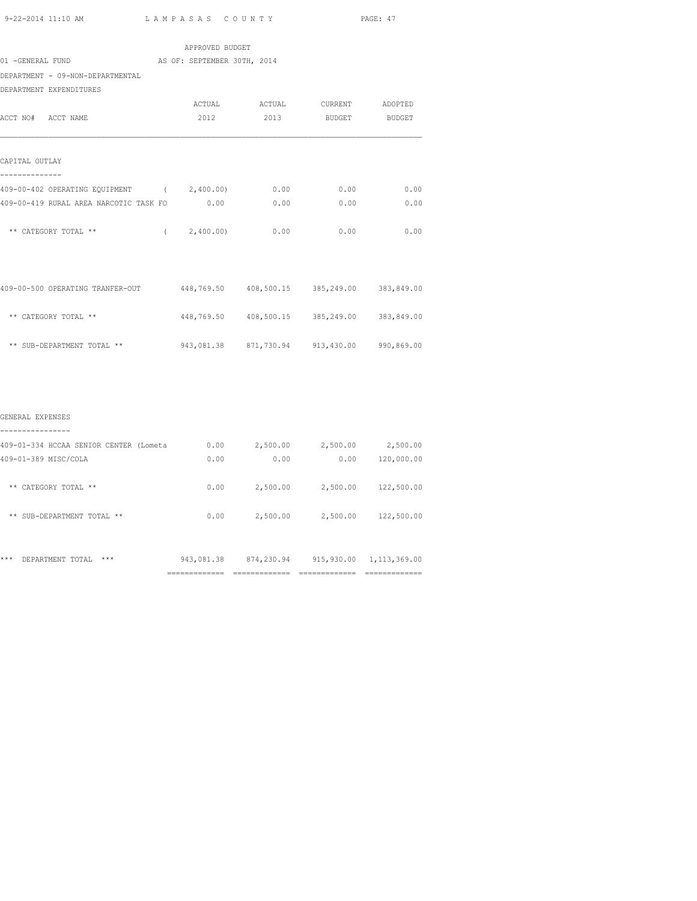| 9-22-2014 11:10 AM LAMPASAS COUNTY                                           |                 |                                             |                              | PAGE: 47      |
|------------------------------------------------------------------------------|-----------------|---------------------------------------------|------------------------------|---------------|
|                                                                              | APPROVED BUDGET |                                             |                              |               |
| 01 -GENERAL FUND AS OF: SEPTEMBER 30TH, 2014                                 |                 |                                             |                              |               |
| DEPARTMENT - 09-NON-DEPARTMENTAL                                             |                 |                                             |                              |               |
| DEPARTMENT EXPENDITURES                                                      |                 |                                             |                              |               |
|                                                                              |                 | ACTUAL ACTUAL CURRENT ADOPTED               |                              |               |
| ACCT NO# ACCT NAME                                                           | 2012            | 2013                                        | <b>BUDGET</b>                | <b>BUDGET</b> |
| CAPITAL OUTLAY                                                               |                 |                                             |                              |               |
| 409-00-402 OPERATING EQUIPMENT (2,400.00)                                    |                 | 0.00                                        | 0.00                         | 0.00          |
| 409-00-419 RURAL AREA NARCOTIC TASK FO                                       | 0.00            | 0.00                                        | 0.00                         | 0.00          |
| ** CATEGORY TOTAL ** $(2,400.00)$ 0.00 0.00                                  |                 |                                             |                              | 0.00          |
|                                                                              |                 |                                             |                              |               |
| 409-00-500 OPERATING TRANFER-OUT 448,769.50 408,500.15 385,249.00 383,849.00 |                 |                                             |                              |               |
| ** CATEGORY TOTAL **                                                         |                 | 448,769.50 408,500.15 385,249.00 383,849.00 |                              |               |
| ** SUB-DEPARTMENT TOTAL ** 943,081.38 871,730.94 913,430.00 990,869.00       |                 |                                             |                              |               |
|                                                                              |                 |                                             |                              |               |
| GENERAL EXPENSES<br>----------------                                         |                 |                                             |                              |               |
| 409-01-334 HCCAA SENIOR CENTER (Lometa 0.00 2,500.00 2,500.00 2,500.00       |                 |                                             |                              |               |
| 409-01-389 MISC/COLA                                                         | 0.00            | 0.00                                        | 0.00                         | 120,000.00    |
| ** CATEGORY TOTAL **                                                         | 0.00            |                                             | 2,500.00 2,500.00 122,500.00 |               |
| ** SUB-DEPARTMENT TOTAL **                                                   |                 | $0.00$ 2,500.00 2,500.00 122,500.00         |                              |               |
|                                                                              |                 |                                             |                              |               |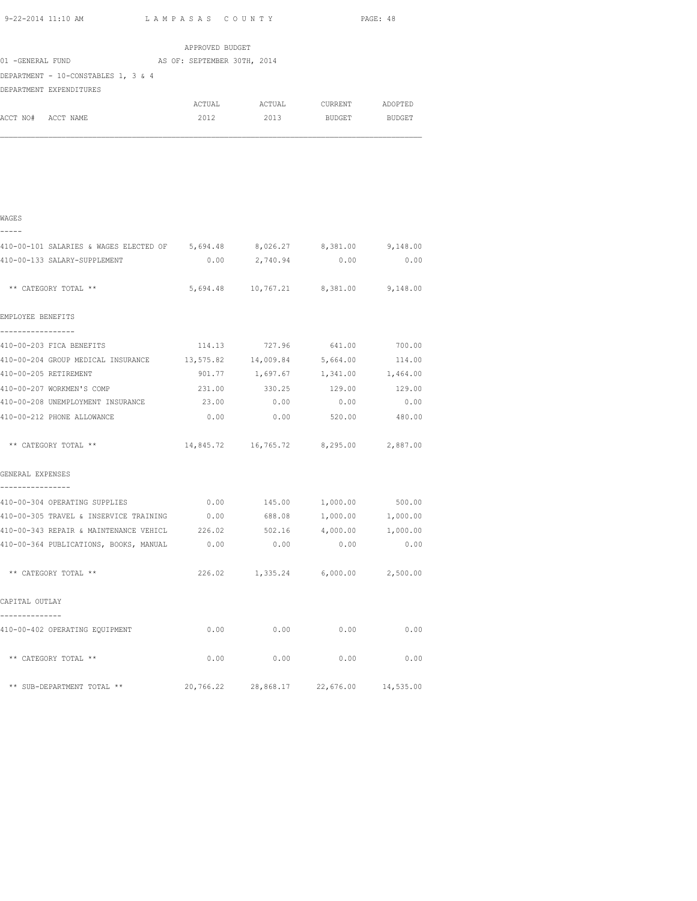| 9-22-2014 11:10 AM                                              |                             | LAMPASAS COUNTY                          |                    |                   |  |  |
|-----------------------------------------------------------------|-----------------------------|------------------------------------------|--------------------|-------------------|--|--|
|                                                                 | APPROVED BUDGET             |                                          |                    |                   |  |  |
| 01 -GENERAL FUND                                                | AS OF: SEPTEMBER 30TH, 2014 |                                          |                    |                   |  |  |
| DEPARTMENT - 10-CONSTABLES 1, 3 & 4<br>DEPARTMENT EXPENDITURES  |                             |                                          |                    |                   |  |  |
|                                                                 |                             | ACTUAL ACTUAL CURRENT ADOPTED            |                    |                   |  |  |
| ACCT NO# ACCT NAME                                              | 2012                        |                                          | 2013 BUDGET BUDGET |                   |  |  |
|                                                                 |                             |                                          |                    |                   |  |  |
| WAGES                                                           |                             |                                          |                    |                   |  |  |
| 410-00-101 SALARIES & WAGES ELECTED OF 5,694.48                 |                             | 8,026.27                                 | 8,381.00           | 9,148.00          |  |  |
| 410-00-133 SALARY-SUPPLEMENT                                    | 0.00                        | 2,740.94                                 | 0.00               | 0.00              |  |  |
| ** CATEGORY TOTAL **                                            |                             | 5,694.48 10,767.21 8,381.00 9,148.00     |                    |                   |  |  |
| EMPLOYEE BENEFITS                                               |                             |                                          |                    |                   |  |  |
| 410-00-203 FICA BENEFITS                                        |                             | 114.13 727.96 641.00 700.00              |                    |                   |  |  |
| 410-00-204 GROUP MEDICAL INSURANCE 13,575.82 14,009.84 5,664.00 |                             |                                          |                    | 114.00            |  |  |
| 410-00-205 RETIREMENT                                           |                             | 901.77 1,697.67 1,341.00 1,464.00        |                    |                   |  |  |
| 410-00-207 WORKMEN'S COMP                                       | 231.00                      | 330.25                                   |                    | 129.00 129.00     |  |  |
| 410-00-208 UNEMPLOYMENT INSURANCE                               | 23.00                       | 0.00                                     | 0.00               | 0.00              |  |  |
| 410-00-212 PHONE ALLOWANCE                                      | 0.00                        | 0.00                                     | 520.00             | 480.00            |  |  |
| ** CATEGORY TOTAL **                                            |                             | 14,845.72  16,765.72  8,295.00  2,887.00 |                    |                   |  |  |
| GENERAL EXPENSES                                                |                             |                                          |                    |                   |  |  |
| ----------------                                                |                             |                                          |                    |                   |  |  |
| 410-00-304 OPERATING SUPPLIES                                   | 0.00                        | 145.00                                   | 1,000.00           | 500.00            |  |  |
| 410-00-305 TRAVEL & INSERVICE TRAINING 0.00                     |                             | 688.08                                   |                    | 1,000.00 1,000.00 |  |  |
| 410-00-343 REPAIR & MAINTENANCE VEHICL 226.02                   |                             |                                          | 502.16 4,000.00    | 1,000.00          |  |  |
| 410-00-364 PUBLICATIONS, BOOKS, MANUAL 0.00                     |                             | $0.00$ 0.00                              |                    | 0.00              |  |  |

| ** CATEGORY TOTAL ** | 226.02 | 1,335.24 | 6,000.00 | 2,500.00 |
|----------------------|--------|----------|----------|----------|
| CAPITAL OUTLAY       |        |          |          |          |
|                      |        |          |          |          |

| 410-00-402 OPERATING EQUIPMENT | 0.00      | 0.00      | 0.00      | 0.00      |
|--------------------------------|-----------|-----------|-----------|-----------|
| ** CATEGORY TOTAL **           | 0.00      | 0.00      | 0.00      | 0.00      |
| ** SUB-DEPARTMENT TOTAL **     | 20,766.22 | 28,868.17 | 22,676.00 | 14,535.00 |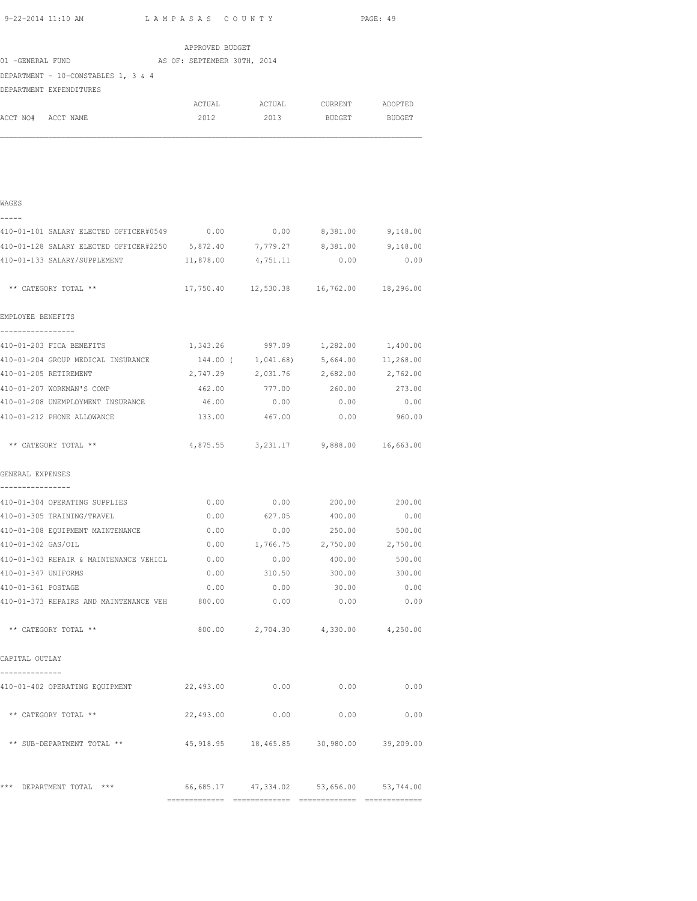| 9-22-2014 11:10 AM<br>LAMPASAS COUNTY                                   |                 |                                             | PAGE: 49      |               |  |
|-------------------------------------------------------------------------|-----------------|---------------------------------------------|---------------|---------------|--|
|                                                                         | APPROVED BUDGET |                                             |               |               |  |
| 01 -GENERAL FUND AS OF: SEPTEMBER 30TH, 2014                            |                 |                                             |               |               |  |
| DEPARTMENT - 10-CONSTABLES 1, 3 & 4                                     |                 |                                             |               |               |  |
| DEPARTMENT EXPENDITURES                                                 |                 |                                             |               |               |  |
|                                                                         | ACTUAL          | ACTUAL                                      | CURRENT       | ADOPTED       |  |
| ACCT NO# ACCT NAME                                                      | 2012            | 2013                                        | <b>BUDGET</b> | BUDGET        |  |
|                                                                         |                 |                                             |               |               |  |
| WAGES                                                                   |                 |                                             |               |               |  |
| 410-01-101 SALARY ELECTED OFFICER#0549 0.00 0.00 0.00 8,381.00 9,148.00 |                 |                                             |               |               |  |
| 410-01-128 SALARY ELECTED OFFICER#2250 5,872.40 7,779.27                |                 |                                             | 8,381.00      | 9,148.00      |  |
| 410-01-133 SALARY/SUPPLEMENT                                            | 11,878.00       | 4,751.11                                    | 0.00          | 0.00          |  |
| ** CATEGORY TOTAL **                                                    |                 | 17,750.40  12,530.38  16,762.00  18,296.00  |               |               |  |
| EMPLOYEE BENEFITS                                                       |                 |                                             |               |               |  |
| -----------<br>410-01-203 FICA BENEFITS                                 |                 | 1,343.26 997.09 1,282.00 1,400.00           |               |               |  |
| 410-01-204 GROUP MEDICAL INSURANCE 444.00 (1,041.68) 5,664.00 11,268.00 |                 |                                             |               |               |  |
| 410-01-205 RETIREMENT                                                   |                 | 2,747.29 2,031.76 2,682.00 2,762.00         |               |               |  |
| 410-01-207 WORKMAN'S COMP                                               |                 | 462.00 777.00 260.00 273.00                 |               |               |  |
| 410-01-208 UNEMPLOYMENT INSURANCE                                       | 46.00           | 0.00                                        | 0.00          | 0.00          |  |
| 410-01-212 PHONE ALLOWANCE                                              | 133.00          | 467.00                                      | 0.00          | 960.00        |  |
| ** CATEGORY TOTAL **                                                    |                 | 4,875.55 3,231.17 9,888.00 16,663.00        |               |               |  |
| GENERAL EXPENSES                                                        |                 |                                             |               |               |  |
| 410-01-304 OPERATING SUPPLIES                                           |                 | $0.00$ $0.00$ $200.00$ $200.00$             |               |               |  |
| 410-01-305 TRAINING/TRAVEL                                              | 0.00            | 627.05                                      | 400.00        | 0.00          |  |
| 410-01-308 EQUIPMENT MAINTENANCE                                        | 0.00            | 0.00                                        | 250.00        | 500.00        |  |
| 410-01-342 GAS/OIL                                                      |                 | $0.00$ 1,766.75 2,750.00 2,750.00           |               |               |  |
| 410-01-343 REPAIR & MAINTENANCE VEHICL 0.00                             |                 | 0.00                                        |               | 400.00 500.00 |  |
| 410-01-347 UNIFORMS                                                     |                 | $0.00$ 310.50 300.00 300.00                 |               |               |  |
| 410-01-361 POSTAGE                                                      | 0.00            | 0.00                                        | 30.00         | 0.00          |  |
| 410-01-373 REPAIRS AND MAINTENANCE VEH 800.00                           |                 | 0.00                                        | 0.00          | 0.00          |  |
| ** CATEGORY TOTAL **                                                    |                 | 800.00 2,704.30 4,330.00 4,250.00           |               |               |  |
| CAPITAL OUTLAY                                                          |                 |                                             |               |               |  |
| 410-01-402 OPERATING EQUIPMENT                                          | 22,493.00       | 0.00                                        | 0.00          | 0.00          |  |
| ** CATEGORY TOTAL **                                                    | 22,493.00       | 0.00                                        | 0.00          | 0.00          |  |
| ** SUB-DEPARTMENT TOTAL **                                              |                 | 45,918.95 18,465.85 30,980.00 39,209.00     |               |               |  |
| *** DEPARTMENT TOTAL ***                                                |                 | 66, 685.17 47, 334.02 53, 656.00 53, 744.00 |               |               |  |

============= ============= ============= =============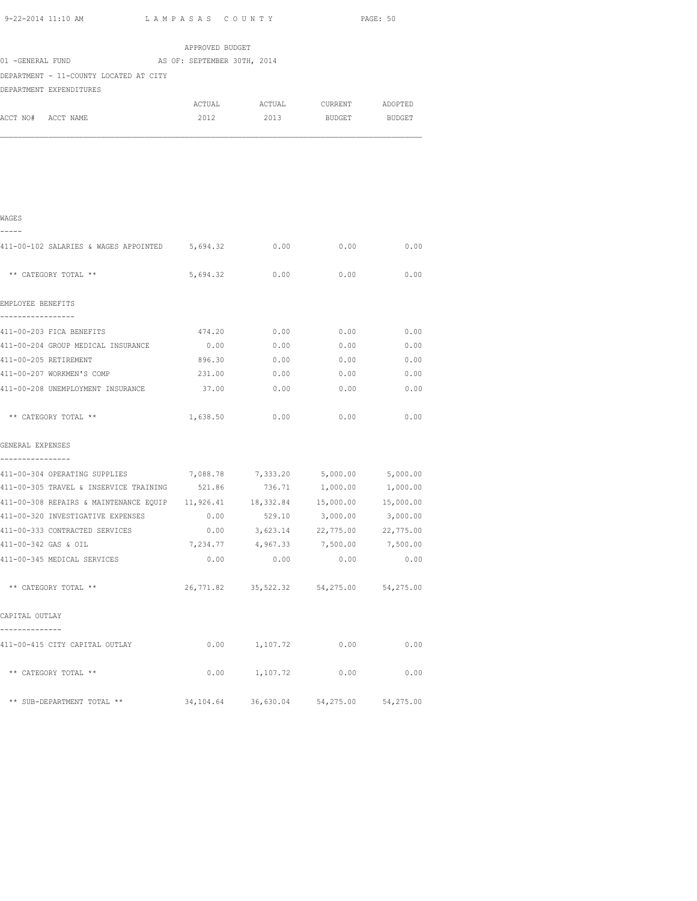| 9-22-2014 11:10 AM                                  | LAMPASAS COUNTY |                                         |                              | PAGE: 50      |
|-----------------------------------------------------|-----------------|-----------------------------------------|------------------------------|---------------|
|                                                     | APPROVED BUDGET |                                         |                              |               |
| 01 -GENERAL FUND AS OF: SEPTEMBER 30TH, 2014        |                 |                                         |                              |               |
| DEPARTMENT - 11-COUNTY LOCATED AT CITY              |                 |                                         |                              |               |
| DEPARTMENT EXPENDITURES                             |                 |                                         |                              |               |
|                                                     |                 | ACTUAL ACTUAL CURRENT ADOPTED           |                              |               |
| ACCT NO# ACCT NAME                                  | 2012            | 2013                                    |                              | BUDGET BUDGET |
|                                                     |                 |                                         |                              |               |
| WAGES<br>-----                                      |                 |                                         |                              |               |
| 411-00-102 SALARIES & WAGES APPOINTED 5,694.32 0.00 |                 |                                         | 0.00                         | 0.00          |
| ** CATEGORY TOTAL **                                | 5,694.32        | 0.00                                    | 0.00                         | 0.00          |
| EMPLOYEE BENEFITS<br>-----------------              |                 |                                         |                              |               |
| 411-00-203 FICA BENEFITS                            | 474.20          | 0.00                                    | 0.00                         | 0.00          |
| 411-00-204 GROUP MEDICAL INSURANCE                  | 0.00            | 0.00                                    | 0.00                         | 0.00          |
| 411-00-205 RETIREMENT                               | 896.30          | 0.00                                    | 0.00                         | 0.00          |
| 411-00-207 WORKMEN'S COMP                           | 231.00          | 0.00                                    | 0.00                         | 0.00          |
| 411-00-208 UNEMPLOYMENT INSURANCE                   | 37.00           | $0.00$ 0.00                             |                              | 0.00          |
| ** CATEGORY TOTAL **                                | 1,638.50        | 0.00                                    | 0.00                         | 0.00          |
| GENERAL EXPENSES                                    |                 |                                         |                              |               |
| 411-00-304 OPERATING SUPPLIES                       |                 | 7,088.78 7,333.20 5,000.00              |                              | 5,000.00      |
| 411-00-305 TRAVEL & INSERVICE TRAINING              | 521.86          | 736.71                                  | 1,000.00                     | 1,000.00      |
| 411-00-308 REPAIRS & MAINTENANCE EQUIP 11,926.41    |                 |                                         | 18,332.84 15,000.00          | 15,000.00     |
| 411-00-320 INVESTIGATIVE EXPENSES                   | 0.00            | 529.10                                  | 3,000.00                     | 3,000.00      |
| 411-00-333 CONTRACTED SERVICES                      | 0.00            |                                         | 3,623.14 22,775.00 22,775.00 |               |
| 411-00-342 GAS & OIL                                |                 | 7,234.77 4,967.33 7,500.00              |                              | 7,500.00      |
| 411-00-345 MEDICAL SERVICES                         | 0.00            | 0.00                                    | 0.00                         | 0.00          |
| ** CATEGORY TOTAL **                                |                 | 26,771.82 35,522.32 54,275.00 54,275.00 |                              |               |
| CAPITAL OUTLAY                                      |                 |                                         |                              |               |
| 411-00-415 CITY CAPITAL OUTLAY                      | 0.00            | 1,107.72                                | 0.00                         | 0.00          |
| ** CATEGORY TOTAL **                                | 0.00            | 1,107.72                                | 0.00                         | 0.00          |

\*\* SUB-DEPARTMENT TOTAL \*\* 34,104.64 36,630.04 54,275.00 54,275.00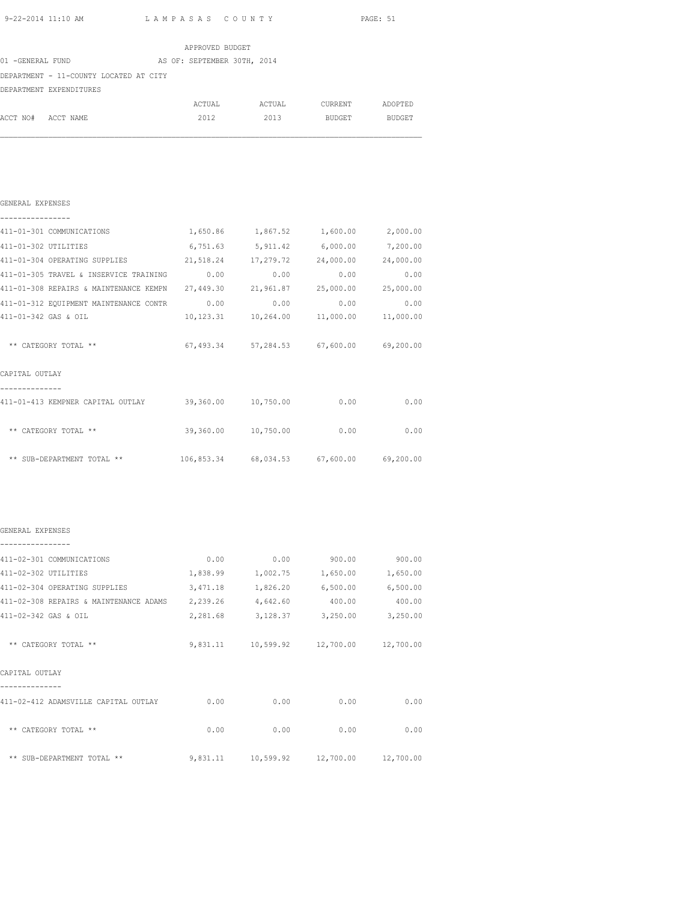| 9-22-2014 11:10 AM LAMPASAS COUNTY                                                       |                 |                                                 |                     | PAGE: 51 |
|------------------------------------------------------------------------------------------|-----------------|-------------------------------------------------|---------------------|----------|
|                                                                                          | APPROVED BUDGET |                                                 |                     |          |
| 01 -GENERAL FUND AS OF: SEPTEMBER 30TH, 2014                                             |                 |                                                 |                     |          |
| DEPARTMENT - 11-COUNTY LOCATED AT CITY                                                   |                 |                                                 |                     |          |
| DEPARTMENT EXPENDITURES                                                                  |                 |                                                 |                     |          |
|                                                                                          |                 | ACTUAL ACTUAL CURRENT ADOPTED                   |                     |          |
| ACCT NO# ACCT NAME                                                                       | 2012            | 2013                                            | BUDGET              | BUDGET   |
|                                                                                          |                 |                                                 |                     |          |
| GENERAL EXPENSES                                                                         |                 |                                                 |                     |          |
| ---------------<br>411-01-301 COMMUNICATIONS $1,650.86$ $1,867.52$ $1,600.00$ $2,000.00$ |                 |                                                 |                     |          |
| 411-01-302 UTILITIES                                                                     |                 | 6,751.63 5,911.42 6,000.00 7,200.00             |                     |          |
| 411-01-304 OPERATING SUPPLIES 21,518.24 17,279.72 24,000.00 24,000.00                    |                 |                                                 |                     |          |
| 411-01-305 TRAVEL & INSERVICE TRAINING 0.00                                              |                 | 0.00                                            | 0.00                | 0.00     |
| 411-01-308 REPAIRS & MAINTENANCE KEMPN 27,449.30                                         |                 | 21,961.87                                       | 25,000.00 25,000.00 |          |
| 411-01-312 EQUIPMENT MAINTENANCE CONTR                                                   | 0.00            | 0.00                                            | 0.00                | 0.00     |
| 411-01-342 GAS & OIL                                                                     |                 | 10, 123.31  10, 264.00  11, 000.00  11, 000.00  |                     |          |
| ** CATEGORY TOTAL **                                                                     |                 | $67,493.34$ $57,284.53$ $67,600.00$ $69,200.00$ |                     |          |
| CAPITAL OUTLAY                                                                           |                 |                                                 |                     |          |
| 411-01-413 KEMPNER CAPITAL OUTLAY 39,360.00 10,750.00 0.00 0.00 0.00                     |                 |                                                 |                     |          |
| ** CATEGORY TOTAL **                                                                     |                 | 39,360.00 10,750.00 0.00                        |                     | 0.00     |
| ** SUB-DEPARTMENT TOTAL **                                                               |                 | 106,853.34 68,034.53 67,600.00 69,200.00        |                     |          |
| GENERAL EXPENSES                                                                         |                 |                                                 |                     |          |
| 411-02-301 COMMUNICATIONS                                                                |                 | $0.00$ 0.00 900.00 900.00                       |                     |          |
| 411-02-302 UTILITIES                                                                     |                 | 1,838.99 1,002.75 1,650.00 1,650.00             |                     |          |
| 411-02-304 OPERATING SUPPLIES                                                            |                 | 3,471.18 1,826.20 6,500.00 6,500.00             |                     |          |
| 411-02-308 REPAIRS & MAINTENANCE ADAMS 2,239.26 4,642.60                                 |                 |                                                 | 400.00              | 400.00   |
| 411-02-342 GAS & OIL                                                                     | 2,281.68        | 3,128.37                                        | 3,250.00            | 3,250.00 |
| ** CATEGORY TOTAL **                                                                     |                 | 9,831.11  10,599.92  12,700.00  12,700.00       |                     |          |
| CAPITAL OUTLAY                                                                           |                 |                                                 |                     |          |
| 411-02-412 ADAMSVILLE CAPITAL OUTLAY 0.00                                                |                 | 0.00                                            | 0.00                | 0.00     |

\*\* CATEGORY TOTAL \*\* 0.00 0.00 0.00 0.00 0.00 0.00 \*\* SUB-DEPARTMENT TOTAL \*\* 9,831.11 10,599.92 12,700.00 12,700.00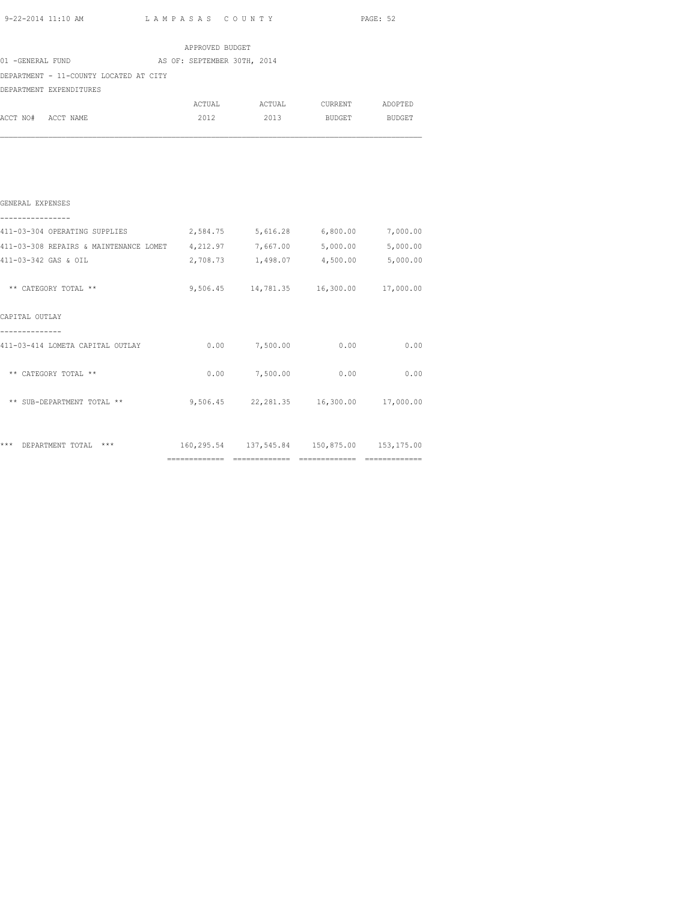| 9-22-2014 11:10 AM |  |
|--------------------|--|
|                    |  |

| 9-22-2014 11:10 AM                                                             | LAMPASAS COUNTY |                                                |      | PAGE: 52 |
|--------------------------------------------------------------------------------|-----------------|------------------------------------------------|------|----------|
|                                                                                | APPROVED BUDGET |                                                |      |          |
| 01 -GENERAL FUND AS OF: SEPTEMBER 30TH, 2014                                   |                 |                                                |      |          |
| DEPARTMENT - 11-COUNTY LOCATED AT CITY                                         |                 |                                                |      |          |
| DEPARTMENT EXPENDITURES                                                        |                 |                                                |      |          |
|                                                                                |                 | ACTUAL ACTUAL CURRENT ADOPTED                  |      |          |
| ACCT NO# ACCT NAME                                                             |                 | 2012 2013 BUDGET BUDGET                        |      |          |
|                                                                                |                 |                                                |      |          |
| GENERAL EXPENSES                                                               |                 |                                                |      |          |
| 411-03-304 OPERATING SUPPLIES $2,584.75$ 5,616.28 6,800.00 7,000.00            |                 |                                                |      |          |
| 411-03-308 REPAIRS & MAINTENANCE LOMET 4, 212.97 7, 667.00 5, 000.00 5, 000.00 |                 |                                                |      |          |
| 411-03-342 GAS & OIL                                                           |                 | 2,708.73 1,498.07 4,500.00 5,000.00            |      |          |
| ** CATEGORY TOTAL **                                                           |                 | 9,506.45 14,781.35 16,300.00 17,000.00         |      |          |
| CAPITAL OUTLAY                                                                 |                 |                                                |      |          |
| ----------<br>411-03-414 LOMETA CAPITAL OUTLAY                                 |                 | $0.00$ $7,500.00$ $0.00$                       |      | 0.00     |
| ** CATEGORY TOTAL **                                                           |                 | $0.00$ 7,500.00                                | 0.00 | 0.00     |
| ** SUB-DEPARTMENT TOTAL **                                                     |                 | $9,506.45$ $22,281.35$ $16,300.00$ $17,000.00$ |      |          |
|                                                                                |                 |                                                |      |          |

\*\*\* DEPARTMENT TOTAL \*\*\* 160,295.54 137,545.84 150,875.00 153,175.00 ============= ============= ============= =============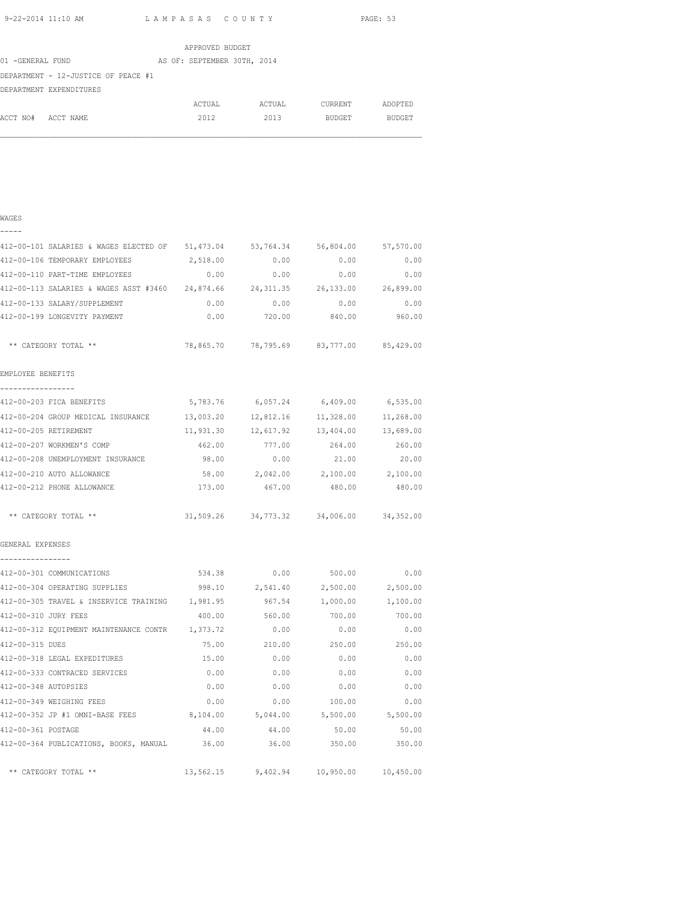|                  |                                     |  |  | APPROVED BUDGET             |        |               |               |
|------------------|-------------------------------------|--|--|-----------------------------|--------|---------------|---------------|
| 01 -GENERAL FUND |                                     |  |  | AS OF: SEPTEMBER 30TH, 2014 |        |               |               |
|                  | DEPARTMENT - 12-JUSTICE OF PEACE #1 |  |  |                             |        |               |               |
|                  | DEPARTMENT EXPENDITURES             |  |  |                             |        |               |               |
|                  |                                     |  |  | ACTUAL                      | ACTUAL | CURRENT       | ADOPTED       |
| ACCT NO#         | ACCT NAME                           |  |  | 2012                        | 2013   | <b>BUDGET</b> | <b>BUDGET</b> |

## WAGES

| - | - | - | - |  |
|---|---|---|---|--|
|   |   |   |   |  |

| 412-00-101 SALARIES & WAGES ELECTED OF 51,473.04                               |          |                                            | 53,764.34 56,804.00 57,570.00 |          |
|--------------------------------------------------------------------------------|----------|--------------------------------------------|-------------------------------|----------|
| 412-00-106 TEMPORARY EMPLOYEES                                                 | 2,518.00 | 0.00                                       | 0.00                          | 0.00     |
| 412-00-110 PART-TIME EMPLOYEES                                                 | 0.00     | 0.00                                       | 0.00                          | 0.00     |
| 412-00-113 SALARIES & WAGES ASST #3460 24,874.66 24,311.35 26,133.00 26,899.00 |          |                                            |                               |          |
| 412-00-133 SALARY/SUPPLEMENT                                                   | 0.00     | 0.00                                       | 0.00                          | 0.00     |
| 412-00-199 LONGEVITY PAYMENT                                                   | 0.00     | 720.00                                     | 840.00                        | 960.00   |
| ** CATEGORY TOTAL **                                                           |          | 78,865.70 78,795.69 83,777.00 85,429.00    |                               |          |
| EMPLOYEE BENEFITS                                                              |          |                                            |                               |          |
| -----------------                                                              |          |                                            |                               |          |
| 412-00-203 FICA BENEFITS                                                       |          | 5,783.76 6,057.24 6,409.00 6,535.00        |                               |          |
| 412-00-204 GROUP MEDICAL INSURANCE 13,003.20 12,812.16 11,328.00 11,268.00     |          |                                            |                               |          |
| 412-00-205 RETIREMENT                                                          |          | 11,931.30  12,617.92  13,404.00  13,689.00 |                               |          |
| 412-00-207 WORKMEN'S COMP                                                      |          | 462.00 777.00 264.00 260.00                |                               |          |
| 412-00-208 UNEMPLOYMENT INSURANCE 98.00 0.00                                   |          |                                            | 21.00                         | 20.00    |
| 412-00-210 AUTO ALLOWANCE                                                      |          | $58.00$ $2,042.00$ $2,100.00$ $2,100.00$   |                               |          |
| 412-00-212 PHONE ALLOWANCE                                                     |          | 173.00  467.00  480.00  480.00             |                               |          |
| ** CATEGORY TOTAL **                                                           |          | 31,509.26 34,773.32 34,006.00 34,352.00    |                               |          |
| GENERAL EXPENSES                                                               |          |                                            |                               |          |
| ----------------                                                               |          |                                            |                               |          |
| 412-00-301 COMMUNICATIONS                                                      |          | 534.38 0.00                                | 500.00                        | 0.00     |
| 412-00-304 OPERATING SUPPLIES                                                  |          | 998.10 2,541.40 2,500.00                   |                               | 2,500.00 |
| 412-00-305 TRAVEL & INSERVICE TRAINING 1,981.95                                |          |                                            | 967.54 1,000.00               | 1,100.00 |
| 412-00-310 JURY FEES                                                           | 400.00   | 560.00                                     | 700.00                        | 700.00   |
| 412-00-312 EQUIPMENT MAINTENANCE CONTR 1,373.72                                |          | 0.00                                       | 0.00                          | 0.00     |
| 412-00-315 DUES                                                                | 75.00    | 210.00                                     | 250.00                        | 250.00   |
| 412-00-318 LEGAL EXPEDITURES                                                   | 15.00    | 0.00                                       | 0.00                          | 0.00     |
| 412-00-333 CONTRACED SERVICES                                                  | 0.00     | 0.00                                       | 0.00                          | 0.00     |
| 412-00-348 AUTOPSIES                                                           | 0.00     | 0.00                                       | 0.00                          | 0.00     |
| 412-00-349 WEIGHING FEES                                                       | 0.00     | 0.00                                       | 100.00                        | 0.00     |
| 412-00-352 JP #1 OMNI-BASE FEES                                                | 8,104.00 | 5,044.00                                   | 5,500.00                      | 5,500.00 |
| 412-00-361 POSTAGE                                                             | 44.00    | 44.00                                      | 50.00                         | 50.00    |
| 412-00-364 PUBLICATIONS, BOOKS, MANUAL                                         | 36.00    | 36.00                                      | 350.00                        | 350.00   |
| ** CATEGORY TOTAL **                                                           |          | $13,562.15$ 9,402.94 10,950.00 10,450.00   |                               |          |
|                                                                                |          |                                            |                               |          |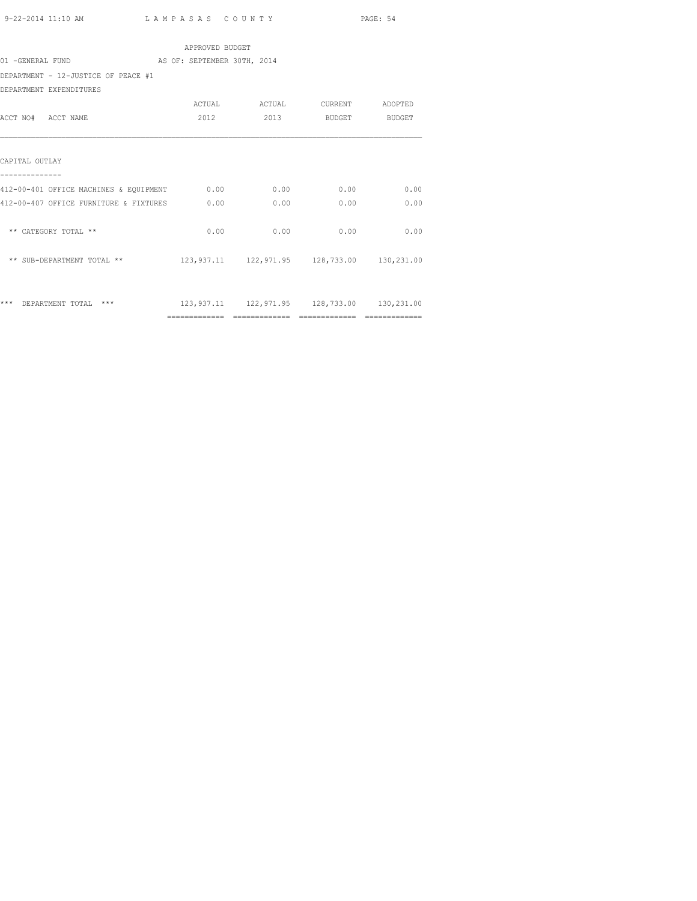|                                                 | APPROVED BUDGET |      |                                                 |      |  |
|-------------------------------------------------|-----------------|------|-------------------------------------------------|------|--|
| 01 -GENERAL FUND<br>AS OF: SEPTEMBER 30TH, 2014 |                 |      |                                                 |      |  |
| DEPARTMENT - 12-JUSTICE OF PEACE #1             |                 |      |                                                 |      |  |
| DEPARTMENT EXPENDITURES                         |                 |      |                                                 |      |  |
|                                                 |                 |      | ACTUAL ACTUAL CURRENT ADOPTED                   |      |  |
| ACCT NO# ACCT NAME                              | 2012            | 2013 | BUDGET BUDGET                                   |      |  |
|                                                 |                 |      |                                                 |      |  |
|                                                 |                 |      |                                                 |      |  |
| CAPITAL OUTLAY                                  |                 |      |                                                 |      |  |
|                                                 |                 |      |                                                 |      |  |
| 412-00-401 OFFICE MACHINES & EQUIPMENT 0.00     |                 | 0.00 | 0.00                                            | 0.00 |  |
| 412-00-407 OFFICE FURNITURE & FIXTURES          | 0.00            | 0.00 | 0.00                                            | 0.00 |  |
|                                                 |                 |      |                                                 |      |  |
| ** CATEGORY TOTAL **                            | 0.00            | 0.00 | 0.00                                            | 0.00 |  |
|                                                 |                 |      |                                                 |      |  |
| ** SUB-DEPARTMENT TOTAL **                      |                 |      | 123, 937.11 122, 971.95 128, 733.00 130, 231.00 |      |  |
|                                                 |                 |      |                                                 |      |  |
|                                                 |                 |      |                                                 |      |  |
| *** DEPARTMENT TOTAL ***                        |                 |      | 123,937.11  122,971.95  128,733.00  130,231.00  |      |  |
|                                                 |                 |      |                                                 |      |  |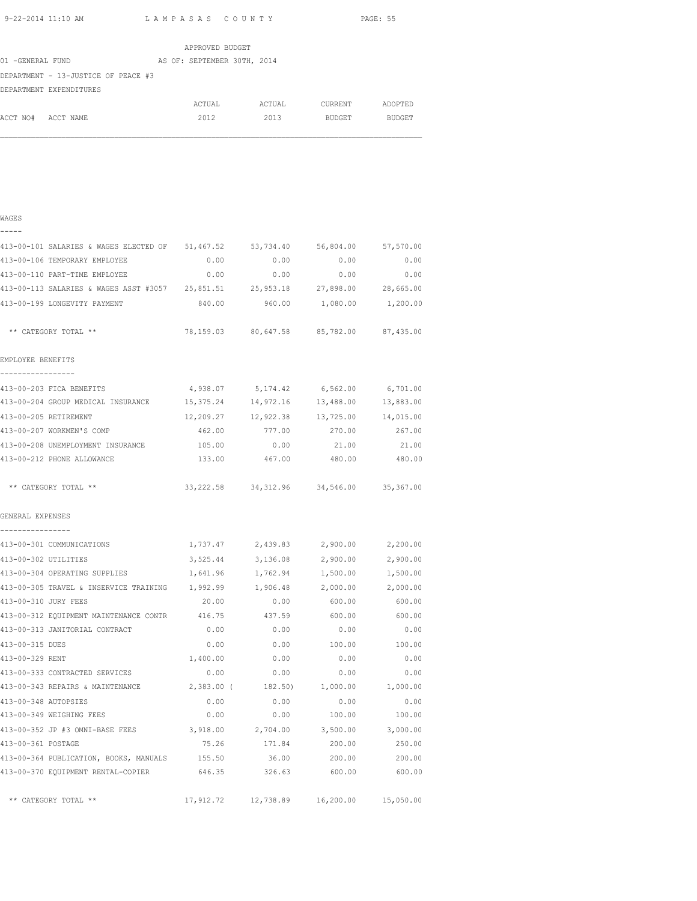|                  |                                     |  | APPROVED BUDGET             |        |               |               |
|------------------|-------------------------------------|--|-----------------------------|--------|---------------|---------------|
| 01 -GENERAL FUND |                                     |  | AS OF: SEPTEMBER 30TH, 2014 |        |               |               |
|                  | DEPARTMENT - 13-JUSTICE OF PEACE #3 |  |                             |        |               |               |
|                  | DEPARTMENT EXPENDITURES             |  |                             |        |               |               |
|                  |                                     |  | ACTUAL                      | ACTUAL | CURRENT       | ADOPTED       |
| ACCT NO#         | ACCT NAME                           |  | 2012                        | 2013   | <b>BUDGET</b> | <b>BUDGET</b> |

| . .<br>۰,<br>٦ |  |
|----------------|--|
|                |  |

| 413-00-101 SALARIES & WAGES ELECTED OF 51,467.52 |            | 53,734.40         | 56,804.00                                       | 57,570.00 |
|--------------------------------------------------|------------|-------------------|-------------------------------------------------|-----------|
| 413-00-106 TEMPORARY EMPLOYEE                    | 0.00       | 0.00              | 0.00                                            | 0.00      |
| 413-00-110 PART-TIME EMPLOYEE                    | 0.00       | 0.00              | 0.00                                            | 0.00      |
| 413-00-113 SALARIES & WAGES ASST #3057 25,851.51 |            |                   | 25,953.18 27,898.00                             | 28,665.00 |
| 413-00-199 LONGEVITY PAYMENT                     | 840.00     | 960.00            | 1,080.00                                        | 1,200.00  |
| ** CATEGORY TOTAL **                             |            |                   | 78,159.03 80,647.58 85,782.00 87,435.00         |           |
| EMPLOYEE BENEFITS                                |            |                   |                                                 |           |
| -----------------                                |            |                   |                                                 |           |
| 413-00-203 FICA BENEFITS                         |            |                   | 4,938.07 5,174.42 6,562.00 6,701.00             |           |
| 413-00-204 GROUP MEDICAL INSURANCE 15,375.24     |            |                   | 14,972.16 13,488.00 13,883.00                   |           |
| 413-00-205 RETIREMENT                            |            |                   | $12,209.27$ $12,922.38$ $13,725.00$ $14,015.00$ |           |
| 413-00-207 WORKMEN'S COMP                        | 462.00     | 777.00            | 270.00                                          | 267.00    |
| 413-00-208 UNEMPLOYMENT INSURANCE                | 105.00     | 0.00              | 21.00                                           | 21.00     |
| 413-00-212 PHONE ALLOWANCE                       | 133.00     | 467.00            | 480.00                                          | 480.00    |
| ** CATEGORY TOTAL **                             |            |                   | 33, 222.58 34, 312.96 34, 546.00 35, 367.00     |           |
| GENERAL EXPENSES<br>----------------             |            |                   |                                                 |           |
| 413-00-301 COMMUNICATIONS                        |            | 1,737.47 2,439.83 | 2,900.00                                        | 2,200.00  |
| 413-00-302 UTILITIES                             | 3,525.44   | 3,136.08          | 2,900.00                                        | 2,900.00  |
| 413-00-304 OPERATING SUPPLIES                    | 1,641.96   | 1,762.94          | 1,500.00                                        | 1,500.00  |
| 413-00-305 TRAVEL & INSERVICE TRAINING           | 1,992.99   | 1,906.48          | 2,000.00                                        | 2,000.00  |
| 413-00-310 JURY FEES                             | 20.00      | 0.00              | 600.00                                          | 600.00    |
| 413-00-312 EQUIPMENT MAINTENANCE CONTR           | 416.75     | 437.59            | 600.00                                          | 600.00    |
| 413-00-313 JANITORIAL CONTRACT                   | 0.00       | 0.00              | 0.00                                            | 0.00      |
| 413-00-315 DUES                                  | 0.00       | 0.00              | 100.00                                          | 100.00    |
| 413-00-329 RENT                                  | 1,400.00   | 0.00              | 0.00                                            | 0.00      |
| 413-00-333 CONTRACTED SERVICES                   | 0.00       | 0.00              | 0.00                                            | 0.00      |
| 413-00-343 REPAIRS & MAINTENANCE                 | 2,383.00 ( | 182.50)           | 1,000.00                                        | 1,000.00  |
| 413-00-348 AUTOPSIES                             | 0.00       | 0.00              | 0.00                                            | 0.00      |
| 413-00-349 WEIGHING FEES                         | 0.00       | 0.00              | 100.00                                          | 100.00    |
| 413-00-352 JP #3 OMNI-BASE FEES                  | 3,918.00   | 2,704.00          | 3,500.00                                        | 3,000.00  |
| 413-00-361 POSTAGE                               | 75.26      | 171.84            | 200.00                                          | 250.00    |
| 413-00-364 PUBLICATION, BOOKS, MANUALS           | 155.50     | 36.00             | 200.00                                          | 200.00    |
| 413-00-370 EQUIPMENT RENTAL-COPIER               | 646.35     | 326.63            | 600.00                                          | 600.00    |
| ** CATEGORY TOTAL **                             | 17,912.72  | 12,738.89         | 16,200.00                                       | 15,050.00 |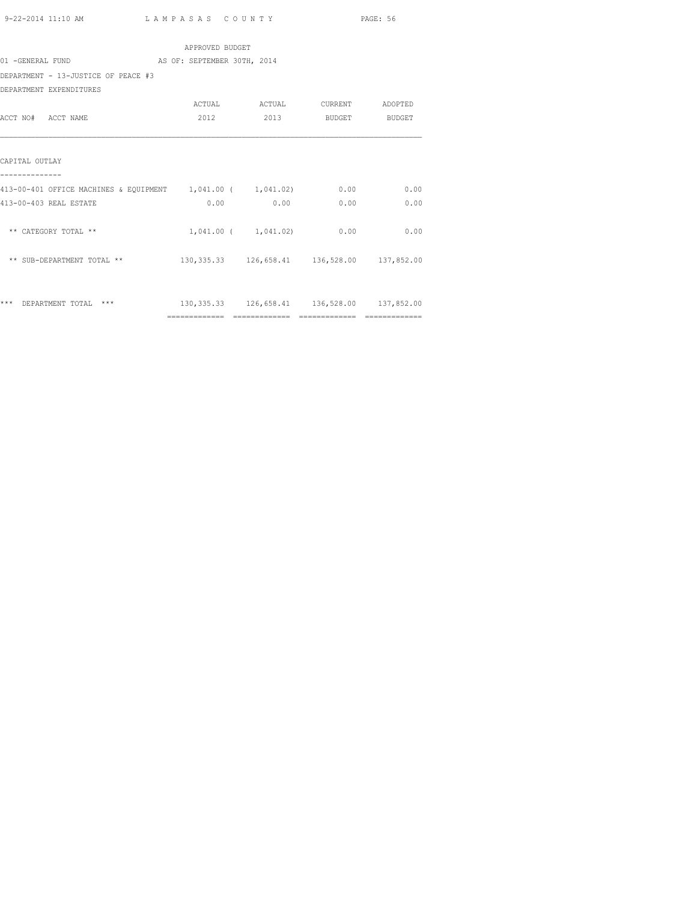| 9-22-2014 11:10 AM | LAMPASAS COUNTY | PAGE: 56 |
|--------------------|-----------------|----------|
|                    | $\sim$ $\sim$   |          |

|                                                             | APPROVED BUDGET |                                                     |                    |      |
|-------------------------------------------------------------|-----------------|-----------------------------------------------------|--------------------|------|
| 01 -GENERAL FUND AS OF: SEPTEMBER 30TH, 2014                |                 |                                                     |                    |      |
| DEPARTMENT - 13-JUSTICE OF PEACE #3                         |                 |                                                     |                    |      |
| DEPARTMENT EXPENDITURES                                     |                 |                                                     |                    |      |
|                                                             |                 | ACTUAL ACTUAL CURRENT ADOPTED                       |                    |      |
| ACCT NO# ACCT NAME                                          | 2012            |                                                     | 2013 BUDGET BUDGET |      |
| CAPITAL OUTLAY                                              |                 |                                                     |                    |      |
| 413-00-401 OFFICE MACHINES & EQUIPMENT 1,041.00 ( 1,041.02) |                 |                                                     | 0.00               | 0.00 |
| 413-00-403 REAL ESTATE                                      |                 | $0.00$ 0.00                                         | 0.00               | 0.00 |
| ** CATEGORY TOTAL **                                        |                 | 1,041.00 ( 1,041.02)                                | 0.00               | 0.00 |
| ** SUB-DEPARTMENT TOTAL **                                  |                 | 130, 335.33 126, 658.41 136, 528.00 137, 852.00     |                    |      |
|                                                             |                 |                                                     |                    |      |
| ***<br>DEPARTMENT TOTAL ***                                 |                 | 130, 335, 33 126, 658, 41 136, 528, 00 137, 852, 00 |                    |      |
|                                                             |                 |                                                     |                    |      |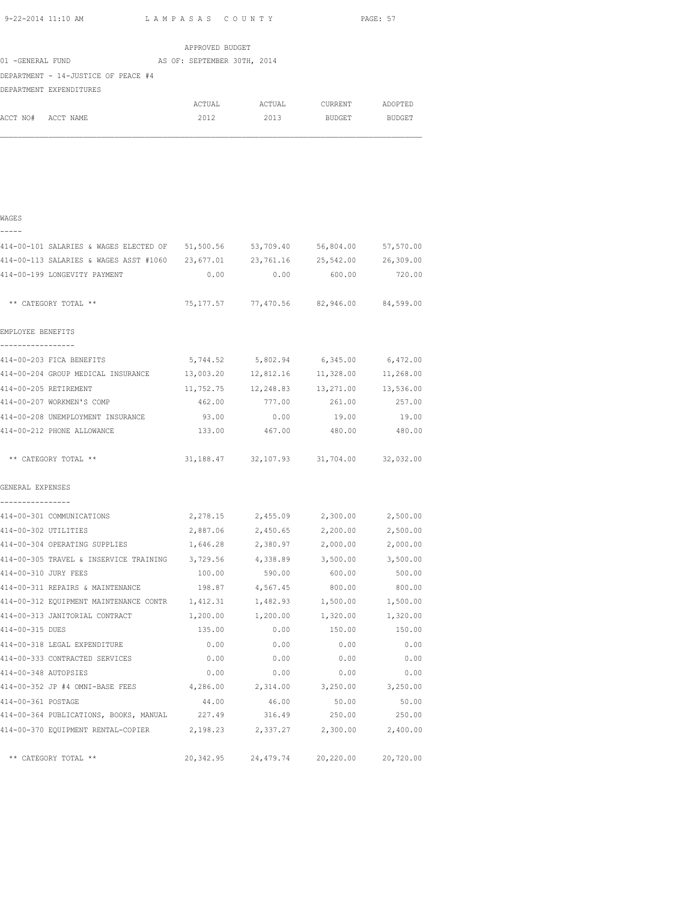|                                     |  | APPROVED BUDGET             |        |         |               |
|-------------------------------------|--|-----------------------------|--------|---------|---------------|
| 01 -GENERAL FUND                    |  | AS OF: SEPTEMBER 30TH, 2014 |        |         |               |
| DEPARTMENT - 14-JUSTICE OF PEACE #4 |  |                             |        |         |               |
| DEPARTMENT EXPENDITURES             |  |                             |        |         |               |
|                                     |  | ACTUAL                      | ACTUAL | CURRENT | ADOPTED       |
| ACCT NO# ACCT NAME                  |  | 2012                        | 2013   | BUDGET  | <b>BUDGET</b> |
|                                     |  |                             |        |         |               |
|                                     |  |                             |        |         |               |
|                                     |  |                             |        |         |               |

|  | $\sim$ | ٠<br>۰, |  |
|--|--------|---------|--|
|  |        |         |  |

| 51,500.56                                        | 53,709.40 | 56,804.00                        | 57,570.00                                              |                                                          |
|--------------------------------------------------|-----------|----------------------------------|--------------------------------------------------------|----------------------------------------------------------|
| 414-00-113 SALARIES & WAGES ASST #1060 23,677.01 | 23,761.16 | 25,542.00                        | 26,309.00                                              |                                                          |
| 0.00                                             | 0.00      | 600.00                           | 720.00                                                 |                                                          |
|                                                  |           |                                  | 84,599.00                                              |                                                          |
|                                                  |           |                                  |                                                        |                                                          |
| 5,744.52                                         | 5,802.94  | 6,345.00                         | 6,472.00                                               |                                                          |
| 13,003.20                                        | 12,812.16 | 11,328.00                        | 11,268.00                                              |                                                          |
| 11,752.75                                        | 12,248.83 | 13,271.00                        | 13,536.00                                              |                                                          |
| 462.00                                           | 777.00    | 261.00                           | 257.00                                                 |                                                          |
| 93.00                                            | 0.00      | 19.00                            | 19.00                                                  |                                                          |
| 133.00                                           | 467.00    | 480.00                           | 480.00                                                 |                                                          |
|                                                  |           |                                  |                                                        |                                                          |
|                                                  |           |                                  |                                                        |                                                          |
| 2,278.15                                         |           |                                  | 2,500.00                                               |                                                          |
| 2,887.06                                         | 2,450.65  | 2,200.00                         | 2,500.00                                               |                                                          |
| 1,646.28                                         |           | 2,000.00                         | 2,000.00                                               |                                                          |
| 414-00-305 TRAVEL & INSERVICE TRAINING 3,729.56  |           |                                  | 3,500.00                                               |                                                          |
| 100.00                                           | 590.00    | 600.00                           | 500.00                                                 |                                                          |
| 198.87                                           |           | 800.00                           | 800.00                                                 |                                                          |
| 414-00-312 EQUIPMENT MAINTENANCE CONTR 1,412.31  | 1,482.93  | 1,500.00                         | 1,500.00                                               |                                                          |
| 1,200.00                                         | 1,200.00  | 1,320.00                         | 1,320.00                                               |                                                          |
| 135.00                                           | 0.00      | 150.00                           | 150.00                                                 |                                                          |
| 0.00                                             | 0.00      | 0.00                             | 0.00                                                   |                                                          |
| 0.00                                             | 0.00      | 0.00                             | 0.00                                                   |                                                          |
| 0.00                                             | 0.00      | 0.00                             | 0.00                                                   |                                                          |
| 4,286.00                                         | 2,314.00  | 3,250.00                         | 3,250.00                                               |                                                          |
| 44.00                                            | 46.00     | 50.00                            | 50.00                                                  |                                                          |
| 227.49                                           | 316.49    | 250.00                           | 250.00                                                 |                                                          |
| 2,198.23                                         | 2,337.27  | 2,300.00                         | 2,400.00                                               |                                                          |
| 20,342.95                                        | 24,479.74 | 20,220.00                        | 20,720.00                                              |                                                          |
|                                                  |           | 2,380.97<br>4,338.89<br>4,567.45 | 75, 177.57 77, 470.56<br>2,455.09 2,300.00<br>3,500.00 | 82,946.00<br>31, 188.47 32, 107.93 31, 704.00 32, 032.00 |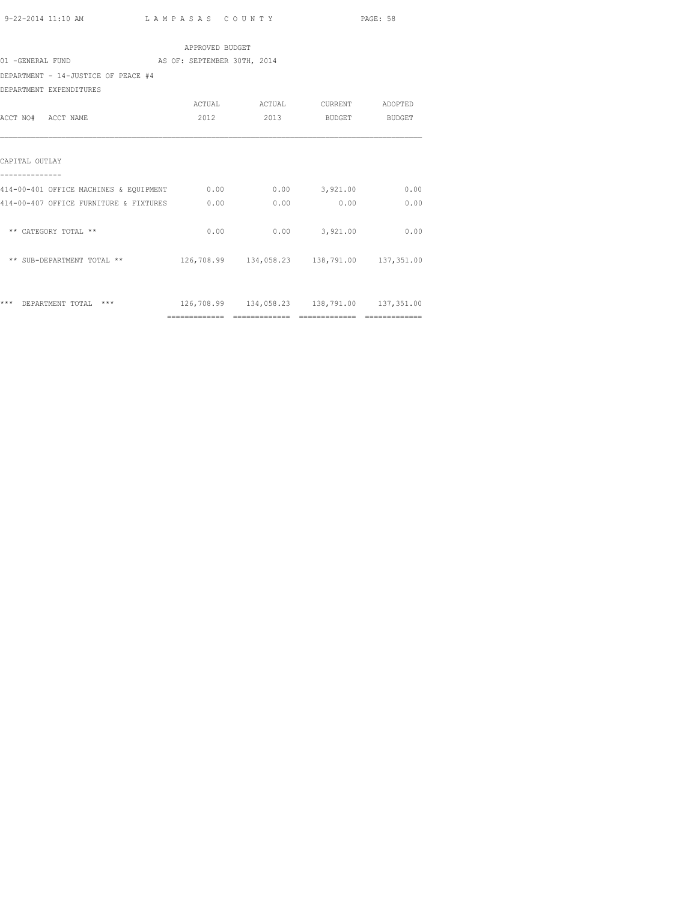|                                             | APPROVED BUDGET             |                                                |                 |      |
|---------------------------------------------|-----------------------------|------------------------------------------------|-----------------|------|
| 01 -GENERAL FUND                            | AS OF: SEPTEMBER 30TH, 2014 |                                                |                 |      |
| DEPARTMENT - 14-JUSTICE OF PEACE #4         |                             |                                                |                 |      |
| DEPARTMENT EXPENDITURES                     |                             |                                                |                 |      |
|                                             |                             |                                                |                 |      |
| ACCT NO# ACCT NAME                          | 2012                        | 2013                                           | BUDGET BUDGET   |      |
| CAPITAL OUTLAY                              |                             |                                                |                 |      |
| 414-00-401 OFFICE MACHINES & EQUIPMENT 0.00 |                             |                                                | $0.00$ 3.921.00 | 0.00 |
| 414-00-407 OFFICE FURNITURE & FIXTURES      | 0.00                        | 0.00                                           | 0.00            | 0.00 |
| ** CATEGORY TOTAL **                        | 0.00                        |                                                | $0.00$ 3,921.00 | 0.00 |
| ** SUB-DEPARTMENT TOTAL **                  |                             | 126,708.99  134,058.23  138,791.00  137,351.00 |                 |      |
| *** DEPARTMENT TOTAL ***                    |                             | 126,708.99  134,058.23  138,791.00  137,351.00 |                 |      |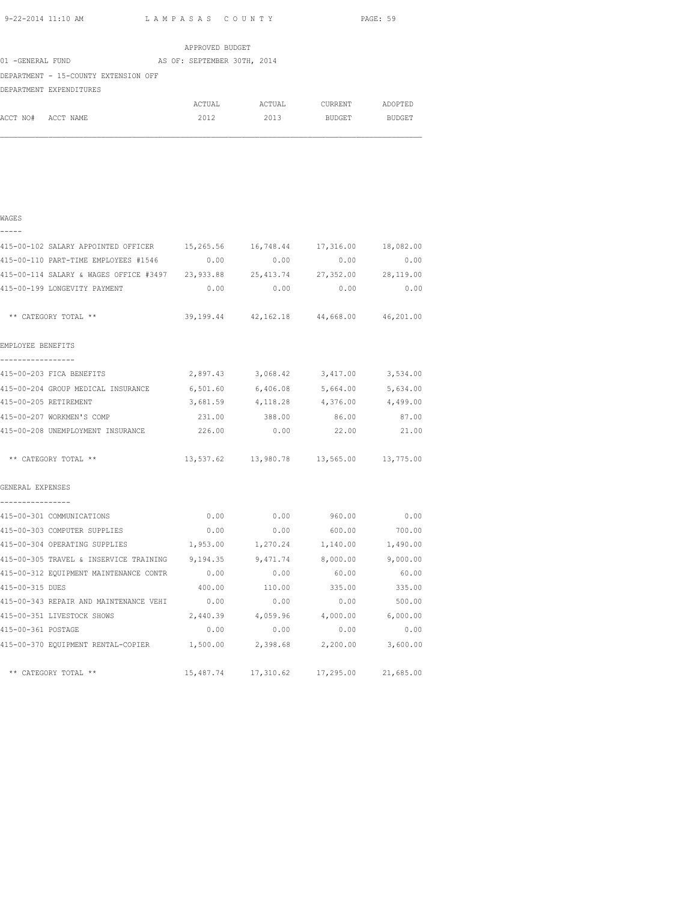WAGES

|                  |                                      |  | APPROVED BUDGET             |        |               |               |
|------------------|--------------------------------------|--|-----------------------------|--------|---------------|---------------|
| 01 -GENERAL FUND |                                      |  | AS OF: SEPTEMBER 30TH, 2014 |        |               |               |
|                  | DEPARTMENT - 15-COUNTY EXTENSION OFF |  |                             |        |               |               |
|                  | DEPARTMENT EXPENDITURES              |  |                             |        |               |               |
|                  |                                      |  | ACTUAL                      | ACTUAL | CURRENT       | ADOPTED       |
| ACCT NO#         | ACCT NAME                            |  | 2012                        | 2013   | <b>BUDGET</b> | <b>BUDGET</b> |

| -----                                                                          |          |                                            |                   |          |
|--------------------------------------------------------------------------------|----------|--------------------------------------------|-------------------|----------|
| 415-00-102 SALARY APPOINTED OFFICER 15,265.56 16,748.44 17,316.00 18,082.00    |          |                                            |                   |          |
| 415-00-110 PART-TIME EMPLOYEES #1546 0.00                                      |          | $0.00$ 0.00                                |                   | 0.00     |
| 415-00-114 SALARY & WAGES OFFICE #3497 23,933.88 25,413.74 27,352.00 28,119.00 |          |                                            |                   |          |
| 415-00-199 LONGEVITY PAYMENT                                                   | 0.00     | 0.00                                       | 0.00              | 0.00     |
| ** CATEGORY TOTAL **                                                           |          | 39,199.44 42,162.18 44,668.00 46,201.00    |                   |          |
| EMPLOYEE BENEFITS<br>_________________                                         |          |                                            |                   |          |
| 415-00-203 FICA BENEFITS                                                       |          | 2,897.43 3,068.42 3,417.00 3,534.00        |                   |          |
| 415-00-204 GROUP MEDICAL INSURANCE 6,501.60 6,406.08 5,664.00 5,634.00         |          |                                            |                   |          |
| 415-00-205 RETIREMENT                                                          | 3,681.59 | 4,118.28                                   | 4,376.00          | 4,499.00 |
| 415-00-207 WORKMEN'S COMP                                                      |          | 231.00 388.00 86.00                        |                   | 87.00    |
| 415-00-208 UNEMPLOYMENT INSURANCE $226.00$ 0.00 $22.00$ 21.00                  |          |                                            |                   |          |
| ** CATEGORY TOTAL **                                                           |          | 13,537.62 13,980.78 13,565.00 13,775.00    |                   |          |
| GENERAL EXPENSES                                                               |          |                                            |                   |          |
| ----------------                                                               |          |                                            |                   |          |
| 415-00-301 COMMUNICATIONS                                                      | 0.00     | $0.00$ 960.00 0.00                         |                   |          |
| 415-00-303 COMPUTER SUPPLIES                                                   | 0.00     |                                            | $0.00$ 600.00     | 700.00   |
| 415-00-304 OPERATING SUPPLIES                                                  |          | 1,953.00 1,270.24                          | 1,140.00 1,490.00 |          |
| 415-00-305 TRAVEL & INSERVICE TRAINING 9, 194.35 9, 471.74 8, 000.00 9, 000.00 |          |                                            |                   |          |
| 415-00-312 EQUIPMENT MAINTENANCE CONTR                                         | 0.00     | 0.00                                       | 60.00             | 60.00    |
| 415-00-315 DUES                                                                | 400.00   | 110.00 335.00                              |                   | 335.00   |
| 415-00-343 REPAIR AND MAINTENANCE VEHI 0.00 0.00 0.00 0.00 0.00                |          |                                            |                   | 500.00   |
| 415-00-351 LIVESTOCK SHOWS                                                     |          | 2,440.39 4,059.96 4,000.00 6,000.00        |                   |          |
| 415-00-361 POSTAGE                                                             | 0.00     | 0.00                                       | 0.00              | 0.00     |
| 415-00-370 EQUIPMENT RENTAL-COPIER $1,500.00$ 2,398.68 2,200.00 3,600.00       |          |                                            |                   |          |
| ** CATEGORY TOTAL **                                                           |          | 15,487.74  17,310.62  17,295.00  21,685.00 |                   |          |
|                                                                                |          |                                            |                   |          |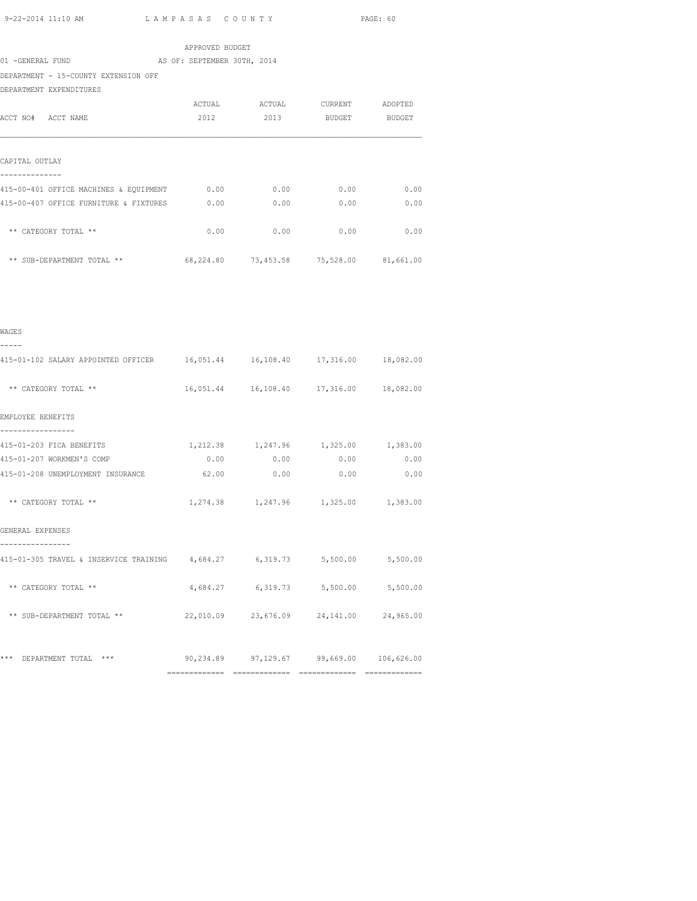APPROVED BUDGET 01 -GENERAL FUND AS OF: SEPTEMBER 30TH, 2014 DEPARTMENT - 15-COUNTY EXTENSION OFF DEPARTMENT EXPENDITURES ACTUAL ACTUAL CURRENT ADOPTED ACCT NO# ACCT NAME 2012 2013 BUDGET BUDGET CAPITAL OUTLAY -------------- 415-00-401 OFFICE MACHINES & EQUIPMENT 0.00 0.00 0.00 0.00 415-00-407 OFFICE FURNITURE & FIXTURES 0.00 0.00 0.00 0.00 \*\* CATEGORY TOTAL \*\*  $0.00$  0.00 0.00 0.00 0.00 \*\* SUB-DEPARTMENT TOTAL \*\* 68,224.80 73,453.58 75,528.00 81,661.00

| WAGES                                                                        |                                            |  |
|------------------------------------------------------------------------------|--------------------------------------------|--|
| 415-01-102 SALARY APPOINTED OFFICER 16,051.44 16,108.40 17,316.00 18,082.00  |                                            |  |
| ** CATEGORY TOTAL **                                                         | 16,051.44  16,108.40  17,316.00  18,082.00 |  |
| EMPLOYEE BENEFITS                                                            |                                            |  |
| 415-01-203 FICA BENEFITS                                                     | 1,212.38 1,247.96 1,325.00 1,383.00        |  |
| 415-01-207 WORKMEN'S COMP                                                    | $0.00$ $0.00$ $0.00$ $0.00$ $0.00$         |  |
| 415-01-208 UNEMPLOYMENT INSURANCE                                            | $62.00$ 0.00 0.00 0.00                     |  |
| ** CATEGORY TOTAL **                                                         | 1,274.38 1,247.96 1,325.00 1,383.00        |  |
| GENERAL EXPENSES                                                             |                                            |  |
| 415-01-305 TRAVEL & INSERVICE TRAINING $4,684.27$ 6,319.73 5,500.00 5,500.00 |                                            |  |
| ** CATEGORY TOTAL **                                                         | 4,684.27 6,319.73 5,500.00 5,500.00        |  |
| ** SUB-DEPARTMENT TOTAL **                                                   | 22,010.09 23,676.09 24,141.00 24,965.00    |  |
|                                                                              |                                            |  |
| *** DEPARTMENT TOTAL *** 90,234.89 97,129.67 99,669.00 106,626.00            |                                            |  |
|                                                                              |                                            |  |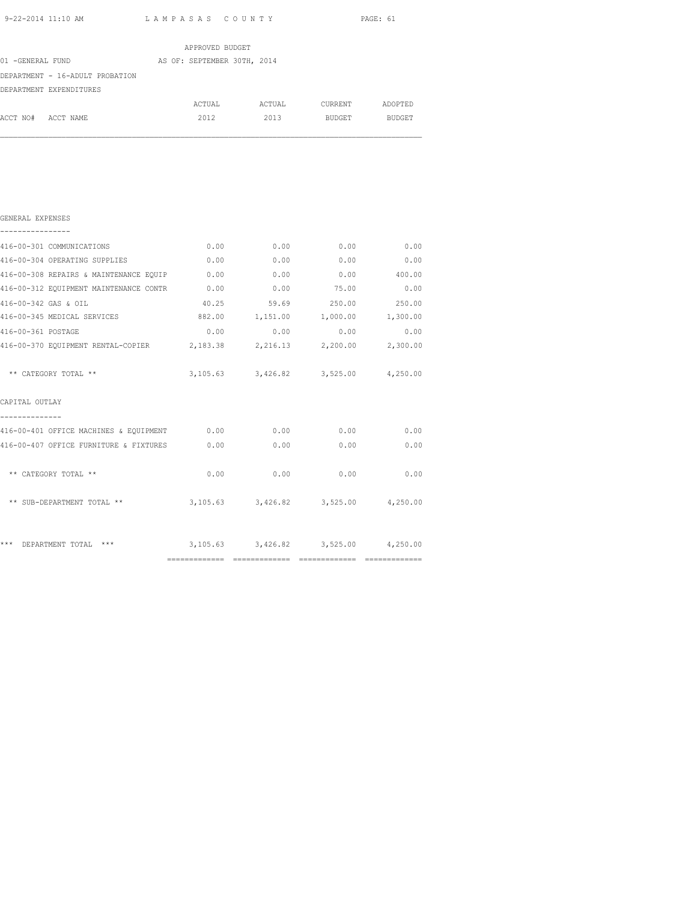|                                 | APPROVED BUDGET             |        |                |               |
|---------------------------------|-----------------------------|--------|----------------|---------------|
| 01 -GENERAL FUND                | AS OF: SEPTEMBER 30TH, 2014 |        |                |               |
| DEPARTMENT - 16-ADULT PROBATION |                             |        |                |               |
| DEPARTMENT EXPENDITURES         |                             |        |                |               |
|                                 | ACTUAL                      | ACTUAL | <b>CURRENT</b> | ADOPTED       |
| ACCT NO#<br>ACCT NAME           | 2012                        | 2013   | <b>BUDGET</b>  | <b>BUDGET</b> |
|                                 |                             |        |                |               |

| *** DEPARTMENT TOTAL ***                                               |      |      | $3,105.63$ $3,426.82$ $3,525.00$ $4,250.00$ |               |
|------------------------------------------------------------------------|------|------|---------------------------------------------|---------------|
| ** SUB-DEPARTMENT TOTAL **                                             |      |      | 3,105.63 3,426.82 3,525.00 4,250.00         |               |
| ** CATEGORY TOTAL **                                                   | 0.00 | 0.00 | 0.00                                        | 0.00          |
| 416-00-407 OFFICE FURNITURE & FIXTURES 0.00                            |      | 0.00 | 0.00                                        | 0.00          |
| 416-00-401 OFFICE MACHINES & EQUIPMENT 0.00 0.00 0.00 0.00 0.00 0.00   |      |      |                                             |               |
| CAPITAL OUTLAY                                                         |      |      |                                             |               |
| ** CATEGORY TOTAL **                                                   |      |      | 3,105.63 3,426.82 3,525.00 4,250.00         |               |
| 416-00-370 EQUIPMENT RENTAL-COPIER 2,183.38 2,216.13 2,200.00 2,300.00 |      |      |                                             |               |
| 416-00-361 POSTAGE                                                     |      |      | $0.00$ $0.00$ $0.00$ $0.00$                 | 0.00          |
| 416-00-345 MEDICAL SERVICES                                            |      |      | 882.00  1,151.00  1,000.00  1,300.00        |               |
| 416-00-342 GAS & OIL                                                   |      |      | 40.25 59.69 250.00 250.00                   |               |
| 416-00-312 EQUIPMENT MAINTENANCE CONTR 0.00                            |      |      | $0.00$ 75.00 0.00                           |               |
| 416-00-308 REPAIRS & MAINTENANCE EQUIP 0.00                            |      | 0.00 |                                             | $0.00$ 400.00 |
| 416-00-304 OPERATING SUPPLIES                                          | 0.00 | 0.00 | 0.00                                        | 0.00          |
| 416-00-301 COMMUNICATIONS                                              |      |      | $0.00$ $0.00$ $0.00$ $0.00$ $0.00$          |               |
| GENERAL EXPENSES                                                       |      |      |                                             |               |
|                                                                        |      |      |                                             |               |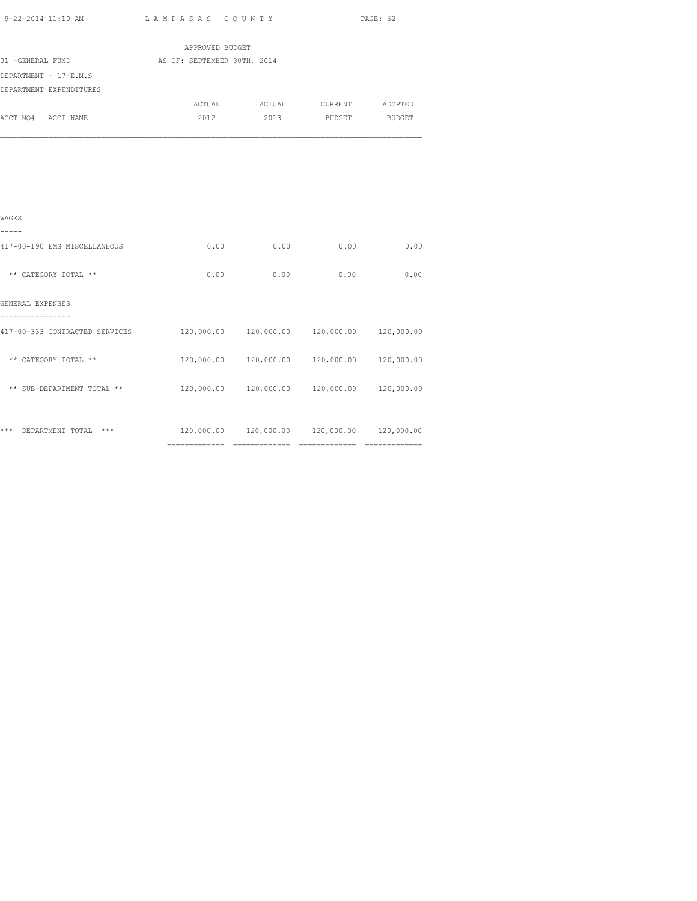|                         | APPROVED BUDGET             |        |         |               |
|-------------------------|-----------------------------|--------|---------|---------------|
| 01 -GENERAL FUND        | AS OF: SEPTEMBER 30TH, 2014 |        |         |               |
| DEPARTMENT - 17-E.M.S   |                             |        |         |               |
| DEPARTMENT EXPENDITURES |                             |        |         |               |
|                         | ACTUAL                      | ACTUAL | CURRENT | ADOPTED       |
| ACCT NO# ACCT NAME      | 2012                        | 2013   | BUDGET  | <b>BUDGET</b> |
|                         |                             |        |         |               |
|                         |                             |        |         |               |
|                         |                             |        |         |               |
|                         |                             |        |         |               |

| WAGES                            |                |            |            |            |
|----------------------------------|----------------|------------|------------|------------|
| 417-00-190 EMS MISCELLANEOUS     | 0.00           | 0.00       | 0.00       | 0.00       |
| ** CATEGORY TOTAL **             | 0.00           | 0.00       | 0.00       | 0.00       |
| GENERAL EXPENSES                 |                |            |            |            |
| 417-00-333 CONTRACTED SERVICES   | 120,000.00     | 120,000.00 | 120,000.00 | 120,000.00 |
| ** CATEGORY TOTAL **             | 120,000.00     | 120,000.00 | 120,000.00 | 120,000.00 |
| ** SUB-DEPARTMENT TOTAL **       | 120,000.00     | 120,000.00 | 120,000.00 | 120,000.00 |
|                                  |                |            |            |            |
| ***<br>$***$<br>DEPARTMENT TOTAL | 120,000.00     | 120,000.00 | 120,000.00 | 120,000.00 |
|                                  | ============== |            |            |            |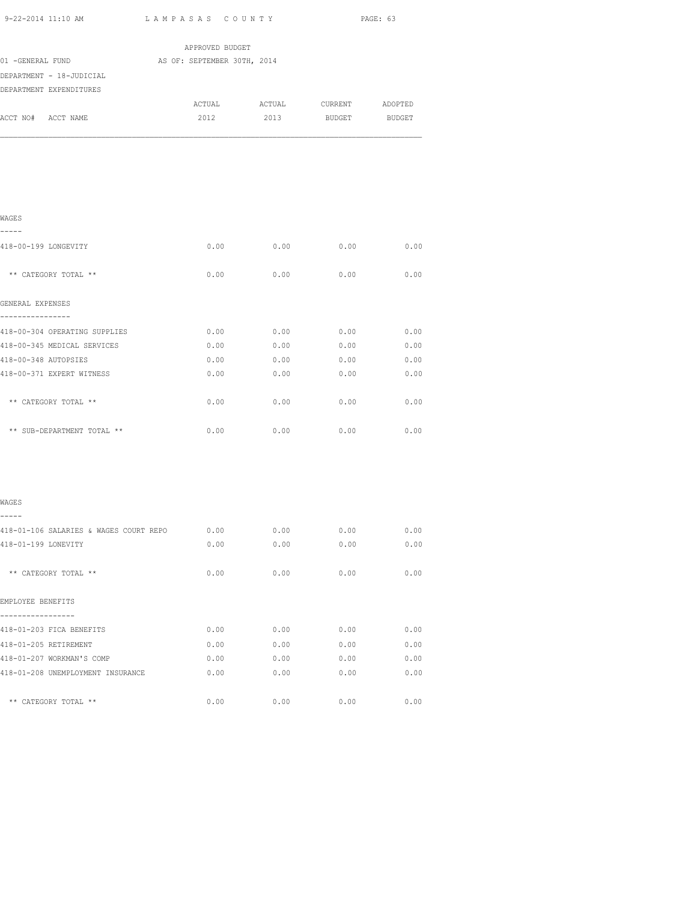| 9-22-2014 11:10 AM                     | LAMPASAS COUNTY             |                                       |               | PAGE: 63 |
|----------------------------------------|-----------------------------|---------------------------------------|---------------|----------|
|                                        | APPROVED BUDGET             |                                       |               |          |
| 01 -GENERAL FUND                       | AS OF: SEPTEMBER 30TH, 2014 |                                       |               |          |
| DEPARTMENT - 18-JUDICIAL               |                             |                                       |               |          |
| DEPARTMENT EXPENDITURES                |                             |                                       |               |          |
| ACCT NO# ACCT NAME                     | 2012                        | ACTUAL ACTUAL CURRENT ADOPTED<br>2013 | <b>BUDGET</b> | BUDGET   |
|                                        |                             |                                       |               |          |
| WAGES                                  |                             |                                       |               |          |
| -----<br>418-00-199 LONGEVITY          | 0.00                        | 0.00                                  | 0.00          | 0.00     |
| ** CATEGORY TOTAL **                   | 0.00                        | 0.00                                  | 0.00          | 0.00     |
| GENERAL EXPENSES<br>---------------    |                             |                                       |               |          |
| 418-00-304 OPERATING SUPPLIES          | 0.00                        | 0.00                                  | 0.00          | 0.00     |
| 418-00-345 MEDICAL SERVICES            | 0.00                        | 0.00                                  | 0.00          | 0.00     |
| 418-00-348 AUTOPSIES                   | 0.00                        | 0.00                                  | 0.00          | 0.00     |
| 418-00-371 EXPERT WITNESS              | 0.00                        | 0.00                                  | 0.00          | 0.00     |
| ** CATEGORY TOTAL **                   | 0.00                        | 0.00                                  | 0.00          | 0.00     |
| ** SUB-DEPARTMENT TOTAL **             | 0.00                        | 0.00                                  | 0.00          | 0.00     |
| WAGES                                  |                             |                                       |               |          |
|                                        |                             |                                       |               |          |
| 418-01-106 SALARIES & WAGES COURT REPO | 0.00                        | 0.00                                  | 0.00          | 0.00     |
| 418-01-199 LONEVITY                    | 0.00                        | 0.00                                  | 0.00          | 0.00     |
| ** CATEGORY TOTAL **                   | 0.00                        | 0.00                                  | 0.00          | 0.00     |
| EMPLOYEE BENEFITS<br>-----------       |                             |                                       |               |          |
| 418-01-203 FICA BENEFITS               | 0.00                        | 0.00                                  | 0.00          | 0.00     |
| 418-01-205 RETIREMENT                  | 0.00                        | 0.00                                  | 0.00          | 0.00     |
| 418-01-207 WORKMAN'S COMP              | 0.00                        | 0.00                                  | 0.00          | 0.00     |

418-01-208 UNEMPLOYMENT INSURANCE 0.00 0.00 0.00 0.00

\*\* CATEGORY TOTAL \*\* 0.00 0.00 0.00 0.00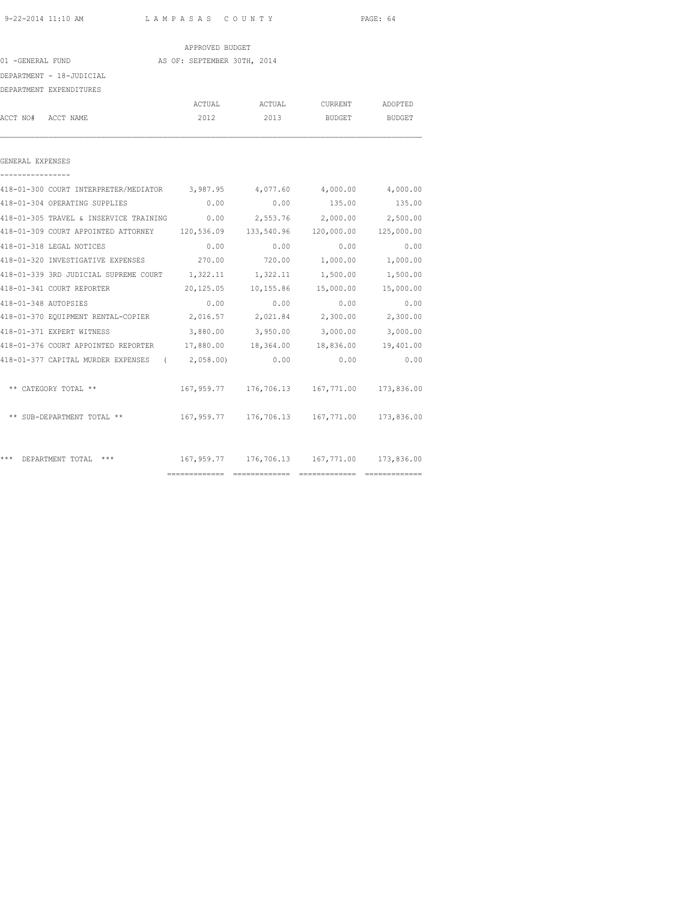|                                                                                 | APPROVED BUDGET |        |                                             |                   |
|---------------------------------------------------------------------------------|-----------------|--------|---------------------------------------------|-------------------|
| AS OF: SEPTEMBER 30TH, 2014<br>01 -GENERAL FUND                                 |                 |        |                                             |                   |
| DEPARTMENT - 18-JUDICIAL                                                        |                 |        |                                             |                   |
| DEPARTMENT EXPENDITURES                                                         |                 |        |                                             |                   |
|                                                                                 | ACTUAL          |        | ACTUAL CURRENT ADOPTED                      |                   |
| ACCT NO# ACCT NAME                                                              | 2012            | 2013   |                                             | BUDGET BUDGET     |
| GENERAL EXPENSES                                                                |                 |        |                                             |                   |
| 418-01-300 COURT INTERPRETER/MEDIATOR 3,987.95 4,077.60                         |                 |        |                                             | 4,000.00 4,000.00 |
| 418-01-304 OPERATING SUPPLIES                                                   | 0.00            | 0.00   |                                             | 135.00 135.00     |
| 418-01-305 TRAVEL & INSERVICE TRAINING $0.00$ 2,553.76 2,000.00 2,500.00        |                 |        |                                             |                   |
| 418-01-309 COURT APPOINTED ATTORNEY 120,536.09 133,540.96 120,000.00 125,000.00 |                 |        |                                             |                   |
| 418-01-318 LEGAL NOTICES                                                        | 0.00            | 0.00   | 0.00                                        | 0.00              |
| 418-01-320 INVESTIGATIVE EXPENSES 270.00                                        |                 | 720.00 | 1,000.00                                    | 1,000.00          |
| 418-01-339 3RD JUDICIAL SUPREME COURT 1,322.11 1,322.11 1,500.00 1,500.00       |                 |        |                                             |                   |
| 418-01-341 COURT REPORTER                                                       |                 |        | 20,125.05 10,155.86 15,000.00 15,000.00     |                   |
| 418-01-348 AUTOPSIES                                                            | 0.00            | 0.00   | 0.00                                        | 0.00              |
| 418-01-370 EQUIPMENT RENTAL-COPIER 2,016.57 2,021.84 2,300.00 2,300.00          |                 |        |                                             |                   |
| 418-01-371 EXPERT WITNESS                                                       |                 |        | 3,880.00 3,950.00 3,000.00 3,000.00         |                   |
| 418-01-376 COURT APPOINTED REPORTER $17,880.00$ 18,364.00 18,836.00 19,401.00   |                 |        |                                             |                   |
| 418-01-377 CAPITAL MURDER EXPENSES (2,058.00) 0.00                              |                 |        | 0.00                                        | 0.00              |
| ** CATEGORY TOTAL **                                                            |                 |        | 167,959.77 176,706.13 167,771.00 173,836.00 |                   |
| ** SUB-DEPARTMENT TOTAL **                                                      |                 |        | 167,959.77 176,706.13 167,771.00 173,836.00 |                   |
| *** DEPARTMENT TOTAL ***                                                        |                 |        | 167,959.77 176,706.13 167,771.00 173,836.00 |                   |
|                                                                                 |                 |        |                                             |                   |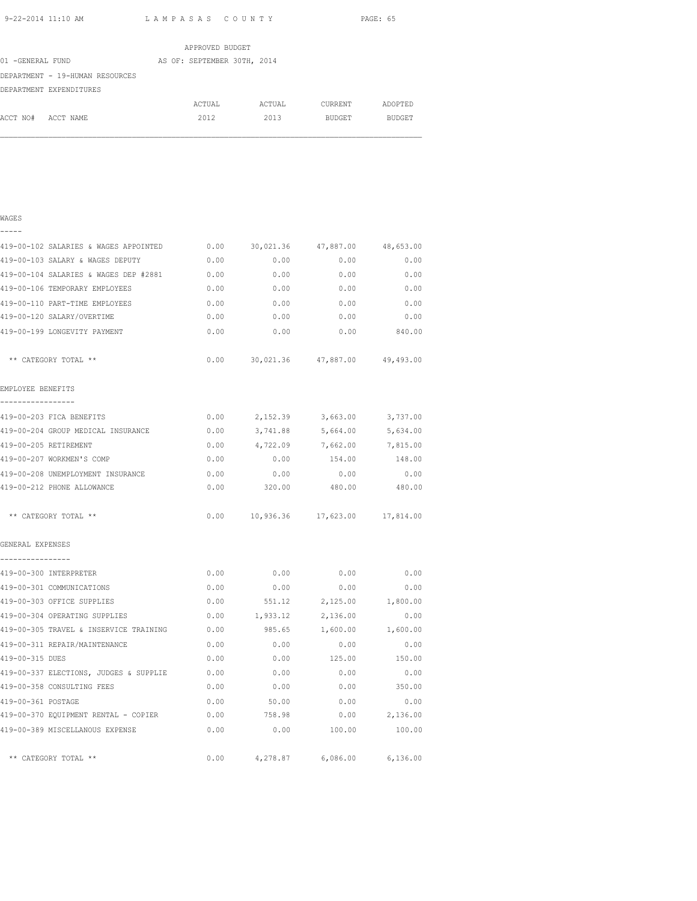|                                 | APPROVED BUDGET             |        |               |               |
|---------------------------------|-----------------------------|--------|---------------|---------------|
| 01 -GENERAL FUND                | AS OF: SEPTEMBER 30TH, 2014 |        |               |               |
| DEPARTMENT - 19-HUMAN RESOURCES |                             |        |               |               |
| DEPARTMENT EXPENDITURES         |                             |        |               |               |
|                                 | ACTUAL                      | ACTUAL | CURRENT       | ADOPTED       |
| ACCT NO#<br>ACCT NAME           | 2012                        | 2013   | <b>BUDGET</b> | <b>BUDGET</b> |

| WAGES                                         |      |               |                                            |                 |
|-----------------------------------------------|------|---------------|--------------------------------------------|-----------------|
| 419-00-102 SALARIES & WAGES APPOINTED         | 0.00 | 30,021.36     | 47,887.00 48,653.00                        |                 |
| 419-00-103 SALARY & WAGES DEPUTY              | 0.00 | 0.00          | 0.00                                       | 0.00            |
| 419-00-104 SALARIES & WAGES DEP #2881         | 0.00 | 0.00          | 0.00                                       | 0.00            |
| 419-00-106 TEMPORARY EMPLOYEES                | 0.00 | 0.00          | 0.00                                       | 0.00            |
| 419-00-110 PART-TIME EMPLOYEES                | 0.00 | 0.00          | 0.00                                       | 0.00            |
| 419-00-120 SALARY/OVERTIME                    | 0.00 | 0.00          | 0.00                                       | 0.00            |
| 419-00-199 LONGEVITY PAYMENT                  | 0.00 | 0.00          |                                            | $0.00$ 840.00   |
| ** CATEGORY TOTAL **                          |      |               | $0.00$ $30,021.36$ $47,887.00$ $49,493.00$ |                 |
| EMPLOYEE BENEFITS                             |      |               |                                            |                 |
| -----------------<br>419-00-203 FICA BENEFITS | 0.00 | 2,152.39      | 3,663.00                                   | 3,737.00        |
| 419-00-204 GROUP MEDICAL INSURANCE            | 0.00 | 3,741.88      | 5,664.00                                   | 5,634.00        |
| 419-00-205 RETIREMENT                         | 0.00 | 4,722.09      | 7,662.00                                   | 7,815.00        |
| 419-00-207 WORKMEN'S COMP                     | 0.00 | 0.00          | 154.00                                     | 148.00          |
| 419-00-208 UNEMPLOYMENT INSURANCE             | 0.00 | 0.00          | 0.00                                       | 0.00            |
| 419-00-212 PHONE ALLOWANCE                    | 0.00 | 320.00        | 480.00                                     | 480.00          |
| ** CATEGORY TOTAL **                          |      |               | $0.00$ 10,936.36 17,623.00 17,814.00       |                 |
| GENERAL EXPENSES                              |      |               |                                            |                 |
| ----------------<br>419-00-300 INTERPRETER    | 0.00 | 0.00          | 0.00                                       | 0.00            |
| 419-00-301 COMMUNICATIONS                     | 0.00 | 0.00          | 0.00                                       | 0.00            |
| 419-00-303 OFFICE SUPPLIES                    | 0.00 | 551.12        | 2,125.00                                   | 1,800.00        |
| 419-00-304 OPERATING SUPPLIES                 | 0.00 | 1,933.12      | 2,136.00                                   | 0.00            |
| 419-00-305 TRAVEL & INSERVICE TRAINING        | 0.00 | 985.65        | 1,600.00                                   | 1,600.00        |
| 419-00-311 REPAIR/MAINTENANCE                 | 0.00 | 0.00          | 0.00                                       | 0.00            |
| 419-00-315 DUES                               | 0.00 | 0.00          | 125.00                                     | 150.00          |
| 419-00-337 ELECTIONS, JUDGES & SUPPLIE        | 0.00 | 0.00          | 0.00                                       | 0.00            |
| 419-00-358 CONSULTING FEES                    | 0.00 | 0.00          | 0.00                                       | 350.00          |
| 419-00-361 POSTAGE                            | 0.00 | 50.00         | 0.00                                       | 0.00            |
| 419-00-370 EQUIPMENT RENTAL - COPIER          |      | $0.00$ 758.98 |                                            | $0.00$ 2,136.00 |
| 419-00-389 MISCELLANOUS EXPENSE               | 0.00 |               | $0.00$ 100.00                              | 100.00          |
| ** CATEGORY TOTAL **                          | 0.00 | 4,278.87      | 6,086.00                                   | 6,136.00        |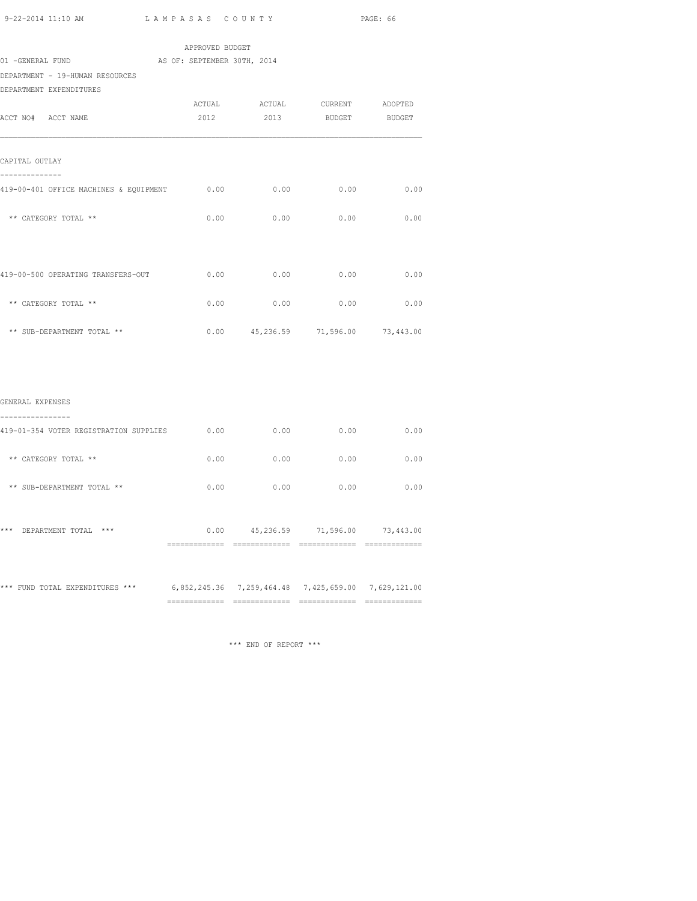| APPROVED BUDGET<br>AS OF: SEPTEMBER 30TH, 2014 |      |                      |                                                                                                                                                              |
|------------------------------------------------|------|----------------------|--------------------------------------------------------------------------------------------------------------------------------------------------------------|
|                                                |      |                      |                                                                                                                                                              |
|                                                |      |                      |                                                                                                                                                              |
|                                                |      |                      |                                                                                                                                                              |
|                                                |      |                      |                                                                                                                                                              |
|                                                |      |                      |                                                                                                                                                              |
|                                                |      |                      |                                                                                                                                                              |
| 0.00                                           | 0.00 | 0.00                 | 0.00                                                                                                                                                         |
| 0.00                                           | 0.00 | 0.00                 | 0.00                                                                                                                                                         |
|                                                | 0.00 |                      | 0.00                                                                                                                                                         |
| 0.00                                           | 0.00 | 0.00                 | 0.00                                                                                                                                                         |
|                                                |      |                      |                                                                                                                                                              |
|                                                |      |                      |                                                                                                                                                              |
|                                                |      |                      |                                                                                                                                                              |
| 0.00                                           |      | 0.00                 | 0.00                                                                                                                                                         |
| 0.00                                           |      | 0.00                 | 0.00                                                                                                                                                         |
| 0.00                                           | 0.00 | 0.00                 | 0.00                                                                                                                                                         |
|                                                |      |                      |                                                                                                                                                              |
|                                                |      | 0.00<br>0.00<br>0.00 | ACTUAL ACTUAL CURRENT ADOPTED<br>2012 2013 BUDGET BUDGET<br>0.00<br>$0.00$ $45,236.59$ $71,596.00$ $73,443.00$<br>$0.00$ $45,236.59$ $71,596.00$ $73,443.00$ |

\*\*\* FUND TOTAL EXPENDITURES \*\*\* 6,852,245.36 7,259,464.48 7,425,659.00 7,629,121.00 ============= ============= ============= =============

\*\*\* END OF REPORT \*\*\*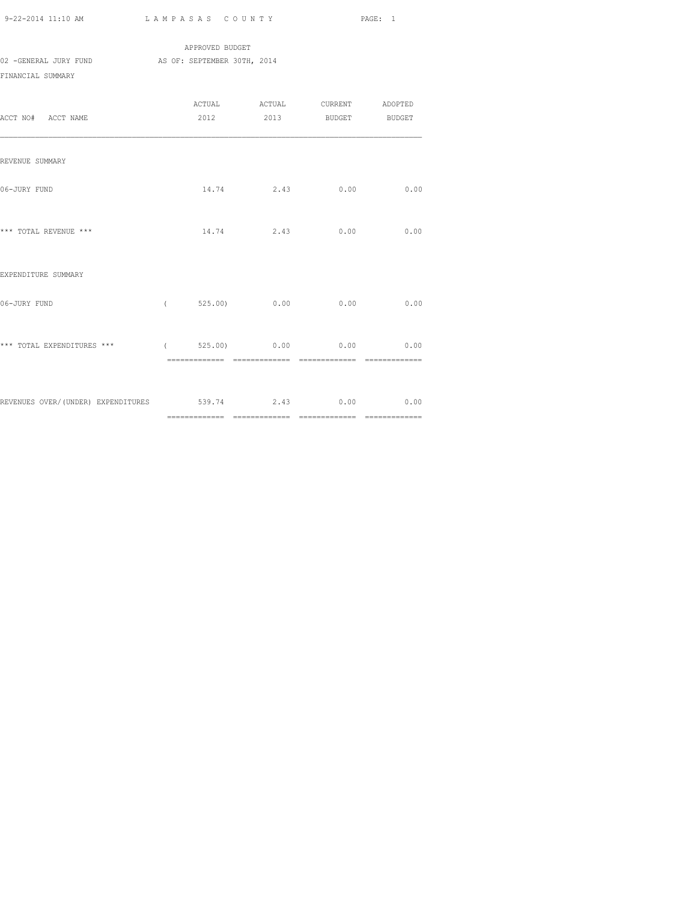APPROVED BUDGET 02 -GENERAL JURY FUND AS OF: SEPTEMBER 30TH, 2014 FINANCIAL SUMMARY

| ACCT NO# ACCT NAME                                       |                            | ACTUAL ACTUAL CURRENT ADOPTED<br>2012 2013 BUDGET BUDGET |      |
|----------------------------------------------------------|----------------------------|----------------------------------------------------------|------|
| REVENUE SUMMARY                                          |                            |                                                          |      |
| 06-JURY FUND                                             | 14.74                      | 2.43 0.00                                                | 0.00 |
| *** TOTAL REVENUE ***                                    |                            | $14.74$ 2.43 0.00 0.00                                   |      |
| EXPENDITURE SUMMARY                                      |                            |                                                          |      |
| 06-JURY FUND                                             | $($ 525.00) 0.00 0.00      |                                                          | 0.00 |
| *** TOTAL EXPENDITURES ***                               | $($ 525.00) 0.00 0.00 0.00 |                                                          |      |
| REVENUES OVER/(UNDER) EXPENDITURES 539.74 2.43 0.00 0.00 |                            |                                                          |      |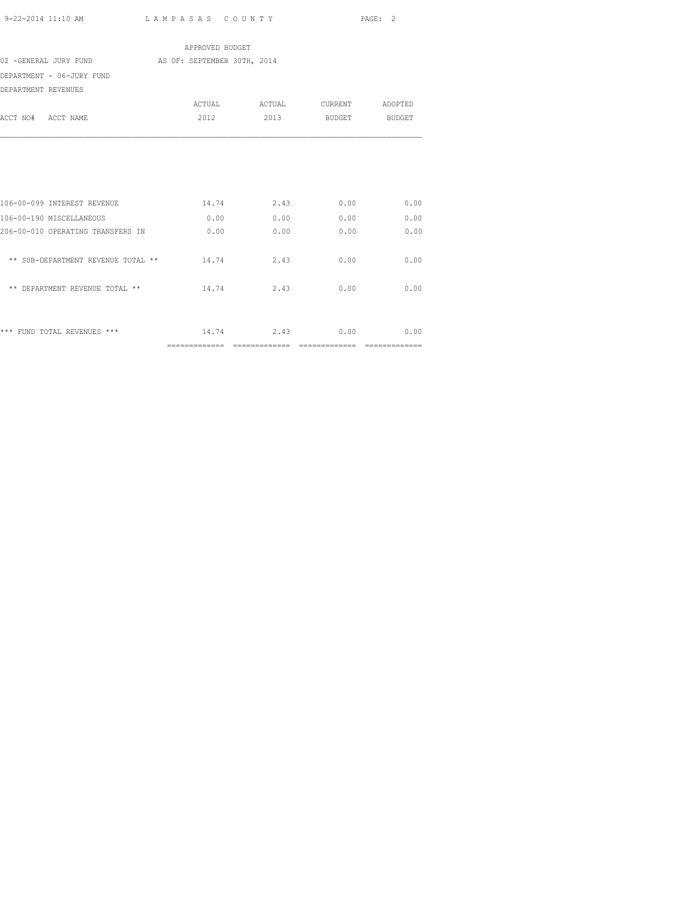|                                    | APPROVED BUDGET             |                               |                    |               |
|------------------------------------|-----------------------------|-------------------------------|--------------------|---------------|
| 02 -GENERAL JURY FUND              | AS OF: SEPTEMBER 30TH, 2014 |                               |                    |               |
| DEPARTMENT - 06-JURY FUND          |                             |                               |                    |               |
| DEPARTMENT REVENUES                |                             |                               |                    |               |
|                                    |                             |                               |                    |               |
| ACCT NO# ACCT NAME                 | 2012                        |                               | 2013 BUDGET BUDGET |               |
|                                    |                             |                               |                    |               |
| 106-00-099 INTEREST REVENUE        | 14.74                       | 2.43                          | 0.00               | 0.00          |
| 106-00-190 MISCELLANEOUS           | 0.00                        | 0.00                          | 0.00               | 0.00          |
| 206-00-010 OPERATING TRANSFERS IN  | 0.00                        | 0.00                          | 0.00               | 0.00          |
| ** SUB-DEPARTMENT REVENUE TOTAL ** | 14.74                       | 2.43                          | 0.00               | 0.00          |
| ** DEPARTMENT REVENUE TOTAL **     | 14.74                       | 2.43                          | 0.00               | 0.00          |
| *** FUND TOTAL REVENUES ***        |                             | 14.74 2.43                    |                    | $0.00$ $0.00$ |
|                                    | ==============              | $=$ = = = = = = = = = = = = = | ==============     |               |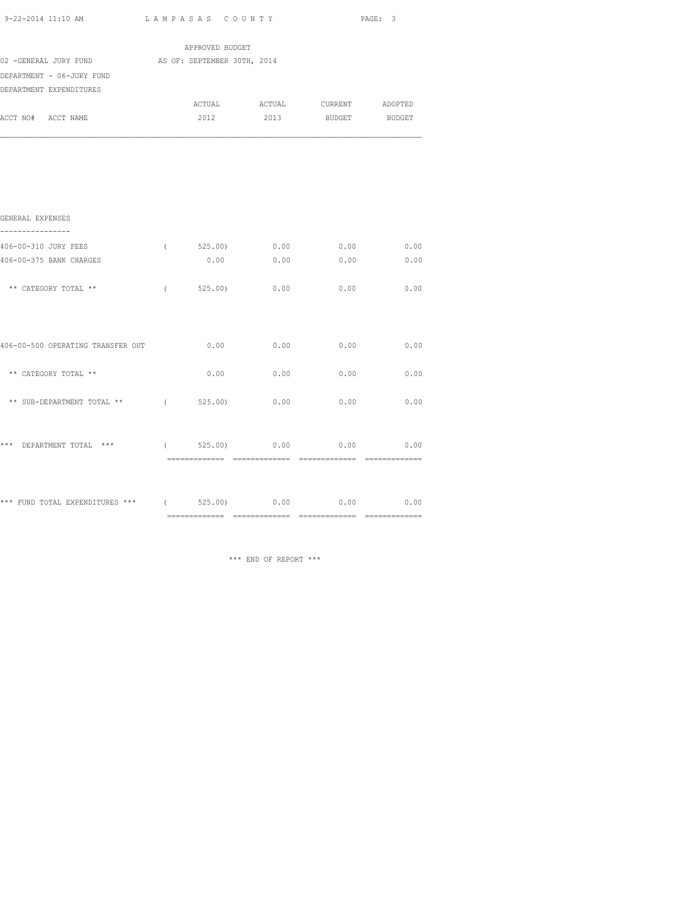|                                                   |            |                  |      |                               | PAGE: 3 |
|---------------------------------------------------|------------|------------------|------|-------------------------------|---------|
|                                                   |            | APPROVED BUDGET  |      |                               |         |
| 02 -GENERAL JURY FUND AS OF: SEPTEMBER 30TH, 2014 |            |                  |      |                               |         |
| DEPARTMENT - 06-JURY FUND                         |            |                  |      |                               |         |
| DEPARTMENT EXPENDITURES                           |            |                  |      |                               |         |
|                                                   |            |                  |      | ACTUAL ACTUAL CURRENT ADOPTED |         |
| ACCT NO# ACCT NAME                                |            | 2012             | 2013 | BUDGET BUDGET                 |         |
|                                                   |            |                  |      |                               |         |
| GENERAL EXPENSES<br>----------------              |            |                  |      |                               |         |
| 406-00-310 JURY FEES                              | $\sqrt{2}$ | 525.00)          | 0.00 | 0.00                          | 0.00    |
| 406-00-375 BANK CHARGES                           |            | 0.00             | 0.00 | 0.00                          | 0.00    |
| ** CATEGORY TOTAL **                              | $\sqrt{2}$ | $525.00$ )       | 0.00 | 0.00                          | 0.00    |
| 406-00-500 OPERATING TRANSFER OUT                 |            | 0.00             | 0.00 | 0.00                          | 0.00    |
| ** CATEGORY TOTAL **                              |            | 0.00             | 0.00 | 0.00                          | 0.00    |
| ** SUB-DEPARTMENT TOTAL ** $($ 525.00)            |            |                  | 0.00 | 0.00                          | 0.00    |
| *** DEPARTMENT TOTAL ***                          |            | $($ 525.00) 0.00 |      | 0.00                          | 0.00    |
| *** FUND TOTAL EXPENDITURES *** (699)             |            |                  | 0.00 | 0.00                          | 0.00    |

\*\*\* END OF REPORT \*\*\*

============= ============= ============= =============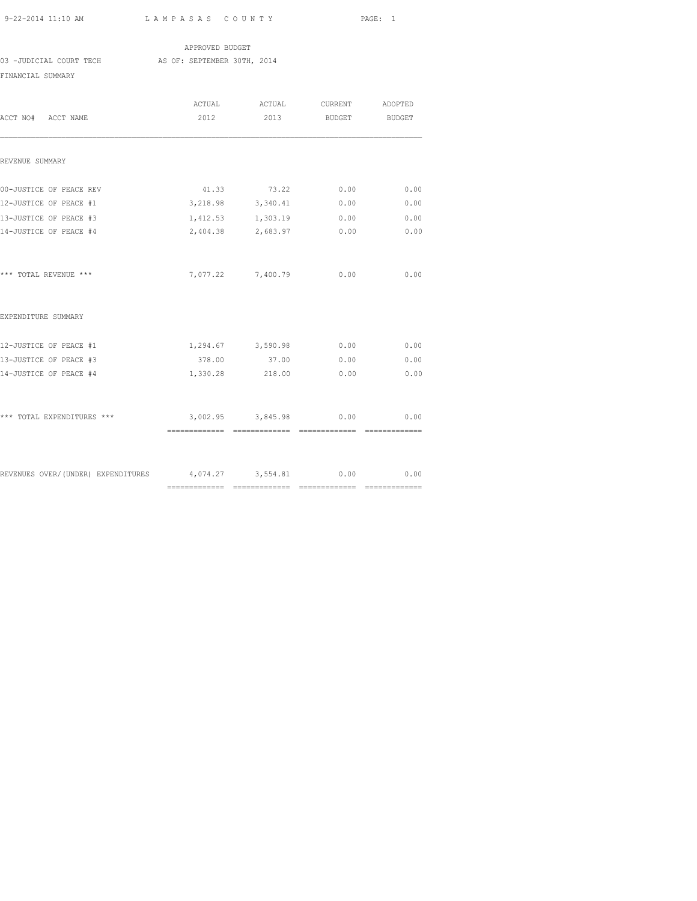APPROVED BUDGET 03 -JUDICIAL COURT TECH AS OF: SEPTEMBER 30TH, 2014 FINANCIAL SUMMARY

| ACCT NO# ACCT NAME                                        | ACTUAL<br>2012 | ACTUAL<br>2013         | <b>BUDGET</b> | CURRENT ADOPTED<br>BUDGET |
|-----------------------------------------------------------|----------------|------------------------|---------------|---------------------------|
| REVENUE SUMMARY                                           |                |                        |               |                           |
| 00-JUSTICE OF PEACE REV                                   | 41.33          | 73.22                  | 0.00          | 0.00                      |
| 12-JUSTICE OF PEACE #1                                    |                | 3, 218.98 3, 340.41    | 0.00          | 0.00                      |
| 13-JUSTICE OF PEACE #3                                    |                | 1,412.53 1,303.19      | 0.00          | 0.00                      |
| 14-JUSTICE OF PEACE #4                                    |                | 2,404.38 2,683.97      | 0.00          | 0.00                      |
| *** TOTAL REVENUE ***                                     |                | 7,077.22 7,400.79      | 0.00          | 0.00                      |
| EXPENDITURE SUMMARY                                       |                |                        |               |                           |
| 12-JUSTICE OF PEACE #1                                    |                | 1,294.67 3,590.98 0.00 |               | 0.00                      |
| 13-JUSTICE OF PEACE #3                                    |                | 378.00 37.00           | 0.00          | 0.00                      |
| 14-JUSTICE OF PEACE #4                                    | 1,330.28       | 218.00                 | 0.00          | 0.00                      |
| *** TOTAL EXPENDITURES ***                                |                | 3,002.95 3,845.98      | 0.00          | 0.00                      |
|                                                           |                |                        |               | ==============            |
| REVENUES OVER/(UNDER) EXPENDITURES 4,074.27 3,554.81 0.00 |                |                        |               | 0.00                      |
|                                                           |                |                        |               |                           |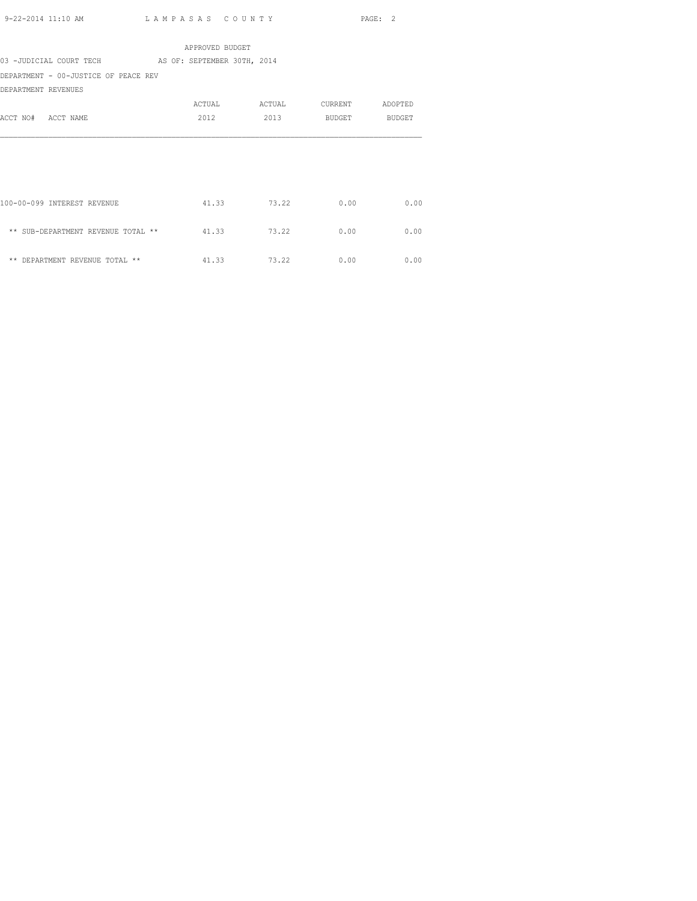| APPROVED BUDGET                                     |             |        |               |         |  |  |  |
|-----------------------------------------------------|-------------|--------|---------------|---------|--|--|--|
| 03 -JUDICIAL COURT TECH AS OF: SEPTEMBER 30TH, 2014 |             |        |               |         |  |  |  |
| DEPARTMENT - 00-JUSTICE OF PEACE REV                |             |        |               |         |  |  |  |
| DEPARTMENT REVENUES                                 |             |        |               |         |  |  |  |
|                                                     | ACTUAL      | ACTUAL | CURRENT       | ADOPTED |  |  |  |
| ACCT NO# ACCT NAME                                  | 2012        | 2013   | BUDGET BUDGET |         |  |  |  |
|                                                     |             |        |               |         |  |  |  |
|                                                     |             |        |               |         |  |  |  |
|                                                     |             |        |               |         |  |  |  |
|                                                     |             |        |               |         |  |  |  |
|                                                     |             |        |               |         |  |  |  |
| 100-00-099 INTEREST REVENUE                         | 41.33       | 73.22  | 0.00          | 0.00    |  |  |  |
|                                                     |             |        |               |         |  |  |  |
| ** SUB-DEPARTMENT REVENUE TOTAL **                  | 41.33       | 73.22  | 0.00          | 0.00    |  |  |  |
|                                                     |             |        |               |         |  |  |  |
| ** DEPARTMENT REVENUE TOTAL **                      | 41.33 73.22 |        | 0.00          | 0.00    |  |  |  |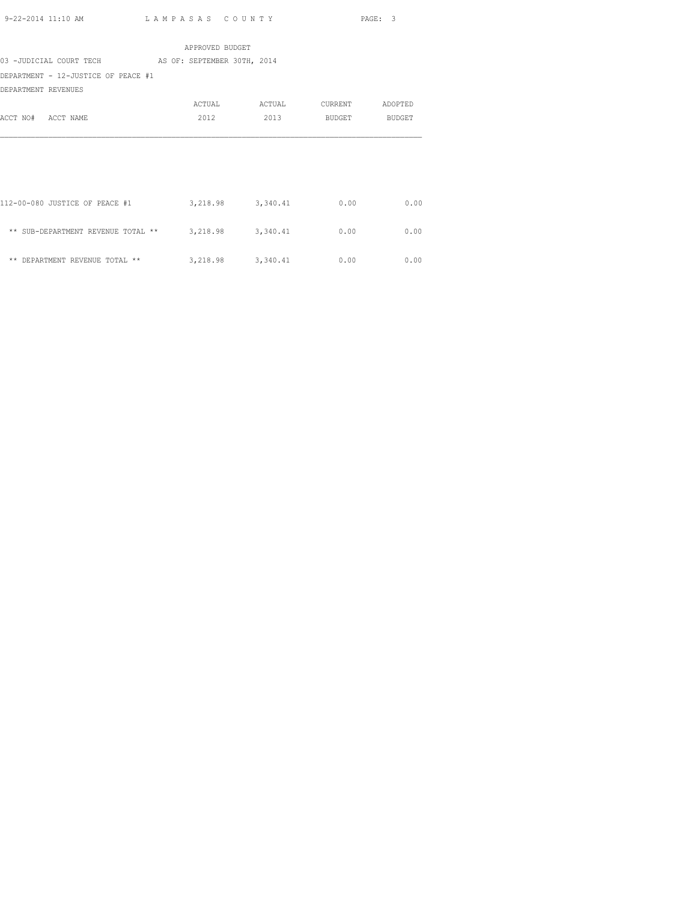| APPROVED BUDGET                                      |                     |                     |         |         |  |  |
|------------------------------------------------------|---------------------|---------------------|---------|---------|--|--|
| 03 -JUDICIAL COURT TECH AS OF: SEPTEMBER 30TH, 2014  |                     |                     |         |         |  |  |
| DEPARTMENT - 12-JUSTICE OF PEACE #1                  |                     |                     |         |         |  |  |
| DEPARTMENT REVENUES                                  |                     |                     |         |         |  |  |
|                                                      | ACTUAL              | ACTUAL              | CURRENT | ADOPTED |  |  |
| ACCT NO# ACCT NAME                                   | 2012                | 2013                | BUDGET  | BUDGET  |  |  |
|                                                      |                     |                     |         |         |  |  |
|                                                      |                     |                     |         |         |  |  |
|                                                      |                     |                     |         |         |  |  |
|                                                      |                     |                     |         |         |  |  |
|                                                      |                     |                     |         |         |  |  |
| 112-00-080 JUSTICE OF PEACE #1                       | 3, 218.98 3, 340.41 |                     | 0.00    | 0.00    |  |  |
|                                                      |                     |                     |         |         |  |  |
| ** SUB-DEPARTMENT REVENUE TOTAL ** 3,218.98 3,340.41 |                     |                     | 0.00    | 0.00    |  |  |
|                                                      |                     |                     |         |         |  |  |
| ** DEPARTMENT REVENUE TOTAL **                       |                     | 3, 218.98 3, 340.41 | 0.00    | 0.00    |  |  |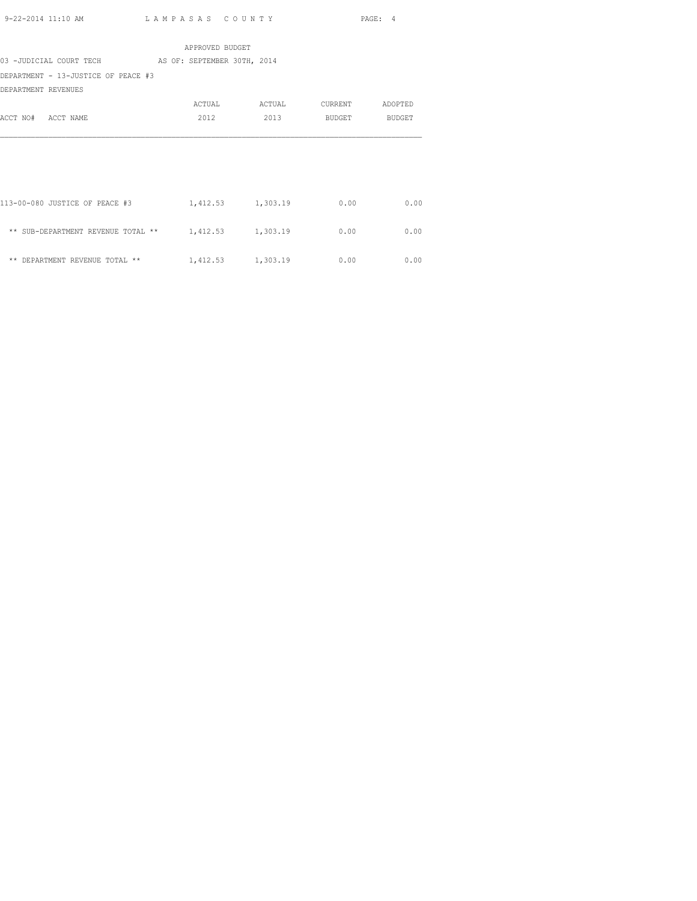|                                                      | APPROVED BUDGET   |                   |         |         |
|------------------------------------------------------|-------------------|-------------------|---------|---------|
| 03 -JUDICIAL COURT TECH AS OF: SEPTEMBER 30TH, 2014  |                   |                   |         |         |
| DEPARTMENT - 13-JUSTICE OF PEACE #3                  |                   |                   |         |         |
| DEPARTMENT REVENUES                                  |                   |                   |         |         |
|                                                      | ACTUAL            | ACTUAL            | CURRENT | ADOPTED |
| ACCT NO# ACCT NAME                                   | 2012              | 2013              | BUDGET  | BUDGET  |
|                                                      |                   |                   |         |         |
|                                                      |                   |                   |         |         |
|                                                      |                   |                   |         |         |
|                                                      |                   |                   |         |         |
|                                                      |                   |                   |         |         |
| 113-00-080 JUSTICE OF PEACE #3                       | 1,412.53 1,303.19 |                   | 0.00    | 0.00    |
|                                                      |                   |                   |         |         |
| ** SUB-DEPARTMENT REVENUE TOTAL ** 1,412.53 1,303.19 |                   |                   | 0.00    | 0.00    |
|                                                      |                   |                   |         |         |
| ** DEPARTMENT REVENUE TOTAL **                       |                   | 1,412.53 1,303.19 | 0.00    | 0.00    |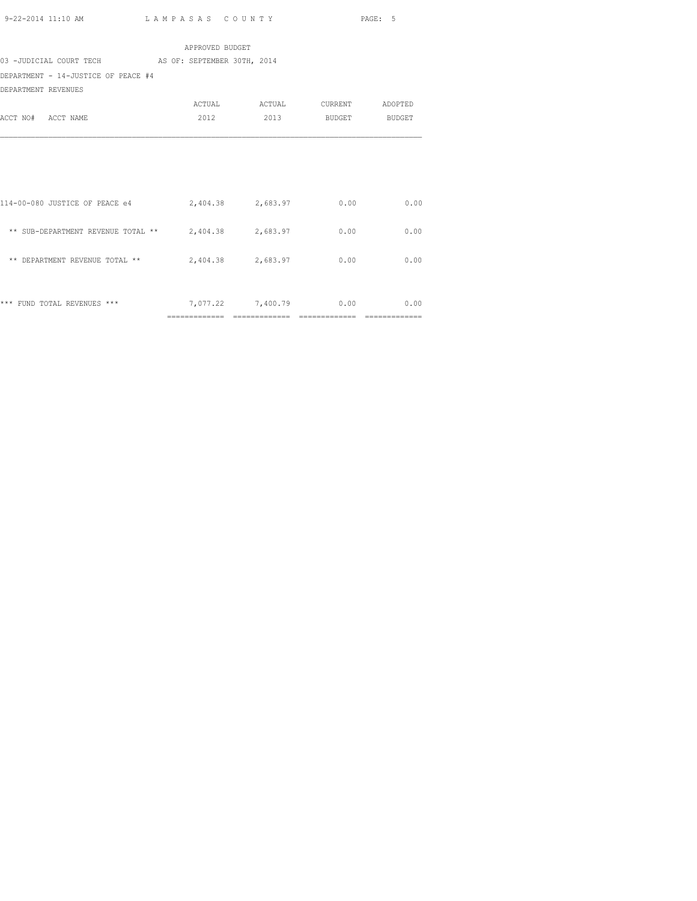|                                                           | APPROVED BUDGET        |                               |      |      |
|-----------------------------------------------------------|------------------------|-------------------------------|------|------|
| 03 -JUDICIAL COURT TECH AS OF: SEPTEMBER 30TH, 2014       |                        |                               |      |      |
| DEPARTMENT - 14-JUSTICE OF PEACE #4                       |                        |                               |      |      |
| DEPARTMENT REVENUES                                       |                        |                               |      |      |
|                                                           |                        | ACTUAL ACTUAL CURRENT ADOPTED |      |      |
| ACCT NO# ACCT NAME                                        |                        | 2012 2013 BUDGET BUDGET       |      |      |
|                                                           |                        |                               |      |      |
|                                                           |                        |                               |      |      |
|                                                           |                        |                               |      |      |
|                                                           |                        |                               |      |      |
| 114-00-080 JUSTICE OF PEACE e4 2,404.38 2,683.97 0.00     |                        |                               |      | 0.00 |
|                                                           |                        |                               |      |      |
| ** SUB-DEPARTMENT REVENUE TOTAL ** $2,404.38$ $2,683.97$  |                        |                               | 0.00 | 0.00 |
|                                                           |                        |                               |      |      |
| ** DEPARTMENT REVENUE TOTAL ** $2,404.38$ $2,683.97$ 0.00 |                        |                               |      | 0.00 |
|                                                           |                        |                               |      |      |
|                                                           |                        |                               |      |      |
| *** FUND TOTAL REVENUES ***                               | 7,077.22 7,400.79 0.00 |                               |      | 0.00 |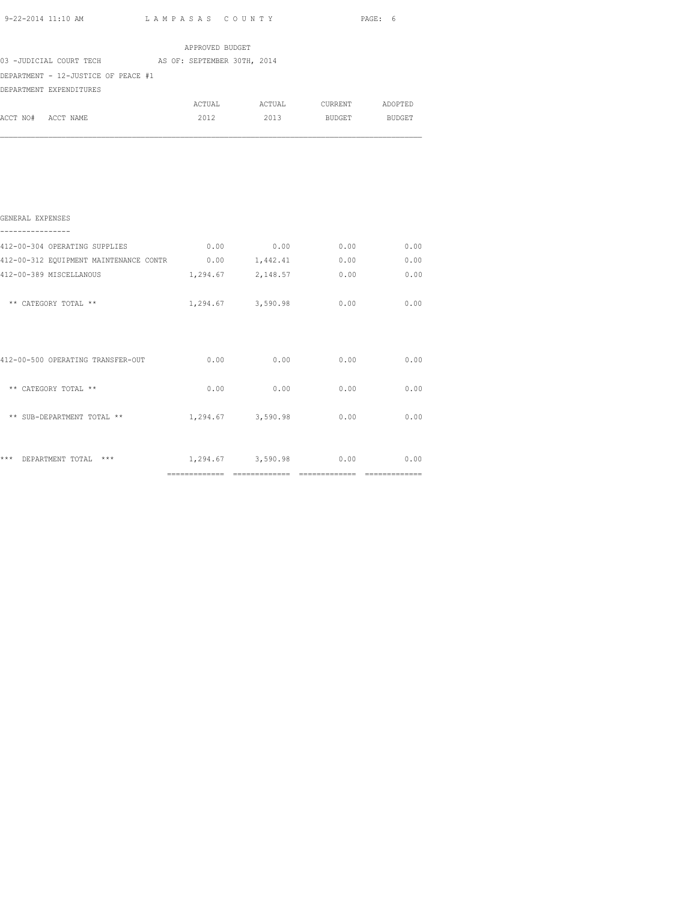|                                                     |  | APPROVED BUDGET |        |         |         |
|-----------------------------------------------------|--|-----------------|--------|---------|---------|
| 03 -JUDICIAL COURT TECH AS OF: SEPTEMBER 30TH, 2014 |  |                 |        |         |         |
| DEPARTMENT - 12-JUSTICE OF PEACE #1                 |  |                 |        |         |         |
| DEPARTMENT EXPENDITURES                             |  |                 |        |         |         |
|                                                     |  | ACTUAL          | ACTUAL | CURRENT | ADOPTED |
| ACCT NO# ACCT NAME                                  |  | 2012            | 2013   | BUDGET  | BUDGET  |
|                                                     |  |                 |        |         |         |
|                                                     |  |                 |        |         |         |
|                                                     |  |                 |        |         |         |
|                                                     |  |                 |        |         |         |
|                                                     |  |                 |        |         |         |
|                                                     |  |                 |        |         |         |

| GENERAL EXPENSES                       |          |                   |      |      |
|----------------------------------------|----------|-------------------|------|------|
| 412-00-304 OPERATING SUPPLIES          | 0.00     | 0.00              | 0.00 | 0.00 |
| 412-00-312 EQUIPMENT MAINTENANCE CONTR | 0.00     | 1,442.41          | 0.00 | 0.00 |
| 412-00-389 MISCELLANOUS                | 1,294.67 | 2,148.57          | 0.00 | 0.00 |
| ** CATEGORY TOTAL **                   |          | 1,294.67 3,590.98 | 0.00 | 0.00 |
| 412-00-500 OPERATING TRANSFER-OUT      | 0.00     | 0.00              | 0.00 | 0.00 |
| ** CATEGORY TOTAL **                   | 0.00     | 0.00              | 0.00 | 0.00 |
| ** SUB-DEPARTMENT TOTAL **             |          | 1,294.67 3,590.98 | 0.00 | 0.00 |
| ***<br>$***$<br>DEPARTMENT TOTAL       |          | 1,294.67 3,590.98 | 0.00 | 0.00 |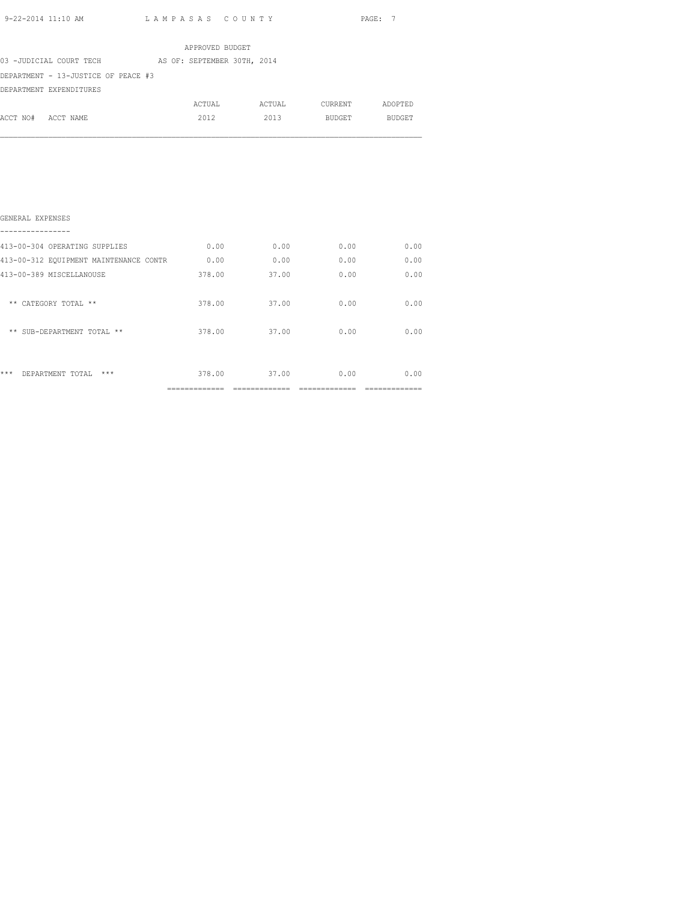|                                     |  | APPROVED BUDGET             |        |               |               |
|-------------------------------------|--|-----------------------------|--------|---------------|---------------|
| 03 -JUDICIAL COURT TECH             |  | AS OF: SEPTEMBER 30TH, 2014 |        |               |               |
| DEPARTMENT - 13-JUSTICE OF PEACE #3 |  |                             |        |               |               |
| DEPARTMENT EXPENDITURES             |  |                             |        |               |               |
|                                     |  | ACTUAL                      | ACTUAL | CURRENT       | ADOPTED       |
| ACCT NO# ACCT NAME                  |  | 2012                        | 2013   | <b>BUDGET</b> | <b>BUDGET</b> |
|                                     |  |                             |        |               |               |
|                                     |  |                             |        |               |               |

| ***<br>$***$<br>DEPARTMENT TOTAL       | 378.00 | 37.00 | 0.00 | 0.00 |
|----------------------------------------|--------|-------|------|------|
| ** SUB-DEPARTMENT TOTAL **             | 378.00 | 37.00 | 0.00 | 0.00 |
| ** CATEGORY TOTAL **                   | 378.00 | 37.00 | 0.00 | 0.00 |
| 413-00-389 MISCELLANOUSE               | 378.00 | 37.00 | 0.00 | 0.00 |
| 413-00-312 EQUIPMENT MAINTENANCE CONTR | 0.00   | 0.00  | 0.00 | 0.00 |
| 413-00-304 OPERATING SUPPLIES          | 0.00   | 0.00  | 0.00 | 0.00 |
| GENERAL EXPENSES                       |        |       |      |      |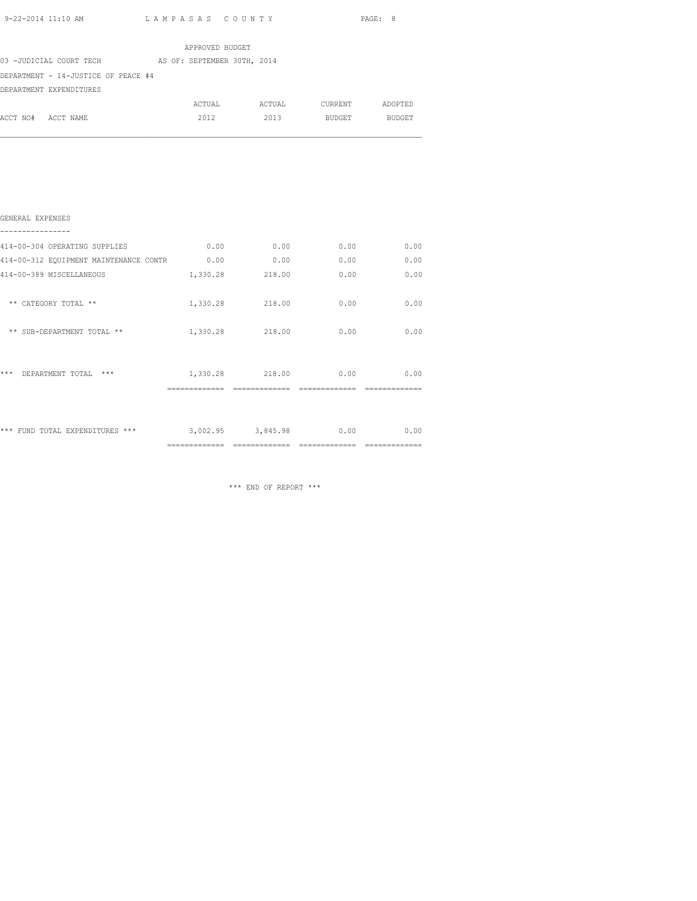|                                     |  | APPROVED BUDGET             |        |         |               |
|-------------------------------------|--|-----------------------------|--------|---------|---------------|
| 03 -JUDICIAL COURT TECH             |  | AS OF: SEPTEMBER 30TH, 2014 |        |         |               |
| DEPARTMENT - 14-JUSTICE OF PEACE #4 |  |                             |        |         |               |
| DEPARTMENT EXPENDITURES             |  |                             |        |         |               |
|                                     |  | ACTUAL                      | ACTUAL | CURRENT | ADOPTED       |
| ACCT NO#<br>ACCT NAME               |  | 2012                        | 2013   | BUDGET  | <b>BUDGET</b> |
|                                     |  |                             |        |         |               |
|                                     |  |                             |        |         |               |
|                                     |  |                             |        |         |               |

|                                        | ============= |                   |      |      |
|----------------------------------------|---------------|-------------------|------|------|
| *** FUND TOTAL EXPENDITURES ***        |               | 3,002.95 3,845.98 | 0.00 | 0.00 |
| ***<br>DEPARTMENT TOTAL<br>$***$       |               | 1,330.28 218.00   | 0.00 | 0.00 |
| ** SUB-DEPARTMENT TOTAL **             |               | 1,330.28 218.00   | 0.00 | 0.00 |
| ** CATEGORY TOTAL **                   | 1,330.28      | 218.00            | 0.00 | 0.00 |
| 414-00-389 MISCELLANEOUS               | 1,330.28      | 218.00            | 0.00 | 0.00 |
| 414-00-312 EQUIPMENT MAINTENANCE CONTR | 0.00          | 0.00              | 0.00 | 0.00 |
| 414-00-304 OPERATING SUPPLIES          | 0.00          | 0.00              | 0.00 | 0.00 |
| GENERAL EXPENSES                       |               |                   |      |      |

\*\*\* END OF REPORT \*\*\*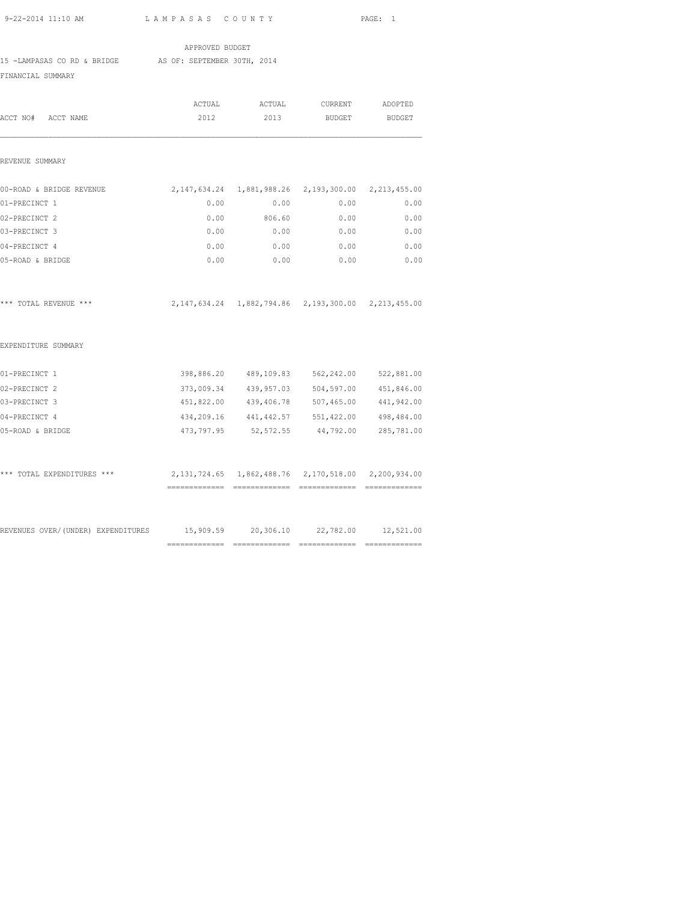| 9-22-2014 11:10 AM | LAMPASAS COUNTY | PAGE: |
|--------------------|-----------------|-------|
|                    |                 |       |

15 -LAMPASAS CO RD & BRIDGE AS OF: SEPTEMBER 30TH, 2014

APPROVED BUDGET

FINANCIAL SUMMARY

|                                                                            | ACTUAL                                                                |             | ACTUAL CURRENT                                                     | ADOPTED    |
|----------------------------------------------------------------------------|-----------------------------------------------------------------------|-------------|--------------------------------------------------------------------|------------|
| ACCT NO# ACCT NAME                                                         | 2012                                                                  | 2013        | BUDGET BUDGET                                                      |            |
| REVENUE SUMMARY                                                            |                                                                       |             |                                                                    |            |
| 00-ROAD & BRIDGE REVENUE                                                   | 2, 147, 634. 24   1, 881, 988. 26   2, 193, 300. 00   2, 213, 455. 00 |             |                                                                    |            |
| 01-PRECINCT 1                                                              | 0.00                                                                  | 0.00        | 0.00                                                               | 0.00       |
| 02-PRECINCT 2                                                              | 0.00                                                                  | 806.60      | 0.00                                                               | 0.00       |
| 03-PRECINCT 3                                                              |                                                                       | $0.00$ 0.00 | 0.00                                                               | 0.00       |
| 04-PRECINCT 4                                                              | 0.00                                                                  | 0.00        | 0.00                                                               | 0.00       |
| 05-ROAD & BRIDGE                                                           | 0.00                                                                  | 0.00        | 0.00                                                               | 0.00       |
| *** TOTAL REVENUE ***                                                      |                                                                       |             | 2, 147, 634. 24  1, 882, 794. 86  2, 193, 300. 00  2, 213, 455. 00 |            |
| EXPENDITURE SUMMARY                                                        |                                                                       |             |                                                                    |            |
| 01-PRECINCT 1                                                              |                                                                       |             | 398,886.20 489,109.83 562,242.00 522,881.00                        |            |
| 02-PRECINCT 2                                                              |                                                                       |             | 373,009.34 439,957.03 504,597.00 451,846.00                        |            |
| 03-PRECINCT 3                                                              |                                                                       |             | 451,822.00 439,406.78 507,465.00 441,942.00                        |            |
| 04-PRECINCT 4                                                              |                                                                       |             | 434, 209.16 441, 442.57 551, 422.00                                | 498,484.00 |
| 05-ROAD & BRIDGE                                                           |                                                                       |             | 473,797.95 52,572.55 44,792.00 285,781.00                          |            |
| *** TOTAL EXPENDITURES ***                                                 | 2, 131, 724.65 1, 862, 488.76 2, 170, 518.00 2, 200, 934.00           |             |                                                                    |            |
|                                                                            |                                                                       |             |                                                                    |            |
| REVENUES OVER/(UNDER) EXPENDITURES 15,909.59 20,306.10 22,782.00 12,521.00 |                                                                       |             |                                                                    |            |
|                                                                            |                                                                       |             |                                                                    |            |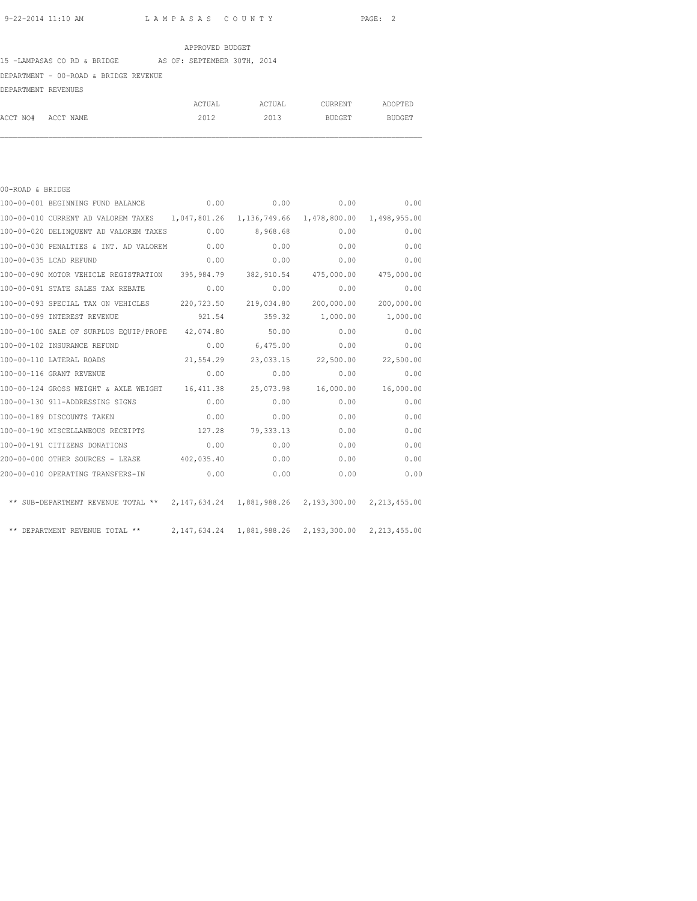### APPROVED BUDGET

### 15 -LAMPASAS CO RD & BRIDGE AS OF: SEPTEMBER 30TH, 2014

## DEPARTMENT - 00-ROAD & BRIDGE REVENUE

| DEPARTMENT REVENUES |  |
|---------------------|--|
|                     |  |

|                    | ACTUAL | ACTUAL | CURRENT | ADOPTED |
|--------------------|--------|--------|---------|---------|
| ACCT NO# ACCT NAME | 2012   | 2013   | BUDGET  | BUDGET  |

| 00-ROAD & BRIDGE |                                                                                         |            |               |                       |              |
|------------------|-----------------------------------------------------------------------------------------|------------|---------------|-----------------------|--------------|
|                  | 100-00-001 BEGINNING FUND BALANCE                                                       |            | 0.00          | 0.00                  | 0.00<br>0.00 |
|                  | 100-00-010 CURRENT AD VALOREM TAXES 1,047,801.26 1,136,749.66 1,478,800.00 1,498,955.00 |            |               |                       |              |
|                  | 100-00-020 DELINQUENT AD VALOREM TAXES 0.00 8,968.68                                    |            |               | 0.00                  | 0.00         |
|                  | 100-00-030 PENALTIES & INT. AD VALOREM 0.00                                             |            | 0.00          | 0.00                  | 0.00         |
|                  | 100-00-035 LCAD REFUND                                                                  | 0.00       | 0.00          | 0.00                  | 0.00         |
|                  | 100-00-090 MOTOR VEHICLE REGISTRATION 395,984.79 382,910.54 475,000.00 475,000.00       |            |               |                       |              |
|                  | 100-00-091 STATE SALES TAX REBATE                                                       | 0.00       | 0.00          | 0.00                  | 0.00         |
|                  | 100-00-093 SPECIAL TAX ON VEHICLES 220,723.50                                           |            |               | 219,034.80 200,000.00 | 200,000.00   |
|                  | 100-00-099 INTEREST REVENUE                                                             |            | 921.54 359.32 | 1,000.00              | 1,000.00     |
|                  | 100-00-100 SALE OF SURPLUS EQUIP/PROPE 42,074.80                                        |            | 50.00         | 0.00                  | 0.00         |
|                  | 100-00-102 INSURANCE REFUND                                                             | 0.00       | 6,475.00      | 0.00                  | 0.00         |
|                  | 100-00-110 LATERAL ROADS                                                                | 21, 554.29 |               | 23,033.15 22,500.00   | 22,500.00    |
|                  | 100-00-116 GRANT REVENUE                                                                | 0.00       | 0.00          | 0.00                  | 0.00         |
|                  | 100-00-124 GROSS WEIGHT & AXLE WEIGHT 16,411.38                                         |            | 25,073.98     | 16,000.00             | 16,000.00    |
|                  | 100-00-130 911-ADDRESSING SIGNS                                                         | 0.00       | 0.00          | 0.00                  | 0.00         |
|                  | 100-00-189 DISCOUNTS TAKEN                                                              | 0.00       | 0.00          | 0.00                  | 0.00         |
|                  | 100-00-190 MISCELLANEOUS RECEIPTS                                                       | 127.28     | 79,333.13     | 0.00                  | 0.00         |
|                  | 100-00-191 CITIZENS DONATIONS                                                           | 0.00       | 0.00          | 0.00                  | 0.00         |
|                  | 200-00-000 OTHER SOURCES - LEASE 402,035.40                                             |            | 0.00          | 0.00                  | 0.00         |
|                  | 200-00-010 OPERATING TRANSFERS-IN 0.00                                                  |            | 0.00          | 0.00                  | 0.00         |
|                  | ** SUB-DEPARTMENT REVENUE TOTAL ** 2,147,634.24 1,881,988.26 2,193,300.00 2,213,455.00  |            |               |                       |              |
|                  | ** DEPARTMENT REVENUE TOTAL ** 2,147,634.24 1,881,988.26 2,193,300.00 2,213,455.00      |            |               |                       |              |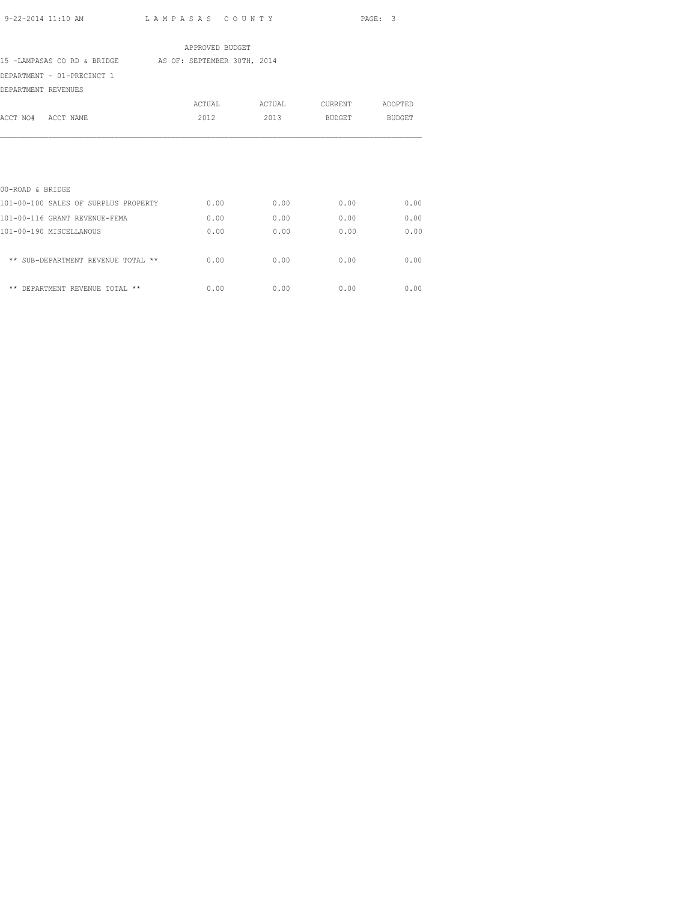|                                      | APPROVED BUDGET             |        |               |               |
|--------------------------------------|-----------------------------|--------|---------------|---------------|
| 15 -LAMPASAS CO RD & BRIDGE          | AS OF: SEPTEMBER 30TH, 2014 |        |               |               |
| DEPARTMENT - 01-PRECINCT 1           |                             |        |               |               |
| DEPARTMENT REVENUES                  |                             |        |               |               |
|                                      | ACTUAL                      | ACTUAL | CURRENT       | ADOPTED       |
| ACCT NO#<br>ACCT NAME                | 2012                        | 2013   | <b>BUDGET</b> | <b>BUDGET</b> |
| 00-ROAD & BRIDGE                     |                             |        |               |               |
| 101-00-100 SALES OF SURPLUS PROPERTY | 0.00                        | 0.00   | 0.00          | 0.00          |
| 101-00-116 GRANT REVENUE-FEMA        | 0.00                        | 0.00   | 0.00          | 0.00          |
| 101-00-190 MISCELLANOUS              | 0.00                        | 0.00   | 0.00          | 0.00          |
| ** SUB-DEPARTMENT REVENUE TOTAL **   | 0.00                        | 0.00   | 0.00          | 0.00          |
| ** DEPARTMENT REVENUE TOTAL **       | 0.00                        | 0.00   | 0.00          | 0.00          |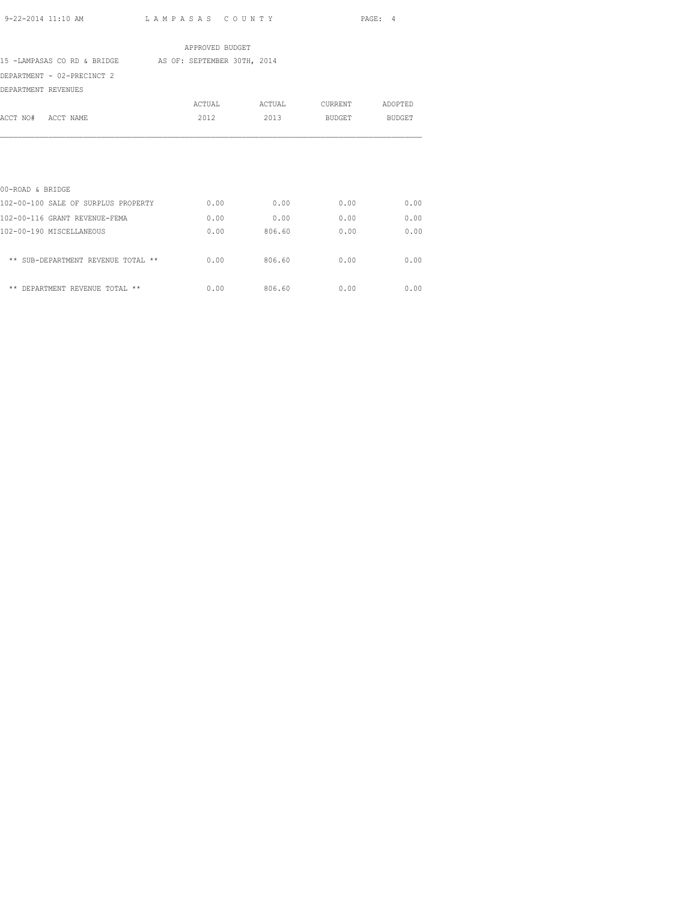|                                                         | APPROVED BUDGET |        |         |         |
|---------------------------------------------------------|-----------------|--------|---------|---------|
| 15 -LAMPASAS CO RD & BRIDGE AS OF: SEPTEMBER 30TH, 2014 |                 |        |         |         |
| DEPARTMENT - 02-PRECINCT 2                              |                 |        |         |         |
| DEPARTMENT REVENUES                                     |                 |        |         |         |
|                                                         | ACTUAL          | ACTUAL | CURRENT | ADOPTED |
| ACCT NO# ACCT NAME                                      | 2012            | 2013   | BUDGET  | BUDGET  |
|                                                         |                 |        |         |         |
| 00-ROAD & BRIDGE                                        |                 |        |         |         |
| 102-00-100 SALE OF SURPLUS PROPERTY                     | 0.00            | 0.00   | 0.00    | 0.00    |
| 102-00-116 GRANT REVENUE-FEMA                           | 0.00            | 0.00   | 0.00    | 0.00    |
| 102-00-190 MISCELLANEOUS                                | 0.00            | 806.60 | 0.00    | 0.00    |
| ** SUB-DEPARTMENT REVENUE TOTAL **                      | 0.00            | 806.60 | 0.00    | 0.00    |
| ** DEPARTMENT REVENUE TOTAL **                          | 0.00            | 806.60 | 0.00    | 0.00    |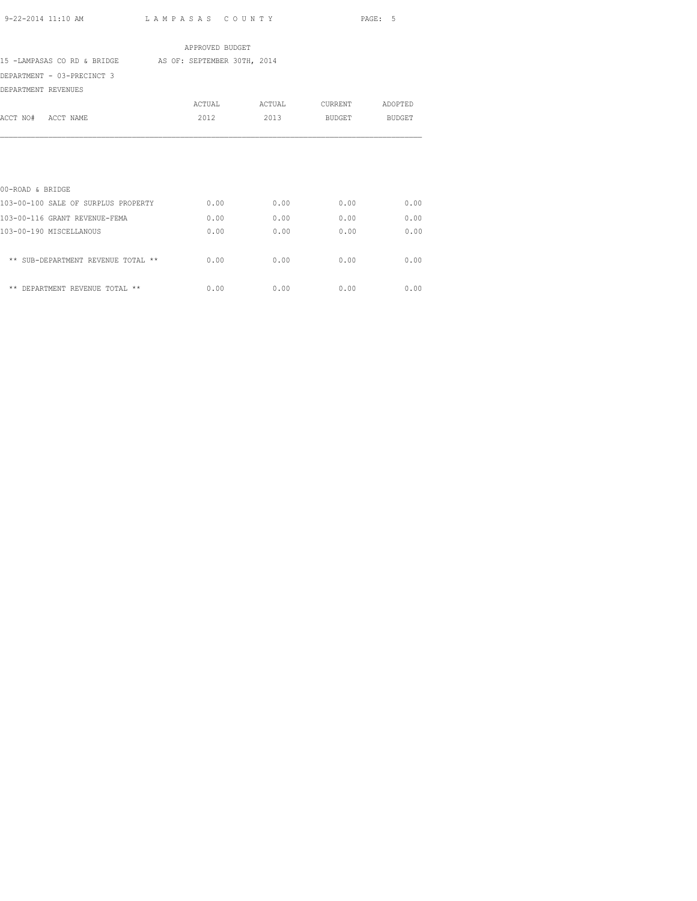|                                                         | APPROVED BUDGET |        |         |         |
|---------------------------------------------------------|-----------------|--------|---------|---------|
| 15 -LAMPASAS CO RD & BRIDGE AS OF: SEPTEMBER 30TH, 2014 |                 |        |         |         |
| DEPARTMENT - 03-PRECINCT 3                              |                 |        |         |         |
| DEPARTMENT REVENUES                                     |                 |        |         |         |
|                                                         | ACTUAL          | ACTUAL | CURRENT | ADOPTED |
| ACCT NO# ACCT NAME                                      | 2012            | 2013   | BUDGET  | BUDGET  |
|                                                         |                 |        |         |         |
|                                                         |                 |        |         |         |
|                                                         |                 |        |         |         |
| 00-ROAD & BRIDGE                                        |                 |        |         |         |
| 103-00-100 SALE OF SURPLUS PROPERTY                     | 0.00            | 0.00   | 0.00    | 0.00    |
| 103-00-116 GRANT REVENUE-FEMA                           | 0.00            | 0.00   | 0.00    | 0.00    |
| 103-00-190 MISCELLANOUS                                 | 0.00            | 0.00   | 0.00    | 0.00    |
| ** SUB-DEPARTMENT REVENUE TOTAL **                      | 0.00            | 0.00   | 0.00    | 0.00    |
| ** DEPARTMENT REVENUE TOTAL **                          | 0.00            | 0.00   | 0.00    | 0.00    |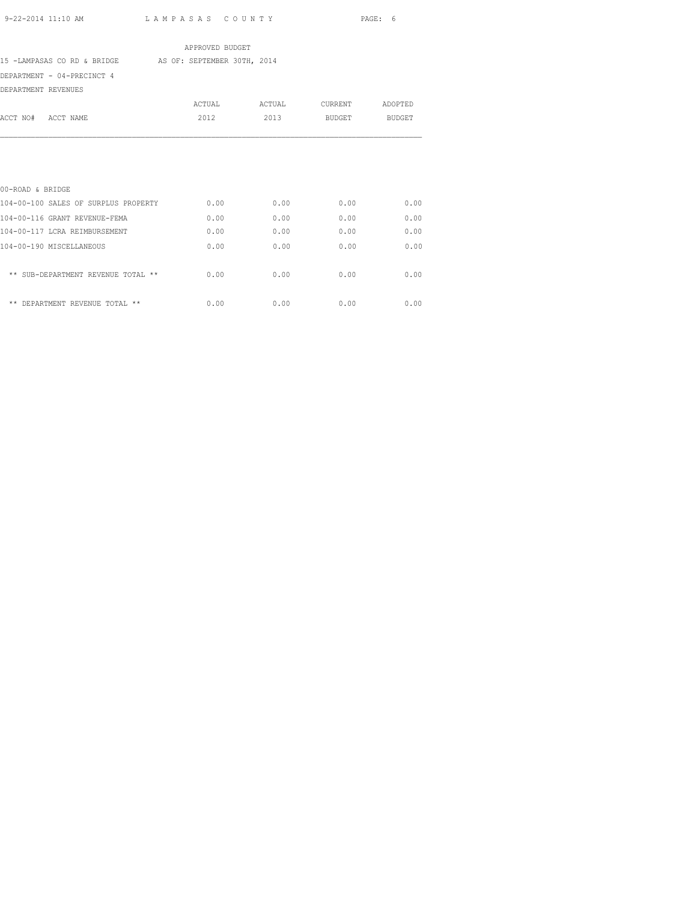|                                                         | APPROVED BUDGET |        |                 |        |
|---------------------------------------------------------|-----------------|--------|-----------------|--------|
| 15 -LAMPASAS CO RD & BRIDGE AS OF: SEPTEMBER 30TH, 2014 |                 |        |                 |        |
| DEPARTMENT - 04-PRECINCT 4                              |                 |        |                 |        |
| DEPARTMENT REVENUES                                     |                 |        |                 |        |
|                                                         | ACTUAL          | ACTUAL | CURRENT ADOPTED |        |
| ACCT NO# ACCT NAME                                      | 2012            | 2013   | BUDGET          | BUDGET |
|                                                         |                 |        |                 |        |
|                                                         |                 |        |                 |        |
|                                                         |                 |        |                 |        |
|                                                         |                 |        |                 |        |
| 00-ROAD & BRIDGE                                        |                 |        |                 |        |
| 104-00-100 SALES OF SURPLUS PROPERTY                    | 0.00            | 0.00   | 0.00            | 0.00   |
| 104-00-116 GRANT REVENUE-FEMA                           | 0.00            | 0.00   | 0.00            | 0.00   |
| 104-00-117 LCRA REIMBURSEMENT                           | 0.00            | 0.00   | 0.00            | 0.00   |
| 104-00-190 MISCELLANEOUS                                | 0.00            | 0.00   | 0.00            | 0.00   |
|                                                         |                 |        |                 |        |
| ** SUB-DEPARTMENT REVENUE TOTAL **                      | 0.00            | 0.00   | 0.00            | 0.00   |
|                                                         |                 |        |                 |        |

\*\* DEPARTMENT REVENUE TOTAL \*\*  $0.00$  0.00 0.00 0.00 0.00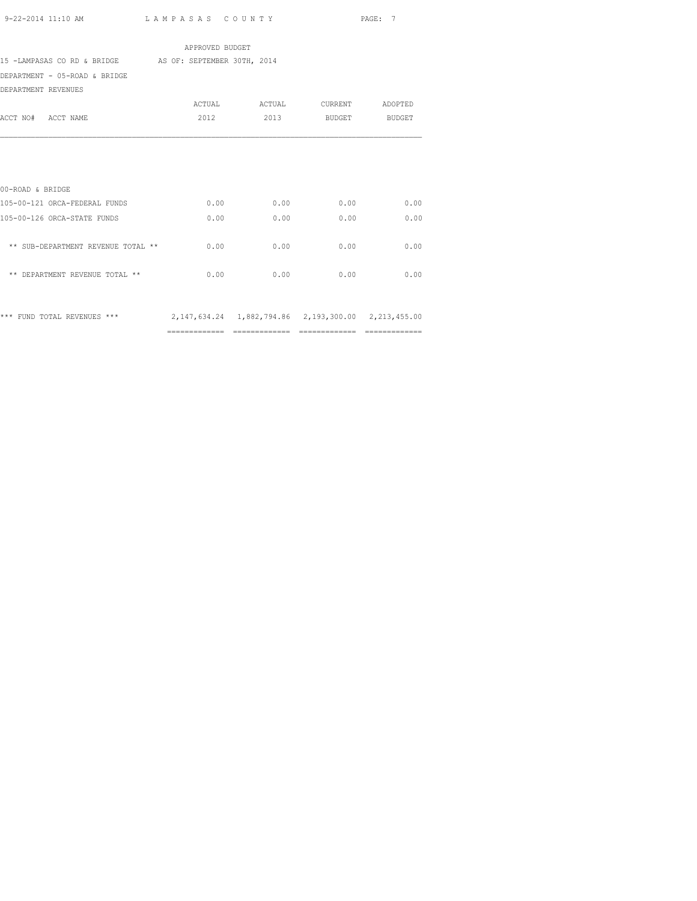|                                                                                 | APPROVED BUDGET |      |                    |      |
|---------------------------------------------------------------------------------|-----------------|------|--------------------|------|
| 15 -LAMPASAS CO RD & BRIDGE AS OF: SEPTEMBER 30TH, 2014                         |                 |      |                    |      |
| DEPARTMENT - 05-ROAD & BRIDGE                                                   |                 |      |                    |      |
| DEPARTMENT REVENUES                                                             |                 |      |                    |      |
|                                                                                 |                 |      |                    |      |
| ACCT NO# ACCT NAME                                                              | 2012            |      | 2013 BUDGET BUDGET |      |
|                                                                                 |                 |      |                    |      |
|                                                                                 |                 |      |                    |      |
|                                                                                 |                 |      |                    |      |
|                                                                                 |                 |      |                    |      |
| 00-ROAD & BRIDGE                                                                |                 |      |                    |      |
| 105-00-121 ORCA-FEDERAL FUNDS                                                   | 0.00            | 0.00 | 0.00               | 0.00 |
| 105-00-126 ORCA-STATE FUNDS                                                     | 0.00            | 0.00 | 0.00               | 0.00 |
|                                                                                 |                 |      |                    |      |
| ** SUB-DEPARTMENT REVENUE TOTAL **                                              | 0.00            | 0.00 | 0.00               | 0.00 |
|                                                                                 |                 |      |                    |      |
| ** DEPARTMENT REVENUE TOTAL **                                                  | 0.00            | 0.00 | 0.00               | 0.00 |
|                                                                                 |                 |      |                    |      |
|                                                                                 |                 |      |                    |      |
| *** FUND TOTAL REVENUES *** 2,147,634.24 1,882,794.86 2,193,300.00 2,213,455.00 |                 |      |                    |      |
|                                                                                 |                 |      |                    |      |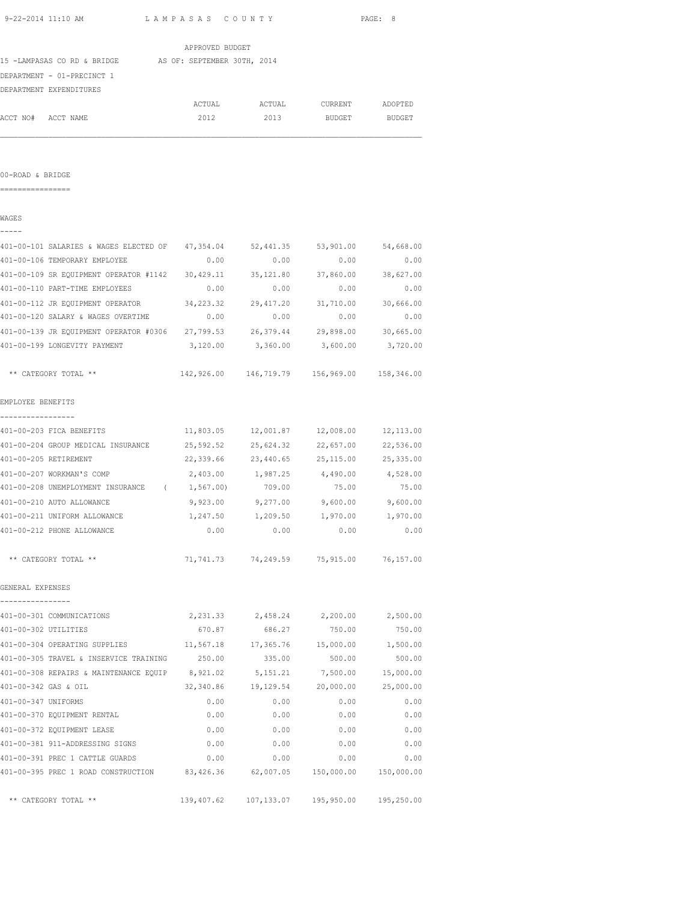| APPROVED BUDGET<br>15 -LAMPASAS CO RD & BRIDGE AS OF: SEPTEMBER 30TH, 2014<br>DEPARTMENT - 01-PRECINCT 1<br>DEPARTMENT EXPENDITURES<br>ACTUAL ACTUAL CURRENT ADOPTED<br>ACCT NO# ACCT NAME<br>2012<br>2013<br><b>BUDGET</b><br>00-ROAD & BRIDGE<br>WAGES |                    |
|----------------------------------------------------------------------------------------------------------------------------------------------------------------------------------------------------------------------------------------------------------|--------------------|
|                                                                                                                                                                                                                                                          |                    |
|                                                                                                                                                                                                                                                          |                    |
|                                                                                                                                                                                                                                                          |                    |
|                                                                                                                                                                                                                                                          |                    |
|                                                                                                                                                                                                                                                          |                    |
|                                                                                                                                                                                                                                                          | BUDGET             |
|                                                                                                                                                                                                                                                          |                    |
|                                                                                                                                                                                                                                                          |                    |
|                                                                                                                                                                                                                                                          |                    |
|                                                                                                                                                                                                                                                          |                    |
| 401-00-101 SALARIES & WAGES ELECTED OF 47,354.04<br>52,441.35 53,901.00 54,668.00                                                                                                                                                                        |                    |
| 0.00<br>401-00-106 TEMPORARY EMPLOYEE<br>0.00<br>0.00                                                                                                                                                                                                    | 0.00               |
| 401-00-109 SR EQUIPMENT OPERATOR #1142 30,429.11<br>35,121.80 37,860.00 38,627.00                                                                                                                                                                        |                    |
| 401-00-110 PART-TIME EMPLOYEES<br>0.00<br>0.00<br>0.00                                                                                                                                                                                                   | 0.00               |
| 401-00-112 JR EQUIPMENT OPERATOR 34, 223.32 29, 417.20 31, 710.00 30, 666.00                                                                                                                                                                             |                    |
| 401-00-120 SALARY & WAGES OVERTIME 0.00<br>0.00<br>0.00                                                                                                                                                                                                  | 0.00               |
| 401-00-139 JR EQUIPMENT OPERATOR #0306 27,799.53 26,379.44 29,898.00 30,665.00                                                                                                                                                                           |                    |
| 401-00-199 LONGEVITY PAYMENT<br>3,120.00 3,360.00 3,600.00 3,720.00                                                                                                                                                                                      |                    |
| 142,926.00 146,719.79 156,969.00 158,346.00<br>** CATEGORY TOTAL **                                                                                                                                                                                      |                    |
| EMPLOYEE BENEFITS                                                                                                                                                                                                                                        |                    |
| 11,803.05<br>12,001.87  12,008.00  12,113.00<br>401-00-203 FICA BENEFITS                                                                                                                                                                                 |                    |
| 25,592.52<br>401-00-204 GROUP MEDICAL INSURANCE<br>25,624.32<br>22,657.00                                                                                                                                                                                | 22,536.00          |
| 401-00-205 RETIREMENT<br>22,339.66<br>23,440.65<br>25,115.00                                                                                                                                                                                             | 25,335.00          |
| 2,403.00 1,987.25 4,490.00 4,528.00<br>401-00-207 WORKMAN'S COMP                                                                                                                                                                                         |                    |
| 709.00<br>401-00-208 UNEMPLOYMENT INSURANCE (1,567.00)<br>75.00                                                                                                                                                                                          | 75.00              |
| 401-00-210 AUTO ALLOWANCE<br>9,923.00 9,277.00 9,600.00 9,600.00                                                                                                                                                                                         |                    |
| 401-00-211 UNIFORM ALLOWANCE<br>1,247.50<br>1,209.50<br>1,970.00                                                                                                                                                                                         | 1,970.00           |
| 401-00-212 PHONE ALLOWANCE<br>0.00<br>0.00<br>0.00                                                                                                                                                                                                       | 0.00               |
| ** CATEGORY TOTAL **<br>71,741.73<br>74,249.59 75,915.00                                                                                                                                                                                                 | 76,157.00          |
| GENERAL EXPENSES                                                                                                                                                                                                                                         |                    |
|                                                                                                                                                                                                                                                          |                    |
| 401-00-301 COMMUNICATIONS<br>2,231.33<br>2,458.24<br>2,200.00                                                                                                                                                                                            | 2,500.00           |
| 401-00-302 UTILITIES<br>670.87<br>686.27<br>750.00                                                                                                                                                                                                       | 750.00             |
| 401-00-304 OPERATING SUPPLIES<br>11,567.18<br>15,000.00<br>17,365.76                                                                                                                                                                                     | 1,500.00           |
| 401-00-305 TRAVEL & INSERVICE TRAINING<br>250.00<br>500.00<br>335.00                                                                                                                                                                                     | 500.00             |
| 401-00-308 REPAIRS & MAINTENANCE EQUIP 8,921.02<br>5, 151. 21<br>7,500.00                                                                                                                                                                                | 15,000.00          |
| 401-00-342 GAS & OIL<br>32,340.86<br>19,129.54<br>20,000.00                                                                                                                                                                                              | 25,000.00          |
| 401-00-347 UNIFORMS<br>0.00<br>0.00<br>0.00                                                                                                                                                                                                              | 0.00               |
| 401-00-370 EQUIPMENT RENTAL<br>0.00<br>0.00<br>0.00                                                                                                                                                                                                      | 0.00               |
| 401-00-372 EQUIPMENT LEASE<br>0.00<br>0.00<br>0.00                                                                                                                                                                                                       | 0.00               |
| 401-00-381 911-ADDRESSING SIGNS<br>0.00<br>0.00<br>0.00                                                                                                                                                                                                  | 0.00               |
| 401-00-391 PREC 1 CATTLE GUARDS<br>0.00<br>0.00<br>0.00<br>401-00-395 PREC 1 ROAD CONSTRUCTION 83,426.36<br>62,007.05 150,000.00                                                                                                                         | 0.00<br>150,000.00 |

\*\* CATEGORY TOTAL \*\* 139,407.62 107,133.07 195,950.00 195,250.00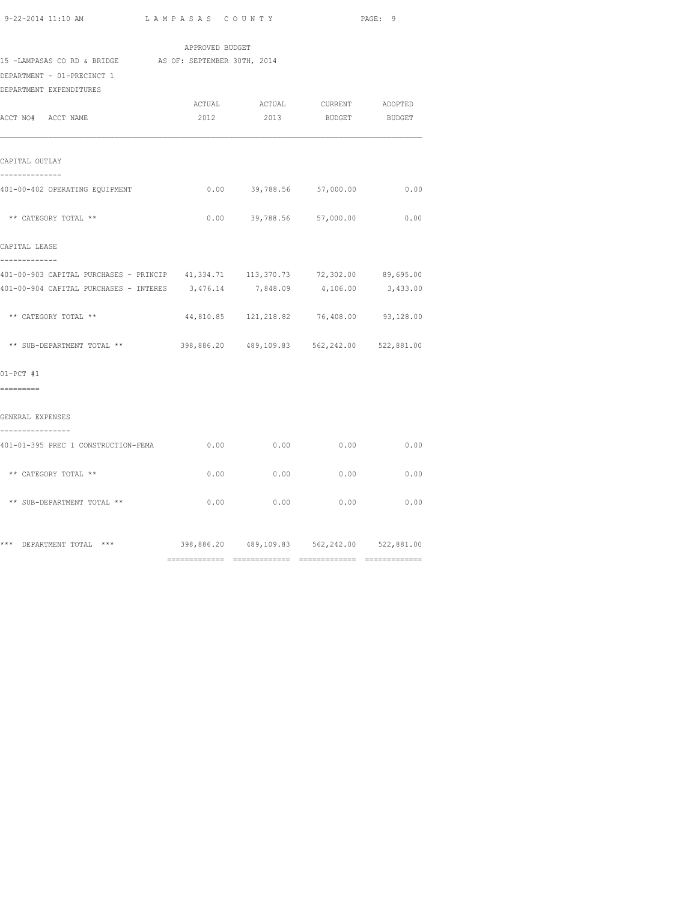| 9-22-2014 11:10 AM | LAMPASAS COUNTY | PAGE: 9 |  |
|--------------------|-----------------|---------|--|
|                    |                 |         |  |

|                                                                                                                  | APPROVED BUDGET |      |                                                |      |
|------------------------------------------------------------------------------------------------------------------|-----------------|------|------------------------------------------------|------|
| 15 -LAMPASAS CO RD & BRIDGE AS OF: SEPTEMBER 30TH, 2014<br>DEPARTMENT - 01-PRECINCT 1<br>DEPARTMENT EXPENDITURES |                 |      |                                                |      |
|                                                                                                                  |                 |      | ACTUAL ACTUAL CURRENT ADOPTED                  |      |
| ACCT NO# ACCT NAME                                                                                               | 2012            |      | 2013 BUDGET BUDGET                             |      |
| CAPITAL OUTLAY                                                                                                   |                 |      |                                                |      |
| --------------<br>401-00-402 OPERATING EQUIPMENT                                                                 |                 |      | $0.00$ 39,788.56 57,000.00                     | 0.00 |
| ** CATEGORY TOTAL **                                                                                             |                 |      | $0.00$ 39,788.56 57,000.00                     | 0.00 |
| CAPITAL LEASE<br>-------------                                                                                   |                 |      |                                                |      |
| 401-00-903 CAPITAL PURCHASES - PRINCIP 41,334.71 113,370.73 72,302.00 89,695.00                                  |                 |      |                                                |      |
| 401-00-904 CAPITAL PURCHASES - INTERES 3,476.14 7,848.09 4,106.00 3,433.00                                       |                 |      |                                                |      |
| ** CATEGORY TOTAL **                                                                                             |                 |      | 44,810.85 121,218.82 76,408.00 93,128.00       |      |
| ** SUB-DEPARTMENT TOTAL **                                                                                       |                 |      | 398,886.20 489,109.83 562,242.00 522,881.00    |      |
| $01-PCT$ #1                                                                                                      |                 |      |                                                |      |
| =========                                                                                                        |                 |      |                                                |      |
| GENERAL EXPENSES                                                                                                 |                 |      |                                                |      |
| 401-01-395 PREC 1 CONSTRUCTION-FEMA                                                                              | 0.00            | 0.00 | 0.00                                           | 0.00 |
| ** CATEGORY TOTAL **                                                                                             | 0.00            | 0.00 | 0.00                                           | 0.00 |
| ** SUB-DEPARTMENT TOTAL **                                                                                       | 0.00            | 0.00 | 0.00                                           | 0.00 |
| *** DEPARTMENT TOTAL ***                                                                                         |                 |      | 398,886.20  489,109.83  562,242.00  522,881.00 |      |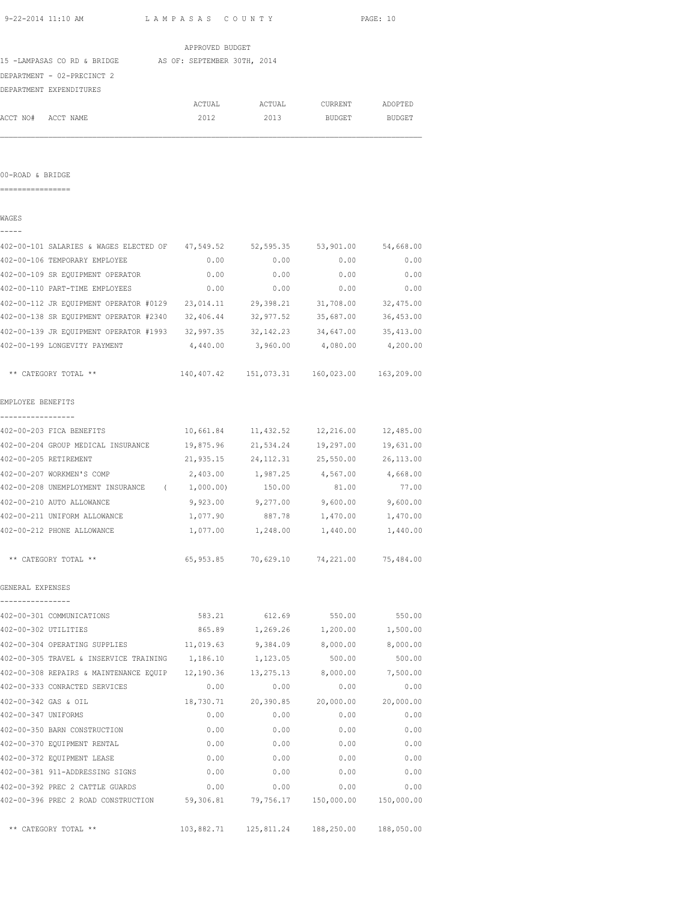| 9-22-2014 11:10 AM              |                                                                                | LAMPASAS COUNTY |                     |                                        | PAGE: 10      |
|---------------------------------|--------------------------------------------------------------------------------|-----------------|---------------------|----------------------------------------|---------------|
|                                 |                                                                                | APPROVED BUDGET |                     |                                        |               |
|                                 | 15 -LAMPASAS CO RD & BRIDGE AS OF: SEPTEMBER 30TH, 2014                        |                 |                     |                                        |               |
| DEPARTMENT - 02-PRECINCT 2      |                                                                                |                 |                     |                                        |               |
| DEPARTMENT EXPENDITURES         |                                                                                |                 |                     |                                        |               |
|                                 |                                                                                |                 |                     | ACTUAL ACTUAL CURRENT                  | ADOPTED       |
| ACCT NO#<br>ACCT NAME           |                                                                                | 2012            | 2013                | BUDGET                                 | <b>BUDGET</b> |
|                                 |                                                                                |                 |                     |                                        |               |
| 00-ROAD & BRIDGE                |                                                                                |                 |                     |                                        |               |
|                                 |                                                                                |                 |                     |                                        |               |
| WAGES                           |                                                                                |                 |                     |                                        |               |
|                                 | 402-00-101 SALARIES & WAGES ELECTED OF 47,549.52 52,595.35 53,901.00 54,668.00 |                 |                     |                                        |               |
| 402-00-106 TEMPORARY EMPLOYEE   |                                                                                | 0.00            | 0.00                | 0.00                                   | 0.00          |
|                                 | 402-00-109 SR EQUIPMENT OPERATOR                                               | 0.00            | 0.00                | 0.00                                   | 0.00          |
| 402-00-110 PART-TIME EMPLOYEES  |                                                                                | 0.00            | 0.00                | 0.00                                   | 0.00          |
|                                 | 402-00-112 JR EQUIPMENT OPERATOR #0129 23,014.11                               |                 | 29,398.21           | 31,708.00                              | 32,475.00     |
|                                 | 402-00-138 SR EQUIPMENT OPERATOR #2340 32,406.44                               |                 | 32,977.52           | 35,687.00                              | 36,453.00     |
|                                 | 402-00-139 JR EQUIPMENT OPERATOR #1993 32,997.35                               |                 | 32, 142. 23         | 34,647.00                              | 35, 413.00    |
| 402-00-199 LONGEVITY PAYMENT    |                                                                                | 4,440.00        | 3,960.00            | 4,080.00                               | 4,200.00      |
| ** CATEGORY TOTAL **            |                                                                                |                 |                     | 140,407.42    151,073.31    160,023.00 | 163,209.00    |
| EMPLOYEE BENEFITS               |                                                                                |                 |                     |                                        |               |
| 402-00-203 FICA BENEFITS        |                                                                                |                 |                     | 10,661.84    11,432.52    12,216.00    | 12,485.00     |
|                                 | 402-00-204 GROUP MEDICAL INSURANCE 19,875.96                                   |                 | 21,534.24           | 19,297.00                              | 19,631.00     |
| 402-00-205 RETIREMENT           |                                                                                |                 |                     | 21,935.15 24,112.31 25,550.00          | 26,113.00     |
| 402-00-207 WORKMEN'S COMP       |                                                                                |                 | 2,403.00 1,987.25   | 4,567.00                               | 4,668.00      |
|                                 | 402-00-208 UNEMPLOYMENT INSURANCE (1,000.00)                                   |                 | 150.00              | 81.00                                  | 77.00         |
| 402-00-210 AUTO ALLOWANCE       |                                                                                | 9,923.00        | 9,277.00            | 9,600.00                               | 9,600.00      |
| 402-00-211 UNIFORM ALLOWANCE    |                                                                                | 1,077.90        | 887.78              | 1,470.00                               | 1,470.00      |
| 402-00-212 PHONE ALLOWANCE      |                                                                                | 1,077.00        | 1,248.00            | 1,440.00                               | 1,440.00      |
| ** CATEGORY TOTAL **            |                                                                                |                 | 65,953.85 70,629.10 | 74,221.00                              | 75,484.00     |
| GENERAL EXPENSES                |                                                                                |                 |                     |                                        |               |
| 402-00-301 COMMUNICATIONS       |                                                                                | 583.21          | 612.69              | 550.00                                 | 550.00        |
| 402-00-302 UTILITIES            |                                                                                | 865.89          | 1,269.26            | 1,200.00                               | 1,500.00      |
| 402-00-304 OPERATING SUPPLIES   |                                                                                | 11,019.63       | 9,384.09            | 8,000.00                               | 8,000.00      |
|                                 | 402-00-305 TRAVEL & INSERVICE TRAINING                                         | 1,186.10        | 1,123.05            | 500.00                                 | 500.00        |
|                                 | 402-00-308 REPAIRS & MAINTENANCE EQUIP 12,190.36                               |                 | 13, 275. 13         | 8,000.00                               | 7,500.00      |
| 402-00-333 CONRACTED SERVICES   |                                                                                | 0.00            | 0.00                | 0.00                                   | 0.00          |
| 402-00-342 GAS & OIL            |                                                                                | 18,730.71       | 20,390.85           | 20,000.00                              | 20,000.00     |
| 402-00-347 UNIFORMS             |                                                                                | 0.00            | 0.00                | 0.00                                   | 0.00          |
| 402-00-350 BARN CONSTRUCTION    |                                                                                | 0.00            | 0.00                | 0.00                                   | 0.00          |
| 402-00-370 EQUIPMENT RENTAL     |                                                                                | 0.00            | 0.00                | 0.00                                   | 0.00          |
| 402-00-372 EQUIPMENT LEASE      |                                                                                | 0.00            | 0.00                | 0.00                                   | 0.00          |
| 402-00-381 911-ADDRESSING SIGNS |                                                                                | 0.00            | 0.00                | 0.00                                   | 0.00          |
| 402-00-392 PREC 2 CATTLE GUARDS |                                                                                | 0.00            | 0.00                | 0.00                                   | 0.00          |

402-00-396 PREC 2 ROAD CONSTRUCTION 59,306.81 79,756.17 150,000.00 150,000.00

\*\* CATEGORY TOTAL \*\* 103,882.71 125,811.24 188,250.00 188,050.00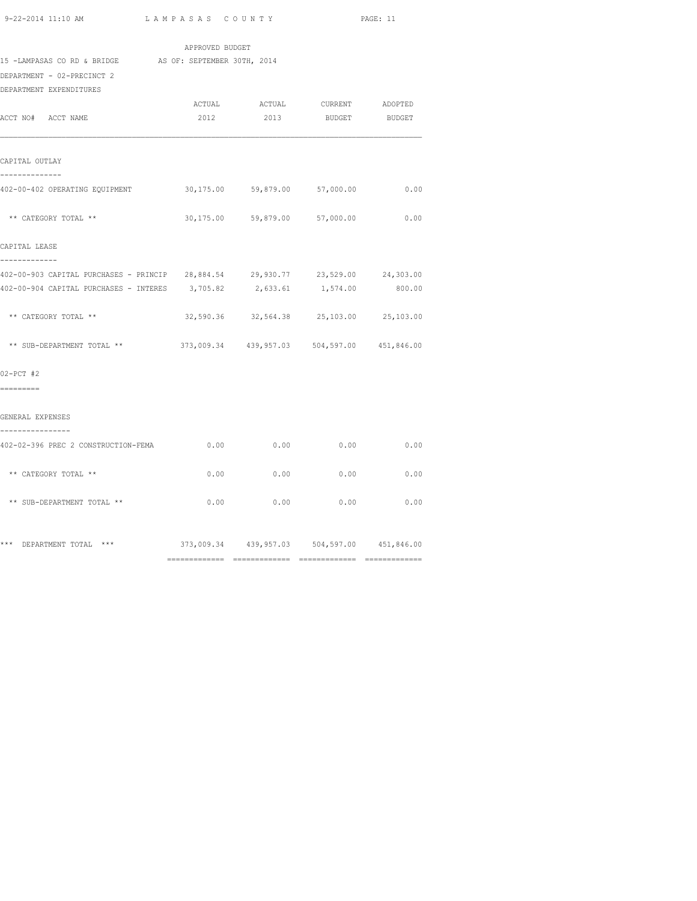| $9-22-2014$ 11.10 AM |  |  |  |
|----------------------|--|--|--|

|                                                                                 | APPROVED BUDGET |                                             |               |        |
|---------------------------------------------------------------------------------|-----------------|---------------------------------------------|---------------|--------|
| 15 -LAMPASAS CO RD & BRIDGE AS OF: SEPTEMBER 30TH, 2014                         |                 |                                             |               |        |
| DEPARTMENT - 02-PRECINCT 2                                                      |                 |                                             |               |        |
| DEPARTMENT EXPENDITURES                                                         |                 |                                             |               |        |
|                                                                                 | ACTUAL          | ACTUAL CURRENT ADOPTED                      |               |        |
| ACCT NO# ACCT NAME                                                              | 2012            | 2013                                        | BUDGET BUDGET |        |
| CAPITAL OUTLAY                                                                  |                 |                                             |               |        |
| --------------<br>402-00-402 OPERATING EQUIPMENT 600,175.00 59,879.00 57,000.00 |                 |                                             |               | 0.00   |
| ** CATEGORY TOTAL **                                                            |                 | 30,175.00 59,879.00 57,000.00               |               | 0.00   |
| CAPITAL LEASE<br>-------------                                                  |                 |                                             |               |        |
| 402-00-903 CAPITAL PURCHASES - PRINCIP 28,884.54 29,930.77 23,529.00 24,303.00  |                 |                                             |               |        |
| 402-00-904 CAPITAL PURCHASES - INTERES                                          | 3,705.82        | 2,633.61                                    | 1,574.00      | 800.00 |
| ** CATEGORY TOTAL **                                                            |                 | 32,590.36 32,564.38 25,103.00 25,103.00     |               |        |
| ** SUB-DEPARTMENT TOTAL **                                                      |                 | 373,009.34 439,957.03 504,597.00 451,846.00 |               |        |
| $02-PCT$ #2                                                                     |                 |                                             |               |        |
| =========                                                                       |                 |                                             |               |        |
| GENERAL EXPENSES<br>----------------                                            |                 |                                             |               |        |
| 402-02-396 PREC 2 CONSTRUCTION-FEMA                                             | 0.00            | 0.00                                        | 0.00          | 0.00   |
| ** CATEGORY TOTAL **                                                            | 0.00            | 0.00                                        | 0.00          | 0.00   |
| ** SUB-DEPARTMENT TOTAL **                                                      |                 | $0.00$ 0.00                                 | 0.00          | 0.00   |
| *** DEPARTMENT TOTAL ***                                                        |                 | 373,009.34 439,957.03 504,597.00 451,846.00 |               |        |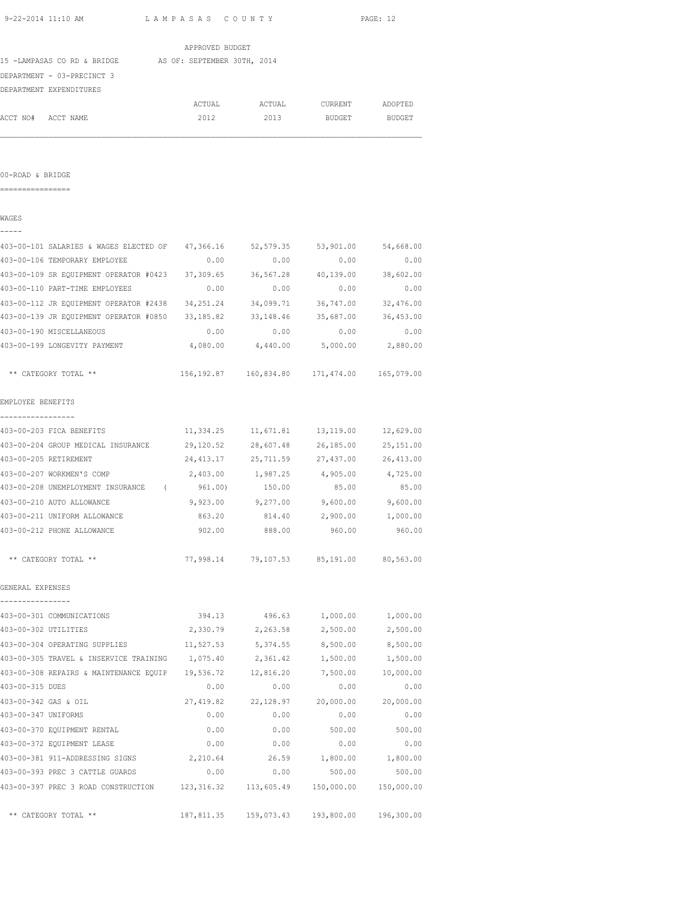|                                       | 9-22-2014 11:10 AM                                                                                               | LAMPASAS COUNTY                                 |                    |                                                | PAGE: 12             |
|---------------------------------------|------------------------------------------------------------------------------------------------------------------|-------------------------------------------------|--------------------|------------------------------------------------|----------------------|
|                                       |                                                                                                                  | APPROVED BUDGET                                 |                    |                                                |                      |
|                                       | 15 -LAMPASAS CO RD & BRIDGE AS OF: SEPTEMBER 30TH, 2014<br>DEPARTMENT - 03-PRECINCT 3<br>DEPARTMENT EXPENDITURES |                                                 |                    |                                                |                      |
|                                       |                                                                                                                  | ACTUAL                                          | ACTUAL<br>2013     | CURRENT ADOPTED                                |                      |
|                                       | ACCT NO# ACCT NAME                                                                                               | 2012                                            |                    | <b>BUDGET</b>                                  | BUDGET               |
|                                       |                                                                                                                  |                                                 |                    |                                                |                      |
| 00-ROAD & BRIDGE<br>================= |                                                                                                                  |                                                 |                    |                                                |                      |
| WAGES<br>-----                        |                                                                                                                  |                                                 |                    |                                                |                      |
|                                       | 403-00-101 SALARIES & WAGES ELECTED OF 47,366.16 52,579.35 53,901.00 54,668.00                                   |                                                 |                    |                                                |                      |
|                                       | 403-00-106 TEMPORARY EMPLOYEE                                                                                    | 0.00                                            | 0.00               | 0.00                                           | 0.00                 |
|                                       | 403-00-109 SR EQUIPMENT OPERATOR #0423 37,309.65 36,567.28 40,139.00 38,602.00                                   |                                                 |                    |                                                |                      |
|                                       | 403-00-110 PART-TIME EMPLOYEES                                                                                   | 0.00                                            | 0.00               | 0.00                                           | 0.00                 |
|                                       | 403-00-112 JR EQUIPMENT OPERATOR #2438 34,251.24                                                                 |                                                 | 34,099.71          | 36,747.00                                      | 32,476.00            |
|                                       | 403-00-139 JR EQUIPMENT OPERATOR #0850 33,185.82                                                                 |                                                 | 33,148.46          | 35,687.00                                      | 36,453.00            |
|                                       | 403-00-190 MISCELLANEOUS                                                                                         | 0.00                                            | 0.00               | 0.00                                           | 0.00                 |
|                                       | 403-00-199 LONGEVITY PAYMENT                                                                                     |                                                 |                    | 4,080.00 4,440.00 5,000.00 2,880.00            |                      |
|                                       | ** CATEGORY TOTAL **                                                                                             |                                                 |                    | 156,192.87  160,834.80  171,474.00  165,079.00 |                      |
| EMPLOYEE BENEFITS                     |                                                                                                                  |                                                 |                    |                                                |                      |
| -----------------                     | 403-00-203 FICA BENEFITS                                                                                         | $11,334.25$ $11,671.81$ $13,119.00$ $12,629.00$ |                    |                                                |                      |
|                                       | 403-00-204 GROUP MEDICAL INSURANCE                                                                               |                                                 |                    | 29,120.52 28,607.48 26,185.00                  | 25,151.00            |
|                                       | 403-00-205 RETIREMENT                                                                                            | 24,413.17                                       | 25,711.59          | 27,437.00                                      | 26,413.00            |
|                                       | 403-00-207 WORKMEN'S COMP                                                                                        | 2,403.00                                        | 1,987.25           | 4,905.00                                       | 4,725.00             |
|                                       | 403-00-208 UNEMPLOYMENT INSURANCE (                                                                              | 961.00)                                         | 150.00             | 85.00                                          | 85.00                |
|                                       | 403-00-210 AUTO ALLOWANCE                                                                                        |                                                 |                    | 9,923.00 9,277.00 9,600.00 9,600.00            |                      |
|                                       | 403-00-211 UNIFORM ALLOWANCE                                                                                     | 863.20                                          |                    | 814.40 2,900.00                                | 1,000.00             |
|                                       | 403-00-212 PHONE ALLOWANCE                                                                                       | 902.00                                          | 888.00             | 960.00                                         | 960.00               |
|                                       | ** CATEGORY TOTAL **                                                                                             |                                                 |                    | 77,998.14 79,107.53 85,191.00 80,563.00        |                      |
| GENERAL EXPENSES                      |                                                                                                                  |                                                 |                    |                                                |                      |
| ----------------                      | 403-00-301 COMMUNICATIONS                                                                                        |                                                 |                    |                                                |                      |
|                                       | 403-00-302 UTILITIES                                                                                             | 394.13<br>2,330.79                              | 496.63<br>2,263.58 | 1,000.00<br>2,500.00                           | 1,000.00<br>2,500.00 |
|                                       | 403-00-304 OPERATING SUPPLIES                                                                                    | 11,527.53                                       | 5,374.55           | 8,500.00                                       | 8,500.00             |
|                                       | 403-00-305 TRAVEL & INSERVICE TRAINING                                                                           | 1,075.40                                        | 2,361.42           | 1,500.00                                       | 1,500.00             |
|                                       |                                                                                                                  |                                                 |                    | 7,500.00                                       | 10,000.00            |
| 403-00-315 DUES                       | 403-00-308 REPAIRS & MAINTENANCE EQUIP 19,536.72 12,816.20                                                       | 0.00                                            | 0.00               | 0.00                                           | 0.00                 |
| 403-00-342 GAS & OIL                  |                                                                                                                  | 27,419.82                                       | 22,128.97          | 20,000.00                                      | 20,000.00            |
| 403-00-347 UNIFORMS                   |                                                                                                                  | 0.00                                            | 0.00               | 0.00                                           | 0.00                 |
|                                       | 403-00-370 EQUIPMENT RENTAL                                                                                      |                                                 |                    |                                                |                      |
|                                       | 403-00-372 EQUIPMENT LEASE                                                                                       | 0.00                                            | 0.00               | 500.00                                         | 500.00               |
|                                       |                                                                                                                  | 0.00                                            | 0.00               | 0.00                                           | 0.00                 |
|                                       | 403-00-381 911-ADDRESSING SIGNS 2,210.64                                                                         |                                                 |                    | 26.59 1,800.00 1,800.00                        |                      |
|                                       | 403-00-393 PREC 3 CATTLE GUARDS                                                                                  | 0.00                                            | 0.00               | 500.00                                         | 500.00               |
|                                       | 403-00-397 PREC 3 ROAD CONSTRUCTION                                                                              | 123, 316.32                                     | 113,605.49         | 150,000.00                                     | 150,000.00           |

\*\* CATEGORY TOTAL \*\* 187,811.35 159,073.43 193,800.00 196,300.00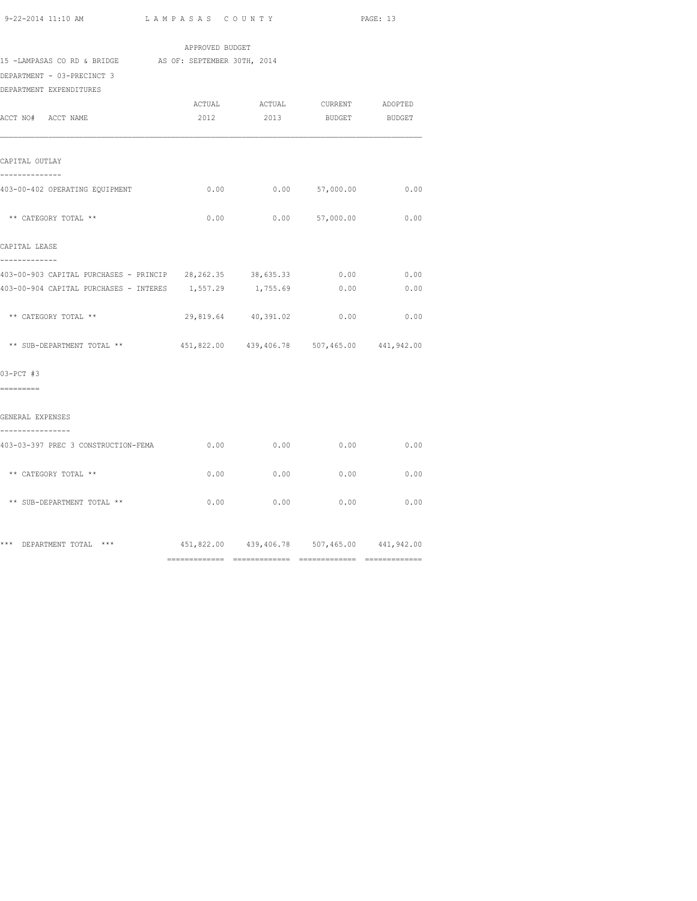|                                                                                                                  | APPROVED BUDGET |                                             |                  |              |
|------------------------------------------------------------------------------------------------------------------|-----------------|---------------------------------------------|------------------|--------------|
| 15 -LAMPASAS CO RD & BRIDGE AS OF: SEPTEMBER 30TH, 2014<br>DEPARTMENT - 03-PRECINCT 3<br>DEPARTMENT EXPENDITURES |                 |                                             |                  |              |
| ACCT NO# ACCT NAME                                                                                               | 2012            | ACTUAL ACTUAL CURRENT ADOPTED<br>2013       | BUDGET BUDGET    |              |
| CAPITAL OUTLAY                                                                                                   |                 |                                             |                  |              |
| --------------<br>403-00-402 OPERATING EQUIPMENT                                                                 | 0.00            |                                             | $0.00$ 57,000.00 | 0.00         |
| ** CATEGORY TOTAL **                                                                                             | 0.00            |                                             | $0.00$ 57,000.00 | 0.00         |
| CAPITAL LEASE<br>-------------                                                                                   |                 |                                             |                  |              |
| 403-00-903 CAPITAL PURCHASES - PRINCIP 28,262.35 38,635.33<br>403-00-904 CAPITAL PURCHASES - INTERES             | 1,557.29        | 1,755.69                                    | 0.00<br>0.00     | 0.00<br>0.00 |
| ** CATEGORY TOTAL **                                                                                             |                 | 29,819.64 40,391.02                         | 0.00             | 0.00         |
| ** SUB-DEPARTMENT TOTAL **                                                                                       |                 | 451,822.00 439,406.78 507,465.00 441,942.00 |                  |              |
| $03-PCT$ #3<br>=========                                                                                         |                 |                                             |                  |              |
| GENERAL EXPENSES<br>---------------                                                                              |                 |                                             |                  |              |
| 403-03-397 PREC 3 CONSTRUCTION-FEMA                                                                              | 0.00            | $0.00$ 0.00 0.00                            |                  |              |
| ** CATEGORY TOTAL **                                                                                             | 0.00            | 0.00                                        | 0.00             | 0.00         |
| ** SUB-DEPARTMENT TOTAL **                                                                                       | 0.00            | 0.00                                        | 0.00             | 0.00         |
| *** DEPARTMENT TOTAL ***                                                                                         |                 | 451,822.00 439,406.78 507,465.00 441,942.00 |                  |              |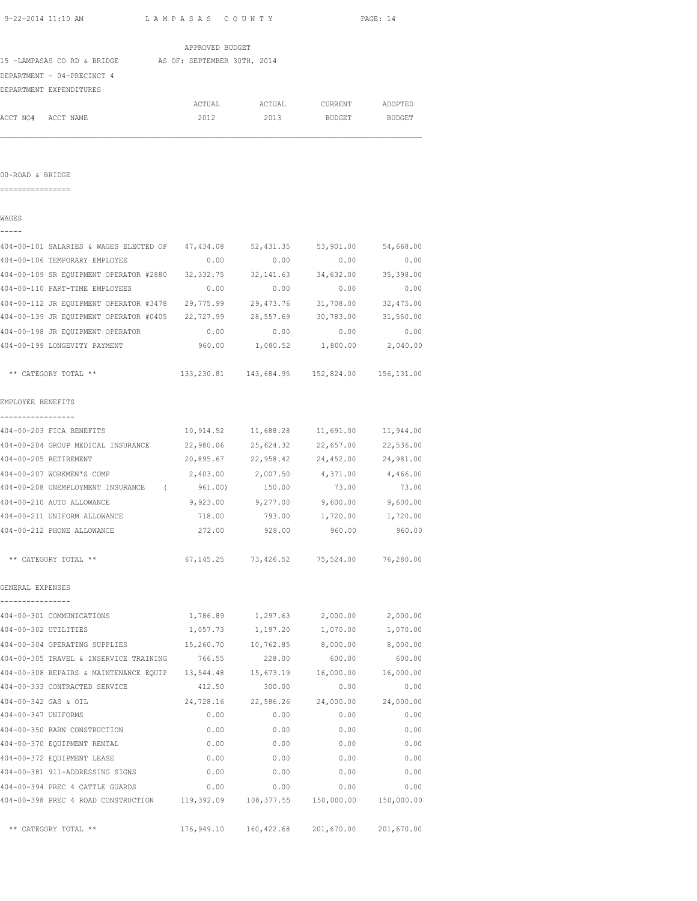| 9-22-2014 11:10 AM                                                   | LAMPASAS COUNTY |                     |                                                    | PAGE: 14          |
|----------------------------------------------------------------------|-----------------|---------------------|----------------------------------------------------|-------------------|
|                                                                      | APPROVED BUDGET |                     |                                                    |                   |
| 15 -LAMPASAS CO RD & BRIDGE AS OF: SEPTEMBER 30TH, 2014              |                 |                     |                                                    |                   |
| DEPARTMENT - 04-PRECINCT 4                                           |                 |                     |                                                    |                   |
| DEPARTMENT EXPENDITURES                                              |                 |                     |                                                    |                   |
|                                                                      | ACTUAL          | ACTUAL              | CURRENT                                            | ADOPTED           |
| ACCT NO# ACCT NAME                                                   | 2012            | 2013                | BUDGET                                             | <b>BUDGET</b>     |
| 00-ROAD & BRIDGE                                                     |                 |                     |                                                    |                   |
| ================                                                     |                 |                     |                                                    |                   |
| WAGES                                                                |                 |                     |                                                    |                   |
| 404-00-101 SALARIES & WAGES ELECTED OF 47,434.08                     |                 | 52,431.35           | 53,901.00                                          | 54,668.00         |
| 404-00-106 TEMPORARY EMPLOYEE                                        | 0.00            | 0.00                | 0.00                                               | 0.00              |
| 404-00-109 SR EQUIPMENT OPERATOR #2880 32,332.75                     |                 | 32, 141.63          | 34,632.00                                          | 35,398.00         |
| 404-00-110 PART-TIME EMPLOYEES                                       | 0.00            | 0.00                | 0.00                                               | 0.00              |
| 404-00-112 JR EQUIPMENT OPERATOR #3478 29,775.99                     |                 | 29,473.76           | 31,708.00                                          | 32,475.00         |
| 404-00-139 JR EQUIPMENT OPERATOR #0405 22,727.99 28,557.69 30,783.00 |                 |                     |                                                    | 31,550.00         |
| 404-00-198 JR EQUIPMENT OPERATOR                                     | 0.00            | 0.00                | 0.00                                               | 0.00              |
| 404-00-199 LONGEVITY PAYMENT                                         |                 |                     | 960.00    1,080.52    1,800.00    2,040.00         |                   |
| ** CATEGORY TOTAL **                                                 |                 |                     | 133, 230.81  143, 684.95  152, 824.00  156, 131.00 |                   |
| EMPLOYEE BENEFITS                                                    |                 |                     |                                                    |                   |
| 404-00-203 FICA BENEFITS                                             |                 |                     | 10,914.52    11,688.28    11,691.00                | 11,944.00         |
| 404-00-204 GROUP MEDICAL INSURANCE                                   | 22,980.06       | 25,624.32           | 22,657.00                                          | 22,536.00         |
| 404-00-205 RETIREMENT                                                |                 | 20,895.67 22,958.42 | 24,452.00                                          | 24,981.00         |
| 404-00-207 WORKMEN'S COMP                                            |                 | 2,403.00 2,007.50   | 4,371.00 4,466.00                                  |                   |
| 404-00-208 UNEMPLOYMENT INSURANCE (961.00)                           |                 | 150.00              | 73.00                                              | 73.00             |
| 404-00-210 AUTO ALLOWANCE                                            | 9,923.00        | 9,277.00            | $9,600.00$ $9,600.00$                              |                   |
| 404-00-211 UNIFORM ALLOWANCE                                         | 718.00          | 793.00              |                                                    | 1,720.00 1,720.00 |
| 404-00-212 PHONE ALLOWANCE                                           | 272.00          | 928.00              | 960.00                                             | 960.00            |
| ** CATEGORY TOTAL **                                                 |                 |                     | 67, 145. 25 73, 426. 52 75, 524. 00                | 76,280.00         |
| GENERAL EXPENSES                                                     |                 |                     |                                                    |                   |
| 404-00-301 COMMUNICATIONS                                            | 1,786.89        | 1,297.63            | 2,000.00                                           | 2,000.00          |
| 404-00-302 UTILITIES                                                 | 1,057.73        | 1,197.20            | 1,070.00                                           | 1,070.00          |
| 404-00-304 OPERATING SUPPLIES                                        | 15,260.70       | 10,762.85           | 8,000.00                                           | 8,000.00          |
| 404-00-305 TRAVEL & INSERVICE TRAINING                               | 766.55          | 228.00              | 600.00                                             | 600.00            |
| 404-00-308 REPAIRS & MAINTENANCE EQUIP 13,544.48                     |                 | 15,673.19           | 16,000.00                                          | 16,000.00         |
| 404-00-333 CONTRACTED SERVICE                                        | 412.50          | 300.00              | 0.00                                               | 0.00              |
| 404-00-342 GAS & OIL                                                 | 24,728.16       | 22,586.26           | 24,000.00                                          | 24,000.00         |
| 404-00-347 UNIFORMS                                                  | 0.00            | 0.00                | 0.00                                               | 0.00              |
| 404-00-350 BARN CONSTRUCTION                                         | 0.00            | 0.00                | 0.00                                               | 0.00              |
| 404-00-370 EQUIPMENT RENTAL                                          | 0.00            | 0.00                | 0.00                                               | 0.00              |
| 404-00-372 EQUIPMENT LEASE                                           | 0.00            | 0.00                | 0.00                                               | 0.00              |
| 404-00-381 911-ADDRESSING SIGNS                                      | 0.00            | 0.00                | 0.00                                               | 0.00              |
| 404-00-394 PREC 4 CATTLE GUARDS                                      | 0.00            | 0.00                | 0.00                                               | 0.00              |
| 404-00-398 PREC 4 ROAD CONSTRUCTION 119,392.09                       |                 | 108,377.55          | 150,000.00                                         | 150,000.00        |

\*\* CATEGORY TOTAL \*\* 176,949.10 160,422.68 201,670.00 201,670.00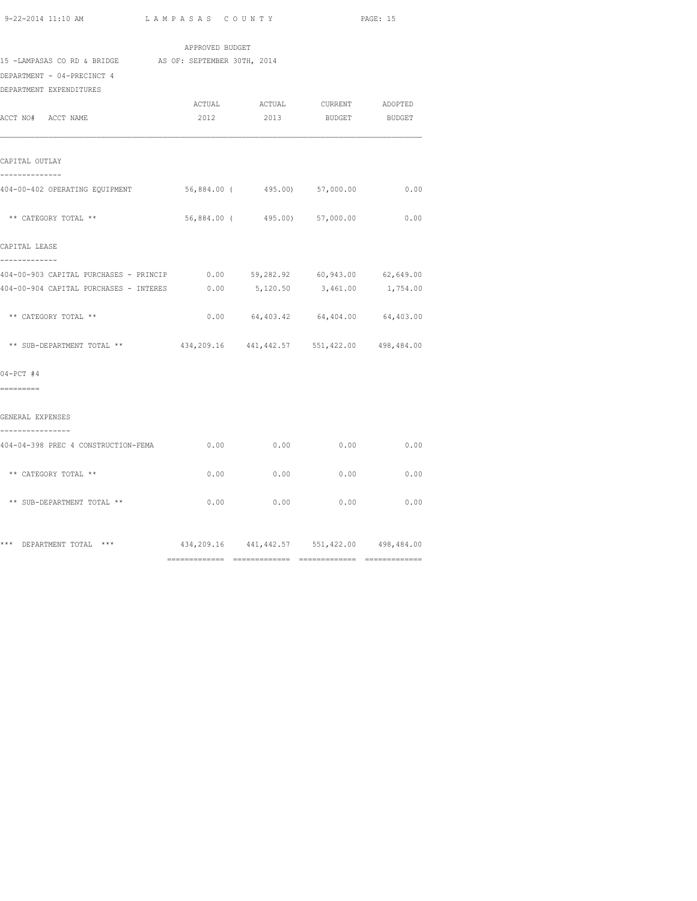| 9-22-2014 11:10 AM |  |
|--------------------|--|
|                    |  |

|                                                                                       | APPROVED BUDGET                                     |                              |                                                          |      |
|---------------------------------------------------------------------------------------|-----------------------------------------------------|------------------------------|----------------------------------------------------------|------|
| 15 -LAMPASAS CO RD & BRIDGE AS OF: SEPTEMBER 30TH, 2014<br>DEPARTMENT - 04-PRECINCT 4 |                                                     |                              |                                                          |      |
| DEPARTMENT EXPENDITURES                                                               |                                                     |                              |                                                          |      |
| ACCT NO# ACCT NAME                                                                    |                                                     |                              | ACTUAL ACTUAL CURRENT ADOPTED<br>2012 2013 BUDGET BUDGET |      |
| CAPITAL OUTLAY                                                                        |                                                     |                              |                                                          |      |
| -------------<br>404-00-402 OPERATING EQUIPMENT                                       | 56,884.00 (495.00) 57,000.00                        |                              |                                                          | 0.00 |
| ** CATEGORY TOTAL **                                                                  |                                                     | 56,884.00 (495.00) 57,000.00 |                                                          | 0.00 |
| CAPITAL LEASE<br>-------------                                                        |                                                     |                              |                                                          |      |
|                                                                                       |                                                     |                              |                                                          |      |
| 404-00-904 CAPITAL PURCHASES - INTERES 0.00 5,120.50 3,461.00 1,754.00                |                                                     |                              |                                                          |      |
| ** CATEGORY TOTAL **                                                                  |                                                     |                              | $0.00$ $64,403.42$ $64,404.00$ $64,403.00$               |      |
| ** SUB-DEPARTMENT TOTAL **                                                            | $434,209.16$ $441,442.57$ $551,422.00$ $498,484.00$ |                              |                                                          |      |
| $04-PCT$ #4                                                                           |                                                     |                              |                                                          |      |
| =========                                                                             |                                                     |                              |                                                          |      |
| GENERAL EXPENSES                                                                      |                                                     |                              |                                                          |      |
| ----------------<br>404-04-398 PREC 4 CONSTRUCTION-FEMA                               | 0.00                                                | 0.00                         | 0.00                                                     | 0.00 |
| ** CATEGORY TOTAL **                                                                  | 0.00                                                | 0.00                         | 0.00                                                     | 0.00 |
| ** SUB-DEPARTMENT TOTAL **                                                            |                                                     | $0.00$ 0.00                  | 0.00                                                     | 0.00 |
| *** DEPARTMENT TOTAL ***                                                              | 434, 209.16 441, 442.57 551, 422.00 498, 484.00     |                              |                                                          |      |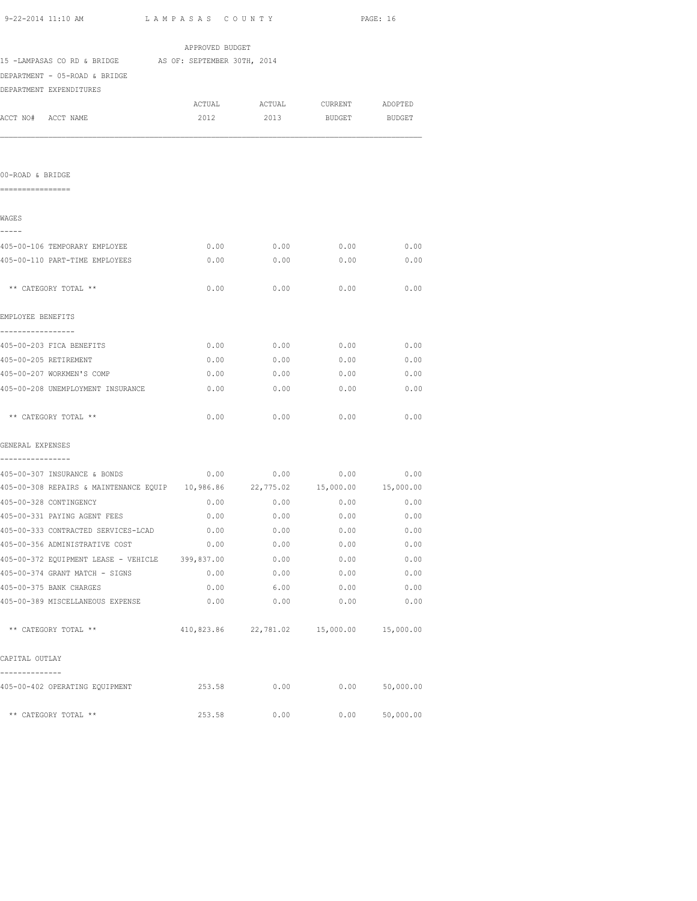| 9-22-2014 11:10 AM                                                             | LAMPASAS COUNTY |                                           |               | PAGE: 16      |
|--------------------------------------------------------------------------------|-----------------|-------------------------------------------|---------------|---------------|
|                                                                                | APPROVED BUDGET |                                           |               |               |
| 15 -LAMPASAS CO RD & BRIDGE AS OF: SEPTEMBER 30TH, 2014                        |                 |                                           |               |               |
| DEPARTMENT - 05-ROAD & BRIDGE                                                  |                 |                                           |               |               |
| DEPARTMENT EXPENDITURES                                                        |                 |                                           |               |               |
|                                                                                |                 | ACTUAL ACTUAL CURRENT                     |               | ADOPTED       |
| ACCT NO# ACCT NAME                                                             | 2012            | 2013                                      | <b>BUDGET</b> | <b>BUDGET</b> |
|                                                                                |                 |                                           |               |               |
|                                                                                |                 |                                           |               |               |
|                                                                                |                 |                                           |               |               |
| 00-ROAD & BRIDGE<br>=================                                          |                 |                                           |               |               |
|                                                                                |                 |                                           |               |               |
| WAGES                                                                          |                 |                                           |               |               |
| -----                                                                          |                 |                                           |               |               |
| 405-00-106 TEMPORARY EMPLOYEE                                                  | 0.00            | 0.00                                      | 0.00          | 0.00          |
| 405-00-110 PART-TIME EMPLOYEES                                                 | 0.00            | 0.00                                      | 0.00          | 0.00          |
|                                                                                |                 |                                           |               |               |
| ** CATEGORY TOTAL **                                                           | 0.00            | 0.00                                      | 0.00          | 0.00          |
|                                                                                |                 |                                           |               |               |
| EMPLOYEE BENEFITS<br>-----------------                                         |                 |                                           |               |               |
| 405-00-203 FICA BENEFITS                                                       |                 | $0.00$ 0.00 0.00 0.00                     |               |               |
| 405-00-205 RETIREMENT                                                          |                 | $0.00$ 0.00 0.00 0.00 0.00                |               |               |
| 405-00-207 WORKMEN'S COMP                                                      |                 | $0.00$ 0.00 0.00 0.00                     |               |               |
| 405-00-208 UNEMPLOYMENT INSURANCE                                              | 0.00            | 0.00                                      | 0.00          | 0.00          |
|                                                                                |                 |                                           |               |               |
| ** CATEGORY TOTAL **                                                           | 0.00            | 0.00                                      | 0.00          | 0.00          |
|                                                                                |                 |                                           |               |               |
| GENERAL EXPENSES                                                               |                 |                                           |               |               |
| 405-00-307 INSURANCE & BONDS                                                   |                 | $0.00$ $0.00$ $0.00$ $0.00$ $0.00$        |               |               |
| 405-00-308 REPAIRS & MAINTENANCE EQUIP 10,986.86 22,775.02 15,000.00 15,000.00 |                 |                                           |               |               |
| 405-00-328 CONTINGENCY                                                         |                 | $0.00$ 0.00 0.00 0.00                     |               |               |
| 405-00-331 PAYING AGENT FEES                                                   |                 | $0.00$ $0.00$ $0.00$ $0.00$ $0.00$ $0.00$ |               |               |
| 405-00-333 CONTRACTED SERVICES-LCAD                                            | 0.00            | 0.00                                      | 0.00          | 0.00          |
| 405-00-356 ADMINISTRATIVE COST                                                 |                 | $0.00$ $0.00$ $0.00$ $0.00$               |               | 0.00          |
| 405-00-372 EQUIPMENT LEASE - VEHICLE 399,837.00                                |                 | 0.00                                      | 0.00          | 0.00          |
| 405-00-374 GRANT MATCH - SIGNS                                                 | 0.00            | 0.00                                      | 0.00          | 0.00          |
| 405-00-375 BANK CHARGES                                                        | 0.00            | 6.00                                      | 0.00          | 0.00          |
| 405-00-389 MISCELLANEOUS EXPENSE                                               | 0.00            | 0.00                                      | 0.00          | 0.00          |
| ** CATEGORY TOTAL **                                                           |                 | 410,823.86 22,781.02 15,000.00 15,000.00  |               |               |
|                                                                                |                 |                                           |               |               |
| CAPITAL OUTLAY                                                                 |                 |                                           |               |               |
|                                                                                |                 |                                           |               |               |

| CALILAD VUIDAI                 |        |      |      |           |
|--------------------------------|--------|------|------|-----------|
|                                |        |      |      |           |
| 405-00-402 OPERATING EQUIPMENT | 253.58 | 0.00 | 0.00 | 50,000.00 |
| ** CATEGORY TOTAL **           | 253.58 | 0.00 | 0.00 | 50,000.00 |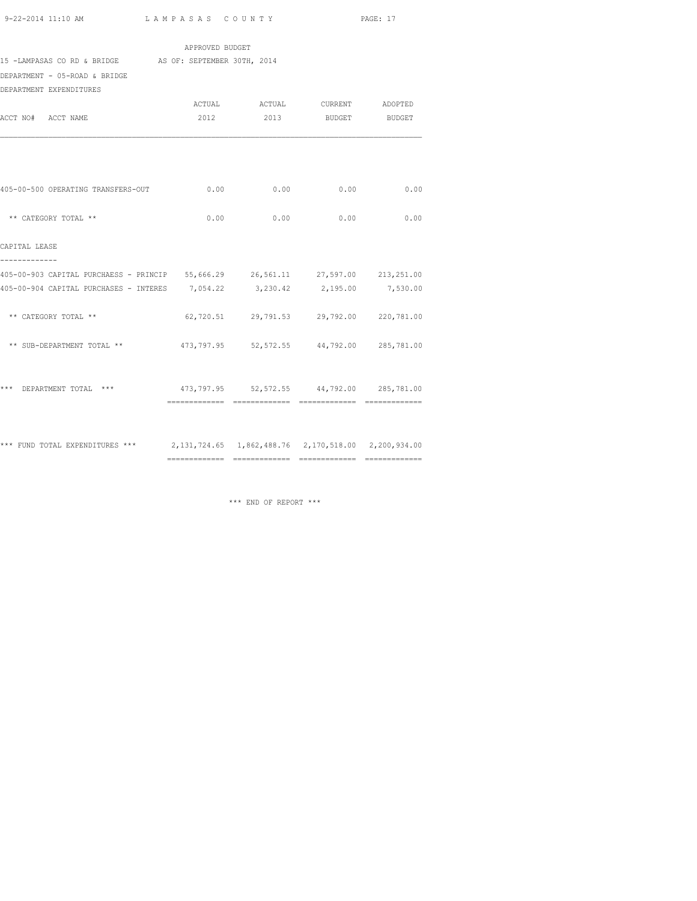|                                                                                     | APPROVED BUDGET |                                           |  |
|-------------------------------------------------------------------------------------|-----------------|-------------------------------------------|--|
| 15 -LAMPASAS CO RD & BRIDGE AS OF: SEPTEMBER 30TH, 2014                             |                 |                                           |  |
| DEPARTMENT - 05-ROAD & BRIDGE                                                       |                 |                                           |  |
| DEPARTMENT EXPENDITURES                                                             |                 |                                           |  |
|                                                                                     |                 | ACTUAL ACTUAL CURRENT ADOPTED             |  |
| ACCT NO# ACCT NAME                                                                  |                 | 2012 2013 BUDGET BUDGET                   |  |
|                                                                                     |                 |                                           |  |
| 405-00-500 OPERATING TRANSFERS-OUT                                                  |                 | $0.00$ 0.00 0.00 0.00 0.00                |  |
| ** CATEGORY TOTAL **                                                                |                 | $0.00$ 0.00 0.00 0.00                     |  |
| CAPITAL LEASE<br>-------------                                                      |                 |                                           |  |
| 405-00-903 CAPITAL PURCHAESS - PRINCIP 55,666.29 26,561.11 27,597.00 213,251.00     |                 |                                           |  |
| 405-00-904 CAPITAL PURCHASES - INTERES 7,054.22 3,230.42 2,195.00 7,530.00          |                 |                                           |  |
| ** CATEGORY TOTAL **                                                                |                 | 62,720.51 29,791.53 29,792.00 220,781.00  |  |
| ** SUB-DEPARTMENT TOTAL **                                                          |                 | 473,797.95 52,572.55 44,792.00 285,781.00 |  |
| *** DEPARTMENT TOTAL *** 473,797.95 52,572.55 44,792.00 285,781.00                  |                 |                                           |  |
|                                                                                     |                 |                                           |  |
| *** FUND TOTAL EXPENDITURES *** 2,131,724.65 1,862,488.76 2,170,518.00 2,200,934.00 |                 |                                           |  |

============= ============= ============= =============

\*\*\* END OF REPORT \*\*\*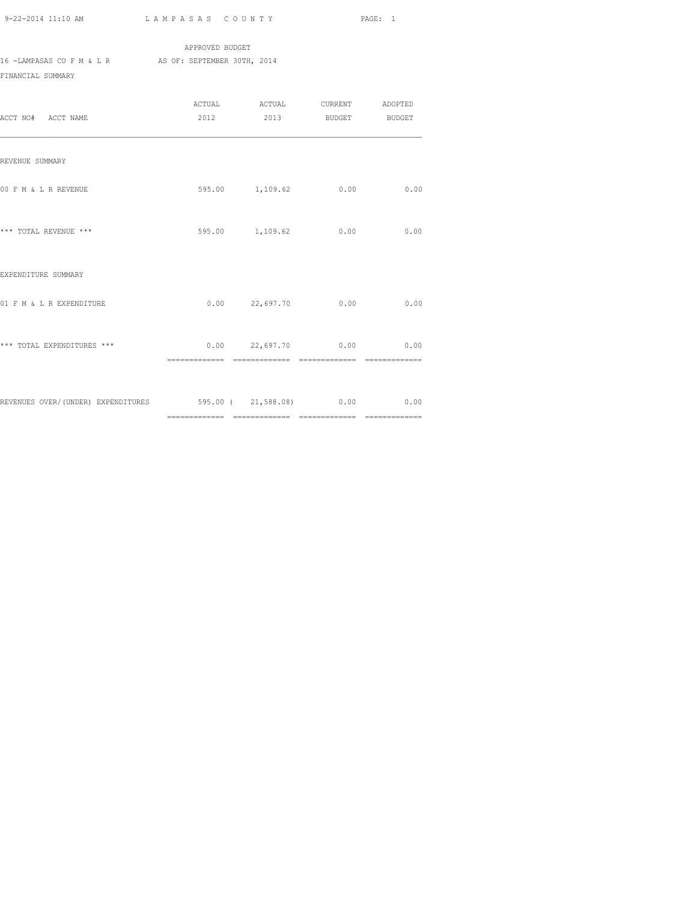|                           | APPROVED BUDGET             |
|---------------------------|-----------------------------|
| 16 -LAMPASAS CO F M & L R | AS OF: SEPTEMBER 30TH, 2014 |
| FINANCIAL SUMMARY         |                             |

| ACCT NO# ACCT NAME                                              | 2012 2013 BUDGET BUDGET    |      |
|-----------------------------------------------------------------|----------------------------|------|
| REVENUE SUMMARY                                                 |                            |      |
| 00 F M & L R REVENUE                                            | 595.00 1,109.62 0.00       | 0.00 |
| *** TOTAL REVENUE ***                                           | 595.00 1,109.62 0.00       | 0.00 |
| EXPENDITURE SUMMARY                                             |                            |      |
| 01 F M & L R EXPENDITURE                                        | $0.00$ 22,697.70 0.00      | 0.00 |
| *** TOTAL EXPENDITURES ***                                      | $0.00$ 22,697.70 0.00 0.00 |      |
| REVENUES OVER/(UNDER) EXPENDITURES 695.00 (21,588.08) 0.00 0.00 |                            |      |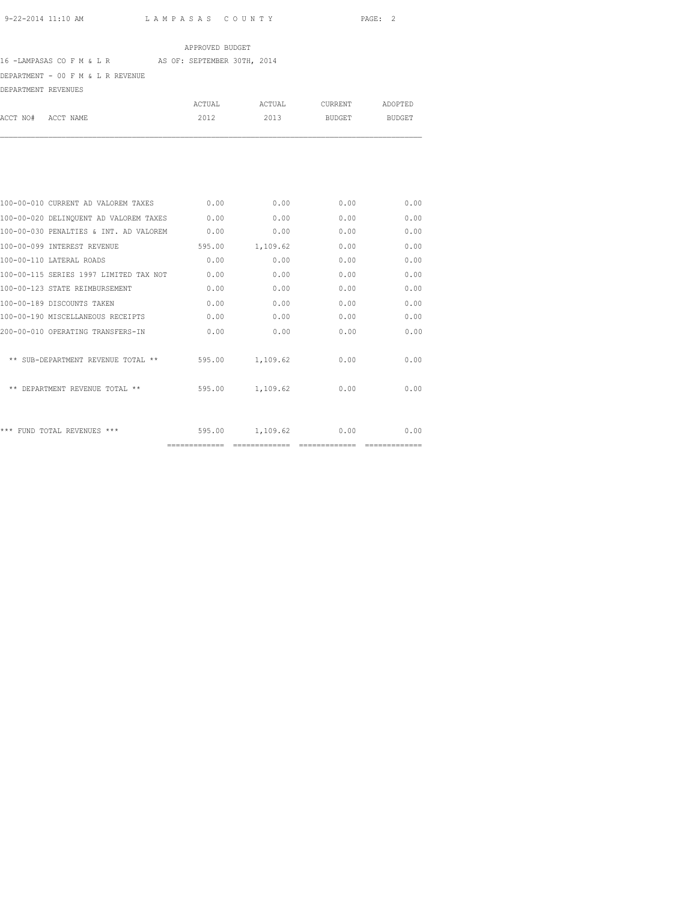## APPROVED BUDGET

# 16 -LAMPASAS CO F M & L R AS OF: SEPTEMBER 30TH, 2014

DEPARTMENT - 00 F M & L R REVENUE

DEPARTMENT REVENUES

|                    | ACTUAL | ACTUAL | CURRENT | ADOPTED |
|--------------------|--------|--------|---------|---------|
| ACCT NO# ACCT NAME | 2012   | 2013   | BUDGET  | BUDGET  |
|                    |        |        |         |         |
|                    |        |        |         |         |

| 100-00-010 CURRENT AD VALOREM TAXES    | 0.00           | 0.00     | 0.00 | 0.00 |
|----------------------------------------|----------------|----------|------|------|
| 100-00-020 DELINQUENT AD VALOREM TAXES | 0.00           | 0.00     | 0.00 | 0.00 |
| 100-00-030 PENALTIES & INT. AD VALOREM | 0.00           | 0.00     | 0.00 | 0.00 |
| 100-00-099 INTEREST REVENUE            | 595.00         | 1,109.62 | 0.00 | 0.00 |
| 100-00-110 LATERAL ROADS               | 0.00           | 0.00     | 0.00 | 0.00 |
| 100-00-115 SERIES 1997 LIMITED TAX NOT | 0.00           | 0.00     | 0.00 | 0.00 |
| 100-00-123 STATE REIMBURSEMENT         | 0.00           | 0.00     | 0.00 | 0.00 |
| 100-00-189 DISCOUNTS TAKEN             | 0.00           | 0.00     | 0.00 | 0.00 |
| 100-00-190 MISCELLANEOUS RECEIPTS      | 0.00           | 0.00     | 0.00 | 0.00 |
| 200-00-010 OPERATING TRANSFERS-IN      | 0.00           | 0.00     | 0.00 | 0.00 |
|                                        |                |          |      |      |
| ** SUB-DEPARTMENT REVENUE TOTAL **     | 595.00         | 1,109.62 | 0.00 | 0.00 |
|                                        |                |          |      |      |
| ** DEPARTMENT REVENUE TOTAL **         | 595.00         | 1,109.62 | 0.00 | 0.00 |
|                                        |                |          |      |      |
|                                        |                |          |      |      |
| *** FUND TOTAL REVENUES ***            | 595.00         | 1,109.62 | 0.00 | 0.00 |
|                                        | -------------- |          |      |      |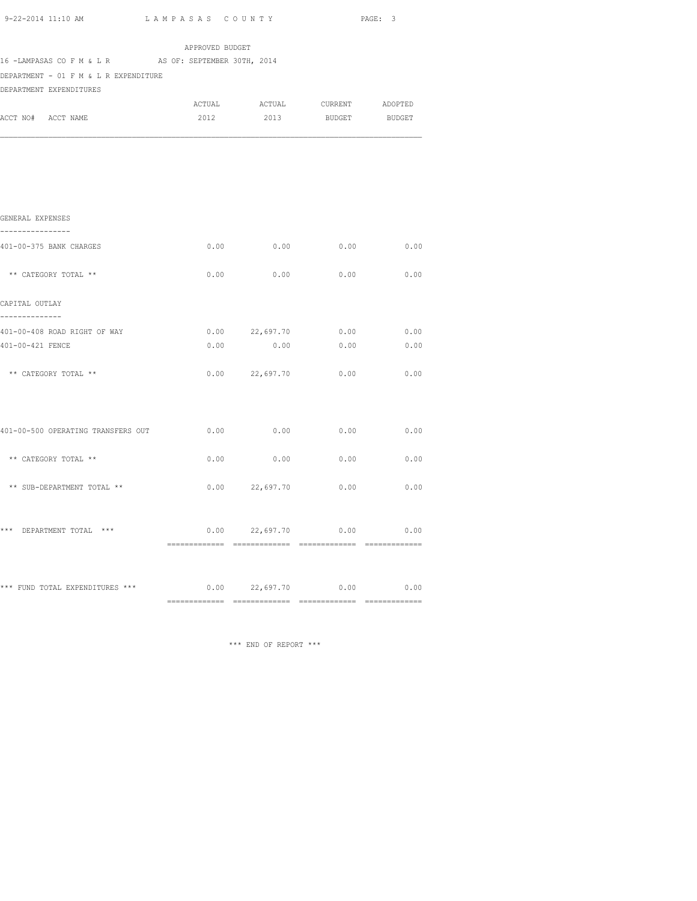| 9-22-2014 11:10 AM                                    | LAMPASAS COUNTY |                |                            | PAGE: 3       |
|-------------------------------------------------------|-----------------|----------------|----------------------------|---------------|
|                                                       | APPROVED BUDGET |                |                            |               |
| 16 -LAMPASAS CO F M & L R AS OF: SEPTEMBER 30TH, 2014 |                 |                |                            |               |
| DEPARTMENT - 01 F M & L R EXPENDITURE                 |                 |                |                            |               |
| DEPARTMENT EXPENDITURES                               |                 |                |                            |               |
|                                                       |                 |                |                            |               |
| ACCT NO# ACCT NAME                                    | 2012            | 2013           | <b>BUDGET</b>              | <b>BUDGET</b> |
|                                                       |                 |                |                            |               |
| GENERAL EXPENSES<br>----------------                  |                 |                |                            |               |
| 401-00-375 BANK CHARGES                               |                 |                | $0.00$ 0.00 0.00 0.00      |               |
| ** CATEGORY TOTAL **                                  | 0.00            | 0.00           | 0.00                       | 0.00          |
| CAPITAL OUTLAY                                        |                 |                |                            |               |
| --------------                                        |                 |                |                            |               |
| 401-00-408 ROAD RIGHT OF WAY                          |                 |                | $0.00$ 22,697.70 0.00 0.00 |               |
| 401-00-421 FENCE                                      | 0.00            |                | $0.00$ 0.00                | 0.00          |
| ** CATEGORY TOTAL **                                  |                 | 0.00 22,697.70 | 0.00                       | 0.00          |
|                                                       |                 |                |                            |               |
| 401-00-500 OPERATING TRANSFERS OUT                    | 0.00            | 0.00           | 0.00                       | 0.00          |
| ** CATEGORY TOTAL **                                  | 0.00            | 0.00           | 0.00                       | 0.00          |
| ** SUB-DEPARTMENT TOTAL **                            |                 |                | $0.00$ 22,697.70 0.00 0.00 |               |
| *** DEPARTMENT TOTAL ***                              |                 | 0.00 22,697.70 | 0.00                       | 0.00          |

\*\*\* FUND TOTAL EXPENDITURES \*\*\* 0.00 22,697.70 0.00 0.00 ============= ============= ============= =============

\*\*\* END OF REPORT \*\*\*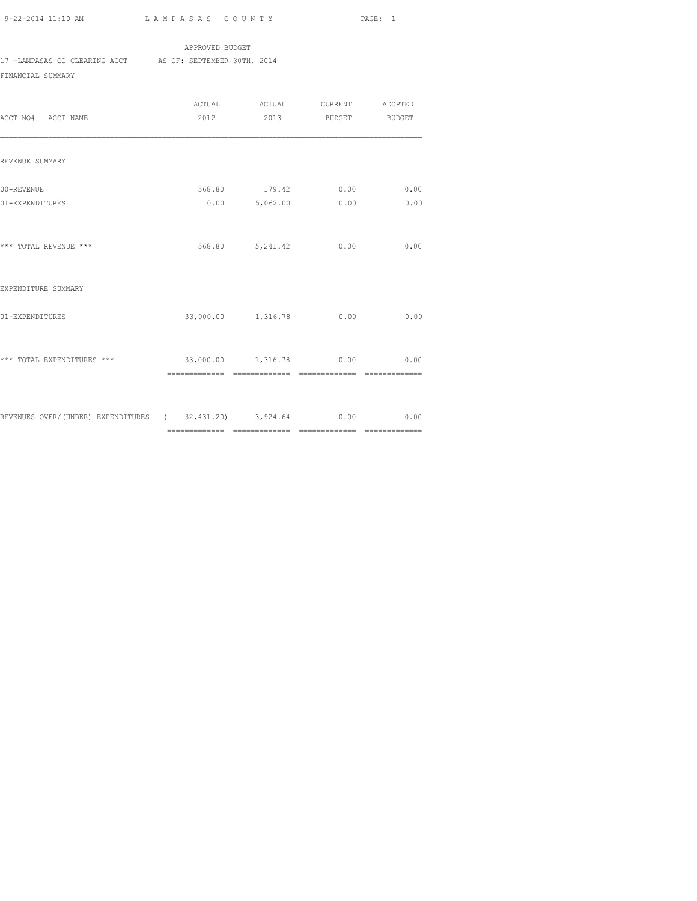## APPROVED BUDGET

17 -LAMPASAS CO CLEARING ACCT AS OF: SEPTEMBER 30TH, 2014

FINANCIAL SUMMARY

| ACCT NO# ACCT NAME                                                |                                |                 | 2012 2013 BUDGET BUDGET                            |      |
|-------------------------------------------------------------------|--------------------------------|-----------------|----------------------------------------------------|------|
| REVENUE SUMMARY                                                   |                                |                 |                                                    |      |
| 00-REVENUE<br>01-EXPENDITURES                                     |                                |                 | 568.80 179.42 0.00 0.00<br>$0.00$ 5,062.00 0.00    | 0.00 |
| *** TOTAL REVENUE ***                                             |                                | 568.80 5,241.42 | 0.00                                               | 0.00 |
| EXPENDITURE SUMMARY                                               |                                |                 |                                                    |      |
| 01-EXPENDITURES                                                   |                                |                 | 33,000.00 1,316.78 0.00                            | 0.00 |
| *** TOTAL EXPENDITURES ***                                        | ============================== |                 | 33,000.00  1,316.78  0.00  0.00<br>_______________ |      |
| REVENUES OVER/(UNDER) EXPENDITURES (32,431.20) 3,924.64 0.00 0.00 |                                |                 |                                                    |      |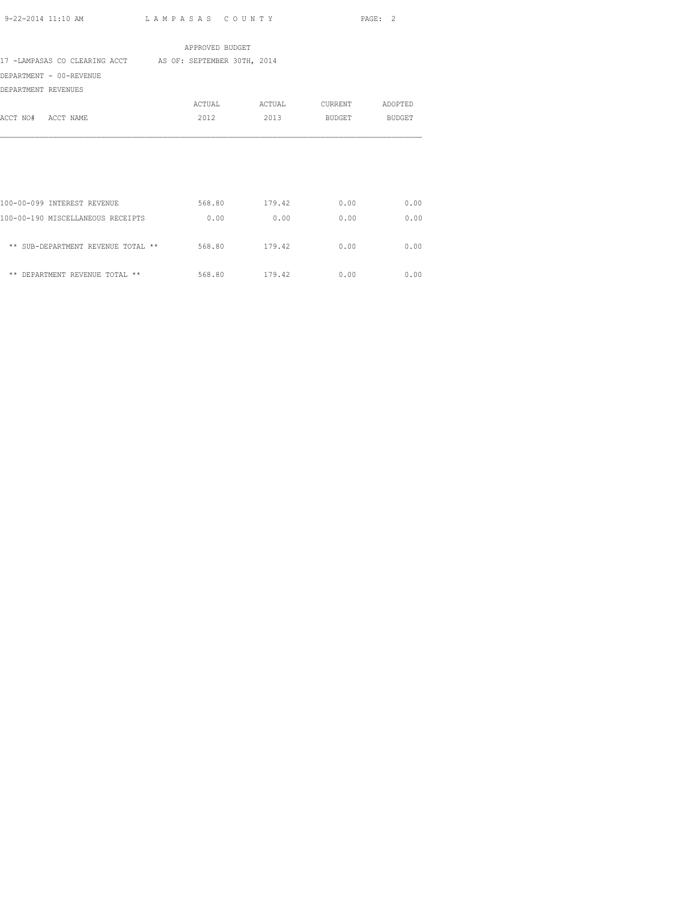|                                                           | APPROVED BUDGET |        |         |         |
|-----------------------------------------------------------|-----------------|--------|---------|---------|
| 17 -LAMPASAS CO CLEARING ACCT AS OF: SEPTEMBER 30TH, 2014 |                 |        |         |         |
| DEPARTMENT - 00-REVENUE                                   |                 |        |         |         |
| DEPARTMENT REVENUES                                       |                 |        |         |         |
|                                                           | ACTUAL          | ACTUAL | CURRENT | ADOPTED |
| ACCT NO# ACCT NAME                                        | 2012            | 2013   | BUDGET  | BUDGET  |
|                                                           |                 |        |         |         |
| 100-00-099 INTEREST REVENUE                               | 568.80          | 179.42 | 0.00    | 0.00    |
| 100-00-190 MISCELLANEOUS RECEIPTS                         | 0.00            | 0.00   | 0.00    | 0.00    |
| ** SUB-DEPARTMENT REVENUE TOTAL **                        | 568.80          | 179.42 | 0.00    | 0.00    |
| ** DEPARTMENT REVENUE TOTAL **                            | 568.80          | 179.42 | 0.00    | 0.00    |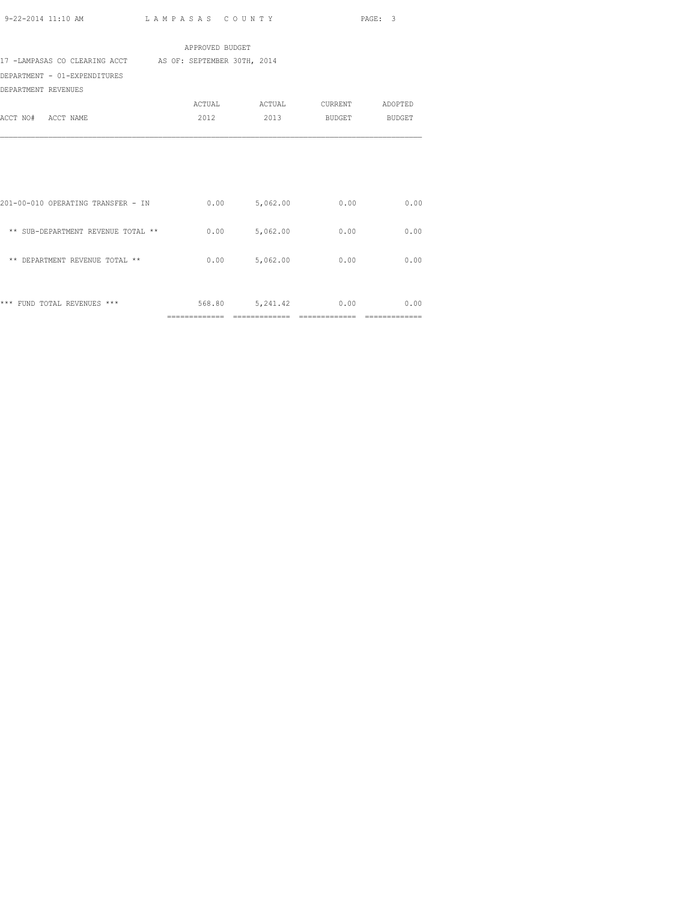|                                                           | APPROVED BUDGET |                      |                               |      |
|-----------------------------------------------------------|-----------------|----------------------|-------------------------------|------|
| 17 -LAMPASAS CO CLEARING ACCT AS OF: SEPTEMBER 30TH, 2014 |                 |                      |                               |      |
| DEPARTMENT - 01-EXPENDITURES                              |                 |                      |                               |      |
| DEPARTMENT REVENUES                                       |                 |                      |                               |      |
|                                                           |                 |                      | ACTUAL ACTUAL CURRENT ADOPTED |      |
| ACCT NO# ACCT NAME                                        | 2012            | 2013                 | BUDGET BUDGET                 |      |
|                                                           |                 |                      |                               |      |
|                                                           |                 |                      |                               |      |
|                                                           |                 |                      |                               |      |
|                                                           |                 |                      |                               |      |
| 201-00-010 OPERATING TRANSFER - IN                        |                 | $0.00$ 5,062.00      | 0.00                          | 0.00 |
|                                                           |                 |                      |                               |      |
| ** SUB-DEPARTMENT REVENUE TOTAL **                        |                 | $0.00$ 5,062.00      | 0.00                          | 0.00 |
|                                                           |                 |                      |                               |      |
| ** DEPARTMENT REVENUE TOTAL **                            |                 | $0.00$ 5,062.00      | 0.00                          | 0.00 |
|                                                           |                 |                      |                               |      |
|                                                           |                 |                      |                               |      |
| *** FUND TOTAL REVENUES ***                               |                 | 568.80 5,241.42 0.00 |                               | 0.00 |
|                                                           | =============   | =============        |                               |      |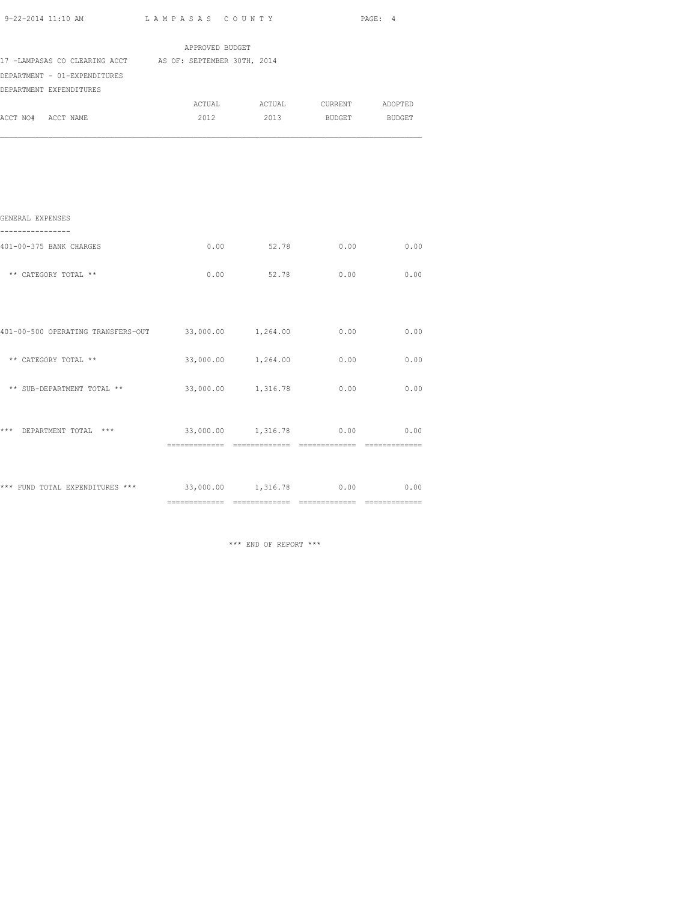| 9-22-2014 11:10 AM                                           | LAMPASAS COUNTY |                               |      | PAGE: 4       |
|--------------------------------------------------------------|-----------------|-------------------------------|------|---------------|
|                                                              | APPROVED BUDGET |                               |      |               |
| 17 -LAMPASAS CO CLEARING ACCT AS OF: SEPTEMBER 30TH, 2014    |                 |                               |      |               |
| DEPARTMENT - 01-EXPENDITURES                                 |                 |                               |      |               |
| DEPARTMENT EXPENDITURES                                      |                 |                               |      |               |
|                                                              |                 | ACTUAL ACTUAL CURRENT ADOPTED |      |               |
| ACCT NO# ACCT NAME                                           |                 | 2012 2013 BUDGET BUDGET       |      |               |
|                                                              |                 |                               |      |               |
| GENERAL EXPENSES                                             |                 |                               |      |               |
| 401-00-375 BANK CHARGES                                      |                 | $0.00$ 52.78                  | 0.00 | 0.00          |
| ** CATEGORY TOTAL **                                         |                 | $0.00$ 52.78                  | 0.00 | 0.00          |
|                                                              |                 |                               |      |               |
| 401-00-500 OPERATING TRANSFERS-OUT 33,000.00 1,264.00        |                 |                               | 0.00 | 0.00          |
| ** CATEGORY TOTAL **                                         |                 | 33,000.00 1,264.00 0.00       |      | 0.00          |
| ** SUB-DEPARTMENT TOTAL **                                   |                 | 33,000.00 1,316.78            | 0.00 | 0.00          |
| *** DEPARTMENT TOTAL ***                                     |                 | 33,000.00 1,316.78            | 0.00 | 0.00          |
|                                                              |                 |                               |      | ============= |
| *** FUND TOTAL EXPENDITURES *** 33,000.00 1,316.78 0.00 0.00 |                 |                               |      |               |

\*\*\* END OF REPORT \*\*\*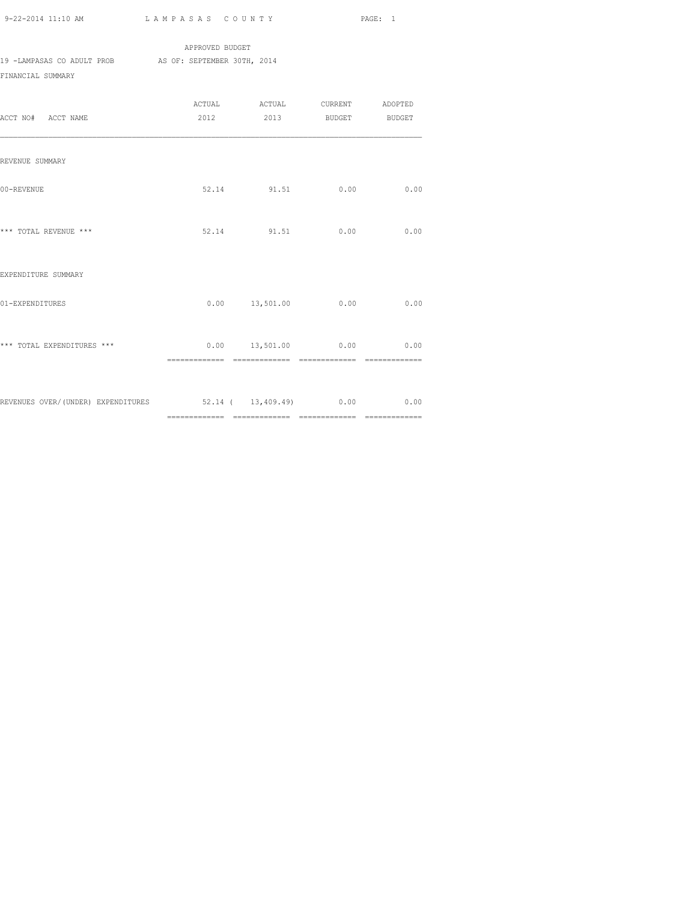APPROVED BUDGET 19 -LAMPASAS CO ADULT PROB AS OF: SEPTEMBER 30TH, 2014 FINANCIAL SUMMARY

| ACCT NO# ACCT NAME                                               | ACTUAL ACTUAL CURRENT ADOPTED<br>2012 2013 BUDGET BUDGET |      |      |
|------------------------------------------------------------------|----------------------------------------------------------|------|------|
| REVENUE SUMMARY                                                  |                                                          |      |      |
| 00-REVENUE                                                       | 52.14 91.51                                              | 0.00 | 0.00 |
| *** TOTAL REVENUE ***                                            | 52.14 91.51                                              | 0.00 | 0.00 |
| EXPENDITURE SUMMARY                                              |                                                          |      |      |
| 01-EXPENDITURES                                                  | $0.00$ 13,501.00 0.00                                    |      | 0.00 |
| *** TOTAL EXPENDITURES ***                                       | $0.00$ 13,501.00 0.00 0.00                               |      |      |
| REVENUES OVER/(UNDER) EXPENDITURES 52.14 ( 13,409.49) 0.00 00 00 |                                                          |      |      |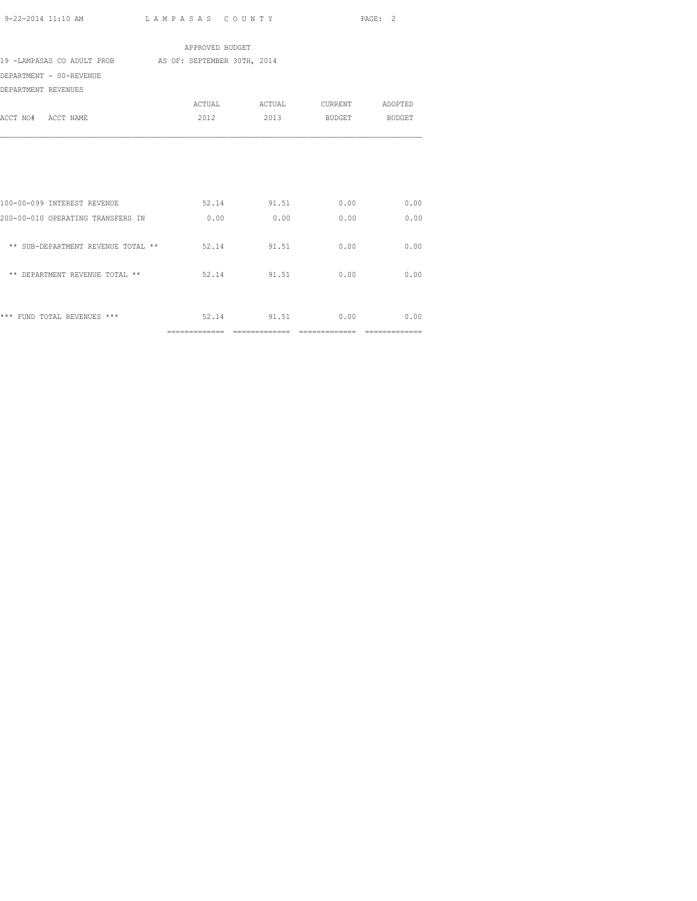|                                                         | APPROVED BUDGET |                         |      |
|---------------------------------------------------------|-----------------|-------------------------|------|
| 19 -LAMPASAS CO ADULT PROB AS OF: SEPTEMBER 30TH, 2014  |                 |                         |      |
| DEPARTMENT - 00-REVENUE                                 |                 |                         |      |
| DEPARTMENT REVENUES                                     |                 |                         |      |
|                                                         |                 |                         |      |
| ACCT NO# ACCT NAME                                      |                 | 2012 2013 BUDGET BUDGET |      |
|                                                         |                 |                         |      |
|                                                         |                 |                         |      |
|                                                         |                 |                         |      |
|                                                         |                 |                         |      |
|                                                         |                 |                         |      |
| 100-00-099 INTEREST REVENUE                             |                 | 52.14 91.51 0.00 0.00   |      |
|                                                         |                 |                         |      |
| 200-00-010 OPERATING TRANSFERS IN $0.00$ 0.00 0.00 0.00 |                 |                         | 0.00 |
|                                                         |                 |                         |      |
| ** SUB-DEPARTMENT REVENUE TOTAL ** $52.14$ 91.51 0.00   |                 |                         | 0.00 |
|                                                         |                 |                         |      |
| ** DEPARTMENT REVENUE TOTAL ** 62.14 91.51 0.00 0.00    |                 |                         |      |
|                                                         |                 |                         |      |
|                                                         |                 |                         |      |
| *** FUND TOTAL REVENUES ***                             |                 | 52.14 91.51 0.00 0.00   |      |
|                                                         |                 |                         |      |
|                                                         |                 |                         |      |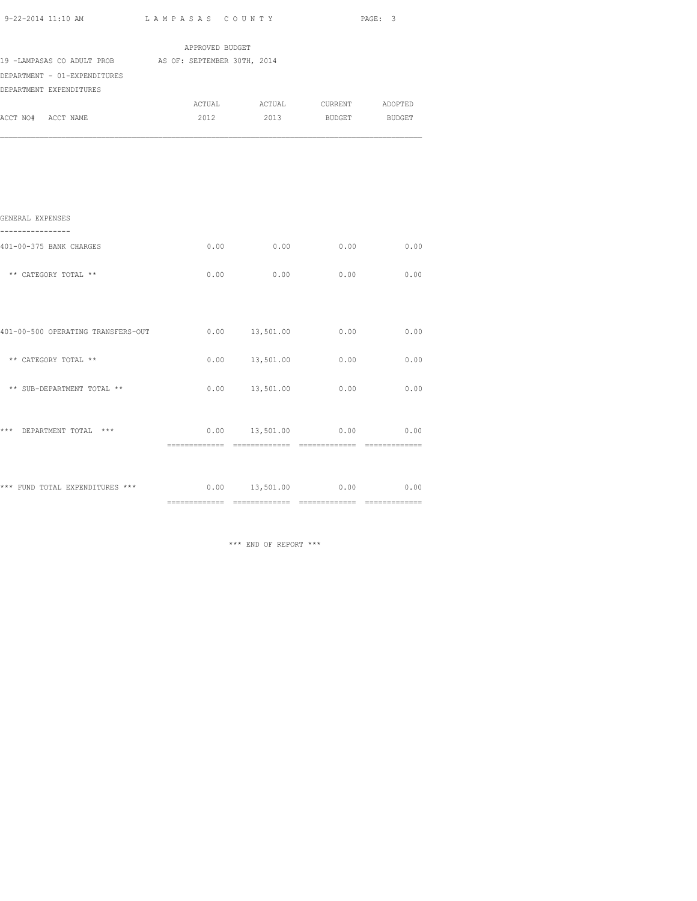| 9-22-2014 11:10 AM<br>the contract of the contract of the contract of the contract of the contract of the contract of the contract of | LAMPASAS COUNTY<br>$\sim$ $\sim$ $\sim$ $\sim$ $\sim$ $\sim$ | PAGE: |  |
|---------------------------------------------------------------------------------------------------------------------------------------|--------------------------------------------------------------|-------|--|

|                                                        | APPROVED BUDGET |             |                               |      |
|--------------------------------------------------------|-----------------|-------------|-------------------------------|------|
| 19 -LAMPASAS CO ADULT PROB AS OF: SEPTEMBER 30TH, 2014 |                 |             |                               |      |
| DEPARTMENT - 01-EXPENDITURES                           |                 |             |                               |      |
| DEPARTMENT EXPENDITURES                                |                 |             |                               |      |
|                                                        |                 |             | ACTUAL ACTUAL CURRENT ADOPTED |      |
| ACCT NO# ACCT NAME                                     | 2012            |             | 2013 BUDGET BUDGET            |      |
| GENERAL EXPENSES                                       |                 |             |                               |      |
| 401-00-375 BANK CHARGES                                |                 | $0.00$ 0.00 | 0.00                          | 0.00 |
| ** CATEGORY TOTAL **                                   | 0.00            | 0.00        | 0.00                          | 0.00 |
|                                                        |                 |             |                               |      |
|                                                        |                 |             |                               |      |

| *** FUND TOTAL EXPENDITURES ***    | 0.00 | 13,501.00 | 0.00 | 0.00 |
|------------------------------------|------|-----------|------|------|
| ***<br>$***$<br>DEPARTMENT TOTAL   | 0.00 | 13,501.00 | 0.00 | 0.00 |
| ** SUB-DEPARTMENT TOTAL **         | 0.00 | 13,501.00 | 0.00 | 0.00 |
| CATEGORY TOTAL **<br>$* *$         | 0.00 | 13,501.00 | 0.00 | 0.00 |
| 401-00-500 OPERATING TRANSFERS-OUT | 0.00 | 13,501.00 | 0.00 | 0.00 |

\*\*\* END OF REPORT \*\*\*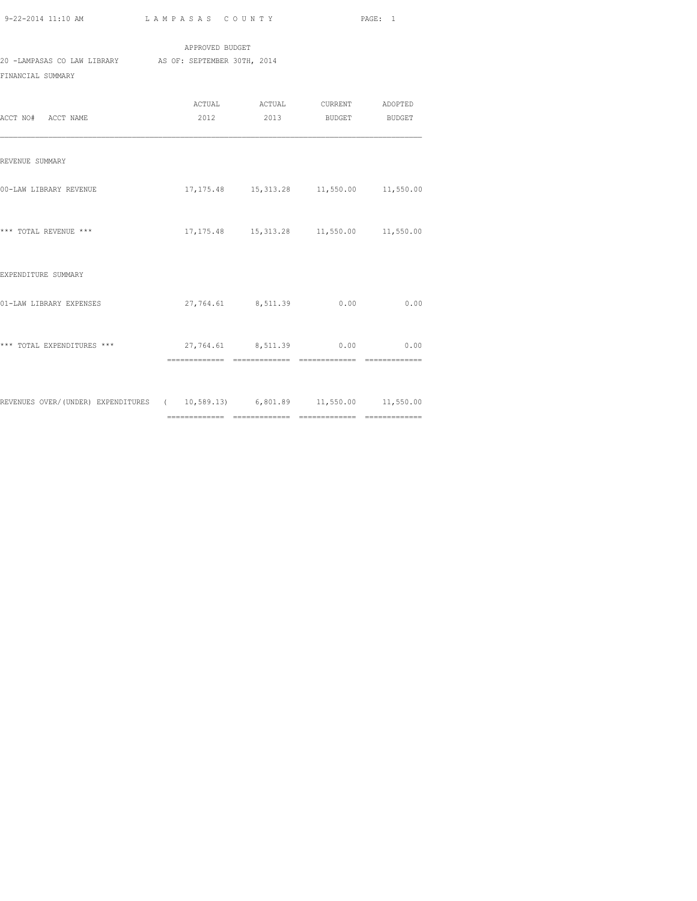|                             | APPROVED BUDGET             |
|-----------------------------|-----------------------------|
| 20 -LAMPASAS CO LAW LIBRARY | AS OF: SEPTEMBER 30TH, 2014 |
| FINANCIAL SUMMARY           |                             |

| ACCT NO# ACCT NAME                                                           | ACTUAL ACTUAL CURRENT ADOPTED<br>2012 2013 BUDGET BUDGET |      |
|------------------------------------------------------------------------------|----------------------------------------------------------|------|
| REVENUE SUMMARY                                                              |                                                          |      |
| 00-LAW LIBRARY REVENUE                                                       | 17, 175.48   15, 313.28   11, 550.00   11, 550.00        |      |
| *** TOTAL REVENUE ***                                                        | 17, 175.48   15, 313.28   11, 550.00   11, 550.00        |      |
| EXPENDITURE SUMMARY                                                          |                                                          |      |
| 01-LAW LIBRARY EXPENSES                                                      | 27,764.61 8,511.39 0.00                                  | 0.00 |
| *** TOTAL EXPENDITURES ***                                                   | 27,764.61 8,511.39 0.00 0.00                             |      |
| REVENUES OVER/(UNDER) EXPENDITURES ( 10,589.13) 6,801.89 11,550.00 11,550.00 |                                                          |      |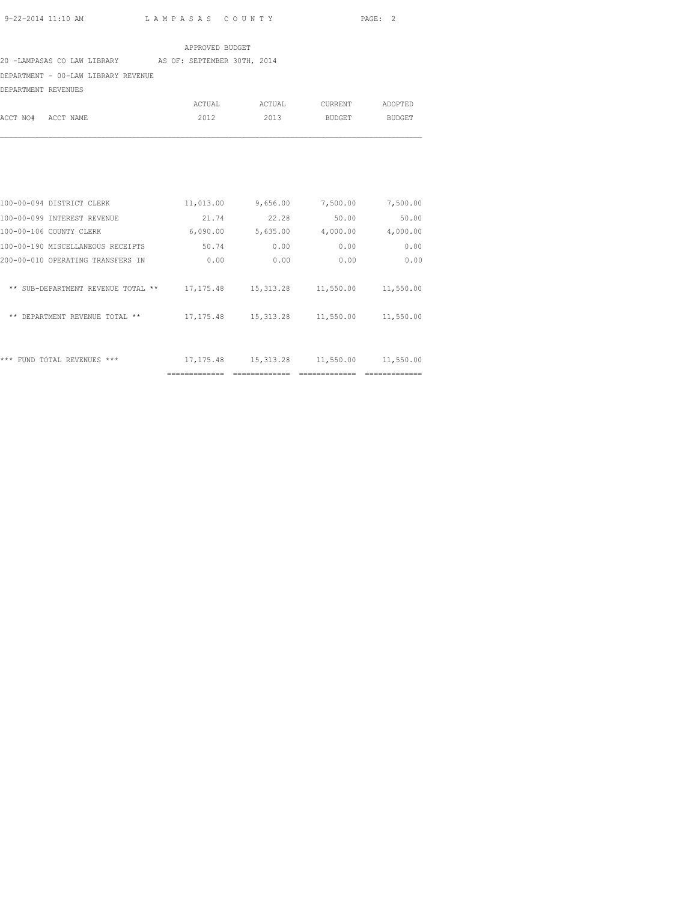#### APPROVED BUDGET

### 20 -LAMPASAS CO LAW LIBRARY AS OF: SEPTEMBER 30TH, 2014

## DEPARTMENT - 00-LAW LIBRARY REVENUE

DEPARTMENT REVENUES

|                    | ACTUAL | ACTUAL | CURRENT | ADOPTED |
|--------------------|--------|--------|---------|---------|
| ACCT NO# ACCT NAME | 2012   | 2013   | BUDGET  | BUDGET  |

| ***<br>REVENUES<br>***<br><b>FUND</b><br>TOTAL | 17, 175.48 | 15, 313.28 | 11,550.00 | 11,550.00 |
|------------------------------------------------|------------|------------|-----------|-----------|
| ** DEPARTMENT REVENUE TOTAL **                 | 17, 175.48 | 15, 313.28 | 11,550.00 | 11,550.00 |
| SUB-DEPARTMENT REVENUE TOTAL<br>$* *$<br>$* *$ | 17, 175.48 | 15, 313.28 | 11,550.00 | 11,550.00 |
| 200-00-010 OPERATING TRANSFERS IN              | 0.00       | 0.00       | 0.00      | 0.00      |
| 100-00-190 MISCELLANEOUS RECEIPTS              | 50.74      | 0.00       | 0.00      | 0.00      |
| 100-00-106 COUNTY CLERK                        | 6,090.00   | 5,635.00   | 4,000.00  | 4,000.00  |
| 100-00-099 INTEREST REVENUE                    | 21.74      | 22.28      | 50.00     | 50.00     |
| 100-00-094 DISTRICT CLERK                      | 11,013.00  | 9,656.00   | 7,500.00  | 7,500.00  |
|                                                |            |            |           |           |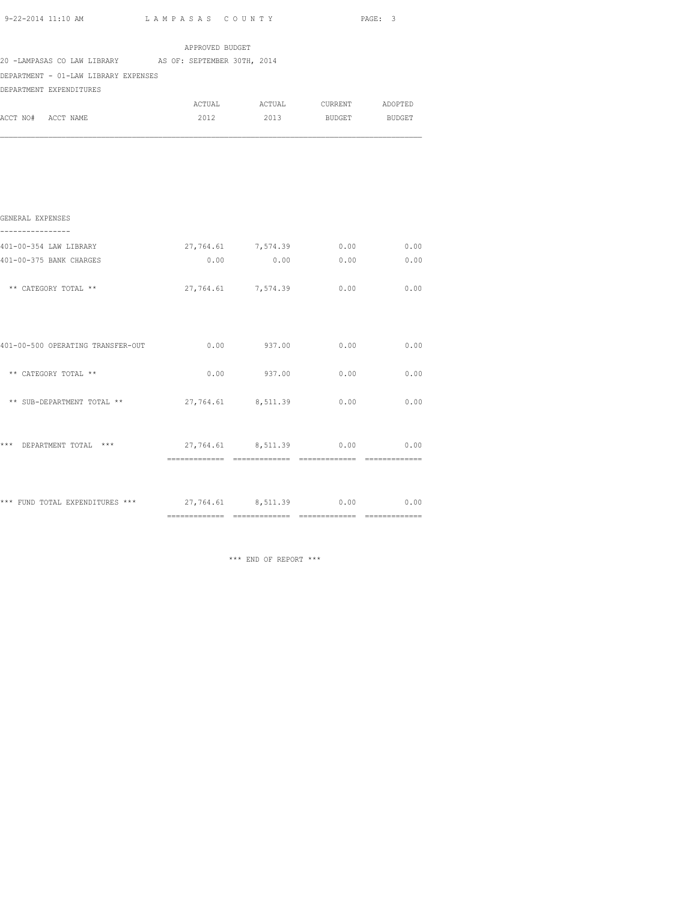| 9-22-2014 11:10 AM |  |
|--------------------|--|

L A M P A S A S C O U N T Y PAGE: 3

| 20 -LAMPASAS CO LAW LIBRARY AS OF: SEPTEMBER 30TH, 2014 |                    |                               |      |
|---------------------------------------------------------|--------------------|-------------------------------|------|
| DEPARTMENT - 01-LAW LIBRARY EXPENSES                    |                    |                               |      |
| DEPARTMENT EXPENDITURES                                 |                    |                               |      |
|                                                         |                    | ACTUAL ACTUAL CURRENT ADOPTED |      |
| ACCT NO# ACCT NAME                                      |                    | 2012 2013 BUDGET BUDGET       |      |
|                                                         |                    |                               |      |
| GENERAL EXPENSES                                        |                    |                               |      |
| 401-00-354 LAW LIBRARY                                  | 27,764.61 7,574.39 | 0.00                          | 0.00 |
| 401-00-375 BANK CHARGES                                 |                    | $0.00$ 0.00 0.00 0.00         |      |
| ** CATEGORY TOTAL **                                    | 27,764.61 7,574.39 | 0.00                          | 0.00 |
| 401-00-500 OPERATING TRANSFER-OUT                       | $0.00$ 937.00      | 0.00                          | 0.00 |
| ** CATEGORY TOTAL **                                    | $0.00$ 937.00      | 0.00                          | 0.00 |
| ** SUB-DEPARTMENT TOTAL **                              | 27,764.61 8,511.39 | 0.00                          | 0.00 |
| *** DEPARTMENT TOTAL ***                                |                    | 27,764.61 8,511.39 0.00 0.00  |      |
|                                                         |                    |                               |      |

\*\*\* FUND TOTAL EXPENDITURES \*\*\*  $27,764.61$  8,511.39 0.00 0.00 ============= ============= ============= =============

\*\*\* END OF REPORT \*\*\*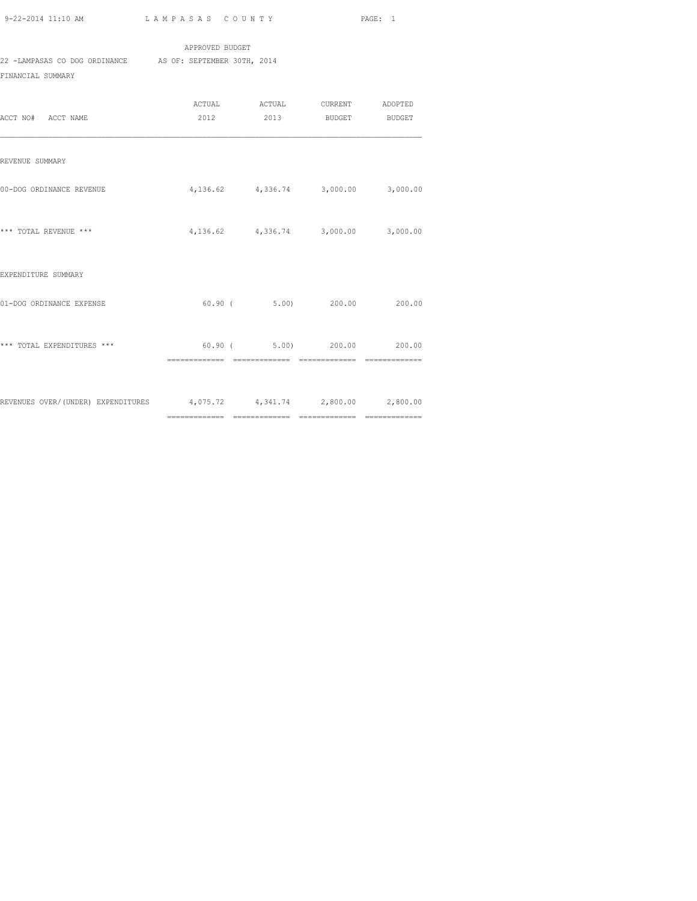|                               | APPROVED BUDGET             |  |  |  |  |  |
|-------------------------------|-----------------------------|--|--|--|--|--|
| 22 -LAMPASAS CO DOG ORDINANCE | AS OF: SEPTEMBER 30TH, 2014 |  |  |  |  |  |
| FINANCIAL SUMMARY             |                             |  |  |  |  |  |

| ACCT NO# ACCT NAME                                                     | ACTUAL ACTUAL CURRENT ADOPTED<br>2012 2013 BUDGET BUDGET    |          |
|------------------------------------------------------------------------|-------------------------------------------------------------|----------|
| REVENUE SUMMARY                                                        |                                                             |          |
| 00-DOG ORDINANCE REVENUE                                               | $4,136.62$ $4,336.74$ $3,000.00$ $3,000.00$                 |          |
| *** TOTAL REVENUE ***                                                  | 4, 136.62 4, 336.74 3, 000.00                               | 3,000.00 |
| EXPENDITURE SUMMARY                                                    |                                                             |          |
| 01-DOG ORDINANCE EXPENSE                                               | $60.90$ ( $5.00$ ) 200.00 200.00                            |          |
| *** TOTAL EXPENDITURES ***                                             | 60.90 (5.00) 200.00 200.00<br>============================= |          |
| REVENUES OVER/(UNDER) EXPENDITURES 4,075.72 4,341.74 2,800.00 2,800.00 |                                                             |          |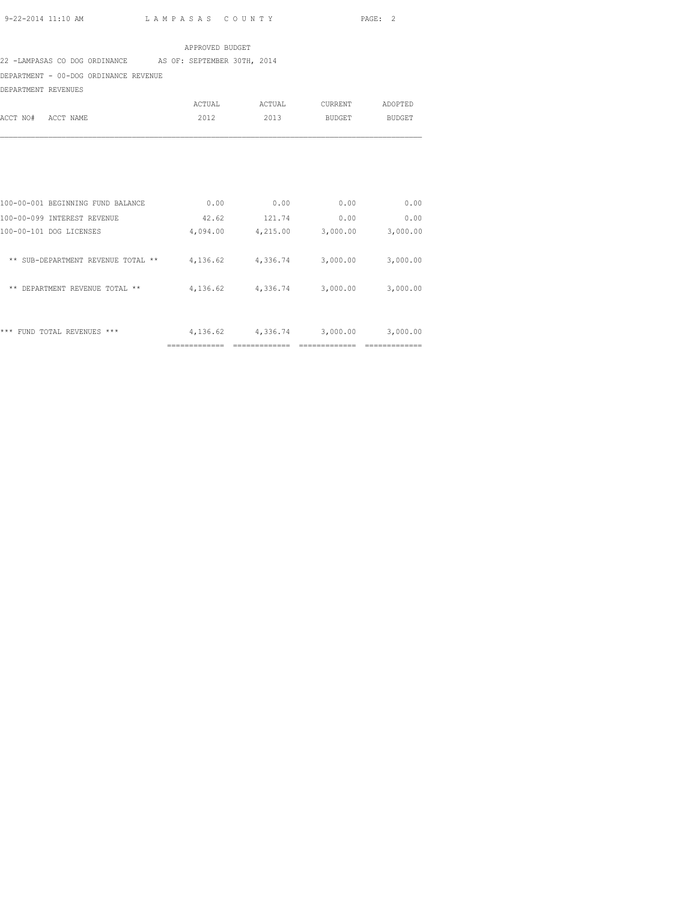#### APPROVED BUDGET

#### 22 -LAMPASAS CO DOG ORDINANCE AS OF: SEPTEMBER 30TH, 2014

DEPARTMENT - 00-DOG ORDINANCE REVENUE

DEPARTMENT REVENUES

|          |           | ACTUAL | ACTUAL | CURRENT | ADOPTED |
|----------|-----------|--------|--------|---------|---------|
| ACCT NO# | ACCT NAME | 2012   | 2013   | BUDGET  | BUDGET  |
|          |           |        |        |         |         |

|                                                   | ------------ |          |          |          |
|---------------------------------------------------|--------------|----------|----------|----------|
| ***<br>***<br><b>REVENUES</b><br>FIIND.<br>TOTAL. | 4,136.62     | 4,336.74 | 3,000.00 | 3,000.00 |
| DEPARTMENT<br>**<br>REVENUE<br>$* *$<br>TOTAL     | 4,136.62     | 4,336.74 | 3,000.00 | 3,000.00 |
| SUB-DEPARTMENT REVENUE TOTAL<br>$* *$<br>$***$    | 4,136.62     | 4,336.74 | 3,000.00 | 3,000.00 |
| 100-00-101 DOG LICENSES                           | 4,094.00     | 4,215.00 | 3,000.00 | 3,000.00 |
| 100-00-099 INTEREST REVENUE                       | 42.62        | 121.74   | 0.00     | 0.00     |
| 100-00-001 BEGINNING FUND BALANCE                 | 0.00         | 0.00     | 0.00     | 0.00     |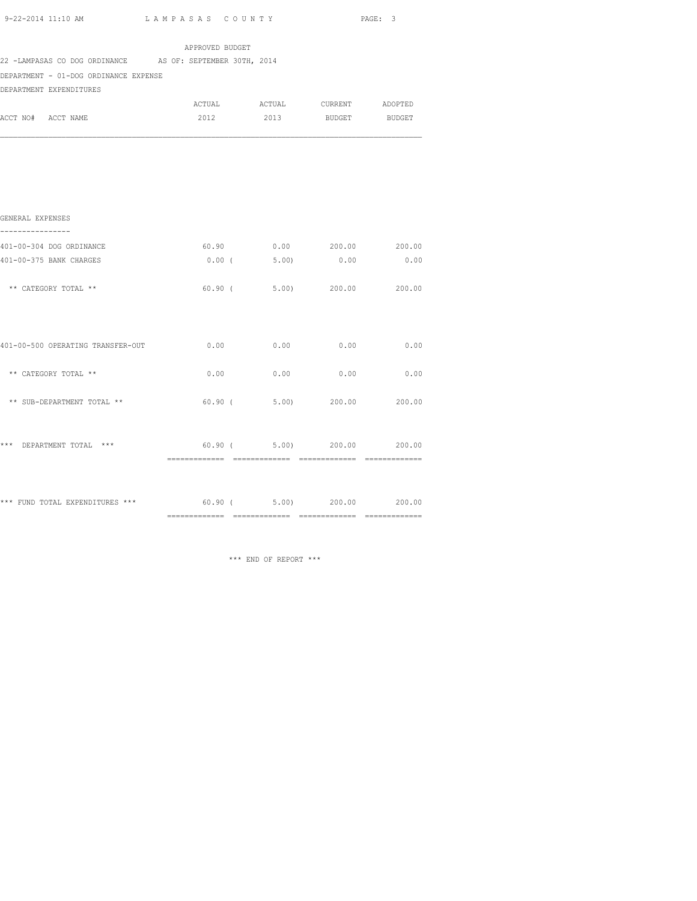| 9-22-2014 11:10 AM |  |
|--------------------|--|

|                                                           |                 |                                    |                      | PAGE: 3 |
|-----------------------------------------------------------|-----------------|------------------------------------|----------------------|---------|
|                                                           | APPROVED BUDGET |                                    |                      |         |
| 22 -LAMPASAS CO DOG ORDINANCE AS OF: SEPTEMBER 30TH, 2014 |                 |                                    |                      |         |
| DEPARTMENT - 01-DOG ORDINANCE EXPENSE                     |                 |                                    |                      |         |
| DEPARTMENT EXPENDITURES                                   |                 |                                    |                      |         |
|                                                           |                 | ACTUAL ACTUAL CURRENT ADOPTED      |                      |         |
| ACCT NO# ACCT NAME                                        | 2012            | 2013                               | <b>BUDGET</b>        | BUDGET  |
|                                                           |                 |                                    |                      |         |
|                                                           |                 |                                    |                      |         |
|                                                           |                 |                                    |                      |         |
| GENERAL EXPENSES                                          |                 |                                    |                      |         |
| ----------------                                          |                 |                                    |                      |         |
| 401-00-304 DOG ORDINANCE                                  |                 | 60.90                              | $0.00$ 200.00 200.00 |         |
| 401-00-375 BANK CHARGES                                   |                 | 0.00(5.00)                         | 0.00                 | 0.00    |
| ** CATEGORY TOTAL **                                      |                 | 60.90 ( 5.00) 200.00 200.00        |                      |         |
|                                                           |                 |                                    |                      |         |
| 401-00-500 OPERATING TRANSFER-OUT                         |                 | $0.00$ $0.00$ $0.00$ $0.00$ $0.00$ |                      |         |
| ** CATEGORY TOTAL **                                      | 0.00            | 0.00                               | 0.00                 | 0.00    |
| ** SUB-DEPARTMENT TOTAL **                                |                 | $60.90$ ( $5.00$ ) 200.00 200.00   |                      |         |
| *** DEPARTMENT TOTAL ***                                  |                 | 60.90 (5.00) 200.00 200.00         |                      |         |
|                                                           |                 |                                    |                      |         |
|                                                           |                 |                                    |                      |         |
|                                                           |                 |                                    |                      |         |

============= ============= ============= =============

\*\*\* FUND TOTAL EXPENDITURES \*\*\* 60.90 ( 5.00) 200.00 200.00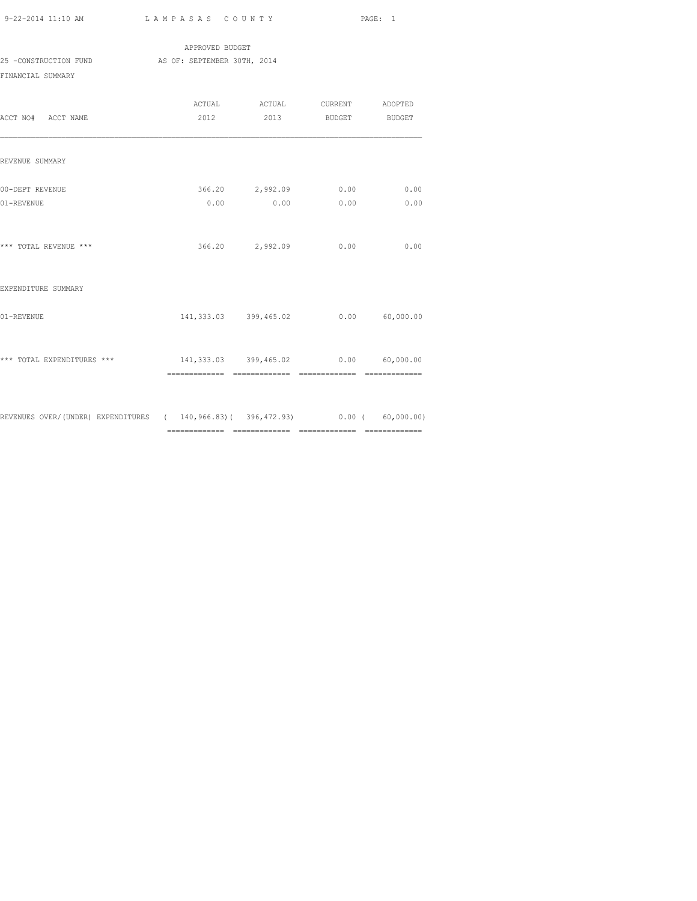APPROVED BUDGET 25 -CONSTRUCTION FUND AS OF: SEPTEMBER 30TH, 2014 FINANCIAL SUMMARY

| ACCT NO# ACCT NAME                                                           |                                      | ACTUAL ACTUAL CURRENT ADOPTED<br>2012 2013 BUDGET BUDGET |      |              |
|------------------------------------------------------------------------------|--------------------------------------|----------------------------------------------------------|------|--------------|
| REVENUE SUMMARY                                                              |                                      |                                                          |      |              |
| 00-DEPT REVENUE<br>01-REVENUE                                                |                                      | 366.20 2,992.09 0.00<br>$0.00$ 0.00                      | 0.00 | 0.00<br>0.00 |
| *** TOTAL REVENUE ***                                                        |                                      | 366.20 2,992.09                                          | 0.00 | 0.00         |
| EXPENDITURE SUMMARY                                                          |                                      |                                                          |      |              |
| 01-REVENUE                                                                   |                                      | 141,333.03 399,465.02 0.00 60,000.00                     |      |              |
| *** TOTAL EXPENDITURES ***                                                   | 141,333.03 399,465.02 0.00 60,000.00 |                                                          |      |              |
| REVENUES OVER/(UNDER) EXPENDITURES (140,966.83)(396,472.93) 0.00 (60,000.00) |                                      |                                                          |      |              |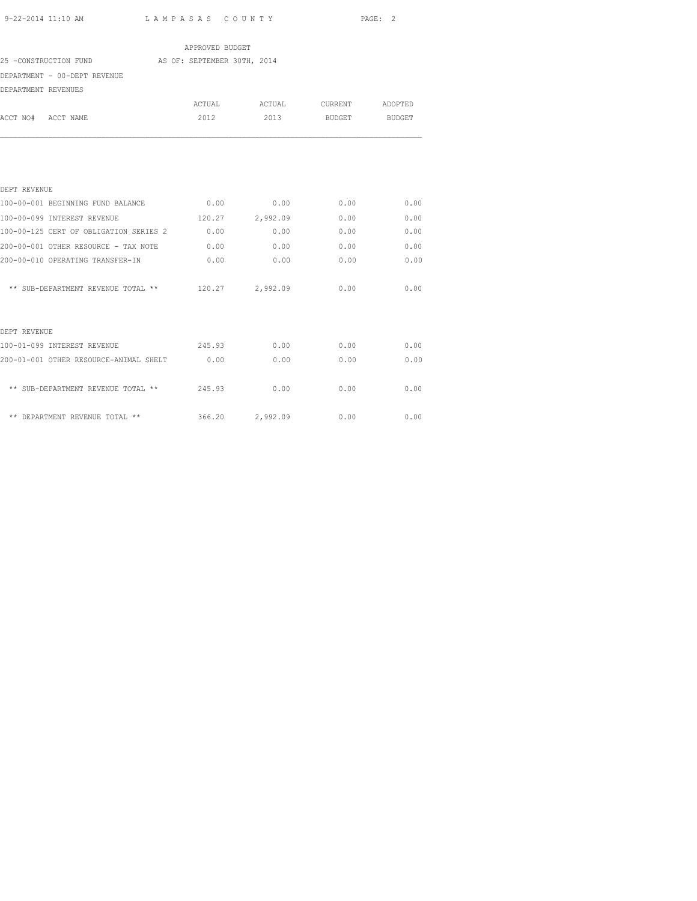| 9-22-2014 11:10 AM                                   | LAMPASAS COUNTY |                               |               | PAGE: 2 |
|------------------------------------------------------|-----------------|-------------------------------|---------------|---------|
|                                                      | APPROVED BUDGET |                               |               |         |
| 25 -CONSTRUCTION FUND AS OF: SEPTEMBER 30TH, 2014    |                 |                               |               |         |
| DEPARTMENT - 00-DEPT REVENUE                         |                 |                               |               |         |
| DEPARTMENT REVENUES                                  |                 |                               |               |         |
|                                                      |                 | ACTUAL ACTUAL CURRENT ADOPTED |               |         |
| ACCT NO# ACCT NAME                                   | 2012            | 2013                          | BUDGET BUDGET |         |
|                                                      |                 |                               |               |         |
| DEPT REVENUE                                         |                 |                               |               |         |
| 100-00-001 BEGINNING FUND BALANCE                    |                 | $0.00$ 0.00                   | 0.00          | 0.00    |
| 100-00-099 INTEREST REVENUE                          | 120.27 2,992.09 |                               | 0.00          | 0.00    |
| 100-00-125 CERT OF OBLIGATION SERIES 2 0.00          |                 | 0.00                          | 0.00          | 0.00    |
| 200-00-001 OTHER RESOURCE - TAX NOTE                 | 0.00            | 0.00                          | 0.00          | 0.00    |
| 200-00-010 OPERATING TRANSFER-IN                     | 0.00            | 0.00                          | 0.00          | 0.00    |
| ** SUB-DEPARTMENT REVENUE TOTAL ** $120.27$ 2,992.09 |                 |                               | 0.00          | 0.00    |
| DEPT REVENUE                                         |                 |                               |               |         |
| 100-01-099 INTEREST REVENUE 245.93                   |                 | 0.00                          | 0.00          | 0.00    |
| 200-01-001 OTHER RESOURCE-ANIMAL SHELT 0.00          |                 | 0.00                          | 0.00          | 0.00    |
| ** SUB-DEPARTMENT REVENUE TOTAL ** 245.93            |                 | 0.00                          | 0.00          | 0.00    |

\*\* DEPARTMENT REVENUE TOTAL \*\* 366.20 2,992.09 0.00 0.00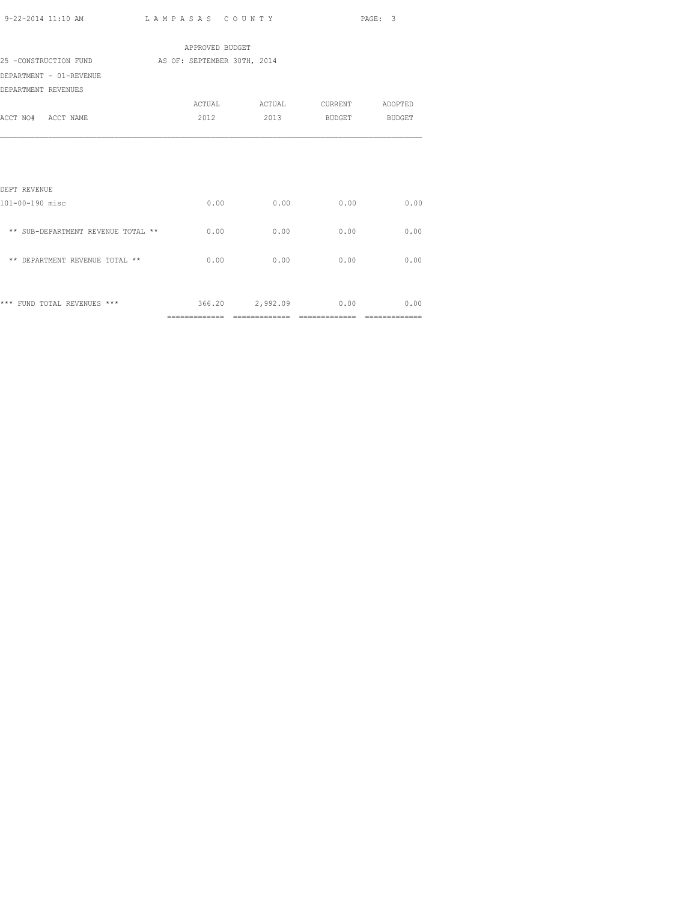| 9-22-2014 11:10 AM | LAMPASAS COUNTY | PAGE: 3 |
|--------------------|-----------------|---------|
|                    |                 |         |

|                                    | APPROVED BUDGET             |                 |                 |        |
|------------------------------------|-----------------------------|-----------------|-----------------|--------|
| 25 -CONSTRUCTION FUND              | AS OF: SEPTEMBER 30TH, 2014 |                 |                 |        |
| DEPARTMENT - 01-REVENUE            |                             |                 |                 |        |
| DEPARTMENT REVENUES                |                             |                 |                 |        |
|                                    | ACTUAL                      | ACTUAL          | CURRENT ADOPTED |        |
| ACCT NO# ACCT NAME                 | 2012                        |                 | 2013 BUDGET     | BUDGET |
|                                    |                             |                 |                 |        |
|                                    |                             |                 |                 |        |
| DEPT REVENUE                       |                             |                 |                 |        |
| 101-00-190 misc                    | 0.00                        | 0.00            | 0.00            | 0.00   |
| ** SUB-DEPARTMENT REVENUE TOTAL ** | 0.00                        | 0.00            | 0.00            | 0.00   |
| ** DEPARTMENT REVENUE TOTAL **     | 0.00                        | 0.00            | 0.00            | 0.00   |
|                                    |                             |                 |                 |        |
| *** FUND TOTAL REVENUES ***        |                             | 366.20 2,992.09 | 0.00            | 0.00   |
|                                    |                             |                 |                 |        |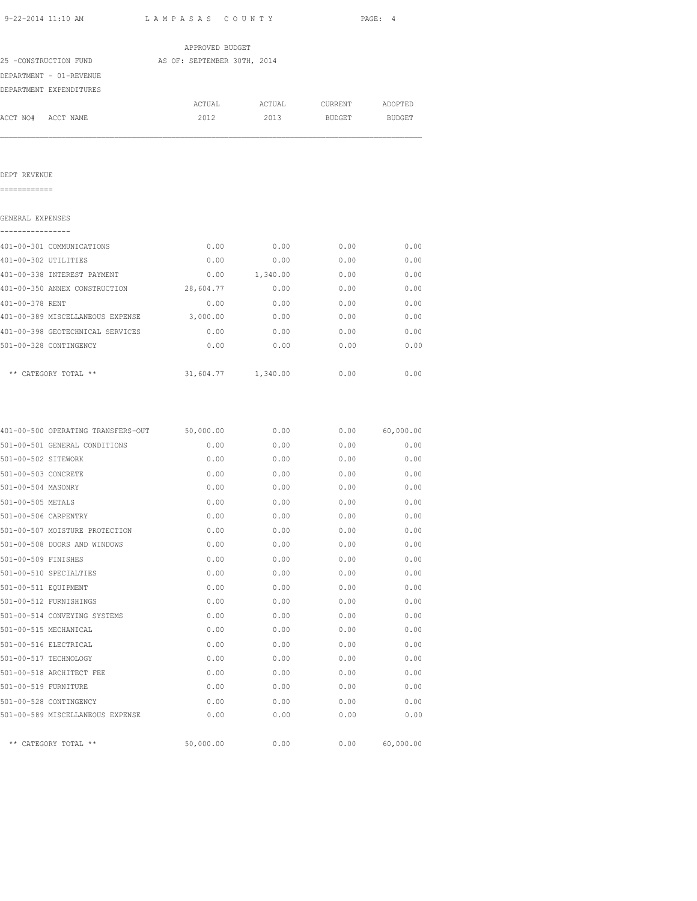| 9-22-2014 11:10 AM                                                                                                                                                                                                                                                                                                                   | LAMPASAS COUNTY                    |                               |              | PAGE: 4      |
|--------------------------------------------------------------------------------------------------------------------------------------------------------------------------------------------------------------------------------------------------------------------------------------------------------------------------------------|------------------------------------|-------------------------------|--------------|--------------|
|                                                                                                                                                                                                                                                                                                                                      | APPROVED BUDGET                    |                               |              |              |
| 25 -CONSTRUCTION FUND AS OF: SEPTEMBER 30TH, 2014                                                                                                                                                                                                                                                                                    |                                    |                               |              |              |
| DEPARTMENT - 01-REVENUE                                                                                                                                                                                                                                                                                                              |                                    |                               |              |              |
| DEPARTMENT EXPENDITURES                                                                                                                                                                                                                                                                                                              |                                    |                               |              |              |
|                                                                                                                                                                                                                                                                                                                                      |                                    | ACTUAL ACTUAL CURRENT ADOPTED |              |              |
| ACCT NO# ACCT NAME                                                                                                                                                                                                                                                                                                                   |                                    | 2012 2013 BUDGET BUDGET       |              |              |
|                                                                                                                                                                                                                                                                                                                                      |                                    |                               |              |              |
| DEPT REVENUE                                                                                                                                                                                                                                                                                                                         |                                    |                               |              |              |
| GENERAL EXPENSES                                                                                                                                                                                                                                                                                                                     |                                    |                               |              |              |
| 401-00-301 COMMUNICATIONS                                                                                                                                                                                                                                                                                                            | 0.00                               | 0.00                          | 0.00         | 0.00         |
| 401-00-302 UTILITIES                                                                                                                                                                                                                                                                                                                 | 0.00                               | 0.00                          | 0.00         | 0.00         |
| 401-00-338 INTEREST PAYMENT                                                                                                                                                                                                                                                                                                          |                                    | $0.00$ 1, 340.00 0.00         |              | 0.00         |
| 401-00-350 ANNEX CONSTRUCTION 28,604.77 0.00 0.00 0.00 0.00                                                                                                                                                                                                                                                                          |                                    |                               |              |              |
| 401-00-378 RENT                                                                                                                                                                                                                                                                                                                      |                                    | $0.00$ 0.00 0.00 0.00         |              |              |
| $401-00-389 \text{ MISCELLANEOUS EXPENSE} \hspace{3.5cm} 3,000.00 \hspace{3.5cm} 0.00 \hspace{3.5cm} 0.00 \hspace{3.5cm} 0.00 \hspace{3.5cm} 0.00 \hspace{3.5cm} 0.00 \hspace{3.5cm} 0.00 \hspace{3.5cm} 0.00 \hspace{3.5cm} 0.00 \hspace{3.5cm} 0.00 \hspace{3.5cm} 0.00 \hspace{3.5cm} 0.00 \hspace{3.5cm} 0.00 \hspace{3.5cm} 0.$ |                                    |                               |              |              |
| 401-00-398 GEOTECHNICAL SERVICES                                                                                                                                                                                                                                                                                                     |                                    | $0.00$ 0.00 0.00 0.00         |              |              |
| 501-00-328 CONTINGENCY                                                                                                                                                                                                                                                                                                               | 0.00                               | 0.00                          | 0.00         | 0.00         |
| ** CATEGORY TOTAL **                                                                                                                                                                                                                                                                                                                 | 31,604.77 1,340.00                 |                               | 0.00         | 0.00         |
|                                                                                                                                                                                                                                                                                                                                      |                                    |                               |              |              |
| 401-00-500 OPERATING TRANSFERS-OUT 50,000.00 0.00 0.00 0.00 60,000.00                                                                                                                                                                                                                                                                |                                    |                               |              |              |
| 501-00-501 GENERAL CONDITIONS                                                                                                                                                                                                                                                                                                        |                                    | $0.00$ 0.00                   | 0.00         | 0.00         |
| 501-00-502 SITEWORK                                                                                                                                                                                                                                                                                                                  |                                    | $0.00$ 0.00                   |              | $0.00$ 0.00  |
| 501-00-503 CONCRETE                                                                                                                                                                                                                                                                                                                  | $0.00$ $0.00$ $0.00$ $0.00$ $0.00$ |                               |              |              |
| 501-00-504 MASONRY                                                                                                                                                                                                                                                                                                                   | 0.00                               | 0.00                          | 0.00         | 0.00         |
| 501-00-505 METALS<br>501-00-506 CARPENTRY                                                                                                                                                                                                                                                                                            | 0.00<br>0.00                       | 0.00<br>0.00                  | 0.00<br>0.00 | 0.00<br>0.00 |
| 501-00-507 MOISTURE PROTECTION                                                                                                                                                                                                                                                                                                       | 0.00                               | 0.00                          | 0.00         | 0.00         |
| 501-00-508 DOORS AND WINDOWS                                                                                                                                                                                                                                                                                                         | 0.00                               | 0.00                          | 0.00         | 0.00         |
| 501-00-509 FINISHES                                                                                                                                                                                                                                                                                                                  | 0.00                               | 0.00                          | 0.00         | 0.00         |
| 501-00-510 SPECIALTIES                                                                                                                                                                                                                                                                                                               | 0.00                               | 0.00                          | 0.00         | 0.00         |
| 501-00-511 EQUIPMENT                                                                                                                                                                                                                                                                                                                 | 0.00                               | 0.00                          | 0.00         | 0.00         |
| 501-00-512 FURNISHINGS                                                                                                                                                                                                                                                                                                               | 0.00                               | 0.00                          | 0.00         | 0.00         |
| 501-00-514 CONVEYING SYSTEMS                                                                                                                                                                                                                                                                                                         | 0.00                               | 0.00                          | 0.00         | 0.00         |
| 501-00-515 MECHANICAL                                                                                                                                                                                                                                                                                                                | 0.00                               | 0.00                          | 0.00         | 0.00         |
| 501-00-516 ELECTRICAL                                                                                                                                                                                                                                                                                                                | 0.00                               | 0.00                          | 0.00         | 0.00         |
| 501-00-517 TECHNOLOGY                                                                                                                                                                                                                                                                                                                | 0.00                               | 0.00                          | 0.00         | 0.00         |
| 501-00-518 ARCHITECT FEE                                                                                                                                                                                                                                                                                                             | 0.00                               | 0.00                          | 0.00         | 0.00         |
| 501-00-519 FURNITURE                                                                                                                                                                                                                                                                                                                 | 0.00                               | 0.00                          | 0.00         | 0.00         |
| 501-00-528 CONTINGENCY                                                                                                                                                                                                                                                                                                               | 0.00                               | 0.00                          | 0.00         | 0.00         |
| 501-00-589 MISCELLANEOUS EXPENSE                                                                                                                                                                                                                                                                                                     | 0.00                               | 0.00                          | 0.00         | 0.00         |
| ** CATEGORY TOTAL **                                                                                                                                                                                                                                                                                                                 | 50,000.00                          | 0.00                          | 0.00         | 60,000.00    |
|                                                                                                                                                                                                                                                                                                                                      |                                    |                               |              |              |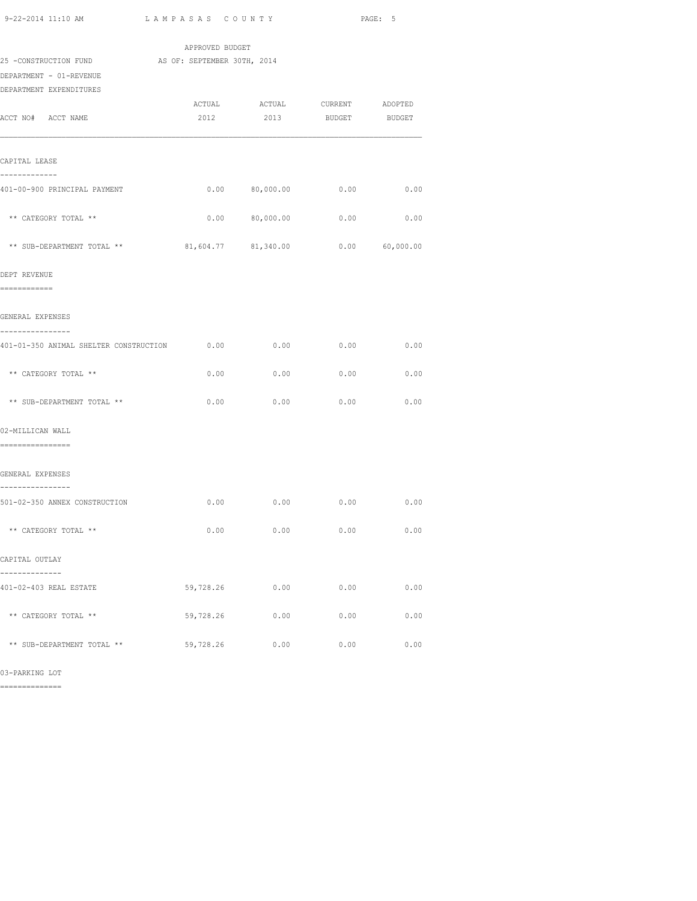| 9-22-2014 11:10 AM                                | LAMPASAS COUNTY |                            | PAGE: 5       |                  |  |
|---------------------------------------------------|-----------------|----------------------------|---------------|------------------|--|
|                                                   | APPROVED BUDGET |                            |               |                  |  |
| 25 -CONSTRUCTION FUND AS OF: SEPTEMBER 30TH, 2014 |                 |                            |               |                  |  |
| DEPARTMENT - 01-REVENUE                           |                 |                            |               |                  |  |
| DEPARTMENT EXPENDITURES                           |                 |                            |               |                  |  |
|                                                   | ACTUAL          | <b>ACTUAL</b>              | CURRENT       | ADOPTED          |  |
| ACCT NO# ACCT NAME                                | 2012            | 2013                       | <b>BUDGET</b> | BUDGET           |  |
| CAPITAL LEASE                                     |                 |                            |               |                  |  |
| -------------<br>401-00-900 PRINCIPAL PAYMENT     |                 | $0.00$ 80,000.00 0.00 0.00 |               |                  |  |
| ** CATEGORY TOTAL **                              |                 | $0.00$ 80,000.00 0.00 0.00 |               |                  |  |
| ** SUB-DEPARTMENT TOTAL ** 81,604.77 81,340.00    |                 |                            |               | $0.00$ 60,000.00 |  |
| DEPT REVENUE                                      |                 |                            |               |                  |  |
| ============                                      |                 |                            |               |                  |  |
| GENERAL EXPENSES                                  |                 |                            |               |                  |  |
| ---------------                                   |                 |                            |               |                  |  |
| 401-01-350 ANIMAL SHELTER CONSTRUCTION 0.00       |                 | 0.00                       | $0.00$ 0.00   |                  |  |
| ** CATEGORY TOTAL **                              | 0.00            | 0.00                       | $0.00$ 0.00   |                  |  |
| ** SUB-DEPARTMENT TOTAL **                        | 0.00            | 0.00                       | 0.00          | 0.00             |  |
| 02-MILLICAN WALL<br>=================             |                 |                            |               |                  |  |
| GENERAL EXPENSES                                  |                 |                            |               |                  |  |
| ----------------<br>501-02-350 ANNEX CONSTRUCTION |                 | $0.00$ 0.00 0.00 0.00 0.00 |               |                  |  |
|                                                   |                 |                            |               |                  |  |
| ** CATEGORY TOTAL **                              | 0.00            | 0.00                       | 0.00          | 0.00             |  |
| CAPITAL OUTLAY                                    |                 |                            |               |                  |  |
|                                                   |                 |                            |               |                  |  |
| 401-02-403 REAL ESTATE                            | 59,728.26       | 0.00                       | 0.00          | 0.00             |  |
| ** CATEGORY TOTAL **                              | 59,728.26       | 0.00                       | 0.00          | 0.00             |  |
| ** SUB-DEPARTMENT TOTAL **                        | 59,728.26       | 0.00                       | 0.00          | 0.00             |  |

03-PARKING LOT

==============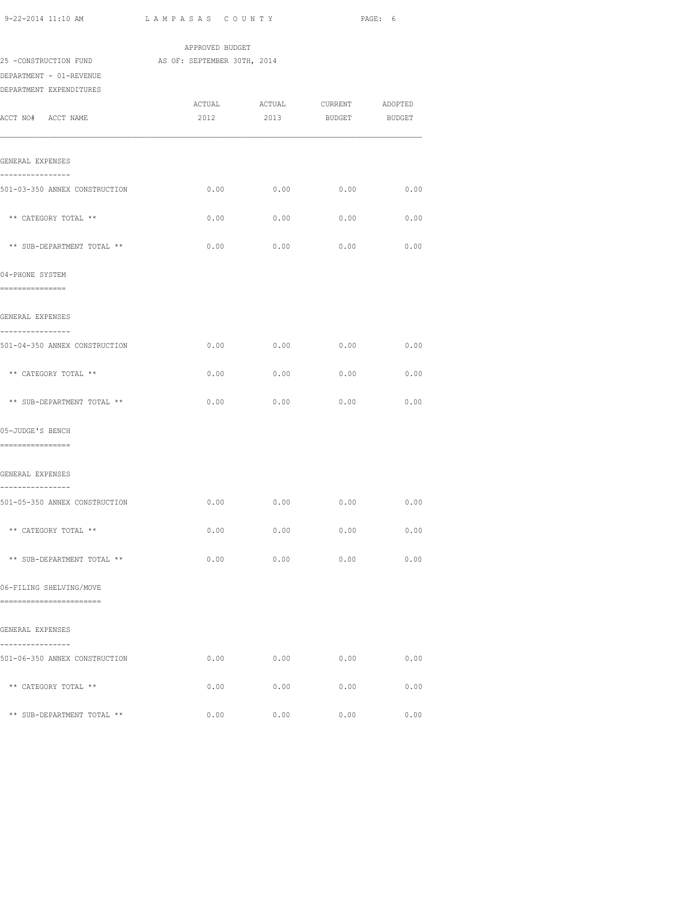| 9-22-2014 11:10 AM                                                                                      | LAMPASAS COUNTY |                       | PAGE: 6                          |               |  |
|---------------------------------------------------------------------------------------------------------|-----------------|-----------------------|----------------------------------|---------------|--|
|                                                                                                         | APPROVED BUDGET |                       |                                  |               |  |
| 25 -CONSTRUCTION FUND AS OF: SEPTEMBER 30TH, 2014<br>DEPARTMENT - 01-REVENUE<br>DEPARTMENT EXPENDITURES |                 |                       |                                  |               |  |
| ACCT NO# ACCT NAME                                                                                      | ACTUAL<br>2012  | <b>ACTUAL</b><br>2013 | CURRENT ADOPTED<br><b>BUDGET</b> | <b>BUDGET</b> |  |
| GENERAL EXPENSES<br>----------------                                                                    |                 |                       |                                  |               |  |
| 501-03-350 ANNEX CONSTRUCTION                                                                           |                 |                       | $0.00$ 0.00 0.00 0.00            |               |  |
| ** CATEGORY TOTAL **                                                                                    | 0.00            | 0.00                  | 0.00                             | 0.00          |  |
| ** SUB-DEPARTMENT TOTAL **                                                                              | 0.00            | 0.00                  | 0.00                             | 0.00          |  |
| 04-PHONE SYSTEM<br>================                                                                     |                 |                       |                                  |               |  |
| GENERAL EXPENSES                                                                                        |                 |                       |                                  |               |  |
| ----------------<br>501-04-350 ANNEX CONSTRUCTION                                                       | 0.00            | 0.00                  | $0.00$ 0.00                      |               |  |
| ** CATEGORY TOTAL **                                                                                    | 0.00            | 0.00                  | 0.00                             | 0.00          |  |
| ** SUB-DEPARTMENT TOTAL **                                                                              | 0.00            | 0.00                  | 0.00                             | 0.00          |  |
| 05-JUDGE'S BENCH<br>=================                                                                   |                 |                       |                                  |               |  |
| GENERAL EXPENSES                                                                                        |                 |                       |                                  |               |  |
| ----------------<br>501-05-350 ANNEX CONSTRUCTION                                                       |                 |                       | $0.00$ 0.00 0.00 0.00            |               |  |
| ** CATEGORY TOTAL **                                                                                    | 0.00            | 0.00                  | 0.00                             | 0.00          |  |
| ** SUB-DEPARTMENT TOTAL **                                                                              | 0.00            | 0.00                  | 0.00                             | 0.00          |  |
| 06-FILING SHELVING/MOVE<br>------------------------                                                     |                 |                       |                                  |               |  |
| GENERAL EXPENSES                                                                                        |                 |                       |                                  |               |  |
| ----------------<br>501-06-350 ANNEX CONSTRUCTION                                                       | 0.00            | 0.00                  | 0.00                             | 0.00          |  |
| ** CATEGORY TOTAL **                                                                                    | 0.00            | 0.00                  | 0.00                             | 0.00          |  |
| ** SUB-DEPARTMENT TOTAL **                                                                              |                 |                       | $0.00$ 0.00 0.00                 | 0.00          |  |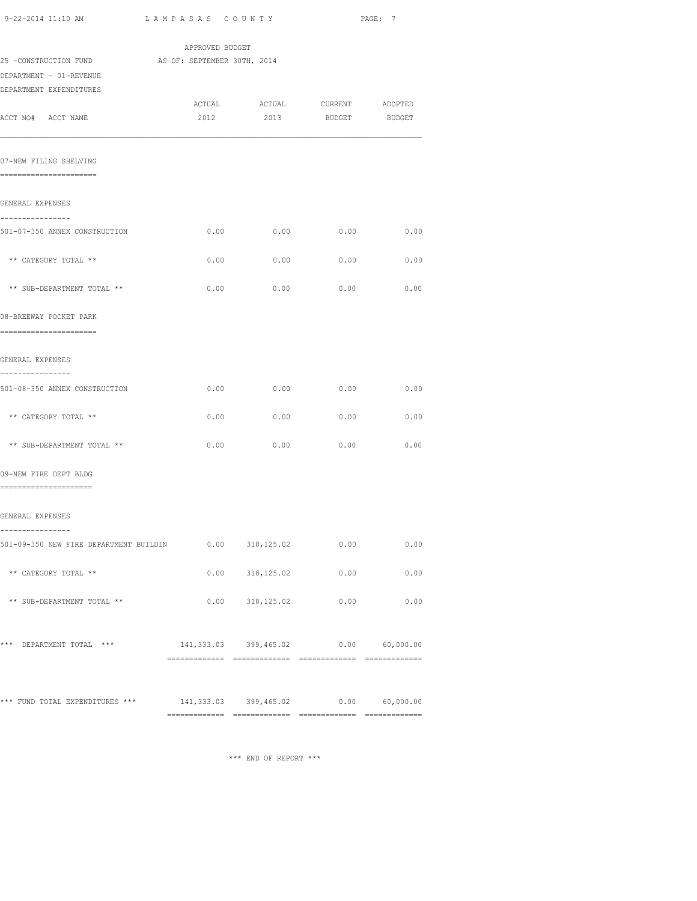| 9-22-2014 11:10 AM                                                   | LAMPASAS COUNTY                      |                      |                               | PAGE: 7 |
|----------------------------------------------------------------------|--------------------------------------|----------------------|-------------------------------|---------|
|                                                                      | APPROVED BUDGET                      |                      |                               |         |
| 25 -CONSTRUCTION FUND                                                | AS OF: SEPTEMBER 30TH, 2014          |                      |                               |         |
| DEPARTMENT - 01-REVENUE                                              |                                      |                      |                               |         |
| DEPARTMENT EXPENDITURES                                              |                                      |                      | ACTUAL ACTUAL CURRENT ADOPTED |         |
| ACCT NO# ACCT NAME                                                   | 2012                                 | 2013                 | BUDGET BUDGET                 |         |
| 07-NEW FILING SHELVING                                               |                                      |                      |                               |         |
| =======================                                              |                                      |                      |                               |         |
| GENERAL EXPENSES                                                     |                                      |                      |                               |         |
| ----------------<br>501-07-350 ANNEX CONSTRUCTION                    | 0.00                                 | 0.00                 | 0.00                          | 0.00    |
| ** CATEGORY TOTAL **                                                 | 0.00                                 | 0.00                 | 0.00                          | 0.00    |
| ** SUB-DEPARTMENT TOTAL **                                           | 0.00                                 | 0.00                 | 0.00                          | 0.00    |
| 08-BREEWAY POCKET PARK<br>=======================                    |                                      |                      |                               |         |
| GENERAL EXPENSES                                                     |                                      |                      |                               |         |
| ----------------<br>501-08-350 ANNEX CONSTRUCTION                    | 0.00                                 | 0.00                 | 0.00                          | 0.00    |
| ** CATEGORY TOTAL **                                                 | 0.00                                 | 0.00                 | 0.00                          | 0.00    |
| ** SUB-DEPARTMENT TOTAL **                                           | 0.00                                 | 0.00                 | 0.00                          | 0.00    |
| 09-NEW FIRE DEPT BLDG<br>---------------------                       |                                      |                      |                               |         |
| GENERAL EXPENSES                                                     |                                      |                      |                               |         |
| ----------------                                                     |                                      |                      |                               |         |
| 501-09-350 NEW FIRE DEPARTMENT BUILDIN                               |                                      | $0.00$ $318,125.02$  | 0.00                          | 0.00    |
| ** CATEGORY TOTAL **                                                 |                                      | $0.00$ $318, 125.02$ | 0.00                          | 0.00    |
| ** SUB-DEPARTMENT TOTAL **                                           |                                      |                      | $0.00$ $318,125.02$ 0.00      | 0.00    |
| *** DEPARTMENT TOTAL ***                                             | 141,333.03 399,465.02 0.00 60,000.00 |                      |                               |         |
| *** FUND TOTAL EXPENDITURES *** 141,333.03 399,465.02 0.00 60,000.00 |                                      |                      |                               |         |
|                                                                      |                                      |                      |                               |         |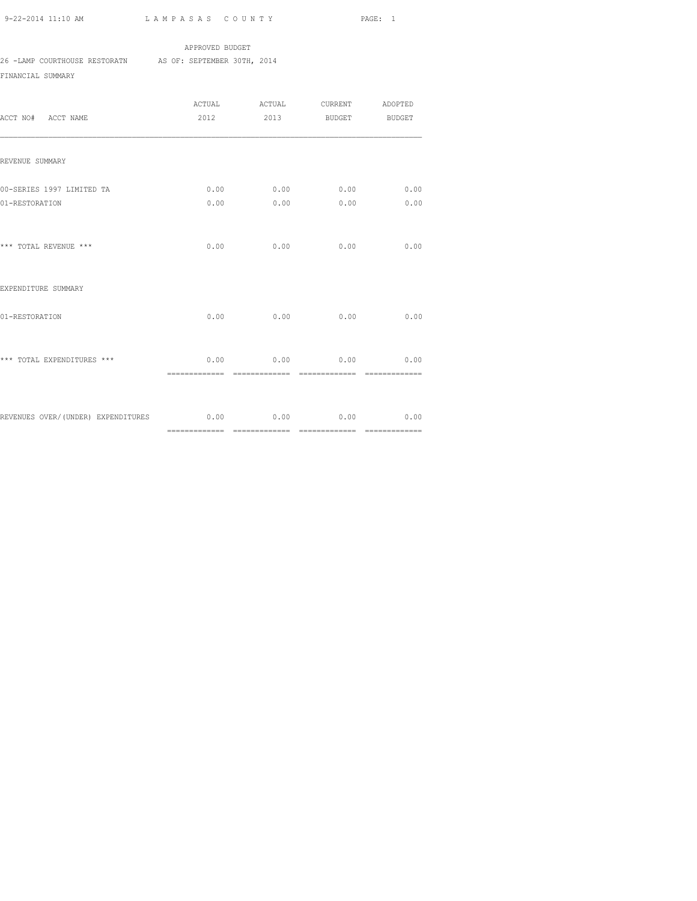## APPROVED BUDGET 26 -LAMP COURTHOUSE RESTORATN AS OF: SEPTEMBER 30TH, 2014

FINANCIAL SUMMARY

| ACCT NO# ACCT NAME                                               | ACTUAL                 | ACTUAL CURRENT ADOPTED<br>2012 2013 BUDGET BUDGET |                        |                        |
|------------------------------------------------------------------|------------------------|---------------------------------------------------|------------------------|------------------------|
| REVENUE SUMMARY                                                  |                        |                                                   |                        |                        |
| 00-SERIES 1997 LIMITED TA<br>01-RESTORATION                      | 0.00                   | $0.00$ $0.00$ $0.00$<br>0.00                      | 0.00                   | 0.00<br>0.00           |
| *** TOTAL REVENUE ***                                            | 0.00                   | 0.00                                              | 0.00                   | 0.00                   |
| EXPENDITURE SUMMARY                                              |                        |                                                   |                        |                        |
| 01-RESTORATION                                                   | 0.00                   | 0.00                                              | 0.00                   | 0.00                   |
| *** TOTAL EXPENDITURES ***                                       | 0.00<br>============== | 0.00<br>=============                             | 0.00<br>-------------- | 0.00<br>============== |
| REVENUES OVER/(UNDER) EXPENDITURES 6.00 0.00 0.00 0.00 0.00 0.00 |                        |                                                   |                        |                        |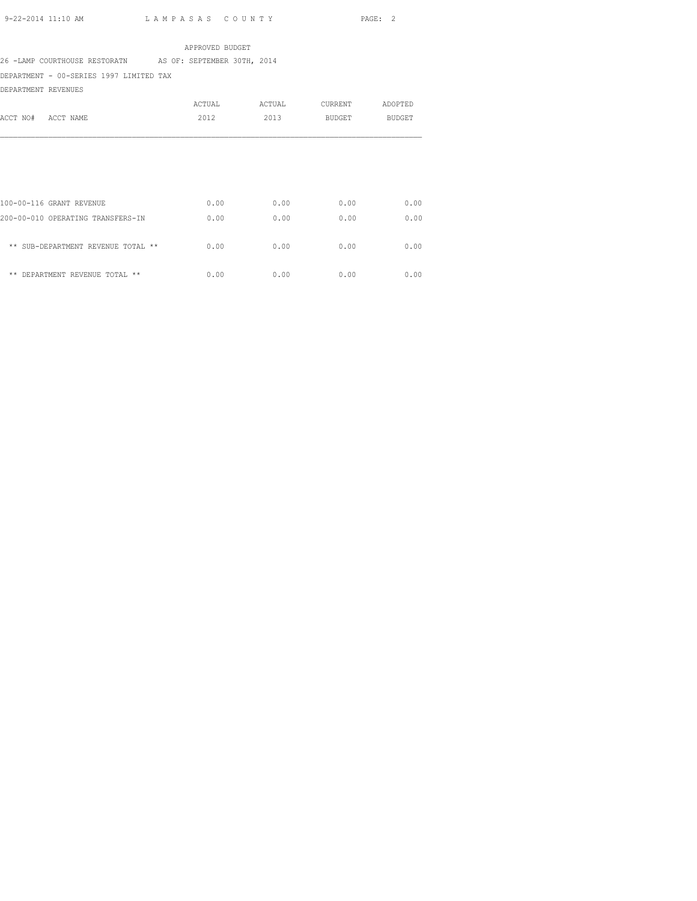APPROVED BUDGET

26 -LAMP COURTHOUSE RESTORATN AS OF: SEPTEMBER 30TH, 2014

DEPARTMENT - 00-SERIES 1997 LIMITED TAX

DEPARTMENT REVENUES

| ACCT NO#<br>ACCT NAME                                         | ACTUAL<br>2012 | ACTUAL<br>2013 | <b>CURRENT</b><br><b>BUDGET</b> | ADOPTED<br><b>BUDGET</b> |
|---------------------------------------------------------------|----------------|----------------|---------------------------------|--------------------------|
|                                                               |                |                |                                 |                          |
| 100-00-116 GRANT REVENUE<br>200-00-010 OPERATING TRANSFERS-IN | 0.00<br>0.00   | 0.00<br>0.00   | 0.00<br>0.00                    | 0.00<br>0.00             |
| ** SUB-DEPARTMENT REVENUE TOTAL **                            | 0.00           | 0.00           | 0.00                            | 0.00                     |
| $* *$<br>DEPARTMENT REVENUE TOTAL **                          | 0.00           | 0.00           | 0.00                            | 0.00                     |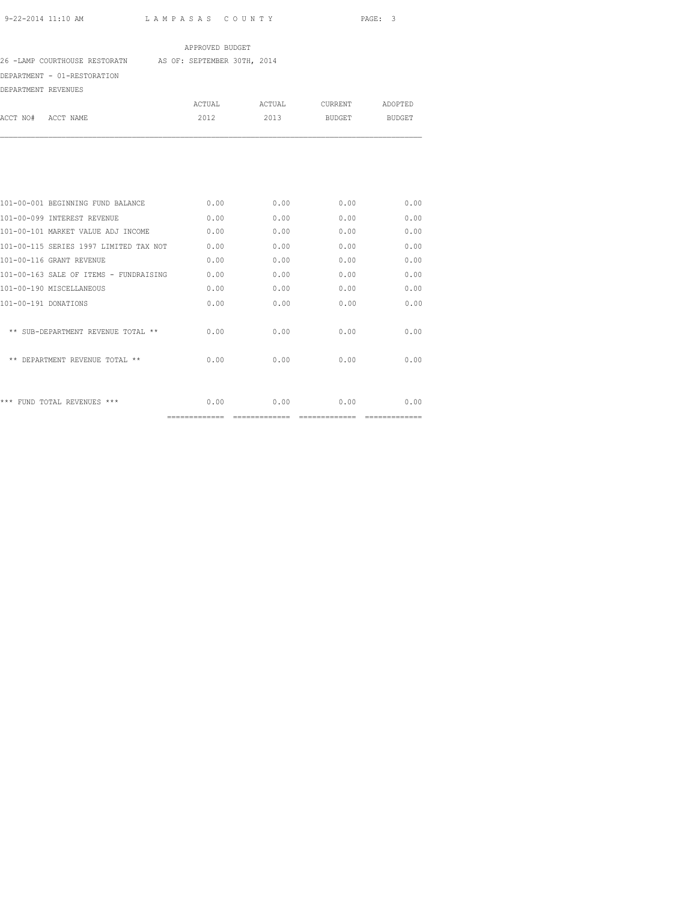## APPROVED BUDGET

26 -LAMP COURTHOUSE RESTORATN AS OF: SEPTEMBER 30TH, 2014

DEPARTMENT - 01-RESTORATION

DEPARTMENT REVENUES

| ------------------------------- |           |        |        |         |         |
|---------------------------------|-----------|--------|--------|---------|---------|
|                                 |           | ACTUAL | ACTUAL | CURRENT | ADOPTED |
| ACCT NO#                        | ACCT NAME | 2012   | 2013   | BUDGET  | BUDGET  |
|                                 |           |        |        |         |         |

|                                        | ============== | ------- |      |      |
|----------------------------------------|----------------|---------|------|------|
| *** FUND TOTAL REVENUES ***            | 0.00           | 0.00    | 0.00 | 0.00 |
| ** DEPARTMENT REVENUE TOTAL **         | 0.00           | 0.00    | 0.00 | 0.00 |
| ** SUB-DEPARTMENT REVENUE TOTAL **     | 0.00           | 0.00    | 0.00 | 0.00 |
| 101-00-191 DONATIONS                   | 0.00           | 0.00    | 0.00 | 0.00 |
| 101-00-190 MISCELLANEOUS               | 0.00           | 0.00    | 0.00 | 0.00 |
| 101-00-163 SALE OF ITEMS - FUNDRAISING | 0.00           | 0.00    | 0.00 | 0.00 |
| 101-00-116 GRANT REVENUE               | 0.00           | 0.00    | 0.00 | 0.00 |
| 101-00-115 SERIES 1997 LIMITED TAX NOT | 0.00           | 0.00    | 0.00 | 0.00 |
| 101-00-101 MARKET VALUE ADJ INCOME     | 0.00           | 0.00    | 0.00 | 0.00 |
| 101-00-099 INTEREST REVENUE            | 0.00           | 0.00    | 0.00 | 0.00 |
| 101-00-001 BEGINNING FUND BALANCE      | 0.00           | 0.00    | 0.00 | 0.00 |
|                                        |                |         |      |      |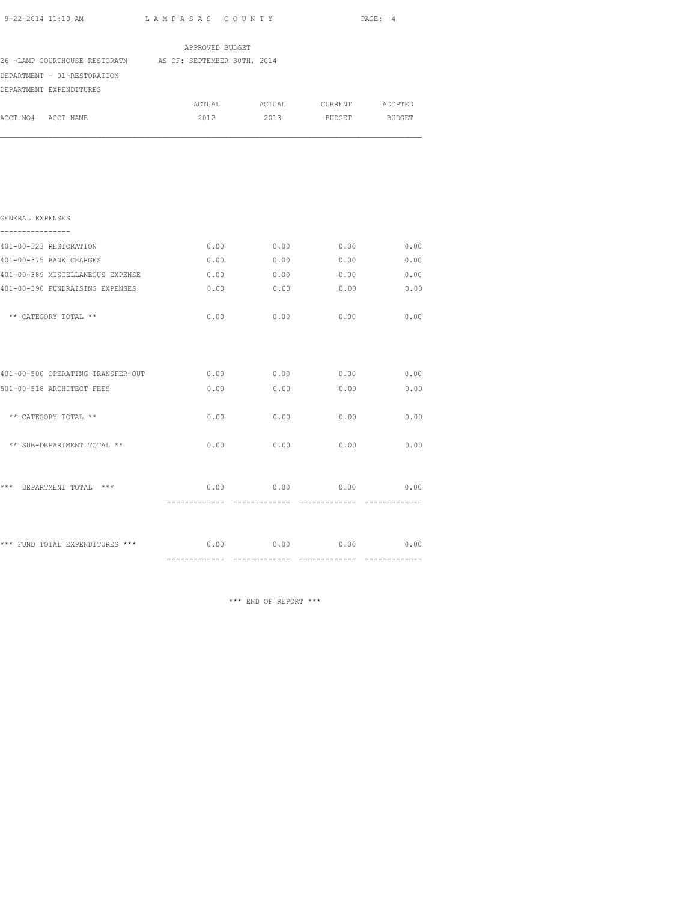|                                                                                                                     |                 |      |                        | PAGE: 4 |
|---------------------------------------------------------------------------------------------------------------------|-----------------|------|------------------------|---------|
|                                                                                                                     | APPROVED BUDGET |      |                        |         |
| 26 -LAMP COURTHOUSE RESTORATN AS OF: SEPTEMBER 30TH, 2014<br>DEPARTMENT - 01-RESTORATION<br>DEPARTMENT EXPENDITURES |                 |      |                        |         |
|                                                                                                                     | ACTUAL          |      | ACTUAL CURRENT ADOPTED |         |
| ACCT NO# ACCT NAME                                                                                                  | 2012            | 2013 | BUDGET                 | BUDGET  |
|                                                                                                                     |                 |      |                        |         |
| GENERAL EXPENSES                                                                                                    |                 |      |                        |         |
| 401-00-323 RESTORATION                                                                                              | 0.00            | 0.00 | 0.00                   | 0.00    |
| 401-00-375 BANK CHARGES                                                                                             | 0.00            | 0.00 | 0.00                   | 0.00    |
| 401-00-389 MISCELLANEOUS EXPENSE                                                                                    | 0.00            | 0.00 | 0.00                   | 0.00    |
| 401-00-390 FUNDRAISING EXPENSES                                                                                     | 0.00            | 0.00 | 0.00                   | 0.00    |
| ** CATEGORY TOTAL **                                                                                                | 0.00            | 0.00 | 0.00                   | 0.00    |
|                                                                                                                     |                 |      |                        |         |
| 401-00-500 OPERATING TRANSFER-OUT                                                                                   | 0.00            | 0.00 | 0.00                   | 0.00    |
| 501-00-518 ARCHITECT FEES                                                                                           | 0.00            | 0.00 | 0.00                   | 0.00    |
| ** CATEGORY TOTAL **                                                                                                | 0.00            | 0.00 | 0.00                   | 0.00    |
| ** SUB-DEPARTMENT TOTAL **                                                                                          | 0.00            | 0.00 | 0.00                   | 0.00    |
|                                                                                                                     |                 |      |                        |         |

\*\*\* FUND TOTAL EXPENDITURES \*\*\* 0.00 0.00 0.00 0.00 ============= ============= ============= =============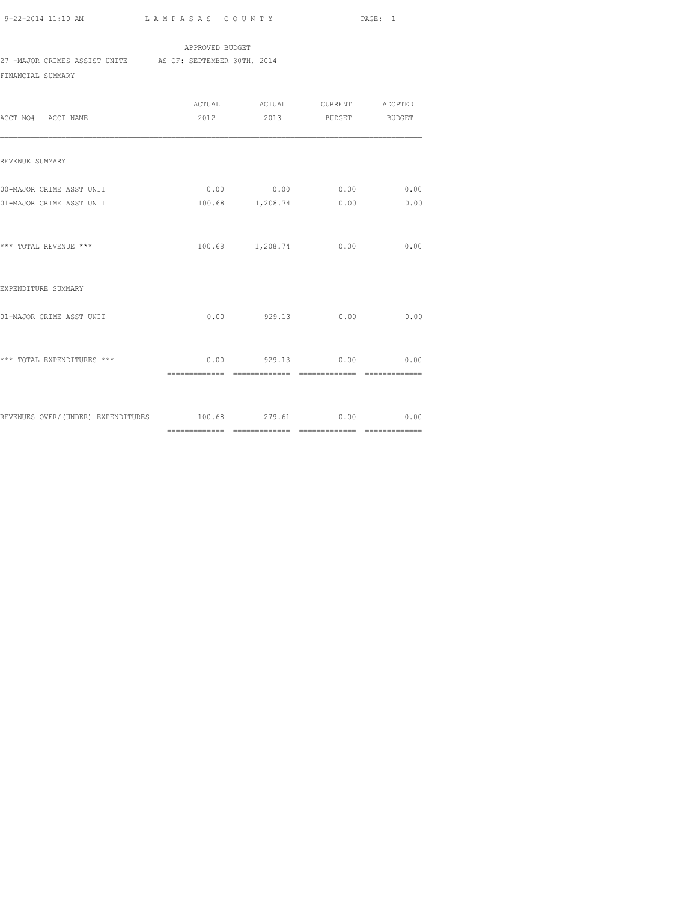APPROVED BUDGET 27 -MAJOR CRIMES ASSIST UNITE AS OF: SEPTEMBER 30TH, 2014 FINANCIAL SUMMARY

| ACCT NO# ACCT NAME                                    |      |        | 2012 2013 BUDGET BUDGET                             |                |
|-------------------------------------------------------|------|--------|-----------------------------------------------------|----------------|
| REVENUE SUMMARY                                       |      |        |                                                     |                |
| 00-MAJOR CRIME ASST UNIT<br>01-MAJOR CRIME ASST UNIT  |      |        | $0.00$ $0.00$ $0.00$ $0.00$<br>100.68 1,208.74 0.00 | 0.00<br>0.00   |
| *** TOTAL REVENUE ***                                 |      |        | 100.68 1,208.74 0.00                                | 0.00           |
| EXPENDITURE SUMMARY                                   |      |        |                                                     |                |
| 01-MAJOR CRIME ASST UNIT                              | 0.00 | 929.13 | 0.00                                                | 0.00           |
| *** TOTAL EXPENDITURES ***                            |      |        | $0.00$ 929.13 0.00 0.00                             | ============== |
| REVENUES OVER/(UNDER) EXPENDITURES 100.68 279.61 0.00 |      |        |                                                     | 0.00           |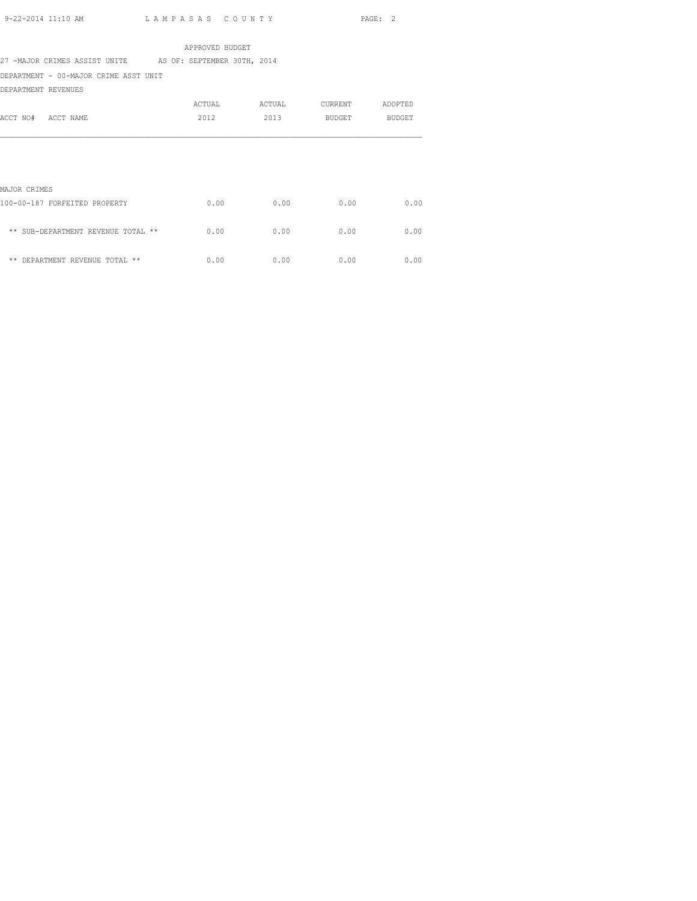APPROVED BUDGET 27 -MAJOR CRIMES ASSIST UNITE AS OF: SEPTEMBER 30TH, 2014 DEPARTMENT - 00-MAJOR CRIME ASST UNIT

DEPARTMENT REVENUES

| ACCT NO#<br>ACCT NAME                         | ACTUAL<br>2012 | ACTUAL<br>2013 | CURRENT<br>BUDGET | ADOPTED<br><b>BUDGET</b> |  |
|-----------------------------------------------|----------------|----------------|-------------------|--------------------------|--|
|                                               |                |                |                   |                          |  |
| MAJOR CRIMES<br>100-00-187 FORFEITED PROPERTY | 0.00           | 0.00           | 0.00              | 0.00                     |  |
| ** SUB-DEPARTMENT REVENUE TOTAL **            | 0.00           | 0.00           | 0.00              | 0.00                     |  |

 $**$  DEPARTMENT REVENUE TOTAL  $**$  0.00 0.00 0.00 0.00 0.00 0.00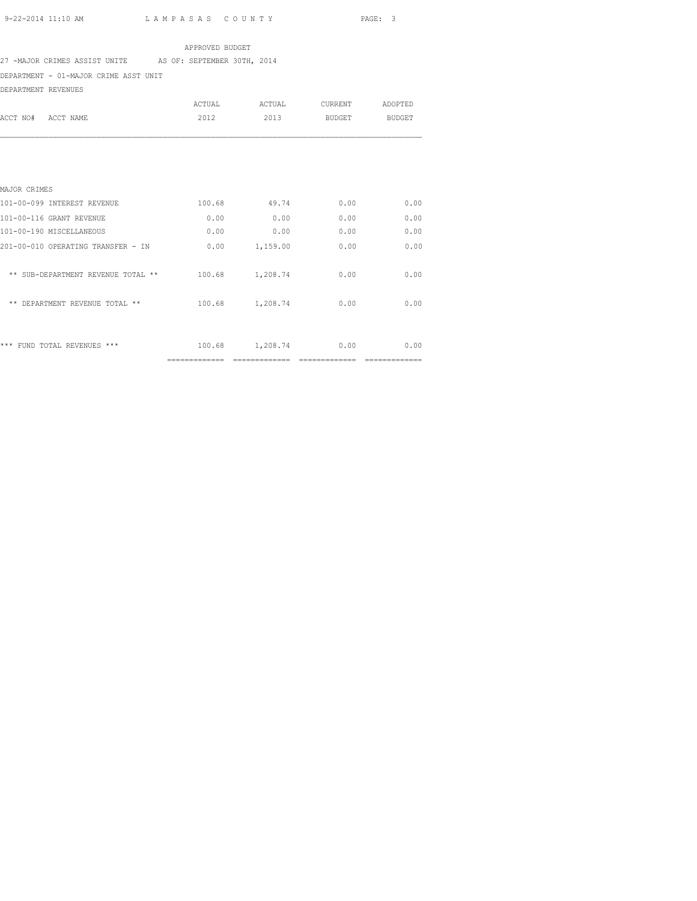### APPROVED BUDGET

27 -MAJOR CRIMES ASSIST UNITE AS OF: SEPTEMBER 30TH, 2014

DEPARTMENT - 01-MAJOR CRIME ASST UNIT

| DEPARTMENT REVENUES                |        |                 |         |               |
|------------------------------------|--------|-----------------|---------|---------------|
|                                    | ACTUAL | ACTUAL          | CURRENT | ADOPTED       |
| ACCT NO#<br>ACCT NAME              | 2012   | 2013            | BUDGET  | <b>BUDGET</b> |
|                                    |        |                 |         |               |
| MAJOR CRIMES                       |        |                 |         |               |
| 101-00-099 INTEREST REVENUE        | 100.68 | 49.74           | 0.00    | 0.00          |
| 101-00-116 GRANT REVENUE           | 0.00   | 0.00            | 0.00    | 0.00          |
| 101-00-190 MISCELLANEOUS           | 0.00   | 0.00            | 0.00    | 0.00          |
| 201-00-010 OPERATING TRANSFER - IN | 0.00   | 1,159.00        | 0.00    | 0.00          |
| ** SUB-DEPARTMENT REVENUE TOTAL ** | 100.68 | 1,208.74        | 0.00    | 0.00          |
| ** DEPARTMENT REVENUE TOTAL **     |        | 100.68 1,208.74 | 0.00    | 0.00          |
| *** FUND TOTAL REVENUES ***        | 100.68 | 1,208.74        | 0.00    | 0.00          |

============= ============= ============= =============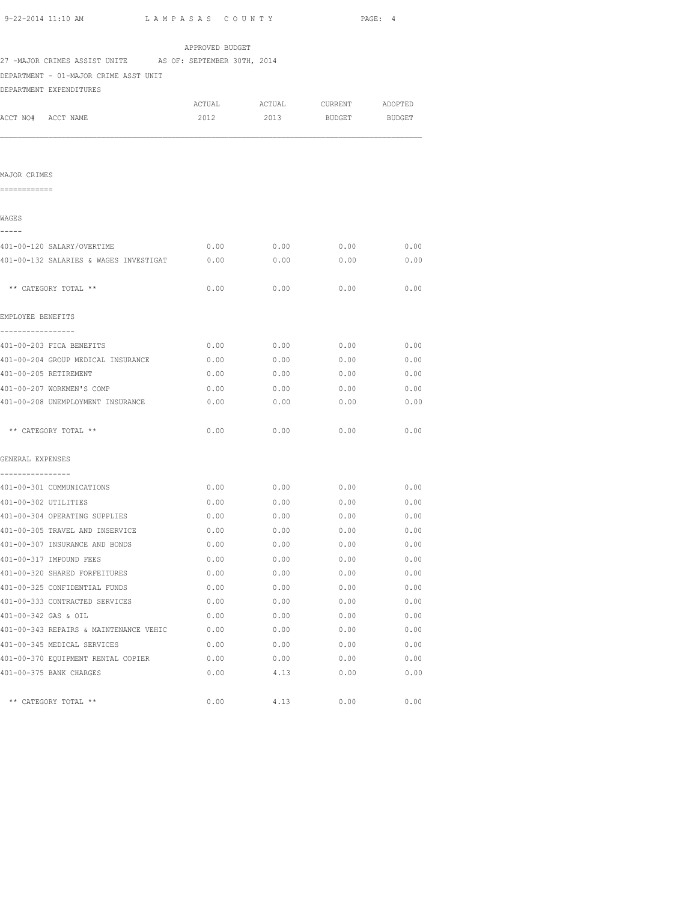| 27 -MAJOR CRIMES ASSIST UNITE AS OF: SEPTEMBER 30TH, 2014 | APPROVED BUDGET |             |                               |      |
|-----------------------------------------------------------|-----------------|-------------|-------------------------------|------|
| DEPARTMENT - 01-MAJOR CRIME ASST UNIT                     |                 |             |                               |      |
| DEPARTMENT EXPENDITURES                                   |                 |             |                               |      |
|                                                           |                 |             | ACTUAL ACTUAL CURRENT ADOPTED |      |
| ACCT NO# ACCT NAME                                        | 2012            | 2013        | BUDGET BUDGET                 |      |
|                                                           |                 |             |                               |      |
|                                                           |                 |             |                               |      |
| MAJOR CRIMES                                              |                 |             |                               |      |
| ============                                              |                 |             |                               |      |
| WAGES                                                     |                 |             |                               |      |
| -----                                                     |                 |             |                               |      |
| 401-00-120 SALARY/OVERTIME                                | 0.00            | 0.00        | 0.00                          | 0.00 |
| 401-00-132 SALARIES & WAGES INVESTIGAT                    | 0.00            | 0.00        | 0.00                          | 0.00 |
| ** CATEGORY TOTAL **                                      | 0.00            | 0.00        | 0.00                          | 0.00 |
| EMPLOYEE BENEFITS                                         |                 |             |                               |      |
| -----------------<br>401-00-203 FICA BENEFITS             | 0.00            | 0.00        | 0.00                          | 0.00 |
| 401-00-204 GROUP MEDICAL INSURANCE                        | 0.00            | 0.00        | 0.00                          | 0.00 |
| 401-00-205 RETIREMENT                                     | 0.00            | 0.00        | 0.00                          | 0.00 |
| 401-00-207 WORKMEN'S COMP                                 | 0.00            | 0.00        | 0.00                          | 0.00 |
| 401-00-208 UNEMPLOYMENT INSURANCE                         | 0.00            | 0.00        | 0.00                          | 0.00 |
|                                                           |                 |             |                               |      |
| ** CATEGORY TOTAL **                                      | 0.00            | 0.00        | 0.00                          | 0.00 |
| GENERAL EXPENSES                                          |                 |             |                               |      |
| ----------------                                          |                 |             |                               |      |
| 401-00-301 COMMUNICATIONS                                 | 0.00            | 0.00        | 0.00                          | 0.00 |
| 401-00-302 UTILITIES                                      | 0.00            | 0.00        | 0.00                          | 0.00 |
| 401-00-304 OPERATING SUPPLIES                             | 0.00            | 0.00        | 0.00                          | 0.00 |
| 401-00-305 TRAVEL AND INSERVICE                           | 0.00            | 0.00        | 0.00                          | 0.00 |
| 401-00-307 INSURANCE AND BONDS                            | 0.00            | 0.00        | 0.00                          | 0.00 |
| 401-00-317 IMPOUND FEES                                   | 0.00            | 0.00        | 0.00                          | 0.00 |
| 401-00-320 SHARED FORFEITURES                             | 0.00            | 0.00        | 0.00                          | 0.00 |
| 401-00-325 CONFIDENTIAL FUNDS                             |                 | $0.00$ 0.00 | 0.00                          | 0.00 |
| 401-00-333 CONTRACTED SERVICES                            |                 | $0.00$ 0.00 | $0.00$ 0.00                   |      |
| 401-00-342 GAS & OIL                                      |                 | $0.00$ 0.00 | 0.00                          | 0.00 |
| 401-00-343 REPAIRS & MAINTENANCE VEHIC 0.00 0.00 0.00     |                 |             | $0.00$ 0.00                   |      |
| 401-00-345 MEDICAL SERVICES                               | 0.00            | 0.00        | 0.00                          | 0.00 |
| 401-00-370 EQUIPMENT RENTAL COPIER                        | 0.00            | 0.00        | 0.00                          | 0.00 |
| 401-00-375 BANK CHARGES                                   | 0.00            | 4.13        | 0.00                          | 0.00 |

\*\* CATEGORY TOTAL \*\*  $0.00$   $4.13$   $0.00$   $0.00$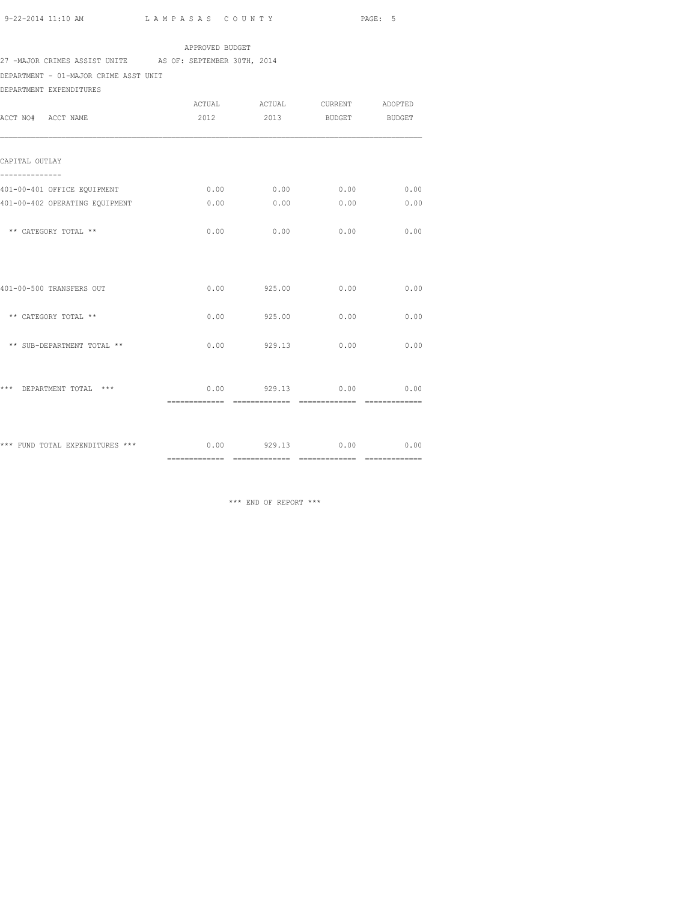### APPROVED BUDGET

# 27 -MAJOR CRIMES ASSIST UNITE AS OF: SEPTEMBER 30TH, 2014

DEPARTMENT - 01-MAJOR CRIME ASST UNIT

DEPARTMENT EXPENDITURES

| ACCT NO# ACCT NAME                                             | 2012           | ACTUAL ACTUAL CURRENT ADOPTED<br>2013     | BUDGET BUDGET  |                |
|----------------------------------------------------------------|----------------|-------------------------------------------|----------------|----------------|
| CAPITAL OUTLAY                                                 |                |                                           |                |                |
| 401-00-401 OFFICE EQUIPMENT                                    |                | $0.00$ $0.00$ $0.00$ $0.00$               |                | 0.00           |
| 401-00-402 OPERATING EQUIPMENT                                 | 0.00           | 0.00                                      | 0.00           | 0.00           |
| ** CATEGORY TOTAL **                                           | 0.00           | 0.00                                      | 0.00           | 0.00           |
| 401-00-500 TRANSFERS OUT                                       |                | $0.00$ 925.00 0.00                        |                | 0.00           |
| ** CATEGORY TOTAL **                                           |                | $0.00$ 925.00                             | 0.00           | 0.00           |
| ** SUB-DEPARTMENT TOTAL **                                     |                | $0.00$ 929.13                             | 0.00           | 0.00           |
| *** DEPARTMENT TOTAL ***                                       | ============== | $0.00$ 929.13 0.00 0.00<br>============== | ============== | ============== |
| *** FUND TOTAL EXPENDITURES *** $0.00$ 929.13 $0.00$ 0.00 0.00 |                |                                           |                |                |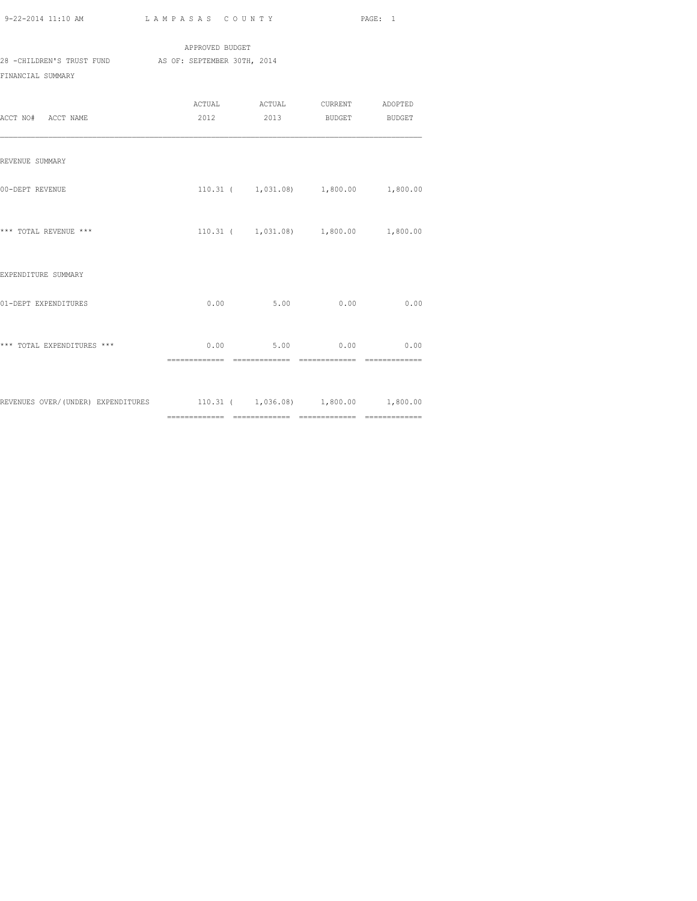APPROVED BUDGET 28 -CHILDREN'S TRUST FUND AS OF: SEPTEMBER 30TH, 2014 FINANCIAL SUMMARY

| ACCT NO# ACCT NAME                                                     | ACTUAL ACTUAL CURRENT ADOPTED<br>2012 2013 BUDGET BUDGET |      |      |
|------------------------------------------------------------------------|----------------------------------------------------------|------|------|
| REVENUE SUMMARY                                                        |                                                          |      |      |
| 00-DEPT REVENUE                                                        | $110.31$ ( $1,031.08$ ) $1,800.00$ $1,800.00$            |      |      |
| *** TOTAL REVENUE ***                                                  | $110.31$ ( $1,031.08$ ) $1,800.00$ $1,800.00$            |      |      |
| EXPENDITURE SUMMARY                                                    |                                                          |      |      |
| 01-DEPT EXPENDITURES                                                   | 0.00<br>5.00                                             | 0.00 | 0.00 |
| *** TOTAL EXPENDITURES ***                                             | $0.00$ 5.00 0.00 0.00                                    |      |      |
| REVENUES OVER/(UNDER) EXPENDITURES 110.31 (1,036.08) 1,800.00 1,800.00 |                                                          |      |      |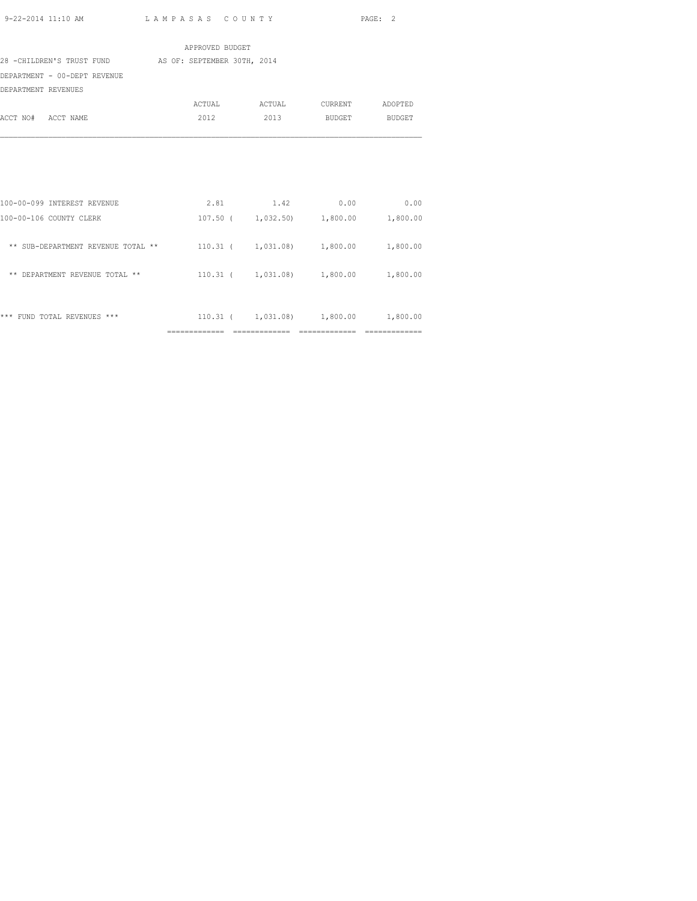| 9-22-2014 11:10 AM | LAMPASAS COUNTY | PAGE: 2 |  |
|--------------------|-----------------|---------|--|

|                                                       | APPROVED BUDGET |                                               |  |
|-------------------------------------------------------|-----------------|-----------------------------------------------|--|
| 28 -CHILDREN'S TRUST FUND AS OF: SEPTEMBER 30TH, 2014 |                 |                                               |  |
| DEPARTMENT - 00-DEPT REVENUE                          |                 |                                               |  |
| DEPARTMENT REVENUES                                   |                 |                                               |  |
|                                                       |                 | ACTUAL ACTUAL CURRENT ADOPTED                 |  |
| ACCT NO# ACCT NAME                                    |                 | 2012 2013 BUDGET BUDGET                       |  |
|                                                       |                 |                                               |  |
|                                                       |                 |                                               |  |
|                                                       |                 |                                               |  |
|                                                       |                 |                                               |  |
|                                                       |                 |                                               |  |
| 100-00-099 INTEREST REVENUE                           |                 | 2.81 1.42 0.00 0.00                           |  |
| 100-00-106 COUNTY CLERK                               |                 | 107.50 ( 1,032.50) 1,800.00 1,800.00          |  |
|                                                       |                 |                                               |  |
| ** SUB-DEPARTMENT REVENUE TOTAL **                    |                 | $110.31$ ( $1,031.08$ ) $1,800.00$ $1,800.00$ |  |
|                                                       |                 |                                               |  |
| ** DEPARTMENT REVENUE TOTAL **                        |                 | $110.31$ ( $1,031.08$ ) $1,800.00$ $1,800.00$ |  |
|                                                       |                 |                                               |  |
| *** FUND TOTAL REVENUES ***                           |                 | 110.31 ( 1,031.08) 1,800.00 1,800.00          |  |
|                                                       |                 |                                               |  |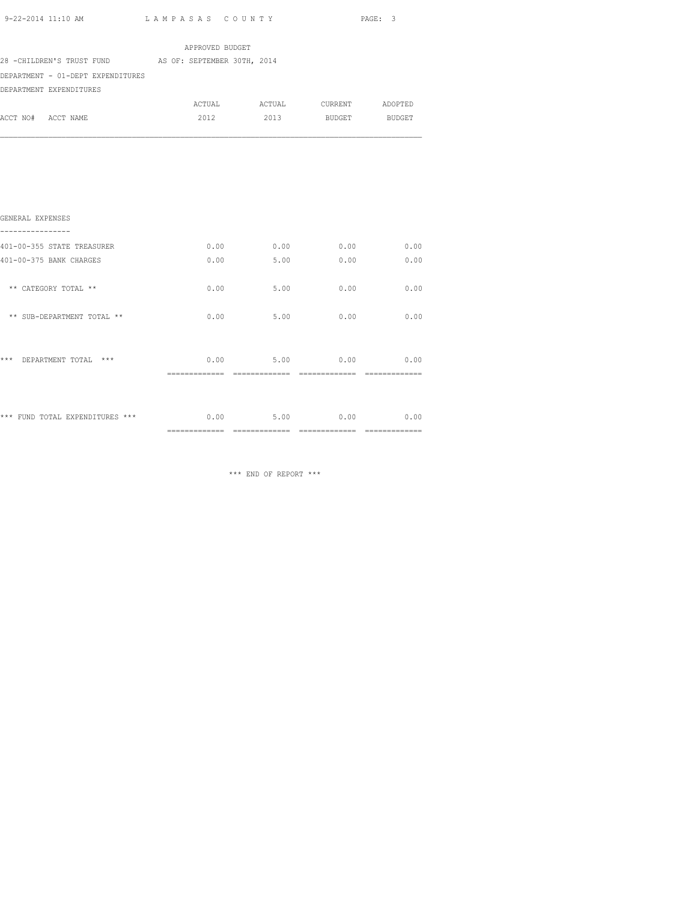| 9-22-2014 11:10 AM                                    | LAMPASAS COUNTY |      |               | PAGE: 3 |
|-------------------------------------------------------|-----------------|------|---------------|---------|
|                                                       | APPROVED BUDGET |      |               |         |
| 28 -CHILDREN'S TRUST FUND AS OF: SEPTEMBER 30TH, 2014 |                 |      |               |         |
| DEPARTMENT - 01-DEPT EXPENDITURES                     |                 |      |               |         |
| DEPARTMENT EXPENDITURES                               |                 |      |               |         |
|                                                       |                 |      |               |         |
| ACCT NO# ACCT NAME                                    | 2012            | 2013 | BUDGET BUDGET |         |
| GENERAL EXPENSES                                      |                 |      |               |         |
| 401-00-355 STATE TREASURER                            | 0.00            |      | $0.00$ 0.00   | 0.00    |
| 401-00-375 BANK CHARGES                               | 0.00            | 5.00 | 0.00          | 0.00    |
| ** CATEGORY TOTAL **                                  | 0.00            | 5.00 | 0.00          | 0.00    |
| ** SUB-DEPARTMENT TOTAL **                            | 0.00            | 5.00 | 0.00          | 0.00    |

| *** | DEPARTMENT TOTAL | $***$                           | 0.00<br>-----------   | 5.00                  | 0.00<br>____          | 0.00 |
|-----|------------------|---------------------------------|-----------------------|-----------------------|-----------------------|------|
|     |                  | *** FUND TOTAL EXPENDITURES *** | 0.00<br>------------- | 5.00<br>------------- | 0.00<br>_____________ | 0.00 |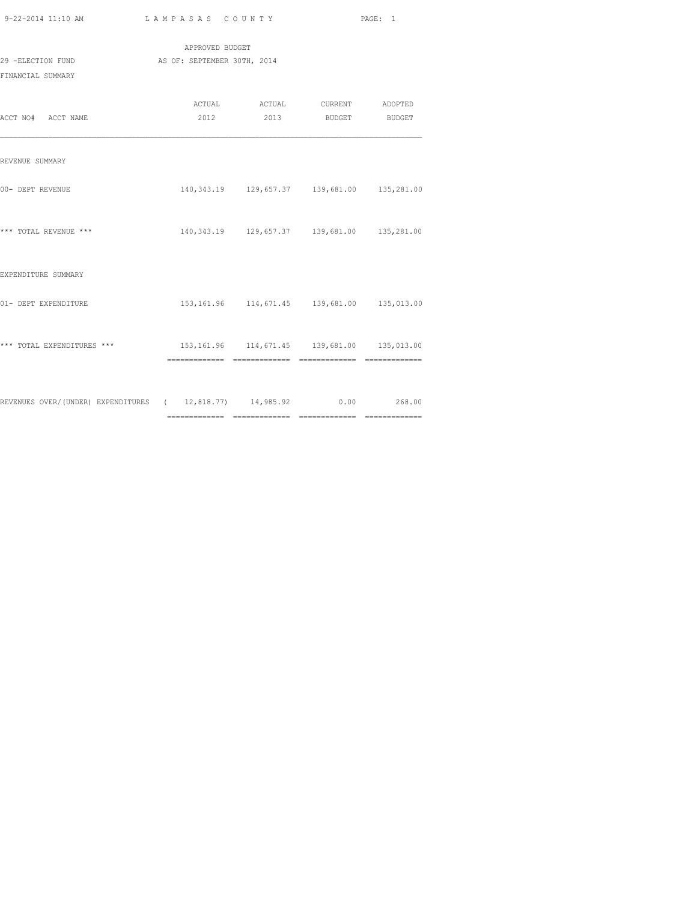| 9-22-2014 11:10 AM<br>the contract of the contract of the contract of the contract of the contract of the contract of the contract of | LAMPASAS COUNTY | PAGE: |  |
|---------------------------------------------------------------------------------------------------------------------------------------|-----------------|-------|--|
|                                                                                                                                       |                 |       |  |

| 29 -ELECTION FUND<br>FINANCIAL SUMMARY                                | APPROVED BUDGET<br>AS OF: SEPTEMBER 30TH, 2014 |                                                          |  |
|-----------------------------------------------------------------------|------------------------------------------------|----------------------------------------------------------|--|
| ACCT NO# ACCT NAME                                                    |                                                | ACTUAL ACTUAL CURRENT ADOPTED<br>2012 2013 BUDGET BUDGET |  |
| REVENUE SUMMARY                                                       |                                                |                                                          |  |
| 00- DEPT REVENUE                                                      |                                                | 140, 343.19  129, 657.37  139, 681.00  135, 281.00       |  |
| *** TOTAL REVENUE ***                                                 |                                                | 140, 343.19   129, 657.37   139, 681.00   135, 281.00    |  |
| EXPENDITURE SUMMARY                                                   |                                                |                                                          |  |
| 01- DEPT EXPENDITURE                                                  |                                                | 153, 161.96  114, 671.45  139, 681.00  135, 013.00       |  |
| *** TOTAL EXPENDITURES ***                                            |                                                | 153, 161.96  114, 671.45  139, 681.00  135, 013.00       |  |
| REVENUES OVER/(UNDER) EXPENDITURES ( 12,818.77) 14,985.92 0.00 268.00 |                                                |                                                          |  |

============= ============= ============= =============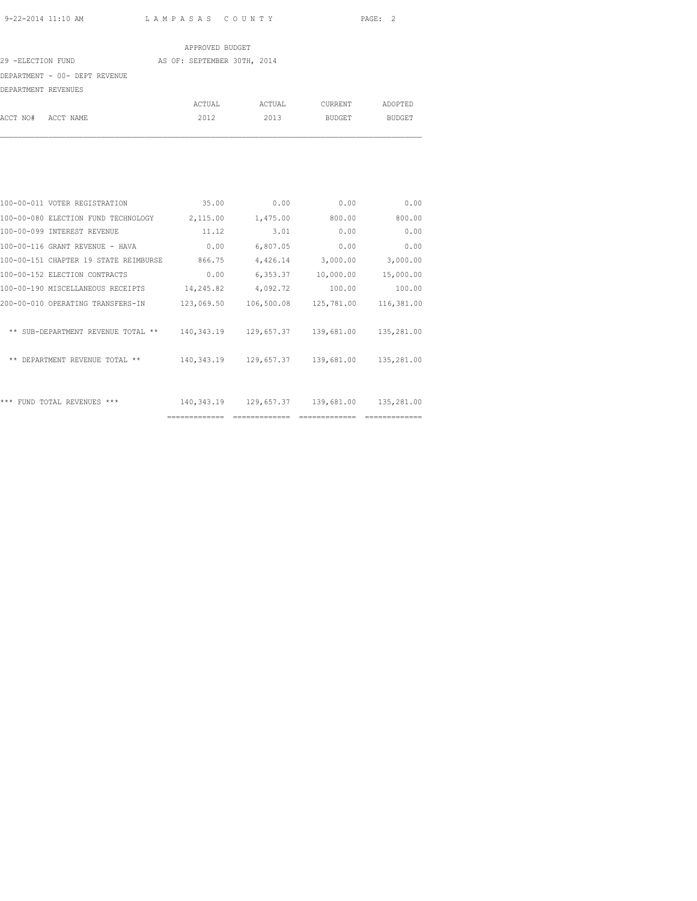|                               | APPROVED BUDGET             |        |         |         |
|-------------------------------|-----------------------------|--------|---------|---------|
| 29 -ELECTION FUND             | AS OF: SEPTEMBER 30TH, 2014 |        |         |         |
| DEPARTMENT - 00- DEPT REVENUE |                             |        |         |         |
| DEPARTMENT REVENUES           |                             |        |         |         |
|                               | ACTUAL                      | ACTUAL | CURRENT | ADOPTED |
| ACCT NO#<br>ACCT NAME         | 2012                        | 2013   | BUDGET  | BUDGET  |
|                               |                             |        |         |         |

|                                       | ============= | -------------- | -------------- | -------------- |
|---------------------------------------|---------------|----------------|----------------|----------------|
| *** FUND TOTAL REVENUES ***           | 140,343.19    | 129,657.37     | 139,681.00     | 135,281.00     |
| ** DEPARTMENT REVENUE TOTAL **        | 140,343.19    | 129,657.37     | 139,681.00     | 135,281.00     |
| ** SUB-DEPARTMENT REVENUE TOTAL **    | 140,343.19    | 129,657.37     | 139,681.00     | 135,281.00     |
| 200-00-010 OPERATING TRANSFERS-IN     | 123,069.50    | 106,500.08     | 125,781.00     | 116,381.00     |
| 100-00-190 MISCELLANEOUS RECEIPTS     | 14,245.82     | 4,092.72       | 100.00         | 100.00         |
| 100-00-152 ELECTION CONTRACTS         | 0.00          | 6,353.37       | 10,000.00      | 15,000.00      |
| 100-00-151 CHAPTER 19 STATE REIMBURSE | 866.75        | 4,426.14       | 3,000.00       | 3,000.00       |
| 100-00-116 GRANT REVENUE - HAVA       | 0.00          | 6,807.05       | 0.00           | 0.00           |
| 100-00-099 INTEREST REVENUE           | 11.12         | 3.01           | 0.00           | 0.00           |
| 100-00-080 ELECTION FUND TECHNOLOGY   | 2,115.00      | 1,475.00       | 800.00         | 800.00         |
| 100-00-011 VOTER REGISTRATION         | 35.00         | 0.00           | 0.00           | 0.00           |
|                                       |               |                |                |                |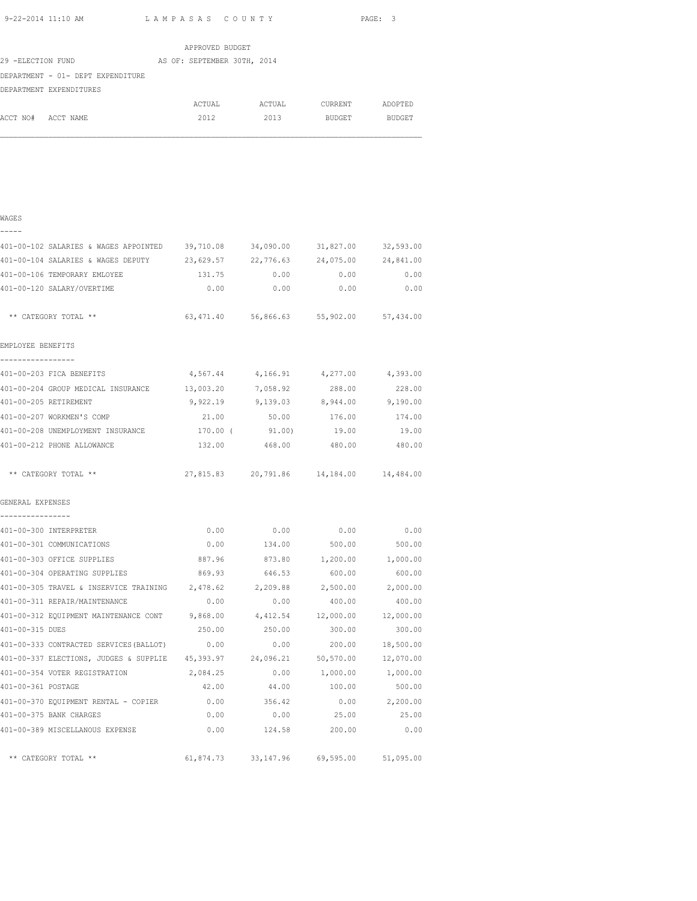|                    | 9-22-2014 11:10 AM                                                            |                             | LAMPASAS COUNTY       |                        | PAGE: 3   |
|--------------------|-------------------------------------------------------------------------------|-----------------------------|-----------------------|------------------------|-----------|
|                    |                                                                               | APPROVED BUDGET             |                       |                        |           |
| 29 -ELECTION FUND  |                                                                               | AS OF: SEPTEMBER 30TH, 2014 |                       |                        |           |
|                    | DEPARTMENT - 01- DEPT EXPENDITURE                                             |                             |                       |                        |           |
|                    | DEPARTMENT EXPENDITURES                                                       |                             |                       |                        |           |
|                    |                                                                               | ACTUAL                      |                       | ACTUAL CURRENT ADOPTED |           |
| ACCT NO# ACCT NAME |                                                                               | 2012                        | 2013                  | <b>BUDGET</b>          | BUDGET    |
|                    |                                                                               |                             |                       |                        |           |
|                    |                                                                               |                             |                       |                        |           |
| WAGES              |                                                                               |                             |                       |                        |           |
|                    |                                                                               |                             |                       |                        |           |
|                    | 401-00-102 SALARIES & WAGES APPOINTED 39,710.08 34,090.00 31,827.00 32,593.00 |                             |                       |                        |           |
|                    | 401-00-104 SALARIES & WAGES DEPUTY 23,629.57 22,776.63 24,075.00              |                             |                       |                        | 24,841.00 |
|                    | $101 - 00 - 106$ TEMPORARY EMIOVER                                            |                             | 131.75 0.00 0.00 0.00 |                        |           |

| 401-00-106 TEMPORARY EMLOYEE                                                       | 131.75   | 0.00                                    | 0.00                  | 0.00            |
|------------------------------------------------------------------------------------|----------|-----------------------------------------|-----------------------|-----------------|
| 401-00-120 SALARY/OVERTIME                                                         | 0.00     | 0.00                                    | 0.00                  | 0.00            |
| ** CATEGORY TOTAL **                                                               |          | 63,471.40 56,866.63 55,902.00 57,434.00 |                       |                 |
| EMPLOYEE BENEFITS                                                                  |          |                                         |                       |                 |
| -----------------                                                                  |          |                                         |                       |                 |
| 401-00-203 FICA BENEFITS                                                           | 4,567.44 |                                         | 4, 166. 91 4, 277. 00 | 4,393.00        |
| 401-00-204 GROUP MEDICAL INSURANCE 13,003.20 7,058.92                              |          |                                         | 288.00                | 228.00          |
| 401-00-205 RETIREMENT                                                              |          | 9,922.19 9,139.03 8,944.00 9,190.00     |                       |                 |
| 401-00-207 WORKMEN'S COMP                                                          |          | 21.00 50.00 176.00 174.00               |                       |                 |
| 401-00-208 UNEMPLOYMENT INSURANCE<br>170.00 (91.00) 19.00 19.00 19.00              |          |                                         |                       |                 |
| 401-00-212 PHONE ALLOWANCE                                                         | 132.00   | 468.00                                  | 480.00                | 480.00          |
| ** CATEGORY TOTAL **                                                               |          | 27,815.83 20,791.86 14,184.00 14,484.00 |                       |                 |
| GENERAL EXPENSES<br>.                                                              |          |                                         |                       |                 |
| 401-00-300 INTERPRETER                                                             | 0.00     | $0.00$ 0.00 0.00                        |                       |                 |
| 401-00-301 COMMUNICATIONS                                                          | 0.00     | 134.00                                  | 500.00                | 500.00          |
| 401-00-303 OFFICE SUPPLIES                                                         | 887.96   | 873.80                                  | 1,200.00              | 1,000.00        |
| 401-00-304 OPERATING SUPPLIES                                                      | 869.93   | 646.53                                  | 600.00                | 600.00          |
| 401-00-305 TRAVEL & INSERVICE TRAINING $2,478.62$ $2,209.88$ $2,500.00$ $2,000.00$ |          |                                         |                       |                 |
| 401-00-311 REPAIR/MAINTENANCE                                                      | 0.00     | 0.00                                    | 400.00                | 400.00          |
| 401-00-312 EQUIPMENT MAINTENANCE CONT 9,868.00 4,412.54 12,000.00 12,000.00        |          |                                         |                       |                 |
| 401-00-315 DUES                                                                    | 250.00   | 250.00                                  | 300.00                | 300.00          |
| 401-00-333 CONTRACTED SERVICES (BALLOT)                                            | 0.00     | 0.00                                    | 200.00                | 18,500.00       |
| 401-00-337 ELECTIONS, JUDGES & SUPPLIE 45,393.97 24,096.21 50,570.00               |          |                                         |                       | 12,070.00       |
| 401-00-354 VOTER REGISTRATION 2,084.25                                             |          |                                         | 0.00 1,000.00         | 1,000.00        |
| 401-00-361 POSTAGE                                                                 | 42.00    |                                         | 44.00 100.00          | 500.00          |
| 401-00-370 EQUIPMENT RENTAL - COPIER 0.00 356.42                                   |          |                                         |                       | $0.00$ 2,200.00 |
| 401-00-375 BANK CHARGES                                                            |          | $0.00$ 0.00 25.00 25.00                 |                       |                 |
| 401-00-389 MISCELLANOUS EXPENSE                                                    | 0.00     | 124.58                                  | 200.00                | 0.00            |
| ** CATEGORY TOTAL **                                                               |          | 61,874.73 33,147.96                     | 69,595.00 51,095.00   |                 |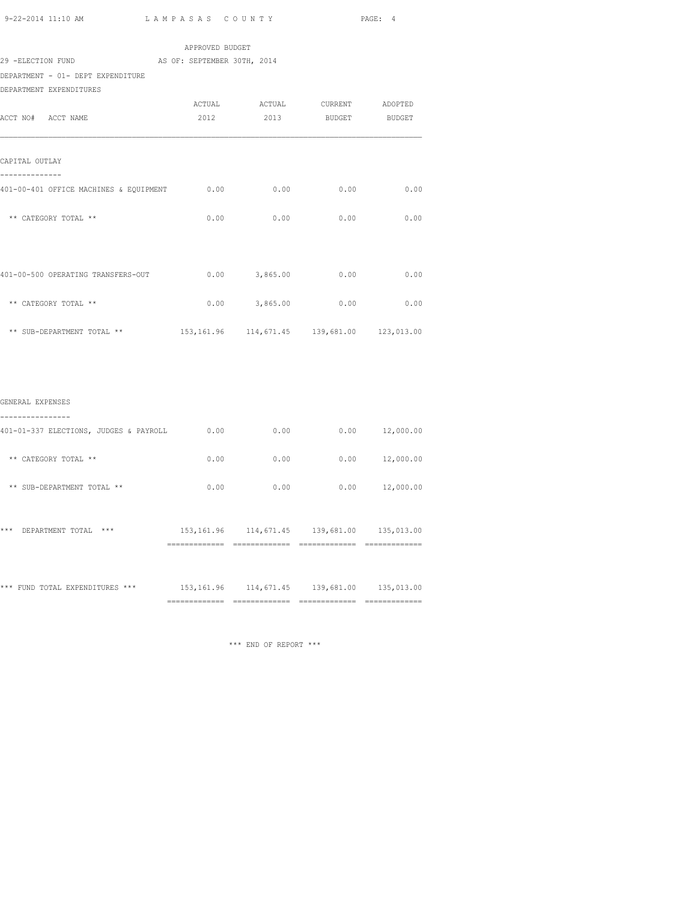|                                               |                 |                 |                               | PAGE: 4 |
|-----------------------------------------------|-----------------|-----------------|-------------------------------|---------|
|                                               | APPROVED BUDGET |                 |                               |         |
| 29 -ELECTION FUND AS OF: SEPTEMBER 30TH, 2014 |                 |                 |                               |         |
| DEPARTMENT - 01- DEPT EXPENDITURE             |                 |                 |                               |         |
| DEPARTMENT EXPENDITURES                       |                 |                 |                               |         |
|                                               |                 |                 | ACTUAL ACTUAL CURRENT ADOPTED |         |
| ACCT NO# ACCT NAME                            |                 |                 | 2012 2013 BUDGET BUDGET       |         |
| CAPITAL OUTLAY<br>--------------              |                 |                 |                               |         |
|                                               |                 |                 |                               |         |
| ** CATEGORY TOTAL **                          |                 |                 | $0.00$ 0.00 0.00              | 0.00    |
| 401-00-500 OPERATING TRANSFERS-OUT            |                 |                 | $0.00$ $3,865.00$ $0.00$      | 0.00    |
| ** CATEGORY TOTAL **                          |                 | $0.00$ 3,865.00 | 0.00                          | 0.00    |
|                                               |                 |                 |                               |         |
|                                               |                 |                 |                               |         |
| GENERAL EXPENSES<br>----------------          |                 |                 |                               |         |
|                                               |                 |                 |                               |         |

| *** FUND TOTAL EXPENDITURES ***        | 153, 161.96 | 114,671.45 | 139,681.00 | 135,013.00 |
|----------------------------------------|-------------|------------|------------|------------|
| ***<br>$***$<br>DEPARTMENT TOTAL       | 153, 161.96 | 114,671.45 | 139,681.00 | 135,013.00 |
| ** SUB-DEPARTMENT TOTAL **             | 0.00        | 0.00       | 0.00       | 12,000.00  |
| CATEGORY TOTAL **<br>$* *$             | 0.00        | 0.00       | 0.00       | 12,000.00  |
| 401-01-337 ELECTIONS, JUDGES & PAYROLL | 0.00        | 0.00       | 0.00       | 12,000.00  |

 $\hspace{0.1mm}^{\star\star\star}$  END OF REPORT  $\hspace{0.1mm}^{\star\star\star}$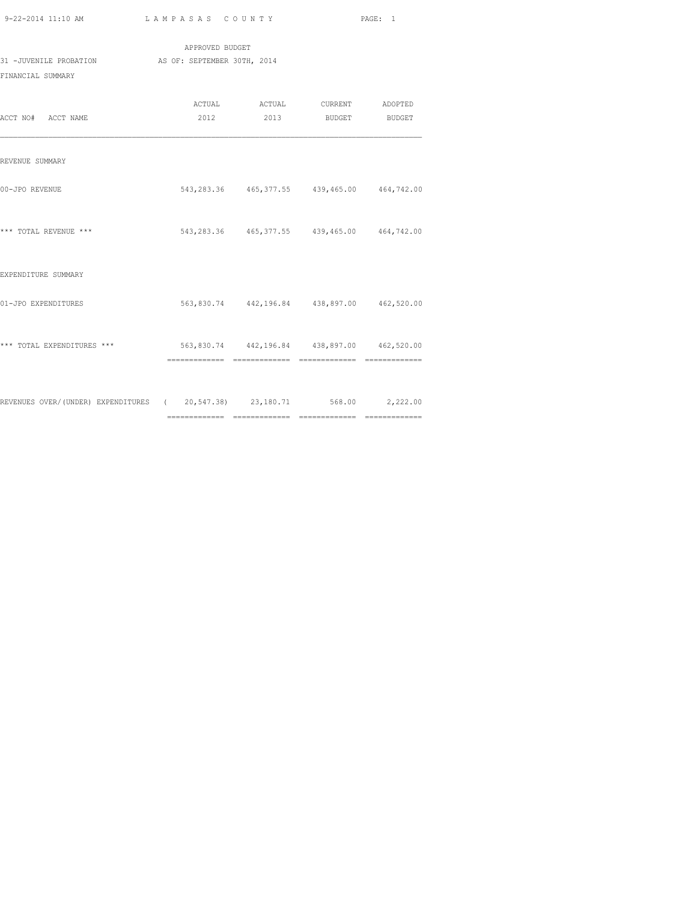| PAGE: |
|-------|
|       |

| 9-22-2014 11:10 AM                                                      | LAMPASAS COUNTY |                                                          | PAGE: 1 |
|-------------------------------------------------------------------------|-----------------|----------------------------------------------------------|---------|
|                                                                         | APPROVED BUDGET |                                                          |         |
| 31 -JUVENILE PROBATION AS OF: SEPTEMBER 30TH, 2014<br>FINANCIAL SUMMARY |                 |                                                          |         |
| ACCT NO# ACCT NAME                                                      |                 | ACTUAL ACTUAL CURRENT ADOPTED<br>2012 2013 BUDGET BUDGET |         |
| REVENUE SUMMARY                                                         |                 |                                                          |         |
| 00-JPO REVENUE                                                          |                 | 543, 283.36 465, 377.55 439, 465.00 464, 742.00          |         |
| *** TOTAL REVENUE ***                                                   |                 | 543, 283.36 465, 377.55 439, 465.00 464, 742.00          |         |
| EXPENDITURE SUMMARY                                                     |                 |                                                          |         |
| 01-JPO EXPENDITURES                                                     |                 | 563,830.74 442,196.84 438,897.00 462,520.00              |         |
| *** TOTAL EXPENDITURES ***                                              |                 | 563,830.74 442,196.84 438,897.00 462,520.00              |         |
|                                                                         |                 |                                                          |         |

REVENUES OVER/(UNDER) EXPENDITURES ( 20,547.38) 23,180.71 568.00 2,222.00

============= ============= ============= =============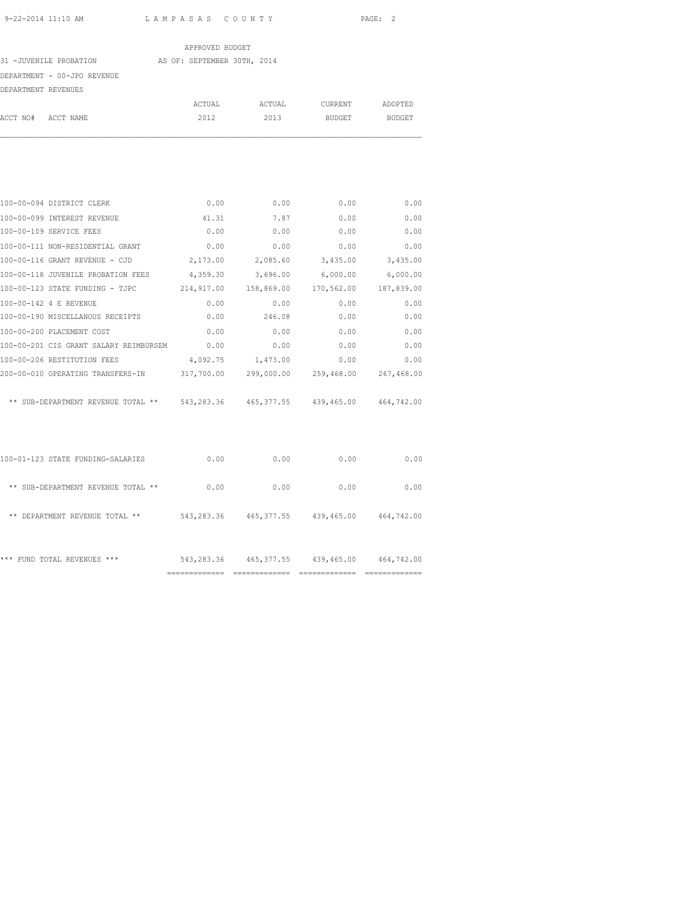|                     |                                  | APPROVED BUDGET             |        |         |               |
|---------------------|----------------------------------|-----------------------------|--------|---------|---------------|
|                     | 31 -JUVENILE PROBATION           | AS OF: SEPTEMBER 30TH, 2014 |        |         |               |
|                     | DEPARTMENT - 00-JPO REVENUE      |                             |        |         |               |
| DEPARTMENT REVENUES |                                  |                             |        |         |               |
|                     |                                  | ACTUAL                      | ACTUAL | CURRENT | ADOPTED       |
| ACCT NO#            | ACCT NAME                        | 2012                        | 2013   | BUDGET  | <b>BUDGET</b> |
|                     |                                  |                             |        |         |               |
|                     | 100-00-094 DISTRICT CLERK        | 0.00                        | 0.00   | 0.00    | 0.00          |
|                     | 100-00-099 INTEREST REVENUE      | 41.31                       | 7.87   | 0.00    | 0.00          |
|                     | 100-00-109 SERVICE FEES          | 0.00                        | 0.00   | 0.00    | 0.00          |
|                     | 100-00-111 NON-RESIDENTIAL GRANT | 0.00                        | 0.00   | 0.00    | 0.00          |

| 100-00-109 SERVICE FEES                | 0.00       | 0.00       | 0.00       | 0.00       |
|----------------------------------------|------------|------------|------------|------------|
| 100-00-111 NON-RESIDENTIAL GRANT       | 0.00       | 0.00       | 0.00       | 0.00       |
| 100-00-116 GRANT REVENUE - CJD         | 2,173.00   | 2,085.60   | 3,435.00   | 3,435.00   |
| 100-00-118 JUVENILE PROBATION FEES     | 4,359.30   | 3,696.00   | 6,000.00   | 6,000.00   |
| 100-00-123 STATE FUNDING - TJPC        | 214,917.00 | 158,869.00 | 170,562.00 | 187,839.00 |
| 100-00-142 4 E REVENUE                 | 0.00       | 0.00       | 0.00       | 0.00       |
| 100-00-190 MISCELLANOUS RECEIPTS       | 0.00       | 246.08     | 0.00       | 0.00       |
| 100-00-200 PLACEMENT COST              | 0.00       | 0.00       | 0.00       | 0.00       |
| 100-00-201 CIS GRANT SALARY REIMBURSEM | 0.00       | 0.00       | 0.00       | 0.00       |
| 100-00-206 RESTITUTION FEES            | 4,092.75   | 1,473.00   | 0.00       | 0.00       |
| 200-00-010 OPERATING TRANSFERS-IN      | 317,700.00 | 299,000.00 | 259,468.00 | 267,468.00 |
| ** SUB-DEPARTMENT REVENUE TOTAL **     | 543,283.36 | 465,377.55 | 439,465.00 | 464,742.00 |

| 0.00<br>0.00<br>0.00<br>SUB-DEPARTMENT REVENUE TOTAL **<br>$* *$<br>543,283.36<br>465, 377.55<br>439,465.00<br>**<br>DEPARTMENT REVENUE TOTAL<br>$* *$<br>543,283.36<br>465, 377.55<br>439,465.00<br>***<br>FUND TOTAL REVENUES<br>$***$ | 464,742.00<br>464,742.00 |
|------------------------------------------------------------------------------------------------------------------------------------------------------------------------------------------------------------------------------------------|--------------------------|
|                                                                                                                                                                                                                                          |                          |
|                                                                                                                                                                                                                                          |                          |
|                                                                                                                                                                                                                                          | 0.00                     |
| 0.00<br>0.00<br>0.00<br>100-01-123 STATE FUNDING-SALARIES                                                                                                                                                                                | 0.00                     |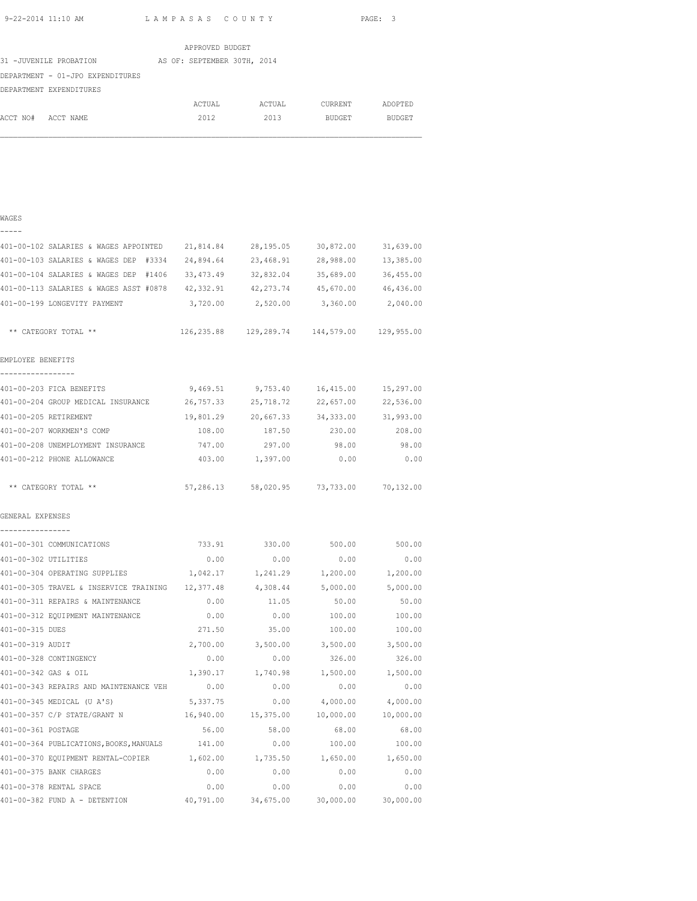|                                  | APPROVED BUDGET             |        |               |               |
|----------------------------------|-----------------------------|--------|---------------|---------------|
| 31 -JUVENILE PROBATION           | AS OF: SEPTEMBER 30TH, 2014 |        |               |               |
| DEPARTMENT - 01-JPO EXPENDITURES |                             |        |               |               |
| DEPARTMENT EXPENDITURES          |                             |        |               |               |
|                                  | ACTUAL                      | ACTUAL | CURRENT       | ADOPTED       |
| ACCT NO#<br>ACCT NAME            | 2012                        | 2013   | <b>BUDGET</b> | <b>BUDGET</b> |

#### WAGES

| — | - | - | - |  |
|---|---|---|---|--|

| 401-00-102 SALARIES & WAGES APPOINTED 21,814.84                                |           | 28,195.05                                       | 30,872.00 | 31,639.00         |
|--------------------------------------------------------------------------------|-----------|-------------------------------------------------|-----------|-------------------|
| 401-00-103 SALARIES & WAGES DEP #3334                                          | 24,894.64 | 23,468.91                                       | 28,988.00 | 13,385.00         |
| 401-00-104 SALARIES & WAGES DEP #1406 33,473.49                                |           | 32,832.04                                       | 35,689.00 | 36,455.00         |
| 401-00-113 SALARIES & WAGES ASST #0878 42,332.91 42,273.74 45,670.00 46,436.00 |           |                                                 |           |                   |
| 401-00-199 LONGEVITY PAYMENT                                                   |           | 3,720.00 2,520.00                               | 3,360.00  | 2,040.00          |
| ** CATEGORY TOTAL **                                                           |           | 126, 235.88 129, 289.74 144, 579.00 129, 955.00 |           |                   |
| EMPLOYEE BENEFITS                                                              |           |                                                 |           |                   |
| -----------------                                                              |           |                                                 |           |                   |
| 401-00-203 FICA BENEFITS                                                       | 9,469.51  | 9,753.40                                        | 16,415.00 | 15,297.00         |
| 401-00-204 GROUP MEDICAL INSURANCE 26,757.33                                   |           | 25,718.72                                       | 22,657.00 | 22,536.00         |
| 401-00-205 RETIREMENT                                                          |           | 19,801.29 20,667.33 34,333.00 31,993.00         |           |                   |
| 401-00-207 WORKMEN'S COMP                                                      | 108.00    | 187.50                                          | 230.00    | 208.00            |
| 401-00-208 UNEMPLOYMENT INSURANCE                                              | 747.00    | 297.00                                          | 98.00     | 98.00             |
| 401-00-212 PHONE ALLOWANCE                                                     | 403.00    | 1,397.00                                        | 0.00      | 0.00              |
| ** CATEGORY TOTAL **                                                           |           | 57,286.13 58,020.95 73,733.00 70,132.00         |           |                   |
| GENERAL EXPENSES                                                               |           |                                                 |           |                   |
| ----------------<br>401-00-301 COMMUNICATIONS                                  |           | 733.91 330.00                                   | 500.00    | 500.00            |
| 401-00-302 UTILITIES                                                           | 0.00      | 0.00                                            | 0.00      | 0.00              |
| 401-00-304 OPERATING SUPPLIES                                                  | 1,042.17  | 1,241.29                                        | 1,200.00  | 1,200.00          |
| 401-00-305 TRAVEL & INSERVICE TRAINING 12,377.48                               |           | 4,308.44                                        | 5,000.00  | 5,000.00          |
| 401-00-311 REPAIRS & MAINTENANCE                                               | 0.00      | 11.05                                           | 50.00     | 50.00             |
| 401-00-312 EQUIPMENT MAINTENANCE                                               | 0.00      | 0.00                                            | 100.00    | 100.00            |
| 401-00-315 DUES                                                                | 271.50    | 35.00                                           | 100.00    | 100.00            |
| 401-00-319 AUDIT                                                               | 2,700.00  | 3,500.00                                        |           | 3,500.00 3,500.00 |
| 401-00-328 CONTINGENCY                                                         | 0.00      | 0.00                                            | 326.00    | 326.00            |
| 401-00-342 GAS & OIL                                                           | 1,390.17  | 1,740.98                                        | 1,500.00  | 1,500.00          |
| 401-00-343 REPAIRS AND MAINTENANCE VEH                                         | 0.00      | 0.00                                            | 0.00      | 0.00              |
| 401-00-345 MEDICAL (U A'S)                                                     | 5,337.75  | 0.00                                            | 4,000.00  | 4,000.00          |
| 401-00-357 C/P STATE/GRANT N                                                   | 16,940.00 | 15,375.00                                       | 10,000.00 | 10,000.00         |
| 401-00-361 POSTAGE                                                             | 56.00     | 58.00                                           | 68.00     | 68.00             |
| 401-00-364 PUBLICATIONS, BOOKS, MANUALS 141.00                                 |           | 0.00                                            | 100.00    | 100.00            |
| 401-00-370 EQUIPMENT RENTAL-COPIER $1,602.00$ $1,735.50$ $1,650.00$ $1,650.00$ |           |                                                 |           |                   |
| 401-00-375 BANK CHARGES                                                        | 0.00      | 0.00                                            | 0.00      | 0.00              |
| 401-00-378 RENTAL SPACE                                                        | 0.00      | 0.00                                            | 0.00      | 0.00              |
| 401-00-382 FUND A - DETENTION                                                  | 40,791.00 | 34,675.00                                       | 30,000.00 | 30,000.00         |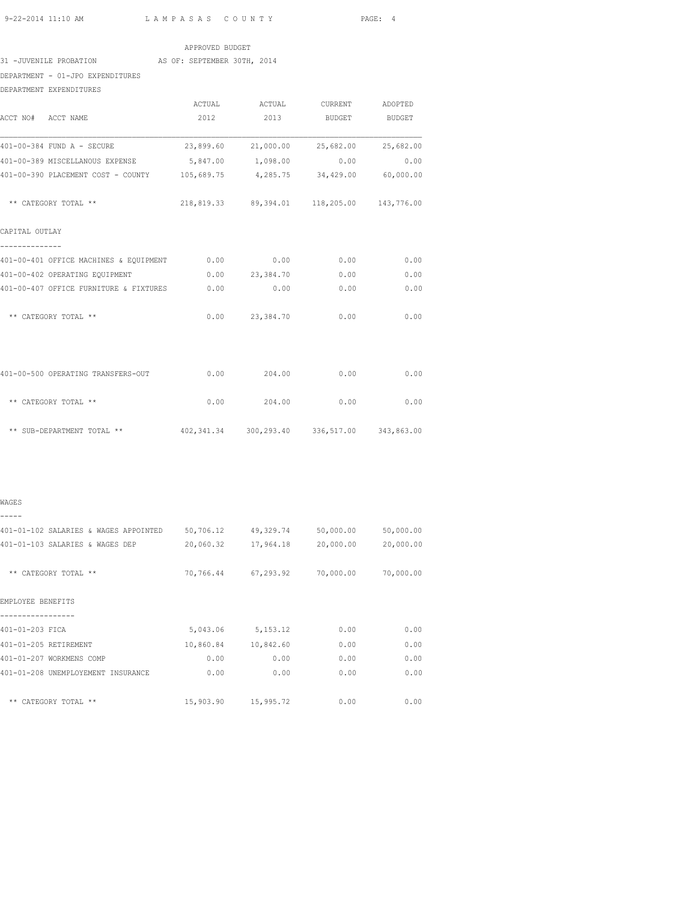| APPROVED BUDGET |  |
|-----------------|--|
|                 |  |

31 -JUVENILE PROBATION AS OF: SEPTEMBER 30TH, 2014

DEPARTMENT - 01-JPO EXPENDITURES

DEPARTMENT EXPENDITURES

| ACCT NO# ACCT NAME                                                            | ACTUAL<br>2012 | ACTUAL CURRENT ADOPTED<br>2013              | BUDGET                       | BUDGET    |
|-------------------------------------------------------------------------------|----------------|---------------------------------------------|------------------------------|-----------|
|                                                                               |                |                                             |                              |           |
| 401-00-384 FUND A - SECURE                                                    |                | 23,899.60  21,000.00  25,682.00  25,682.00  |                              |           |
| 401-00-389 MISCELLANOUS EXPENSE                                               |                | 5,847.00 1,098.00                           | 0.00                         | 0.00      |
| 401-00-390 PLACEMENT COST - COUNTY 105,689.75                                 |                |                                             | 4,285.75 34,429.00 60,000.00 |           |
| ** CATEGORY TOTAL **                                                          |                | 218,819.33 89,394.01 118,205.00 143,776.00  |                              |           |
| CAPITAL OUTLAY                                                                |                |                                             |                              |           |
| 401-00-401 OFFICE MACHINES & EQUIPMENT 0.00 0.00 0.00 0.00                    |                |                                             |                              | 0.00      |
| 401-00-402 OPERATING EQUIPMENT                                                |                | $0.00$ 23,384.70                            | 0.00                         | 0.00      |
| 401-00-407 OFFICE FURNITURE & FIXTURES 0.00                                   |                | 0.00                                        | 0.00                         | 0.00      |
| ** CATEGORY TOTAL **                                                          |                | $0.00$ 23,384.70                            | 0.00                         | 0.00      |
| 401-00-500 OPERATING TRANSFERS-OUT                                            |                | $0.00$ 204.00                               | 0.00                         | 0.00      |
| ** CATEGORY TOTAL **                                                          |                | $0.00$ 204.00 0.00                          |                              | 0.00      |
| ** SUB-DEPARTMENT TOTAL **                                                    |                | 402,341.34 300,293.40 336,517.00 343,863.00 |                              |           |
|                                                                               |                |                                             |                              |           |
| WAGES                                                                         |                |                                             |                              |           |
| 401-01-102 SALARIES & WAGES APPOINTED 50,706.12 49,329.74 50,000.00 50,000.00 |                |                                             |                              |           |
| 401-01-103 SALARIES & WAGES DEP 20,060.32 17,964.18 20,000.00                 |                |                                             |                              | 20,000.00 |

| EMPLOYEE BENEFITS |  |
|-------------------|--|
|                   |  |

| 401-01-203 FICA                    | 5,043.06  | 5, 153. 12 | 0.00 | 0.00 |
|------------------------------------|-----------|------------|------|------|
| 401-01-205 RETIREMENT              | 10,860.84 | 10,842.60  | 0.00 | 0.00 |
| 401-01-207 WORKMENS COMP           | 0.00      | 0.00       | 0.00 | 0.00 |
| 401-01-208 UNEMPLOYEMENT INSURANCE | 0.00      | 0.00       | 0.00 | 0.00 |
| ** CATEGORY TOTAL **               | 15,903.90 | 15,995.72  | 0.00 | 0.00 |

\*\* CATEGORY TOTAL \*\* 70,766.44 67,293.92 70,000.00 70,000.00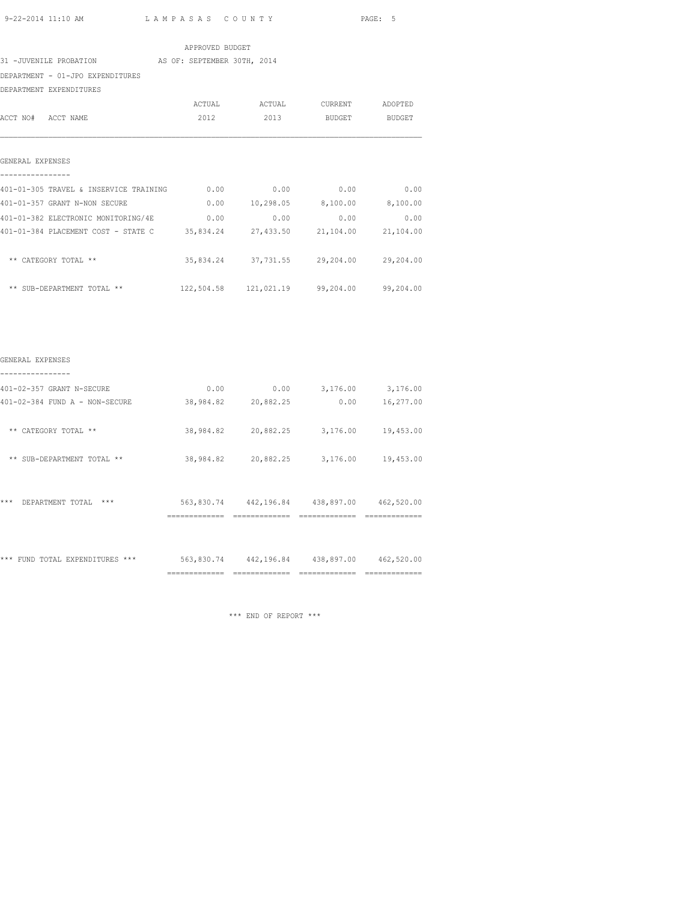| 9-22-2014 11:10 AM $L$ AMPASAS COUNTY                                       |                 |                                         | PAGE: 5       |      |
|-----------------------------------------------------------------------------|-----------------|-----------------------------------------|---------------|------|
|                                                                             | APPROVED BUDGET |                                         |               |      |
| 31 -JUVENILE PROBATION AS OF: SEPTEMBER 30TH, 2014                          |                 |                                         |               |      |
| DEPARTMENT - 01-JPO EXPENDITURES                                            |                 |                                         |               |      |
| DEPARTMENT EXPENDITURES                                                     |                 |                                         |               |      |
|                                                                             |                 | ACTUAL ACTUAL CURRENT ADOPTED           |               |      |
| ACCT NO# ACCT NAME                                                          | 2012            | 2013                                    | BUDGET BUDGET |      |
| GENERAL EXPENSES                                                            |                 |                                         |               |      |
| 401-01-305 TRAVEL & INSERVICE TRAINING 0.00                                 |                 | 0.00                                    | 0.00          | 0.00 |
| 401-01-357 GRANT N-NON SECURE                                               |                 | $0.00$ 10,298.05 8,100.00 8,100.00      |               |      |
| 401-01-382 ELECTRONIC MONITORING/4E $0.00$ 0.00 0.00 0.00                   |                 |                                         |               | 0.00 |
| 401-01-384 PLACEMENT COST - STATE C 35,834.24 27,433.50 21,104.00 21,104.00 |                 |                                         |               |      |
| ** CATEGORY TOTAL **                                                        |                 | 35,834.24 37,731.55 29,204.00 29,204.00 |               |      |
| ** SUB-DEPARTMENT TOTAL ** 122,504.58 121,021.19 99,204.00 99,204.00        |                 |                                         |               |      |
|                                                                             |                 |                                         |               |      |
| GENERAL EXPENSES                                                            |                 |                                         |               |      |
| 401-02-357 GRANT N-SECURE                                                   |                 | $0.00$ $0.00$ $3,176.00$ $3,176.00$     |               |      |
| 401-02-384 FUND A - NON-SECURE                                              |                 | 38,984.82 20,882.25 0.00 16,277.00      |               |      |
| ** CATEGORY TOTAL **                                                        |                 | 38,984.82 20,882.25 3,176.00 19,453.00  |               |      |
| ** SUB-DEPARTMENT TOTAL **                                                  |                 | 38,984.82 20,882.25 3,176.00 19,453.00  |               |      |
|                                                                             |                 |                                         |               |      |

| *** | DEPARTMENT TOTAL                | $***$ | 563,830.74 | 442,196.84 | 438,897.00 | 462,520.00 |
|-----|---------------------------------|-------|------------|------------|------------|------------|
|     |                                 |       |            |            |            |            |
|     | *** FUND TOTAL EXPENDITURES *** |       | 563,830.74 | 442,196.84 | 438,897.00 | 462,520.00 |

\*\*\* END OF REPORT \*\*\*

============= ============= ============= =============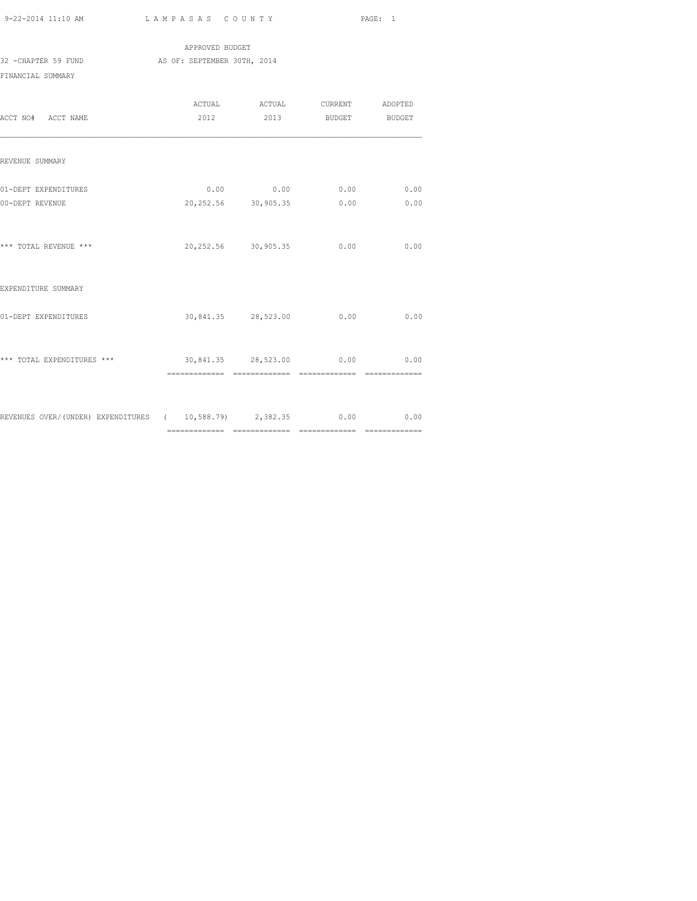|                     | APPROVED BUDGET             |  |
|---------------------|-----------------------------|--|
| 32 -CHAPTER 59 FUND | AS OF: SEPTEMBER 30TH, 2014 |  |
| FINANCIAL SUMMARY   |                             |  |

| ACCT NO# ACCT NAME                                                 |                               | ACTUAL ACTUAL CURRENT ADOPTED<br>2012 2013 BUDGET BUDGET |      |
|--------------------------------------------------------------------|-------------------------------|----------------------------------------------------------|------|
| REVENUE SUMMARY                                                    |                               |                                                          |      |
| 01-DEPT EXPENDITURES<br>00-DEPT REVENUE                            |                               | $0.00$ 0.00 0.00 0.00<br>20,252.56 30,905.35 0.00        | 0.00 |
| *** TOTAL REVENUE ***                                              |                               | 20,252.56 30,905.35 0.00                                 | 0.00 |
| EXPENDITURE SUMMARY                                                |                               |                                                          |      |
| 01-DEPT EXPENDITURES                                               |                               | 30,841.35 28,523.00 0.00                                 | 0.00 |
| *** TOTAL EXPENDITURES ***                                         | 30,841.35 28,523.00 0.00 0.00 |                                                          |      |
| REVENUES OVER/(UNDER) EXPENDITURES ( 10,588.79) 2,382.35 0.00 0.00 |                               |                                                          |      |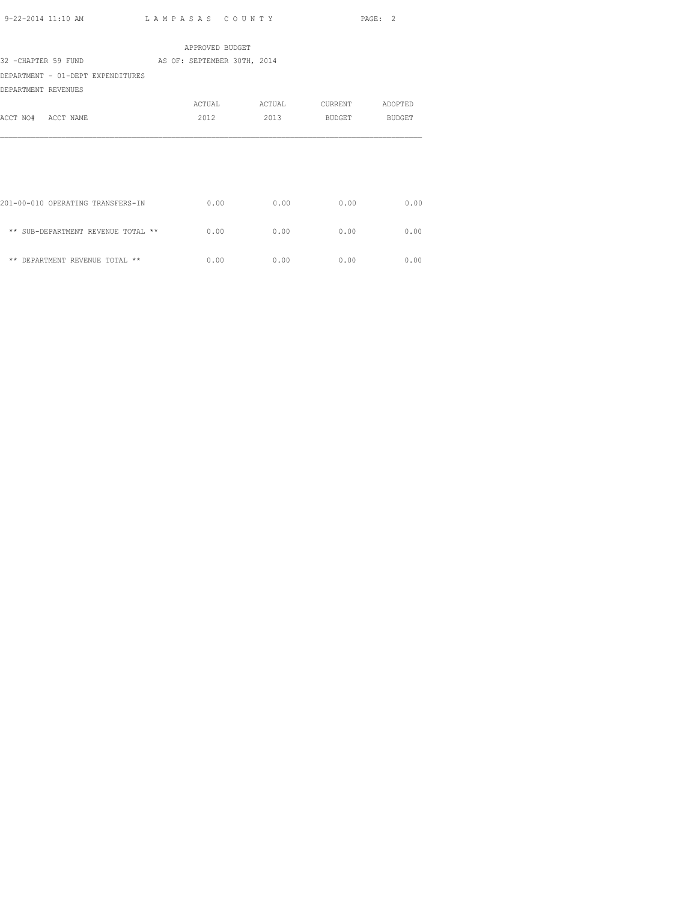|                                    | APPROVED BUDGET             |        |         |         |
|------------------------------------|-----------------------------|--------|---------|---------|
| 32 -CHAPTER 59 FUND                | AS OF: SEPTEMBER 30TH, 2014 |        |         |         |
| DEPARTMENT - 01-DEPT EXPENDITURES  |                             |        |         |         |
| DEPARTMENT REVENUES                |                             |        |         |         |
|                                    | ACTUAL                      | ACTUAL | CURRENT | ADOPTED |
| ACCT NO# ACCT NAME                 | 2012                        | 2013   | BUDGET  | BUDGET  |
|                                    |                             |        |         |         |
|                                    |                             |        |         |         |
|                                    |                             |        |         |         |
|                                    |                             |        |         |         |
|                                    |                             |        |         |         |
| 201-00-010 OPERATING TRANSFERS-IN  | 0.00                        | 0.00   | 0.00    | 0.00    |
|                                    |                             |        |         |         |
| ** SUB-DEPARTMENT REVENUE TOTAL ** | 0.00                        | 0.00   | 0.00    | 0.00    |
|                                    |                             |        |         |         |
| ** DEPARTMENT REVENUE TOTAL **     | 0.00                        | 0.00   | 0.00    | 0.00    |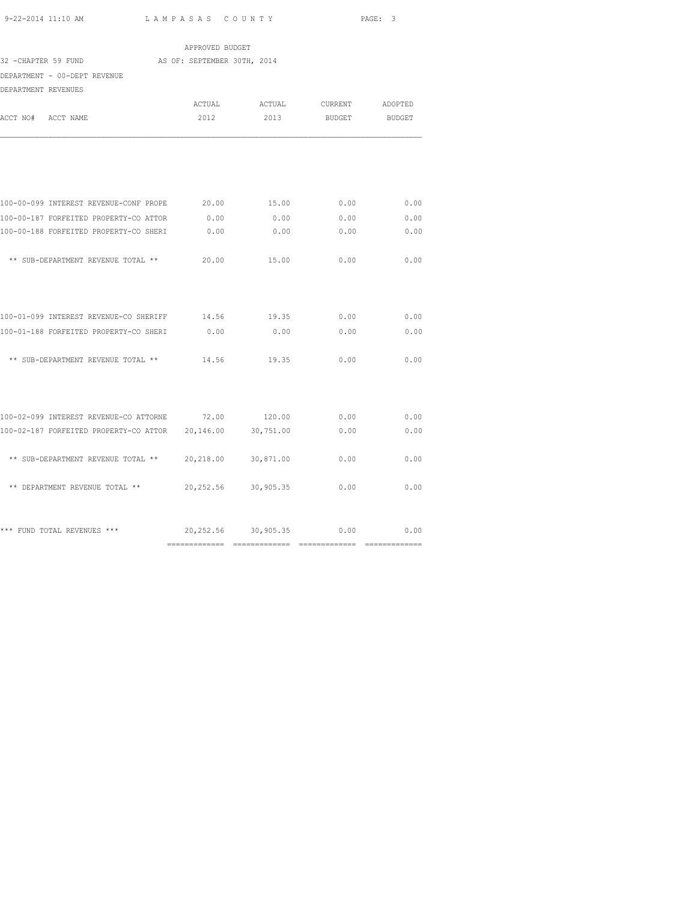|                                                                | APPROVED BUDGET             |                               |                    |                         |
|----------------------------------------------------------------|-----------------------------|-------------------------------|--------------------|-------------------------|
| 32 - CHAPTER 59 FUND                                           | AS OF: SEPTEMBER 30TH, 2014 |                               |                    |                         |
| DEPARTMENT - 00-DEPT REVENUE                                   |                             |                               |                    |                         |
| DEPARTMENT REVENUES                                            |                             |                               |                    |                         |
|                                                                |                             | ACTUAL ACTUAL CURRENT ADOPTED |                    |                         |
| ACCT NO# ACCT NAME                                             | 2012                        |                               | 2013 BUDGET BUDGET |                         |
|                                                                |                             |                               |                    |                         |
| 100-00-099 INTEREST REVENUE-CONF PROPE $20.00$ 15.00 0.00 0.00 |                             |                               |                    | 0.00                    |
| 100-00-187 FORFEITED PROPERTY-CO ATTOR                         | 0.00                        | 0.00                          | 0.00               | 0.00                    |
| 100-00-188 FORFEITED PROPERTY-CO SHERI                         | 0.00                        | 0.00                          | 0.00               | 0.00                    |
| ** SUB-DEPARTMENT REVENUE TOTAL **                             | 20.00                       | 15.00                         | 0.00               | 0.00                    |
| 100-01-099 INTEREST REVENUE-CO SHERIFF 14.56 19.35             |                             |                               | 0.00               | 0.00                    |
| 100-01-188 FORFEITED PROPERTY-CO SHERI 0.00 0.00 0.00          |                             |                               | 0.00               | 0.00                    |
| ** SUB-DEPARTMENT REVENUE TOTAL **                             | 14.56                       | 19.35                         | 0.00               | 0.00                    |
| 100-02-099 INTEREST REVENUE-CO ATTORNE 72.00                   |                             | 120.00                        | 0.00               | 0.00                    |
| 100-02-187 FORFEITED PROPERTY-CO ATTOR 20,146.00               |                             | 30,751.00                     | 0.00               | 0.00                    |
|                                                                |                             |                               |                    |                         |
| ** SUB-DEPARTMENT REVENUE TOTAL ** 20,218.00                   |                             | 30,871.00                     | 0.00               | 0.00                    |
| ** DEPARTMENT REVENUE TOTAL ** 20,252.56 30,905.35             |                             |                               | 0.00               | 0.00                    |
| *** FUND TOTAL REVENUES ***                                    |                             | 20,252.56 30,905.35 0.00      |                    | 0.00<br>_______________ |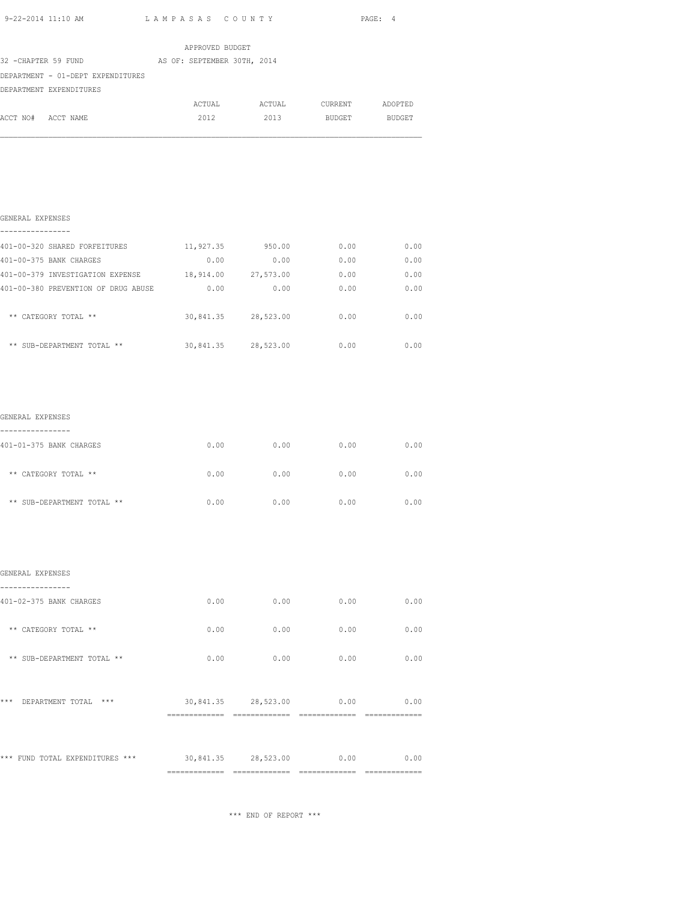| 9-22-2014 11:10 AM LAMPASAS COUNTY                   |                 |                               |      | PAGE: 4      |
|------------------------------------------------------|-----------------|-------------------------------|------|--------------|
|                                                      | APPROVED BUDGET |                               |      |              |
| 32 -CHAPTER 59 FUND AS OF: SEPTEMBER 30TH, 2014      |                 |                               |      |              |
| DEPARTMENT - 01-DEPT EXPENDITURES                    |                 |                               |      |              |
| DEPARTMENT EXPENDITURES                              |                 |                               |      |              |
|                                                      |                 | ACTUAL ACTUAL CURRENT ADOPTED |      |              |
| ACCT NO# ACCT NAME                                   |                 | 2012 2013 BUDGET BUDGET       |      |              |
| GENERAL EXPENSES                                     |                 |                               |      |              |
| 401-00-320 SHARED FORFEITURES 11,927.35 950.00       |                 |                               | 0.00 | 0.00         |
| 401-00-375 BANK CHARGES                              | 0.00            | 0.00                          | 0.00 | 0.00         |
| 401-00-379 INVESTIGATION EXPENSE 18,914.00 27,573.00 |                 |                               |      | 0.00<br>0.00 |
| 401-00-380 PREVENTION OF DRUG ABUSE 0.00             |                 | 0.00                          | 0.00 | 0.00         |
| ** CATEGORY TOTAL **                                 |                 | 30,841.35 28,523.00           | 0.00 | 0.00         |

| ** SUB-DEPARTMENT TOTAL ** | 30,841.35 | 28,523.00 | 0.00 | 00 |
|----------------------------|-----------|-----------|------|----|
|                            |           |           |      |    |

| GENERAL EXPENSES<br>---------------- |      |      |      |      |
|--------------------------------------|------|------|------|------|
| 401-01-375 BANK CHARGES              | 0.00 | 0.00 | 0.00 | 0.00 |
| ** CATEGORY TOTAL **                 | 0.00 | 0.00 | 0.00 | 0.00 |
| ** SUB-DEPARTMENT TOTAL **           | 0.00 | 0.00 | 0.00 | 0.00 |

|                                  | ============= | ==============      |      |      |
|----------------------------------|---------------|---------------------|------|------|
| *** FUND TOTAL EXPENDITURES ***  |               | 30,841.35 28,523.00 | 0.00 | 0.00 |
| ***<br>DEPARTMENT TOTAL<br>$***$ |               | 30,841.35 28,523.00 | 0.00 | 0.00 |
|                                  |               |                     |      |      |
| ** SUB-DEPARTMENT TOTAL **       | 0.00          | 0.00                | 0.00 | 0.00 |
| ** CATEGORY TOTAL **             | 0.00          | 0.00                | 0.00 | 0.00 |
| 401-02-375 BANK CHARGES          | 0.00          | 0.00                | 0.00 | 0.00 |
| GENERAL EXPENSES                 |               |                     |      |      |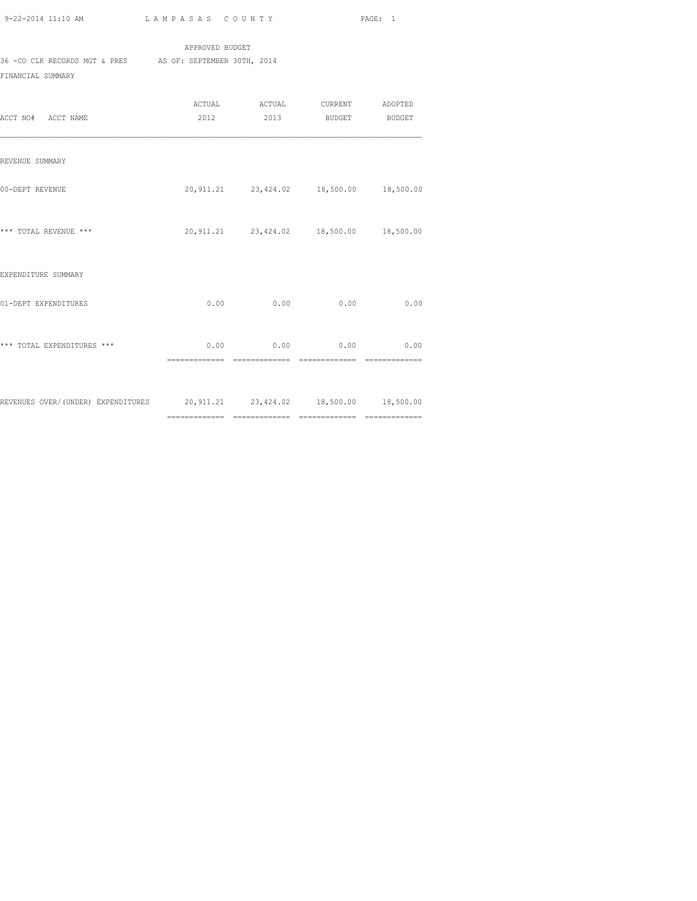APPROVED BUDGET 36 -CO CLK RECORDS MGT & PRES AS OF: SEPTEMBER 30TH, 2014 FINANCIAL SUMMARY

| ACCT NO# ACCT NAME                                                         | 2012 | ACTUAL ACTUAL CURRENT ADOPTED                           | 2013 BUDGET BUDGET |                                 |
|----------------------------------------------------------------------------|------|---------------------------------------------------------|--------------------|---------------------------------|
| REVENUE SUMMARY                                                            |      |                                                         |                    |                                 |
| 00-DEPT REVENUE                                                            |      | 20,911.21 23,424.02 18,500.00 18,500.00                 |                    |                                 |
| *** TOTAL REVENUE ***                                                      |      | 20,911.21  23,424.02  18,500.00  18,500.00              |                    |                                 |
| EXPENDITURE SUMMARY                                                        |      |                                                         |                    |                                 |
| 01-DEPT EXPENDITURES                                                       |      | $0.00$ 0.00                                             | 0.00               | 0.00                            |
| *** TOTAL EXPENDITURES ***                                                 |      | $0.00$ 0.00 0.00 0.00<br>============================== | ==============     | $=$ = = = = = = = = = = = = = = |
| REVENUES OVER/(UNDER) EXPENDITURES 20,911.21 23,424.02 18,500.00 18,500.00 |      |                                                         |                    |                                 |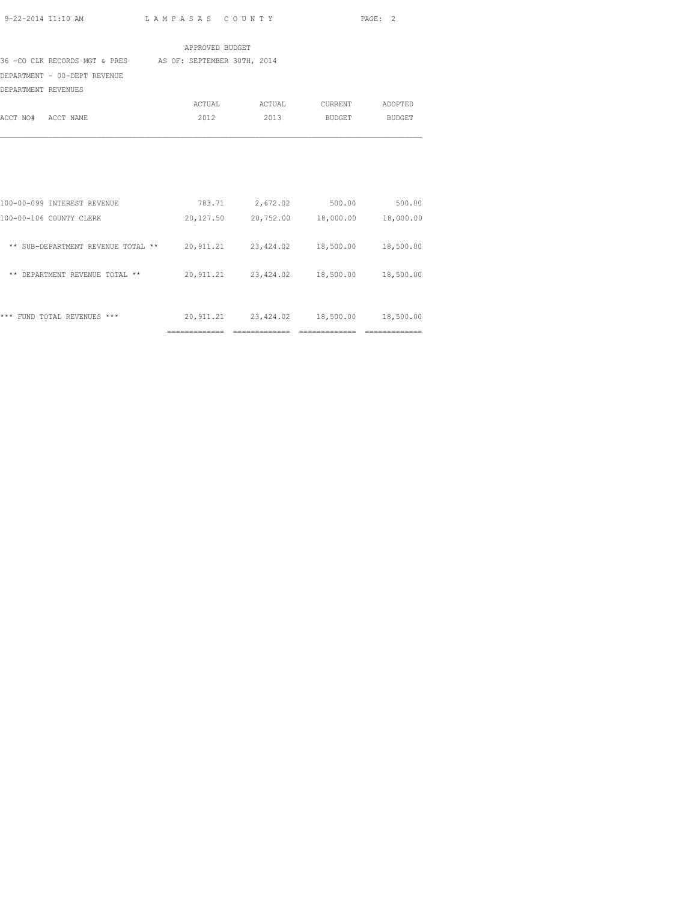| $9 - 22 - 2014$ 11:10 AM |  |
|--------------------------|--|
|                          |  |

|                                                                            | APPROVED BUDGET |                                            |                                 |               |
|----------------------------------------------------------------------------|-----------------|--------------------------------------------|---------------------------------|---------------|
| 36 -CO CLK RECORDS MGT & PRES AS OF: SEPTEMBER 30TH, 2014                  |                 |                                            |                                 |               |
| DEPARTMENT - 00-DEPT REVENUE                                               |                 |                                            |                                 |               |
| DEPARTMENT REVENUES                                                        |                 |                                            |                                 |               |
|                                                                            | ACTUAL          | ACTUAL                                     | CURRENT                         | ADOPTED       |
| ACCT NO# ACCT NAME                                                         | 2012            | 2013                                       | <b>BUDGET</b>                   | <b>BUDGET</b> |
|                                                                            |                 |                                            |                                 |               |
| 100-00-099 INTEREST REVENUE                                                |                 | 783.71 2,672.02                            | 500.00                          | 500.00        |
| 100-00-106 COUNTY CLERK                                                    | 20,127.50       |                                            | 20,752.00  18,000.00  18,000.00 |               |
| ** SUB-DEPARTMENT REVENUE TOTAL ** 20,911.21 23,424.02 18,500.00 18,500.00 |                 |                                            |                                 |               |
| ** DEPARTMENT REVENUE TOTAL **                                             |                 | 20,911.21  23,424.02  18,500.00  18,500.00 |                                 |               |
| *** FUND TOTAL REVENUES ***                                                |                 | 20,911.21 23,424.02                        | 18,500.00                       | 18,500.00     |

============= ============= ============= =============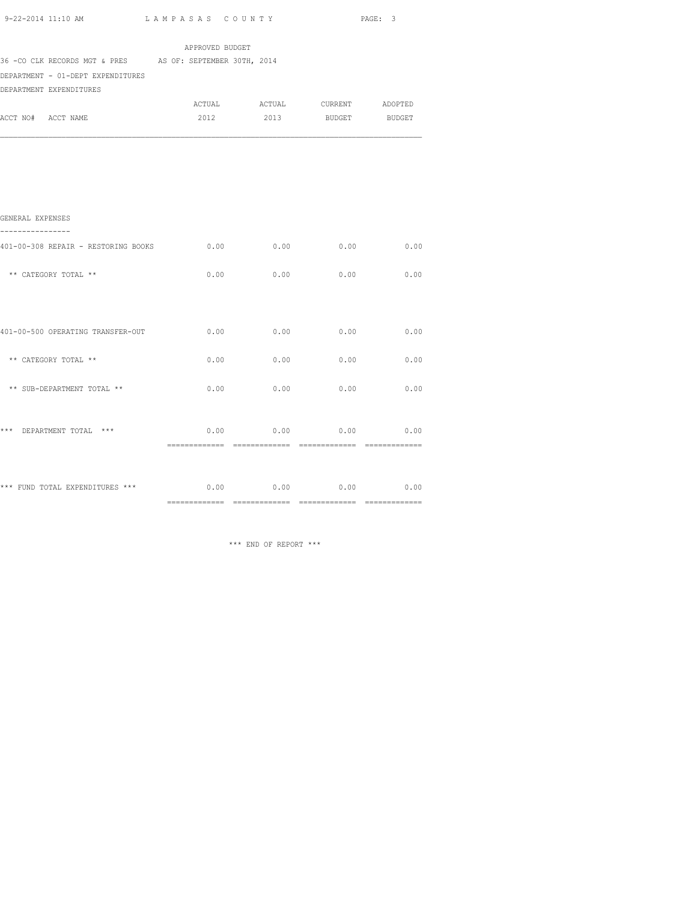| 9-22-2014 11:10 AM<br>LAMPASAS COUNTY                                                                                      |                 |      |                               | PAGE: 3 |
|----------------------------------------------------------------------------------------------------------------------------|-----------------|------|-------------------------------|---------|
|                                                                                                                            | APPROVED BUDGET |      |                               |         |
| 36 - CO CLK RECORDS MGT & PRES AS OF: SEPTEMBER 30TH, 2014<br>DEPARTMENT - 01-DEPT EXPENDITURES<br>DEPARTMENT EXPENDITURES |                 |      |                               |         |
|                                                                                                                            |                 |      | ACTUAL ACTUAL CURRENT ADOPTED |         |
| ACCT NO# ACCT NAME                                                                                                         | 2012            | 2013 | BUDGET                        | BUDGET  |
|                                                                                                                            |                 |      |                               |         |
| GENERAL EXPENSES                                                                                                           |                 |      |                               |         |
| 401-00-308 REPAIR - RESTORING BOOKS                                                                                        | 0.00            | 0.00 | 0.00                          | 0.00    |
| ** CATEGORY TOTAL **                                                                                                       | 0.00            | 0.00 | 0.00                          | 0.00    |
| 401-00-500 OPERATING TRANSFER-OUT                                                                                          | 0.00            | 0.00 | 0.00                          | 0.00    |
| ** CATEGORY TOTAL **                                                                                                       | 0.00            | 0.00 | 0.00                          | 0.00    |
| ** SUB-DEPARTMENT TOTAL **                                                                                                 | 0.00            | 0.00 | 0.00                          | 0.00    |
| *** DEPARTMENT TOTAL ***                                                                                                   | 0.00            | 0.00 | 0.00                          | 0.00    |
| *** FUND TOTAL EXPENDITURES ***                                                                                            | 0.00            |      | $0.00$ 0.00                   | 0.00    |

============= ============= ============= =============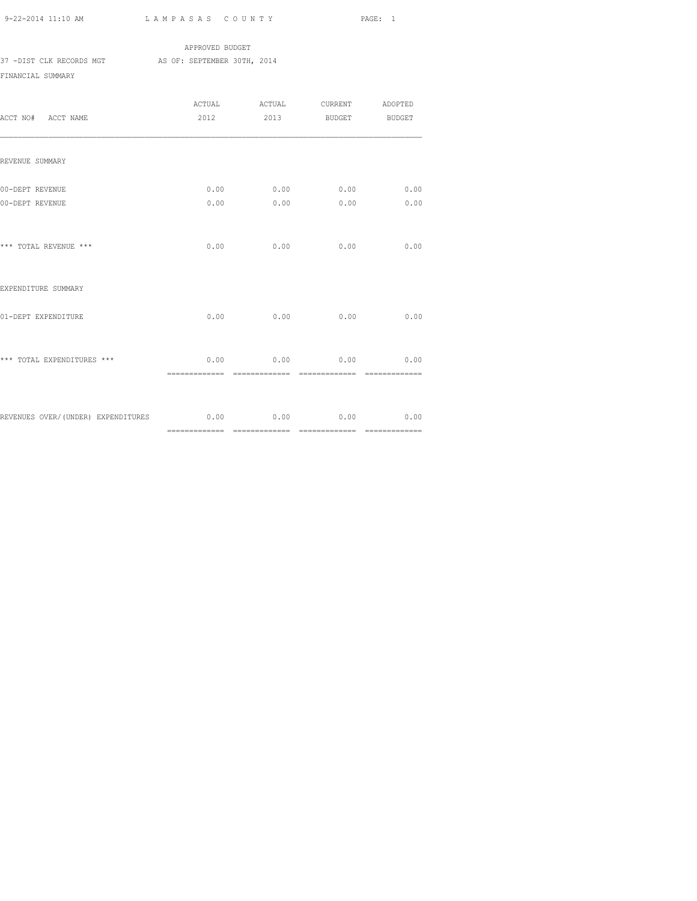|                          |  | APPROVED BUDGET             |  |
|--------------------------|--|-----------------------------|--|
| 37 -DIST CLK RECORDS MGT |  | AS OF: SEPTEMBER 30TH, 2014 |  |
| FINANCIAI, SUMMARY       |  |                             |  |

| ACCT NO# ACCT NAME                                          |      |                               | ACTUAL ACTUAL CURRENT ADOPTED<br>2012 2013 BUDGET BUDGET |                       |
|-------------------------------------------------------------|------|-------------------------------|----------------------------------------------------------|-----------------------|
| REVENUE SUMMARY                                             |      |                               |                                                          |                       |
| 00-DEPT REVENUE<br>00-DEPT REVENUE                          | 0.00 | 0.00                          | $0.00$ $0.00$ $0.00$ $0.00$<br>0.00                      | 0.00<br>0.00          |
| *** TOTAL REVENUE ***                                       |      | $0.00$ 0.00                   | 0.00                                                     | 0.00                  |
| EXPENDITURE SUMMARY                                         |      |                               |                                                          |                       |
| 01-DEPT EXPENDITURE                                         | 0.00 | 0.00                          | 0.00                                                     | 0.00                  |
| *** TOTAL EXPENDITURES ***                                  |      | ============================= | $0.00$ 0.00 0.00<br>==============                       | 0.00<br>============= |
| REVENUES OVER/(UNDER) EXPENDITURES 6.00 0.00 0.00 0.00 0.00 |      |                               |                                                          | 0.00                  |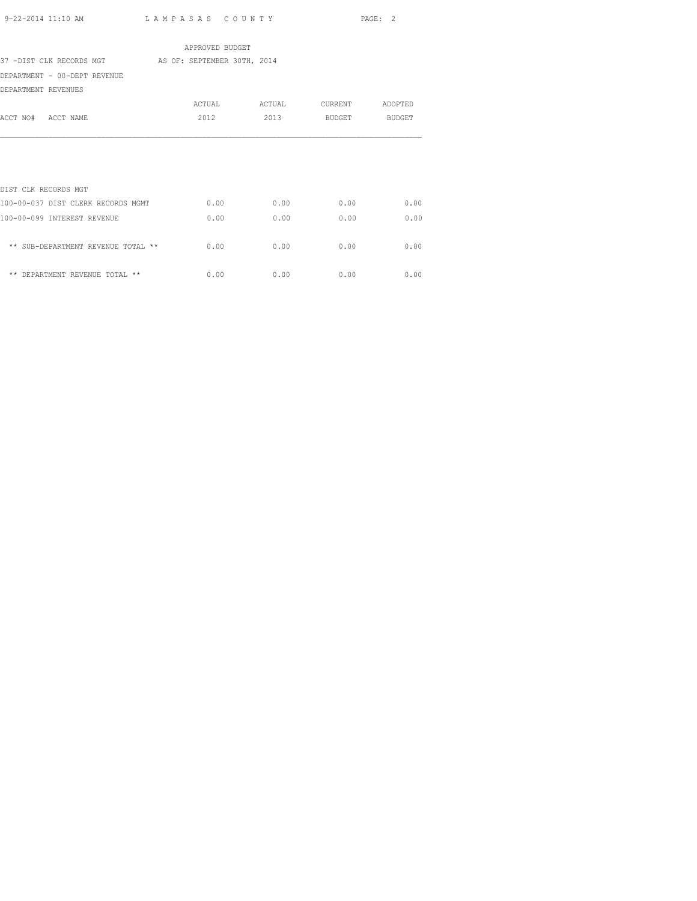|                                                      | APPROVED BUDGET |        |         |         |
|------------------------------------------------------|-----------------|--------|---------|---------|
| 37 -DIST CLK RECORDS MGT AS OF: SEPTEMBER 30TH, 2014 |                 |        |         |         |
| DEPARTMENT - 00-DEPT REVENUE                         |                 |        |         |         |
| DEPARTMENT REVENUES                                  |                 |        |         |         |
|                                                      | ACTUAL          | ACTUAL | CURRENT | ADOPTED |
| ACCT NO# ACCT NAME                                   | 2012            | 2013   | BUDGET  | BUDGET  |
|                                                      |                 |        |         |         |
|                                                      |                 |        |         |         |
|                                                      |                 |        |         |         |
|                                                      |                 |        |         |         |
| DIST CLK RECORDS MGT                                 |                 |        |         |         |
| 100-00-037 DIST CLERK RECORDS MGMT                   | 0.00            | 0.00   | 0.00    | 0.00    |
| 100-00-099 INTEREST REVENUE                          | 0.00            | 0.00   | 0.00    | 0.00    |
|                                                      |                 |        |         |         |
| ** SUB-DEPARTMENT REVENUE TOTAL **                   | 0.00            | 0.00   | 0.00    | 0.00    |
|                                                      |                 |        |         |         |
| ** DEPARTMENT REVENUE TOTAL **                       | 0.00            | 0.00   | 0.00    | 0.00    |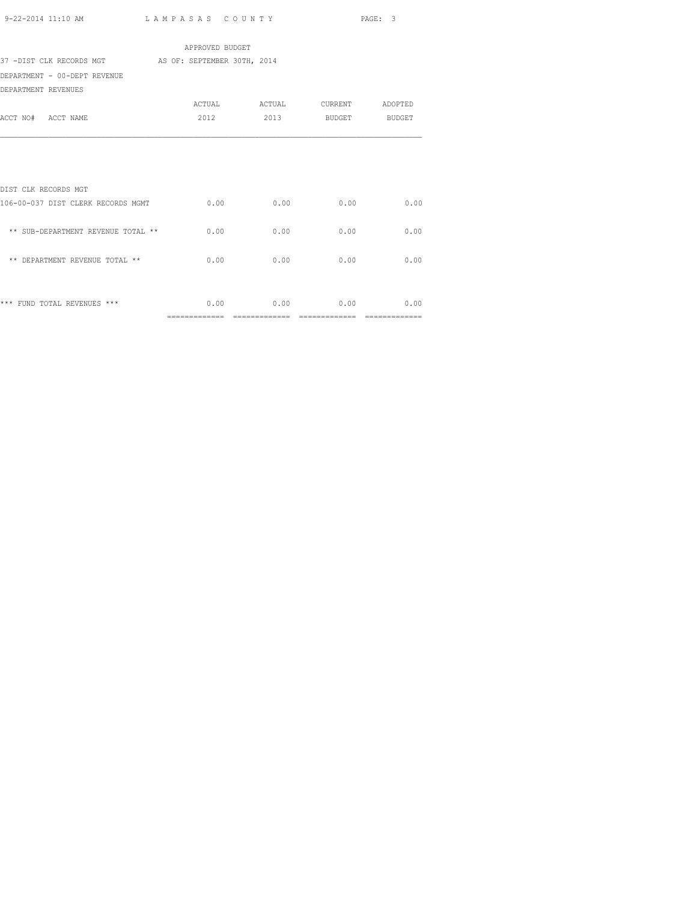| 9-22-2014 11:10 AM | LAMPASAS COUNTY | PAGE: 3 |
|--------------------|-----------------|---------|

| APPROVED BUDGET                                      |      |      |                               |      |  |  |
|------------------------------------------------------|------|------|-------------------------------|------|--|--|
| 37 -DIST CLK RECORDS MGT AS OF: SEPTEMBER 30TH, 2014 |      |      |                               |      |  |  |
| DEPARTMENT - 00-DEPT REVENUE                         |      |      |                               |      |  |  |
| DEPARTMENT REVENUES                                  |      |      |                               |      |  |  |
|                                                      |      |      | ACTUAL ACTUAL CURRENT ADOPTED |      |  |  |
| ACCT NO# ACCT NAME                                   |      |      | 2012 2013 BUDGET BUDGET       |      |  |  |
|                                                      |      |      |                               |      |  |  |
|                                                      |      |      |                               |      |  |  |
|                                                      |      |      |                               |      |  |  |
| DIST CLK RECORDS MGT                                 |      |      |                               |      |  |  |
| 106-00-037 DIST CLERK RECORDS MGMT                   | 0.00 | 0.00 | 0.00                          | 0.00 |  |  |
|                                                      |      |      |                               |      |  |  |
| ** SUB-DEPARTMENT REVENUE TOTAL **                   | 0.00 | 0.00 | 0.00                          | 0.00 |  |  |
|                                                      |      |      |                               |      |  |  |
| ** DEPARTMENT REVENUE TOTAL **                       | 0.00 | 0.00 | 0.00                          | 0.00 |  |  |
|                                                      |      |      |                               |      |  |  |
|                                                      |      |      |                               |      |  |  |
| *** FUND TOTAL REVENUES ***                          |      |      | $0.00$ 0.00 0.00              | 0.00 |  |  |
|                                                      |      |      |                               |      |  |  |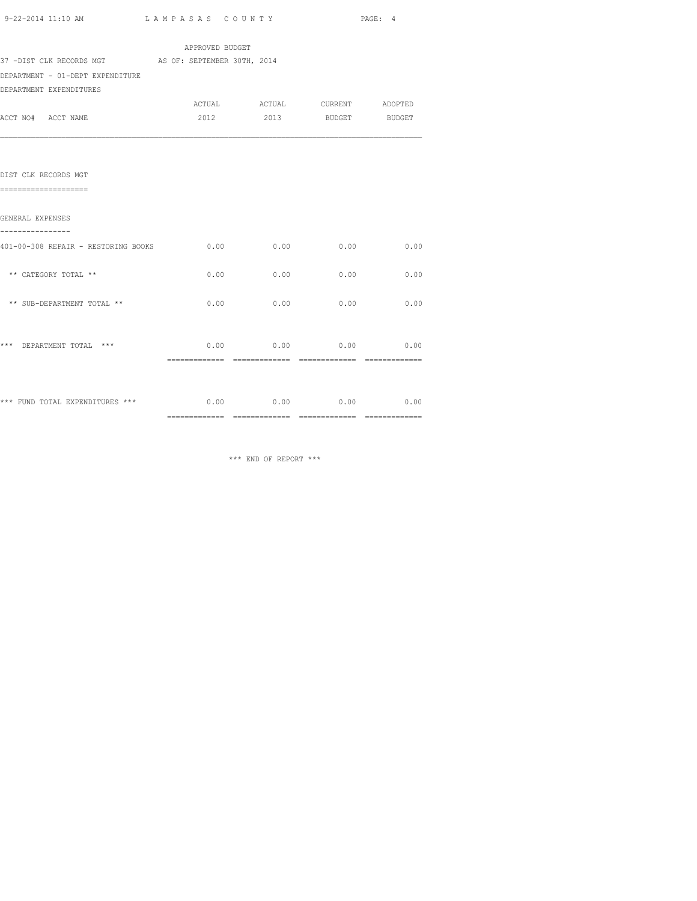| 9-22-2014 11:10 AM | LAMPASAS COUNTY | PAGE: |
|--------------------|-----------------|-------|
|                    |                 |       |

| 37 -DIST CLK RECORDS MGT AS OF: SEPTEMBER 30TH, 2014 | APPROVED BUDGET |                               |                    |      |
|------------------------------------------------------|-----------------|-------------------------------|--------------------|------|
| DEPARTMENT - 01-DEPT EXPENDITURE                     |                 |                               |                    |      |
| DEPARTMENT EXPENDITURES                              |                 |                               |                    |      |
|                                                      |                 | ACTUAL ACTUAL CURRENT ADOPTED |                    |      |
| ACCT NO# ACCT NAME                                   | 2012            |                               | 2013 BUDGET BUDGET |      |
|                                                      |                 |                               |                    |      |
| DIST CLK RECORDS MGT                                 |                 |                               |                    |      |
| ======================                               |                 |                               |                    |      |
| GENERAL EXPENSES                                     |                 |                               |                    |      |
| 401-00-308 REPAIR - RESTORING BOOKS                  |                 | $0.00$ 0.00                   | 0.00               | 0.00 |
| ** CATEGORY TOTAL **                                 | 0.00            | 0.00                          | 0.00               | 0.00 |
| ** SUB-DEPARTMENT TOTAL **                           | 0.00            | 0.00                          | 0.00               | 0.00 |
|                                                      |                 |                               |                    |      |
| *** DEPARTMENT TOTAL ***                             |                 | $0.00$ 0.00 0.00 0.00         |                    |      |
|                                                      |                 |                               |                    |      |
|                                                      |                 |                               |                    |      |
|                                                      |                 |                               |                    |      |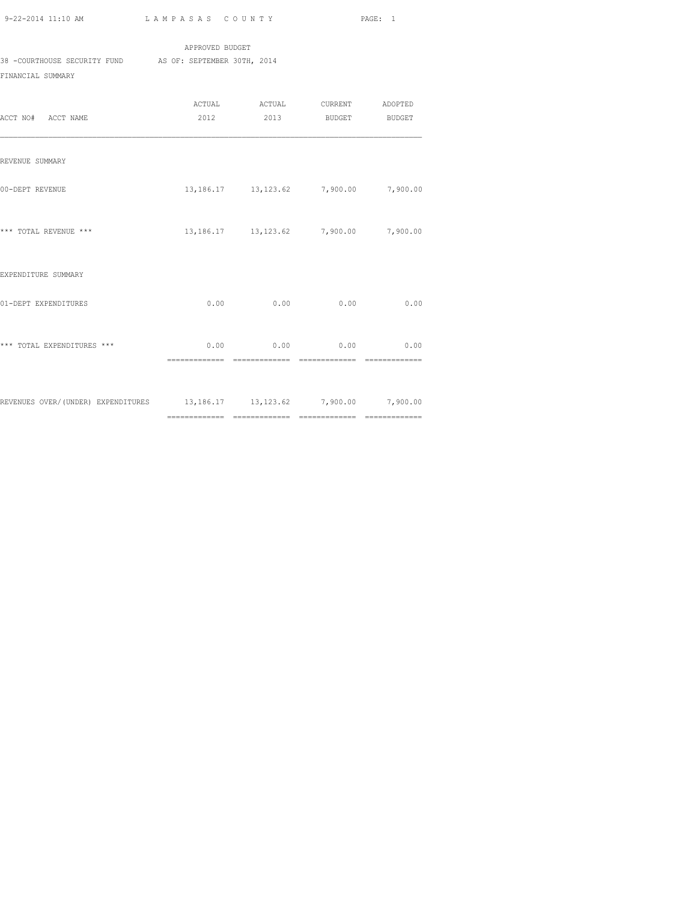|                              | APPROVED BUDGET             |
|------------------------------|-----------------------------|
| 38 -COURTHOUSE SECURITY FUND | AS OF: SEPTEMBER 30TH, 2014 |
| FINANCIAL SUMMARY            |                             |

| ACCT NO# ACCT NAME                                                       | 2012 |                                                  | 2013 BUDGET | <b>BUDGET</b> |
|--------------------------------------------------------------------------|------|--------------------------------------------------|-------------|---------------|
| REVENUE SUMMARY                                                          |      |                                                  |             |               |
| 00-DEPT REVENUE                                                          |      | 13, 186. 17  13, 123. 62  7, 900. 00  7, 900. 00 |             |               |
| *** TOTAL REVENUE ***                                                    |      | 13, 186. 17 13, 123. 62 7, 900. 00               |             | 7,900.00      |
| EXPENDITURE SUMMARY                                                      |      |                                                  |             |               |
| 01-DEPT EXPENDITURES                                                     | 0.00 | 0.00                                             | 0.00        | 0.00          |
| *** TOTAL EXPENDITURES ***                                               |      | $0.00$ 0.00 0.00 0.00                            |             |               |
| REVENUES OVER/(UNDER) EXPENDITURES 13,186.17 13,123.62 7,900.00 7,900.00 |      |                                                  |             |               |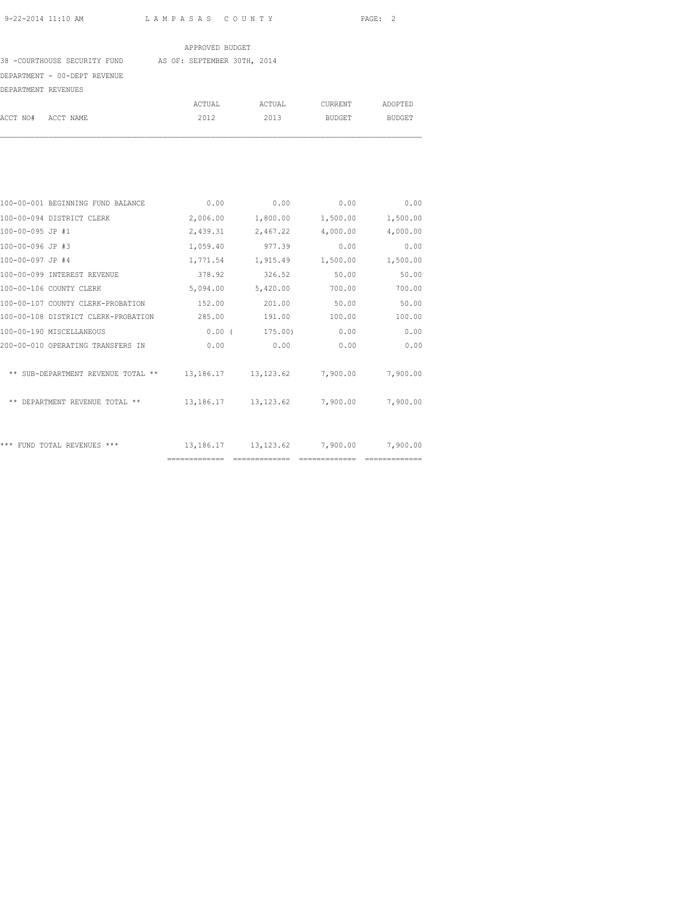#### APPROVED BUDGET

38 -COURTHOUSE SECURITY FUND AS OF: SEPTEMBER 30TH, 2014

DEPARTMENT - 00-DEPT REVENUE

| DEPARTMENT REVENUES |  |
|---------------------|--|

|                    | ACTUAL | ACTUAL | CURRENT | ADOPTED       |
|--------------------|--------|--------|---------|---------------|
| ACCT NO# ACCT NAME | 2012   | 2013   | BUDGET  | <b>BUDGET</b> |

| 100-00-001 BEGINNING FUND BALANCE   | 0.00          | 0.00          | 0.00                 | 0.00     |
|-------------------------------------|---------------|---------------|----------------------|----------|
| 100-00-094 DISTRICT CLERK           | 2,006.00      | 1,800.00      | 1,500.00             | 1,500.00 |
| 100-00-095 JP #1                    | 2,439.31      | 2,467.22      | 4,000.00             | 4,000.00 |
| 100-00-096 JP #3                    | 1,059.40      | 977.39        | 0.00                 | 0.00     |
| 100-00-097 JP #4                    | 1,771.54      | 1,915.49      | 1,500.00             | 1,500.00 |
| 100-00-099 INTEREST REVENUE         | 378.92        | 326.52        | 50.00                | 50.00    |
| 100-00-106 COUNTY CLERK             | 5,094.00      | 5,420.00      | 700.00               | 700.00   |
| 100-00-107 COUNTY CLERK-PROBATION   | 152.00        | 201.00        | 50.00                | 50.00    |
| 100-00-108 DISTRICT CLERK-PROBATION | 285.00        | 191.00        | 100.00               | 100.00   |
| 100-00-190 MISCELLANEOUS            | $0.00$ (      | 175.00)       | 0.00                 | 0.00     |
| 200-00-010 OPERATING TRANSFERS IN   | 0.00          | 0.00          | 0.00                 | 0.00     |
|                                     |               |               |                      |          |
| ** SUB-DEPARTMENT REVENUE TOTAL **  | 13,186.17     |               | 13, 123.62 7, 900.00 | 7,900.00 |
|                                     |               |               |                      |          |
| ** DEPARTMENT REVENUE TOTAL **      | 13,186.17     |               | 13, 123.62 7, 900.00 | 7,900.00 |
|                                     |               |               |                      |          |
|                                     |               |               |                      |          |
| *** FUND TOTAL REVENUES ***         | 13,186.17     |               | 13, 123.62 7, 900.00 | 7,900.00 |
|                                     | ============= | ============= |                      |          |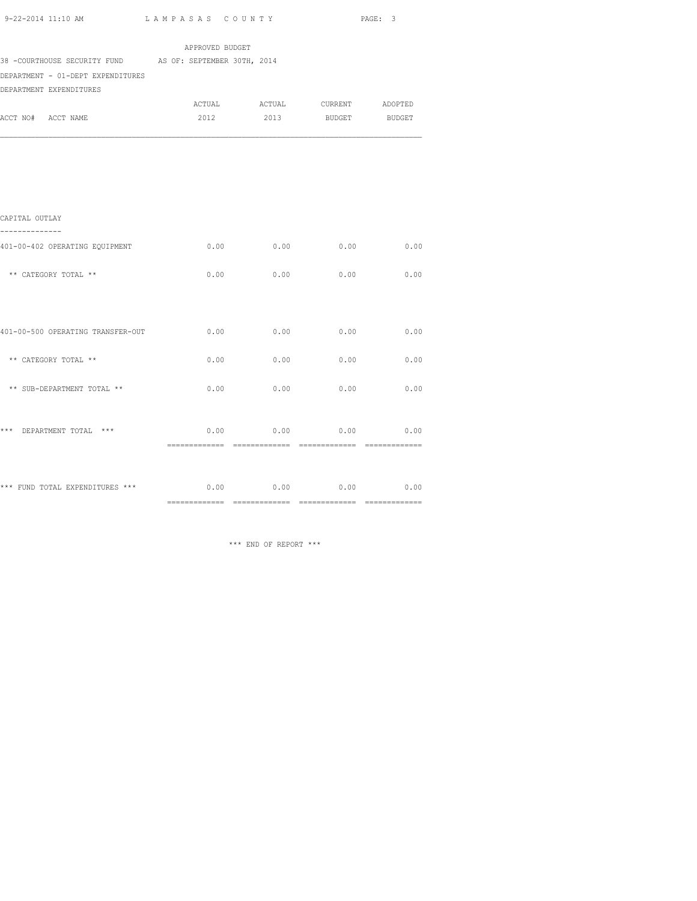| 9-22-2014 11:10 AM |  |
|--------------------|--|

| 9-22-2014 11:10 AM                                       | LAMPASAS COUNTY |      |                               | PAGE: 3 |
|----------------------------------------------------------|-----------------|------|-------------------------------|---------|
|                                                          | APPROVED BUDGET |      |                               |         |
| 38 -COURTHOUSE SECURITY FUND AS OF: SEPTEMBER 30TH, 2014 |                 |      |                               |         |
| DEPARTMENT - 01-DEPT EXPENDITURES                        |                 |      |                               |         |
| DEPARTMENT EXPENDITURES                                  |                 |      |                               |         |
|                                                          |                 |      | ACTUAL ACTUAL CURRENT ADOPTED |         |
| ACCT NO# ACCT NAME                                       |                 |      | 2012 2013 BUDGET BUDGET       |         |
|                                                          |                 |      |                               |         |
| CAPITAL OUTLAY                                           |                 |      |                               |         |
|                                                          |                 |      |                               |         |
| 401-00-402 OPERATING EQUIPMENT                           | 0.00            | 0.00 | 0.00                          | 0.00    |
| ** CATEGORY TOTAL **                                     | 0.00            | 0.00 | 0.00                          | 0.00    |
|                                                          |                 |      |                               |         |
| 401-00-500 OPERATING TRANSFER-OUT                        | 0.00            | 0.00 | 0.00                          | 0.00    |
| ** CATEGORY TOTAL **                                     | 0.00            | 0.00 | 0.00                          | 0.00    |
| ** SUB-DEPARTMENT TOTAL **                               | 0.00            | 0.00 | 0.00                          | 0.00    |
| *** DEPARTMENT TOTAL ***                                 | 0.00            | 0.00 | 0.00                          | 0.00    |
|                                                          |                 |      |                               |         |
| *** FUND TOTAL EXPENDITURES ***                          | 0.00            |      | $0.00$ 0.00                   | 0.00    |

============= ============= ============= =============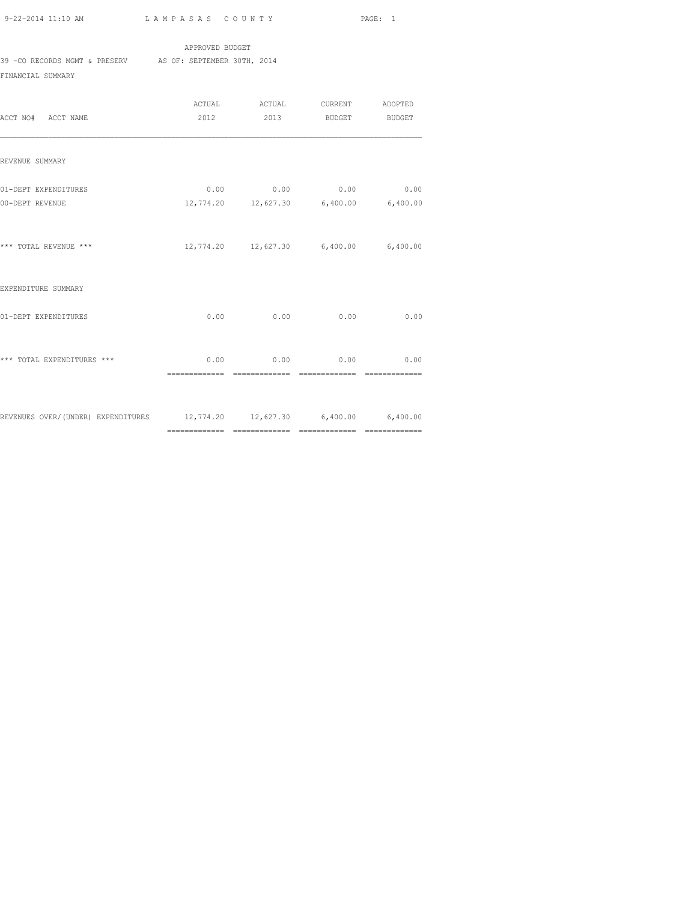APPROVED BUDGET 39 -CO RECORDS MGMT & PRESERV AS OF: SEPTEMBER 30TH, 2014

FINANCIAL SUMMARY

| ACCT NO# ACCT NAME                                                       | 2012 | ACTUAL ACTUAL CURRENT ADOPTED                                     | 2013 BUDGET | <b>BUDGET</b> |
|--------------------------------------------------------------------------|------|-------------------------------------------------------------------|-------------|---------------|
| REVENUE SUMMARY                                                          |      |                                                                   |             |               |
| 01-DEPT EXPENDITURES<br>00-DEPT REVENUE                                  |      | $0.00$ 0.00 0.00 0.00<br>12,774.20  12,627.30  6,400.00  6,400.00 |             |               |
| *** TOTAL REVENUE ***                                                    |      | 12,774.20  12,627.30  6,400.00  6,400.00                          |             |               |
| EXPENDITURE SUMMARY                                                      |      |                                                                   |             |               |
| 01-DEPT EXPENDITURES                                                     |      | $0.00$ 0.00 0.00                                                  |             | 0.00          |
| *** TOTAL EXPENDITURES ***                                               |      | $0.00$ 0.00                                                       | 0.00        | 0.00          |
| REVENUES OVER/(UNDER) EXPENDITURES 12,774.20 12,627.30 6,400.00 6,400.00 |      |                                                                   |             |               |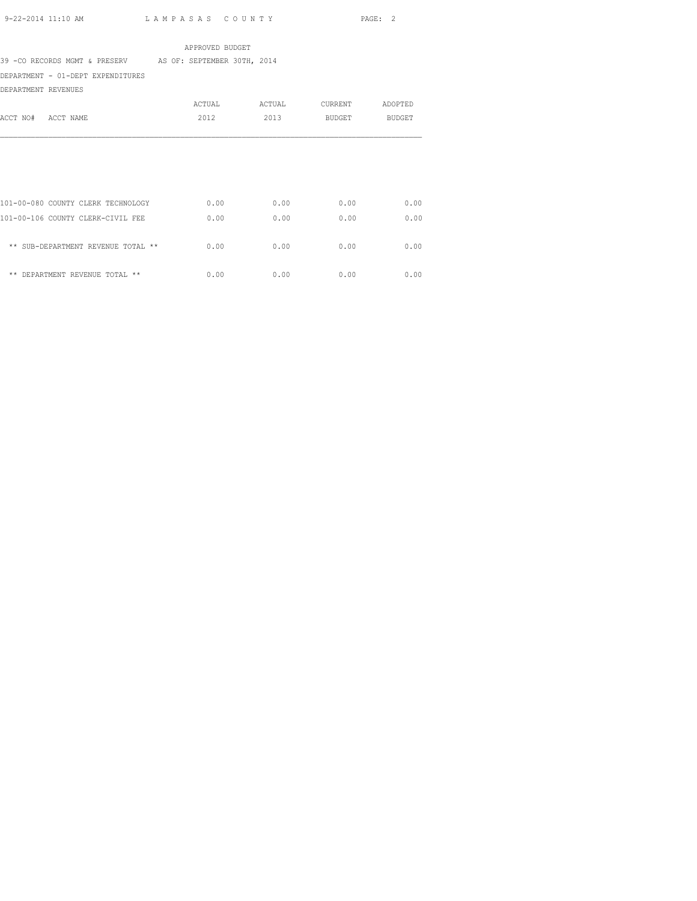## APPROVED BUDGET

39 -CO RECORDS MGMT & PRESERV AS OF: SEPTEMBER 30TH, 2014

DEPARTMENT - 01-DEPT EXPENDITURES

DEPARTMENT REVENUES

|          |                                    | ACTUAL | ACTUAL | <b>CURRENT</b> | ADOPTED |
|----------|------------------------------------|--------|--------|----------------|---------|
| ACCT NO# | ACCT NAME                          | 2012   | 2013   | <b>BUDGET</b>  | BUDGET  |
|          |                                    |        |        |                |         |
|          |                                    |        |        |                |         |
|          |                                    |        |        |                |         |
|          | 101-00-080 COUNTY CLERK TECHNOLOGY | 0.00   | 0.00   | 0.00           | 0.00    |
|          | 101-00-106 COUNTY CLERK-CIVIL FEE  | 0.00   | 0.00   | 0.00           | 0.00    |
|          | ** SUB-DEPARTMENT REVENUE TOTAL ** | 0.00   | 0.00   | 0.00           | 0.00    |
| **       | DEPARTMENT REVENUE TOTAL **        | 0.00   | 0.00   | 0.00           | 0.00    |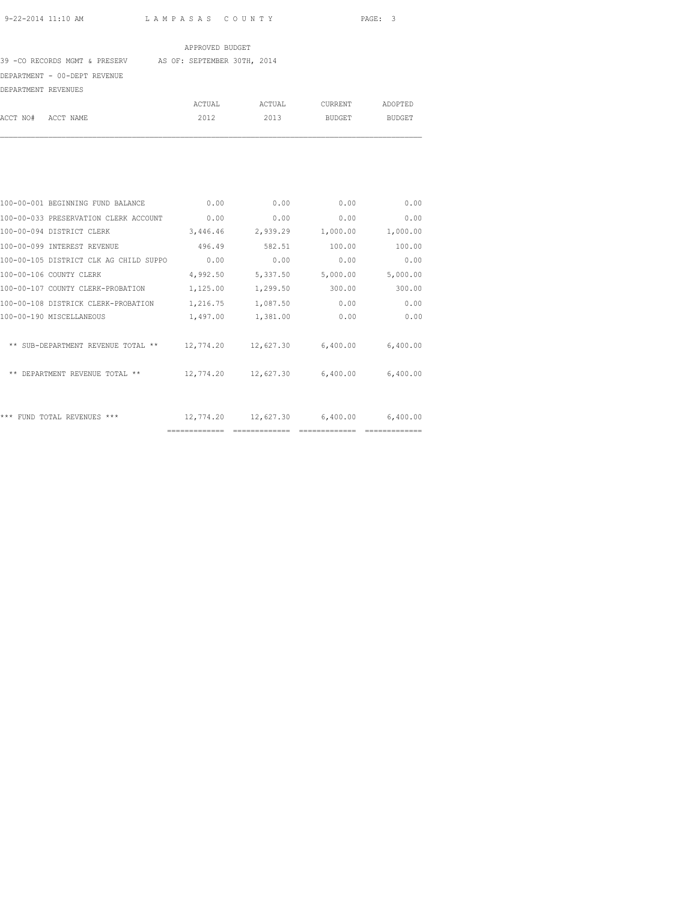## APPROVED BUDGET

39 -CO RECORDS MGMT & PRESERV AS OF: SEPTEMBER 30TH, 2014

DEPARTMENT - 00-DEPT REVENUE

| DEPARTMENT REVENUES |        |        |         |         |
|---------------------|--------|--------|---------|---------|
|                     | ACTUAL | ACTUAL | CURRENT | ADOPTED |
| ACCT NO# ACCT NAME  | 2012   | 2013   | BUDGET  | BUDGET  |
|                     |        |        |         |         |

| 100-00-001 BEGINNING FUND BALANCE      | 0.00      | 0.00      | 0.00               | 0.00     |
|----------------------------------------|-----------|-----------|--------------------|----------|
| 100-00-033 PRESERVATION CLERK ACCOUNT  | 0.00      | 0.00      | 0.00               | 0.00     |
| 100-00-094 DISTRICT CLERK              | 3,446.46  | 2,939.29  | 1,000.00           | 1,000.00 |
| 100-00-099 INTEREST REVENUE            | 496.49    | 582.51    | 100.00             | 100.00   |
| 100-00-105 DISTRICT CLK AG CHILD SUPPO | 0.00      | 0.00      | 0.00               | 0.00     |
| 100-00-106 COUNTY CLERK                | 4,992.50  | 5,337.50  | 5,000.00           | 5,000.00 |
| 100-00-107 COUNTY CLERK-PROBATION      | 1,125.00  | 1,299.50  | 300.00             | 300.00   |
| 100-00-108 DISTRICK CLERK-PROBATION    | 1,216.75  | 1,087.50  | 0.00               | 0.00     |
| 100-00-190 MISCELLANEOUS               | 1,497.00  | 1,381.00  | 0.00               | 0.00     |
| ** SUB-DEPARTMENT REVENUE TOTAL **     | 12,774.20 | 12,627.30 | 6,400.00           | 6,400.00 |
| ** DEPARTMENT REVENUE TOTAL **         | 12,774.20 | 12,627.30 | 6,400.00           | 6,400.00 |
| *** FUND TOTAL REVENUES ***            | 12,774.20 |           | 12,627.30 6,400.00 | 6,400.00 |
|                                        |           |           |                    |          |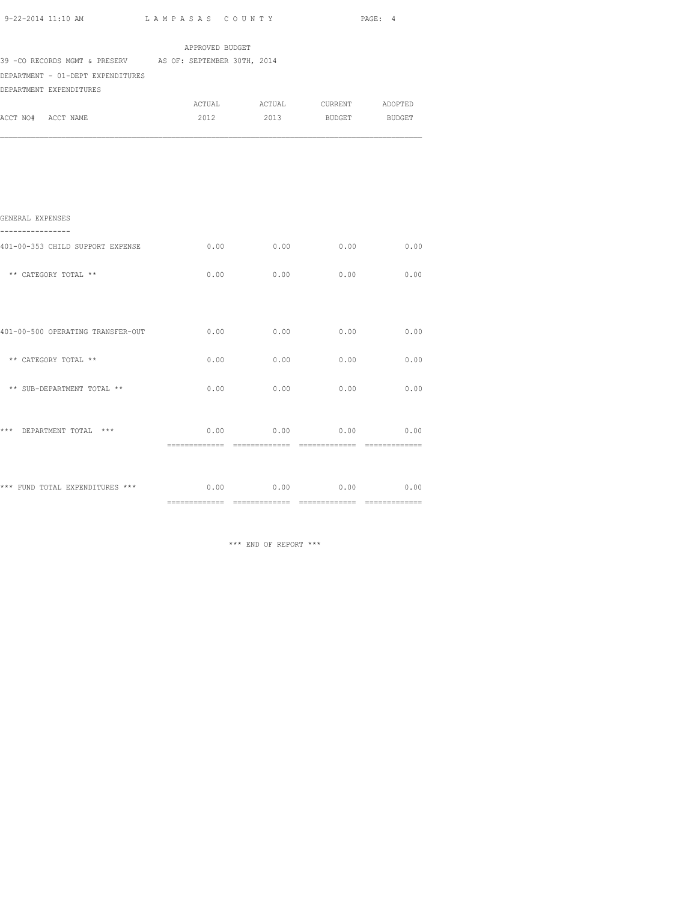|                                                                                                                            |      |                               |      | PAGE: 4 |
|----------------------------------------------------------------------------------------------------------------------------|------|-------------------------------|------|---------|
|                                                                                                                            |      | APPROVED BUDGET               |      |         |
| 39 - CO RECORDS MGMT & PRESERV AS OF: SEPTEMBER 30TH, 2014<br>DEPARTMENT - 01-DEPT EXPENDITURES<br>DEPARTMENT EXPENDITURES |      |                               |      |         |
|                                                                                                                            |      | ACTUAL ACTUAL CURRENT ADOPTED |      |         |
| ACCT NO# ACCT NAME                                                                                                         |      | 2012 2013 BUDGET BUDGET       |      |         |
|                                                                                                                            |      |                               |      |         |
| GENERAL EXPENSES<br>----------------                                                                                       |      |                               |      |         |
| 401-00-353 CHILD SUPPORT EXPENSE                                                                                           |      | 0.00<br>0.00                  | 0.00 | 0.00    |
| ** CATEGORY TOTAL **                                                                                                       | 0.00 | 0.00                          | 0.00 | 0.00    |
| 401-00-500 OPERATING TRANSFER-OUT                                                                                          |      | $0.00$ 0.00                   | 0.00 | 0.00    |
| ** CATEGORY TOTAL **                                                                                                       |      | 0.00<br>0.00                  | 0.00 | 0.00    |
| ** SUB-DEPARTMENT TOTAL **                                                                                                 | 0.00 | 0.00                          | 0.00 | 0.00    |
| *** DEPARTMENT TOTAL ***                                                                                                   |      | $0.00$ 0.00 0.00 0.00         |      |         |

\*\*\* FUND TOTAL EXPENDITURES \*\*\* 0.00 0.00 0.00 0.00 0.00 0.00

\*\*\* END OF REPORT \*\*\*

============= ============= ============= =============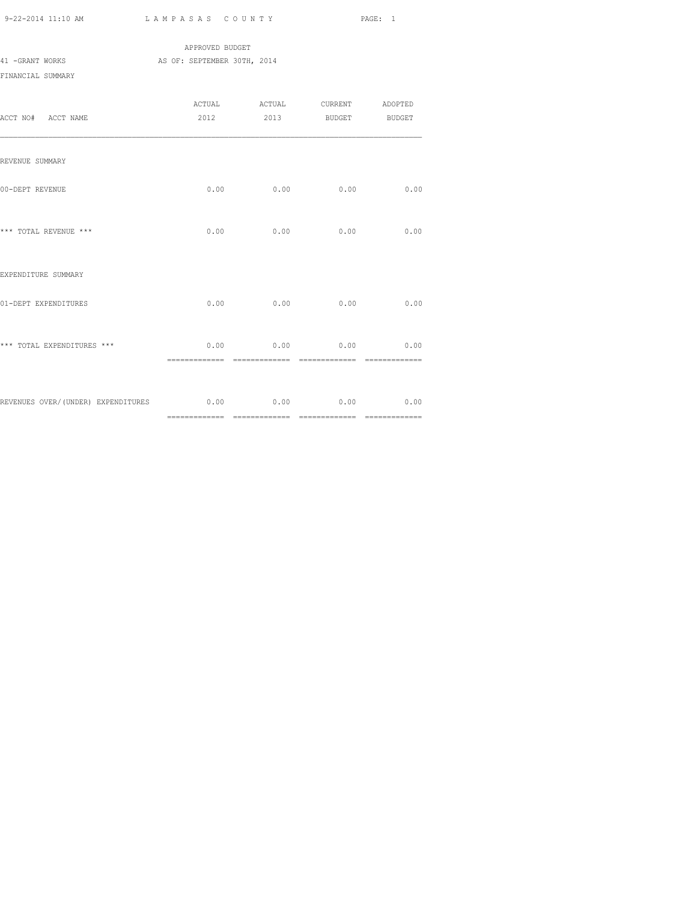|                   |  | APPROVED BUDGET             |  |
|-------------------|--|-----------------------------|--|
| 41 -GRANT WORKS   |  | AS OF: SEPTEMBER 30TH, 2014 |  |
| FINANCIAL SUMMARY |  |                             |  |

| ACCT NO# ACCT NAME                                               |      | ACTUAL ACTUAL CURRENT ADOPTED<br>2012 2013 BUDGET BUDGET |      |      |
|------------------------------------------------------------------|------|----------------------------------------------------------|------|------|
| REVENUE SUMMARY                                                  |      |                                                          |      |      |
| 00-DEPT REVENUE                                                  |      | $0.00$ 0.00                                              | 0.00 | 0.00 |
| *** TOTAL REVENUE ***                                            |      | $0.00$ 0.00 0.00                                         |      | 0.00 |
| EXPENDITURE SUMMARY                                              |      |                                                          |      |      |
| 01-DEPT EXPENDITURES                                             | 0.00 | 0.00                                                     | 0.00 | 0.00 |
| *** TOTAL EXPENDITURES ***                                       |      | $0.00$ 0.00 0.00 0.00                                    |      |      |
| REVENUES OVER/(UNDER) EXPENDITURES 6.00 0.00 0.00 0.00 0.00 0.00 |      |                                                          |      |      |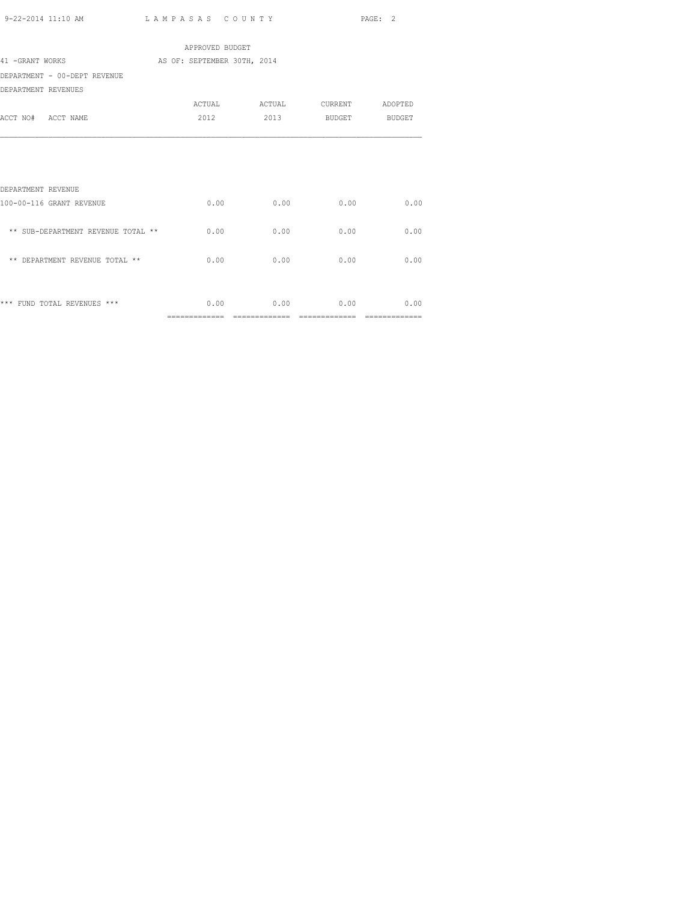| 9-22-2014 11:10 AM | LAMPASAS COUNTY | PAGE: |
|--------------------|-----------------|-------|
|                    |                 |       |

|                                             | APPROVED BUDGET |      |                    |                |
|---------------------------------------------|-----------------|------|--------------------|----------------|
| 41 -GRANT WORKS AS OF: SEPTEMBER 30TH, 2014 |                 |      |                    |                |
| DEPARTMENT - 00-DEPT REVENUE                |                 |      |                    |                |
| DEPARTMENT REVENUES                         |                 |      |                    |                |
|                                             |                 |      |                    |                |
| ACCT NO# ACCT NAME                          | 2012            |      | 2013 BUDGET BUDGET |                |
|                                             |                 |      |                    |                |
|                                             |                 |      |                    |                |
|                                             |                 |      |                    |                |
|                                             |                 |      |                    |                |
| DEPARTMENT REVENUE                          |                 |      |                    |                |
| 100-00-116 GRANT REVENUE                    | 0.00            | 0.00 | 0.00               | 0.00           |
|                                             |                 |      |                    |                |
| ** SUB-DEPARTMENT REVENUE TOTAL ** 0.00     |                 | 0.00 | 0.00               | 0.00           |
|                                             |                 |      |                    |                |
| ** DEPARTMENT REVENUE TOTAL **              | 0.00            | 0.00 | 0.00               | 0.00           |
|                                             |                 |      |                    |                |
|                                             |                 |      |                    |                |
| *** FUND TOTAL REVENUES ***                 | 0.00            |      | $0.00$ 0.00        | 0.00           |
|                                             | ==============  |      |                    | ============== |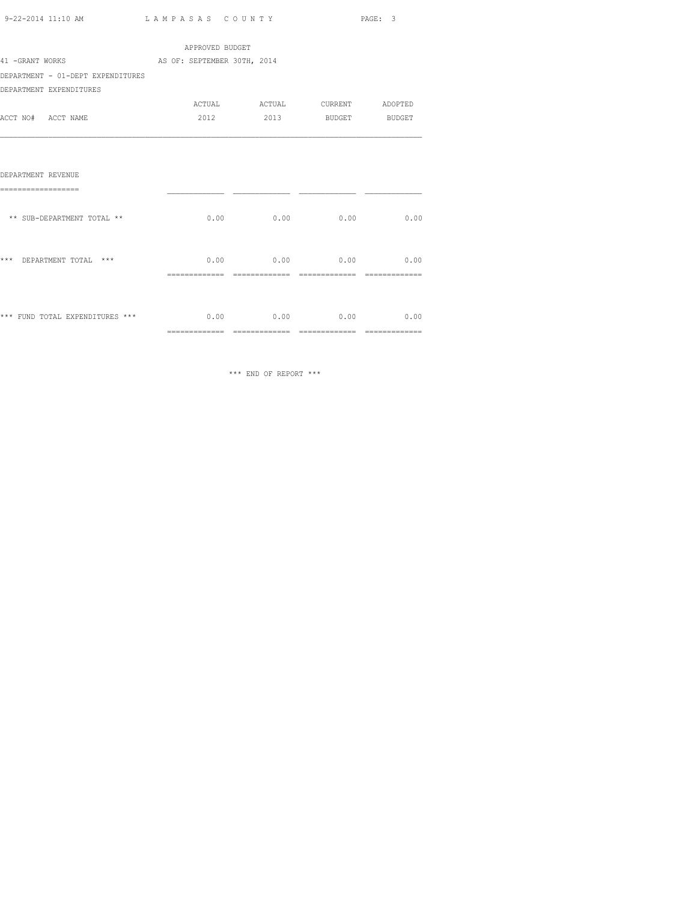| 9-22-2014 11:10 AM | LAMPASAS COUNTY | PAGE: |
|--------------------|-----------------|-------|
|                    |                 |       |

|                                             | APPROVED BUDGET |                                        |               |                |
|---------------------------------------------|-----------------|----------------------------------------|---------------|----------------|
| 41 -GRANT WORKS AS OF: SEPTEMBER 30TH, 2014 |                 |                                        |               |                |
| DEPARTMENT - 01-DEPT EXPENDITURES           |                 |                                        |               |                |
| DEPARTMENT EXPENDITURES                     |                 |                                        |               |                |
|                                             |                 | ACTUAL ACTUAL CURRENT ADOPTED          |               |                |
| ACCT NO# ACCT NAME                          | 2012            | 2013                                   | BUDGET BUDGET |                |
| DEPARTMENT REVENUE<br>===================   |                 |                                        |               |                |
| ** SUB-DEPARTMENT TOTAL **                  |                 | $0.00$ $0.00$ $0.00$ $0.00$            |               | 0.00           |
| ***<br>DEPARTMENT TOTAL ***                 |                 | $0.00$ 0.00 0.00 0.00                  |               |                |
| *** FUND TOTAL EXPENDITURES ***             | ==============  | $0.00$ 0.00 0.00 0.00<br>============= | ============= | ============== |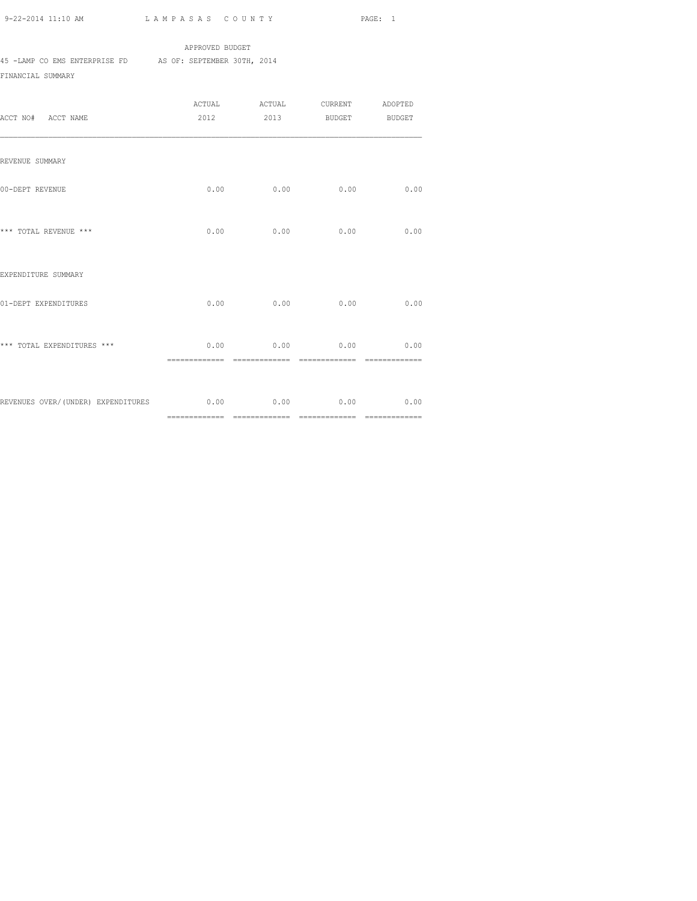# APPROVED BUDGET

45 -LAMP CO EMS ENTERPRISE FD AS OF: SEPTEMBER 30TH, 2014

FINANCIAL SUMMARY

| ACCT NO# ACCT NAME                                     | ACTUAL<br>2012         | ACTUAL CURRENT<br>2013 | BUDGET BUDGET                     | ADOPTED               |
|--------------------------------------------------------|------------------------|------------------------|-----------------------------------|-----------------------|
| REVENUE SUMMARY                                        |                        |                        |                                   |                       |
| 00-DEPT REVENUE                                        |                        | $0.00$ 0.00            | 0.00                              | 0.00                  |
| *** TOTAL REVENUE ***                                  | 0.00                   | 0.00                   | 0.00                              | 0.00                  |
| EXPENDITURE SUMMARY                                    |                        |                        |                                   |                       |
| 01-DEPT EXPENDITURES                                   |                        | $0.00$ 0.00            | 0.00                              | 0.00                  |
| *** TOTAL EXPENDITURES ***                             | 0.00<br>============== | ==============         | $0.00$ 0.00<br>$=$ ============== | 0.00<br>============= |
| REVENUES OVER/(UNDER) EXPENDITURES 6.00 0.00 0.00 0.00 |                        |                        |                                   | 0.00                  |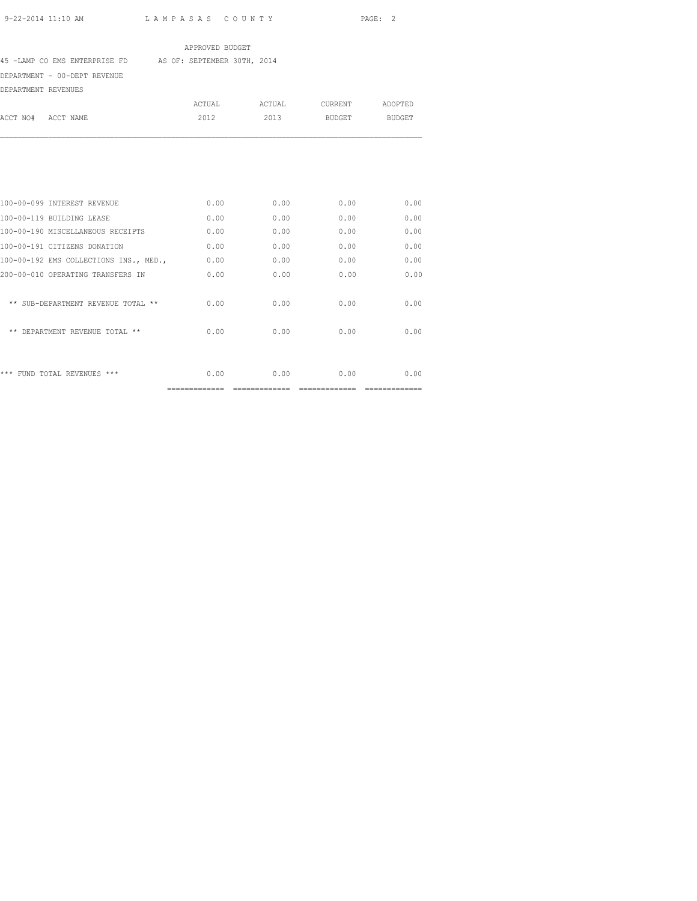# APPROVED BUDGET

45 -LAMP CO EMS ENTERPRISE FD AS OF: SEPTEMBER 30TH, 2014

DEPARTMENT - 00-DEPT REVENUE

| DEPARTMENT REVENUES |                                        |               |        |                |               |
|---------------------|----------------------------------------|---------------|--------|----------------|---------------|
|                     |                                        | <b>ACTUAL</b> | ACTUAL | <b>CURRENT</b> | ADOPTED       |
| ACCT NO#            | ACCT NAME                              | 2012          | 2013   | <b>BUDGET</b>  | <b>BUDGET</b> |
|                     |                                        |               |        |                |               |
|                     | 100-00-099 INTEREST REVENUE            | 0.00          | 0.00   | 0.00           | 0.00          |
|                     | 100-00-119 BUILDING LEASE              | 0.00          | 0.00   | 0.00           | 0.00          |
|                     | 100-00-190 MISCELLANEOUS RECEIPTS      | 0.00          | 0.00   | 0.00           | 0.00          |
|                     | 100-00-191 CITIZENS DONATION           | 0.00          | 0.00   | 0.00           | 0.00          |
|                     | 100-00-192 EMS COLLECTIONS INS., MED., | 0.00          | 0.00   | 0.00           | 0.00          |
|                     | 200-00-010 OPERATING TRANSFERS IN      | 0.00          | 0.00   | 0.00           | 0.00          |
|                     | ** SUB-DEPARTMENT REVENUE TOTAL **     | 0.00          | 0.00   | 0.00           | 0.00          |
|                     | ** DEPARTMENT REVENUE TOTAL **         | 0.00          | 0.00   | 0.00           | 0.00          |
|                     | *** FUND TOTAL REVENUES ***            | 0.00          | 0.00   | 0.00           | 0.00          |

============= ============= ============= =============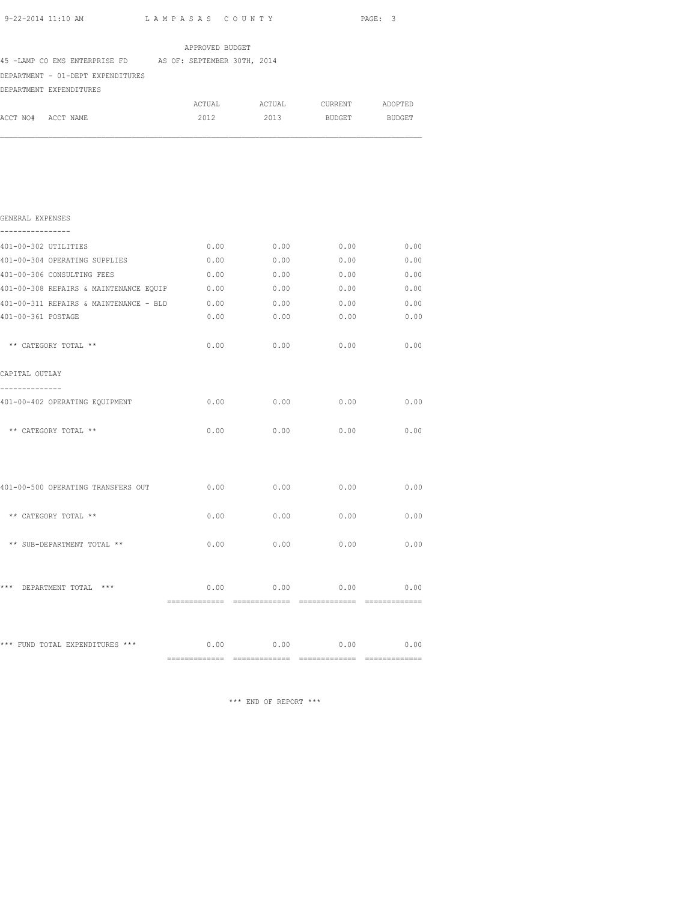|                                                           |                 |                               |        | PAGE: 3 |
|-----------------------------------------------------------|-----------------|-------------------------------|--------|---------|
|                                                           | APPROVED BUDGET |                               |        |         |
| 45 -LAMP CO EMS ENTERPRISE FD AS OF: SEPTEMBER 30TH, 2014 |                 |                               |        |         |
| DEPARTMENT - 01-DEPT EXPENDITURES                         |                 |                               |        |         |
| DEPARTMENT EXPENDITURES                                   |                 |                               |        |         |
|                                                           |                 | ACTUAL ACTUAL CURRENT ADOPTED |        |         |
| ACCT NO# ACCT NAME                                        | 2012            | 2013                          | BUDGET | BUDGET  |
|                                                           |                 |                               |        |         |
| GENERAL EXPENSES<br>----------------                      |                 |                               |        |         |
| 401-00-302 UTILITIES                                      | 0.00            | 0.00                          | 0.00   | 0.00    |
| 401-00-304 OPERATING SUPPLIES                             | 0.00            | 0.00                          | 0.00   | 0.00    |
| 401-00-306 CONSULTING FEES                                | 0.00            | 0.00                          | 0.00   | 0.00    |
| 401-00-308 REPAIRS & MAINTENANCE EQUIP                    | 0.00            | 0.00                          | 0.00   | 0.00    |
| 401-00-311 REPAIRS & MAINTENANCE - BLD                    | 0.00            | 0.00                          | 0.00   | 0.00    |
| 401-00-361 POSTAGE                                        | 0.00            | 0.00                          | 0.00   | 0.00    |
| ** CATEGORY TOTAL **                                      |                 | $0.00$ 0.00                   | 0.00   | 0.00    |
| CAPITAL OUTLAY                                            |                 |                               |        |         |
| --------------<br>401-00-402 OPERATING EQUIPMENT          | 0.00            | 0.00                          | 0.00   | 0.00    |
| ** CATEGORY TOTAL **                                      | 0.00            | 0.00                          | 0.00   | 0.00    |
| 401-00-500 OPERATING TRANSFERS OUT                        | 0.00            | 0.00                          | 0.00   | 0.00    |
| ** CATEGORY TOTAL **                                      | 0.00            | 0.00                          | 0.00   | 0.00    |
| ** SUB-DEPARTMENT TOTAL **                                | 0.00            | 0.00                          | 0.00   | 0.00    |
| ***<br>DEPARTMENT TOTAL ***                               | 0.00            | 0.00                          | 0.00   | 0.00    |

\*\*\* FUND TOTAL EXPENDITURES \*\*\* 0.00 0.00 0.00 0.00 0.00 0.00 ============= ============= ============= =============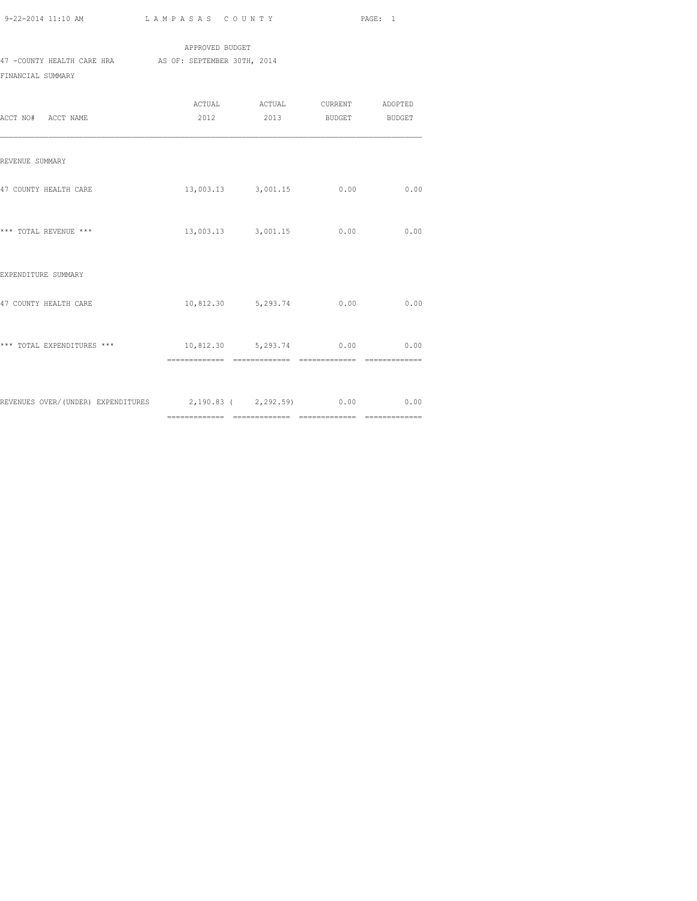|                            | APPROVED BUDGET             |
|----------------------------|-----------------------------|
| 47 -COUNTY HEALTH CARE HRA | AS OF: SEPTEMBER 30TH, 2014 |
| FINANCIAL SUMMARY          |                             |

| ACCT NO# ACCT NAME                                               | ACTUAL ACTUAL CURRENT ADOPTED<br>2012 2013 BUDGET BUDGET |      |      |
|------------------------------------------------------------------|----------------------------------------------------------|------|------|
| REVENUE SUMMARY                                                  |                                                          |      |      |
| 47 COUNTY HEALTH CARE                                            | 13,003.13 3,001.15                                       | 0.00 | 0.00 |
| *** TOTAL REVENUE ***                                            | 13,003.13 3,001.15 0.00 0.00                             |      |      |
| EXPENDITURE SUMMARY                                              |                                                          |      |      |
| 47 COUNTY HEALTH CARE                                            | 10,812.30 5,293.74 0.00                                  |      | 0.00 |
| *** TOTAL EXPENDITURES ***                                       | 10,812.30 5,293.74 0.00 0.00                             |      |      |
| REVENUES OVER/(UNDER) EXPENDITURES 2,190.83 (2,292.59) 0.00 0.00 |                                                          |      |      |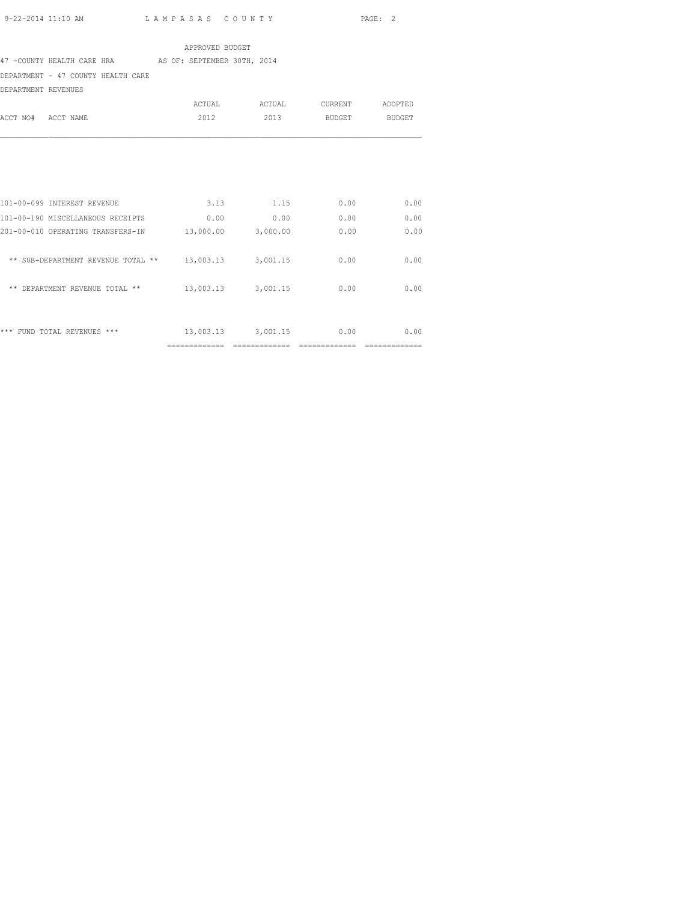#### APPROVED BUDGET

47 -COUNTY HEALTH CARE HRA AS OF: SEPTEMBER 30TH, 2014

DEPARTMENT - 47 COUNTY HEALTH CARE

DEPARTMENT REVENUES

| ACCT NO#<br>ACCT NAME              | ACTUAL<br>2012 | ACTUAL<br>2013 | <b>CURRENT</b><br><b>BUDGET</b> | ADOPTED<br><b>BUDGET</b> |
|------------------------------------|----------------|----------------|---------------------------------|--------------------------|
|                                    |                |                |                                 |                          |
| 101-00-099 INTEREST REVENUE        | 3.13           | 1.15           | 0.00                            | 0.00                     |
| 101-00-190 MISCELLANEOUS RECEIPTS  | 0.00           | 0.00           | 0.00                            | 0.00                     |
| 201-00-010 OPERATING TRANSFERS-IN  | 13,000.00      | 3,000.00       | 0.00                            | 0.00                     |
| ** SUB-DEPARTMENT REVENUE TOTAL ** | 13,003.13      | 3,001.15       | 0.00                            | 0.00                     |
| ** DEPARTMENT REVENUE TOTAL **     | 13,003.13      | 3,001.15       | 0.00                            | 0.00                     |
|                                    |                |                |                                 |                          |
| ***<br>FUND TOTAL REVENUES ***     | 13,003.13      | 3,001.15       | 0.00                            | 0.00                     |
|                                    | -------------- |                |                                 |                          |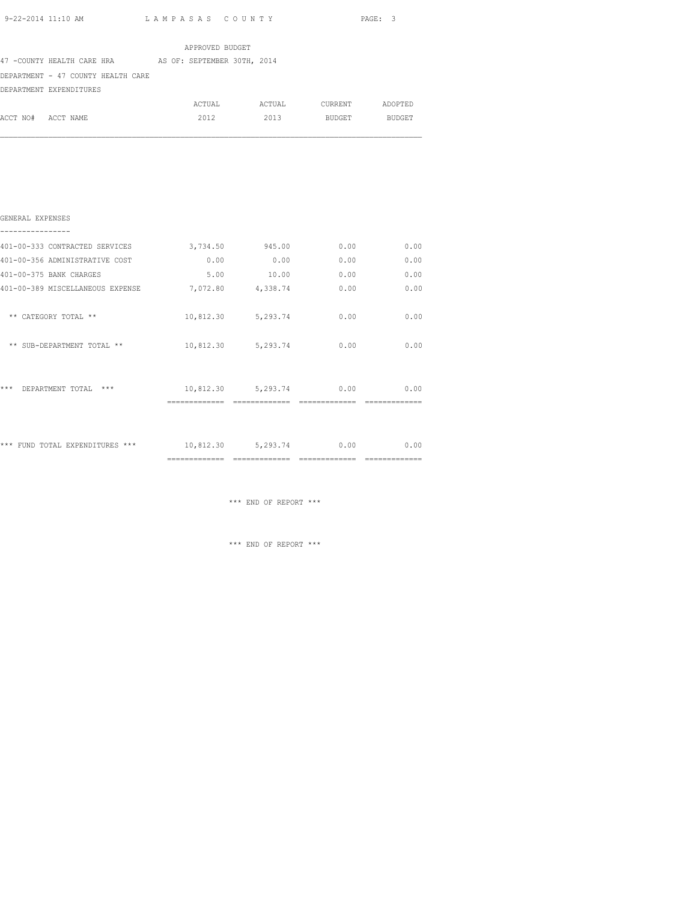| APPROVED BUDGET    |                                                        |  |  |        |  |        |  |         |         |
|--------------------|--------------------------------------------------------|--|--|--------|--|--------|--|---------|---------|
|                    | 47 -COUNTY HEALTH CARE HRA AS OF: SEPTEMBER 30TH, 2014 |  |  |        |  |        |  |         |         |
|                    | DEPARTMENT - 47 COUNTY HEALTH CARE                     |  |  |        |  |        |  |         |         |
|                    | DEPARTMENT EXPENDITURES                                |  |  |        |  |        |  |         |         |
|                    |                                                        |  |  | ACTUAL |  | ACTUAL |  | CURRENT | ADOPTED |
| ACCT NO# ACCT NAME |                                                        |  |  | 2012   |  | 2013   |  | BUDGET  | BUDGET  |
|                    |                                                        |  |  |        |  |        |  |         |         |
|                    |                                                        |  |  |        |  |        |  |         |         |
|                    |                                                        |  |  |        |  |        |  |         |         |
|                    |                                                        |  |  |        |  |        |  |         |         |
|                    |                                                        |  |  |        |  |        |  |         |         |
|                    |                                                        |  |  |        |  |        |  |         |         |

# GENERAL EXPENSES ---------------- 401-00-333 CONTRACTED SERVICES 3,734.50 945.00 0.00 0.00 401-00-356 ADMINISTRATIVE COST 0.00 0.00 0.00 0.00 401-00-375 BANK CHARGES 5.00 10.00 0.00 0.00 401-00-389 MISCELLANEOUS EXPENSE 7,072.80 4,338.74 0.00 0.00 \*\* CATEGORY TOTAL \*\*  $10,812.30$  5,293.74 0.00 0.00 \*\* SUB-DEPARTMENT TOTAL \*\* 10,812.30 5,293.74 0.00 0.00 \*\*\* DEPARTMENT TOTAL \*\*\* 10,812.30 5,293.74 0.00 0.00 ============= ============= ============= ============= \*\*\* FUND TOTAL EXPENDITURES \*\*\* 10,812.30 5,293.74 0.00 0.00

============= ============= ============= =============

\*\*\* END OF REPORT \*\*\*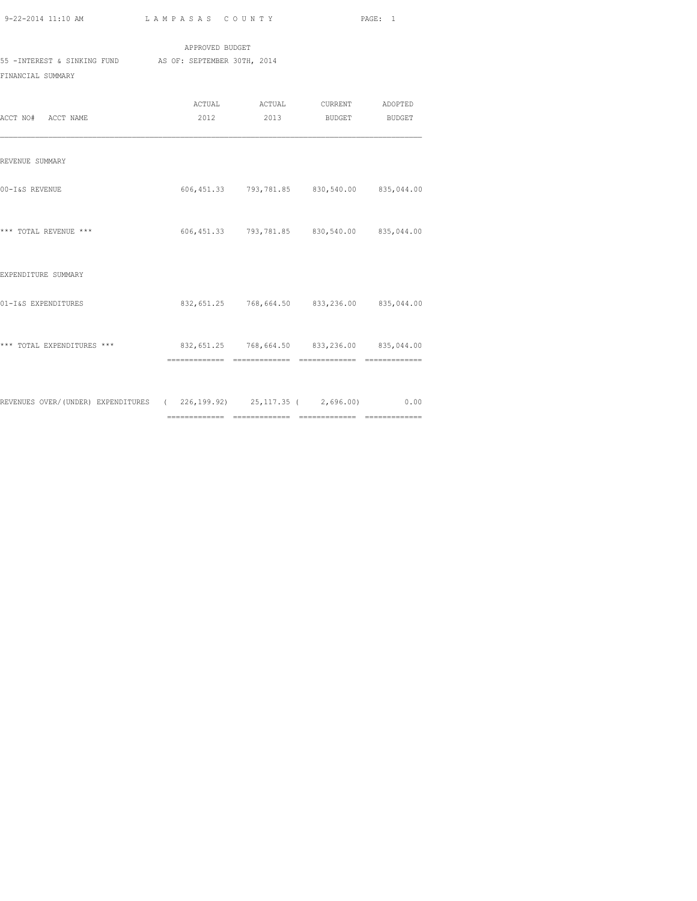|                             | APPROVED BUDGET             |
|-----------------------------|-----------------------------|
| 55 -INTEREST & SINKING FUND | AS OF: SEPTEMBER 30TH, 2014 |
| FINANCIAL SUMMARY           |                             |
|                             |                             |

|                                                                           |                                             | ACTUAL ACTUAL                               | <b>CURRENT</b> | ADOPTED |
|---------------------------------------------------------------------------|---------------------------------------------|---------------------------------------------|----------------|---------|
| ACCT NO# ACCT NAME                                                        |                                             | 2012 2013 BUDGET                            |                | BUDGET  |
|                                                                           |                                             |                                             |                |         |
|                                                                           |                                             |                                             |                |         |
| REVENUE SUMMARY                                                           |                                             |                                             |                |         |
|                                                                           |                                             |                                             |                |         |
| 00-I&S REVENUE                                                            |                                             | 606,451.33 793,781.85 830,540.00 835,044.00 |                |         |
|                                                                           |                                             |                                             |                |         |
|                                                                           |                                             |                                             |                |         |
| *** TOTAL REVENUE ***                                                     |                                             | 606,451.33 793,781.85 830,540.00 835,044.00 |                |         |
|                                                                           |                                             |                                             |                |         |
|                                                                           |                                             |                                             |                |         |
| EXPENDITURE SUMMARY                                                       |                                             |                                             |                |         |
| 01-I&S EXPENDITURES                                                       |                                             | 832,651.25 768,664.50 833,236.00 835,044.00 |                |         |
|                                                                           |                                             |                                             |                |         |
|                                                                           |                                             |                                             |                |         |
| *** TOTAL EXPENDITURES ***                                                | 832,651.25 768,664.50 833,236.00 835,044.00 |                                             |                |         |
|                                                                           |                                             |                                             |                |         |
|                                                                           |                                             |                                             |                |         |
|                                                                           |                                             |                                             |                |         |
| REVENUES OVER/(UNDER) EXPENDITURES (226,199.92) 25,117.35 (2,696.00) 0.00 |                                             |                                             |                |         |
|                                                                           |                                             |                                             |                |         |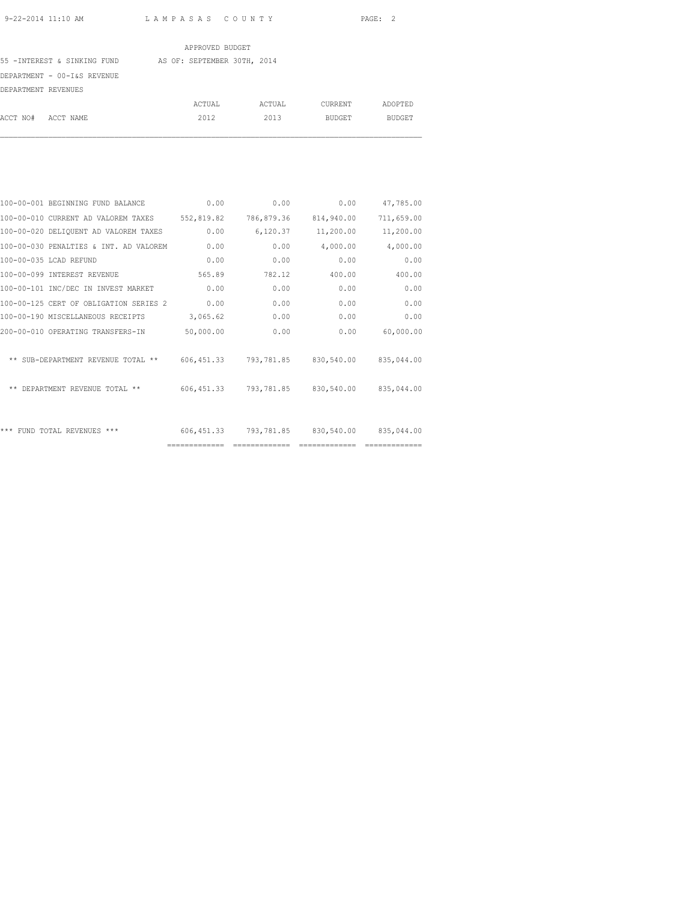#### APPROVED BUDGET

55 -INTEREST & SINKING FUND AS OF: SEPTEMBER 30TH, 2014

DEPARTMENT - 00-I&S REVENUE

| DEPARTMENT REVENUES |        |        |         |         |
|---------------------|--------|--------|---------|---------|
|                     | ACTUAL | ACTUAL | CURRENT | ADOPTED |
| ACCT NO# ACCT NAME  | 2012   | 2013   | BUDGET  | BUDGET  |

| 100-00-001 BEGINNING FUND BALANCE              | 0.00           | 0.00       | 0.00                             | 47,785.00  |
|------------------------------------------------|----------------|------------|----------------------------------|------------|
| 100-00-010 CURRENT AD VALOREM TAXES 552,819.82 |                | 786,879.36 | 814,940.00                       | 711,659.00 |
| 100-00-020 DELIQUENT AD VALOREM TAXES          | 0.00           | 6,120.37   | 11,200.00                        | 11,200.00  |
| 100-00-030 PENALTIES & INT. AD VALOREM         | 0.00           | 0.00       | 4,000.00                         | 4,000.00   |
| 100-00-035 LCAD REFUND                         | 0.00           | 0.00       | 0.00                             | 0.00       |
| 100-00-099 INTEREST REVENUE                    | 565.89         | 782.12     | 400.00                           | 400.00     |
| 100-00-101 INC/DEC IN INVEST MARKET            | 0.00           | 0.00       | 0.00                             | 0.00       |
| 100-00-125 CERT OF OBLIGATION SERIES 2         | 0.00           | 0.00       | 0.00                             | 0.00       |
| 100-00-190 MISCELLANEOUS RECEIPTS              | 3,065.62       | 0.00       | 0.00                             | 0.00       |
| 200-00-010 OPERATING TRANSFERS-IN              | 50,000.00      | 0.00       | 0.00                             | 60,000.00  |
|                                                |                |            |                                  |            |
| ** SUB-DEPARTMENT REVENUE TOTAL **             |                |            | 606,451.33 793,781.85 830,540.00 | 835,044.00 |
|                                                |                |            |                                  |            |
| ** DEPARTMENT REVENUE TOTAL **                 | 606, 451.33    |            | 793,781.85 830,540.00            | 835,044.00 |
|                                                |                |            |                                  |            |
|                                                |                |            |                                  |            |
| *** FUND TOTAL REVENUES ***                    | 606,451.33     | 793,781.85 | 830,540.00                       | 835,044.00 |
|                                                | ============== |            |                                  |            |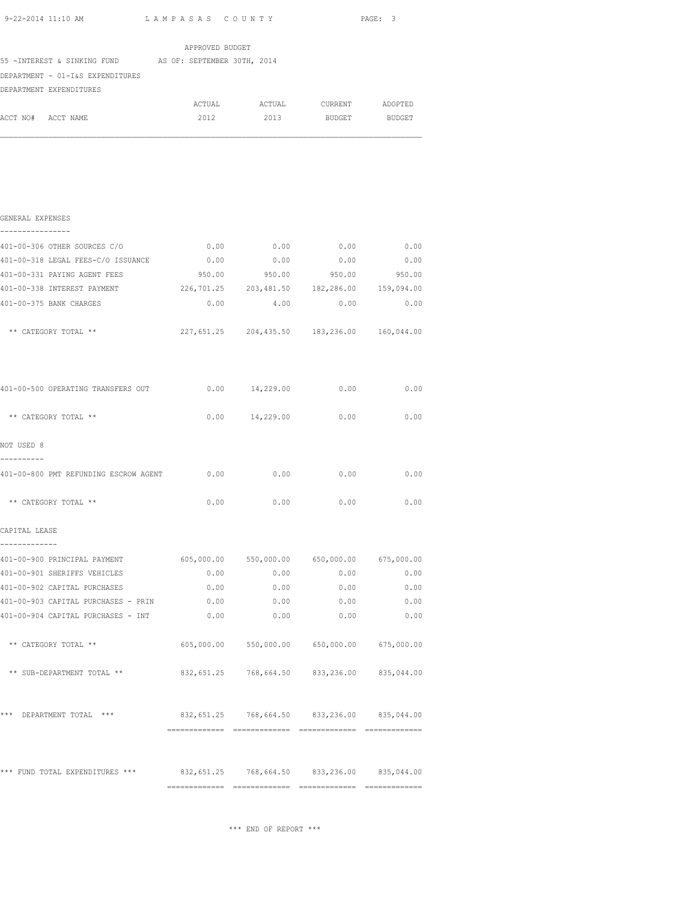|                    | 9-22-2014 11:10 AM                                                      | LAMPASAS COUNTY |        |                                             | PAGE: 3       |  |
|--------------------|-------------------------------------------------------------------------|-----------------|--------|---------------------------------------------|---------------|--|
|                    |                                                                         | APPROVED BUDGET |        |                                             |               |  |
|                    | 55 - INTEREST & SINKING FUND AS OF: SEPTEMBER 30TH, 2014                |                 |        |                                             |               |  |
|                    | DEPARTMENT - 01-I&S EXPENDITURES                                        |                 |        |                                             |               |  |
|                    | DEPARTMENT EXPENDITURES                                                 |                 |        |                                             |               |  |
|                    |                                                                         |                 |        | ACTUAL ACTUAL CURRENT ADOPTED               |               |  |
| ACCT NO# ACCT NAME |                                                                         | 2012            | 2013   |                                             | BUDGET BUDGET |  |
|                    |                                                                         |                 |        |                                             |               |  |
|                    |                                                                         |                 |        |                                             |               |  |
|                    |                                                                         |                 |        |                                             |               |  |
| GENERAL EXPENSES   |                                                                         |                 |        |                                             |               |  |
|                    |                                                                         |                 |        |                                             |               |  |
|                    | 401-00-306 OTHER SOURCES C/O                                            |                 |        | $0.00$ $0.00$ $0.00$ $0.00$ $0.00$          |               |  |
|                    | 401-00-318 LEGAL FEES-C/O ISSUANCE                                      |                 |        | $0.00$ $0.00$ $0.00$ $0.00$ $0.00$          |               |  |
|                    | 401-00-331 PAYING AGENT FEES                                            | 950.00          | 950.00 | 950.00                                      | 950.00        |  |
|                    | 401-00-338 INTEREST PAYMENT 226,701.25 203,481.50 182,286.00 159,094.00 |                 |        |                                             |               |  |
|                    | 401-00-375 BANK CHARGES                                                 |                 |        | $0.00$ 4.00 0.00 0.00                       |               |  |
|                    | ** CATEGORY TOTAL **                                                    |                 |        | 227,651.25 204,435.50 183,236.00 160,044.00 |               |  |
|                    |                                                                         |                 |        |                                             |               |  |
|                    | 401-00-500 OPERATING TRANSFERS OUT $0.00$ 14,229.00 0.00 0.00 0.00      |                 |        |                                             |               |  |
|                    | ** CATEGORY TOTAL **                                                    |                 |        | $0.00$ 14,229.00 0.00                       | 0.00          |  |
|                    |                                                                         |                 |        |                                             |               |  |

| 401-00-800 PMT REFUNDING ESCROW AGENT 0.00 |      |      | $0.00$ $0.00$                               | 0.00 |
|--------------------------------------------|------|------|---------------------------------------------|------|
| ** CATEGORY TOTAL **                       | 0.00 | 0.00 | 0.00                                        | 0.00 |
| CAPITAL LEASE                              |      |      |                                             |      |
| 401-00-900 PRINCIPAL PAYMENT               |      |      | 605,000.00 550,000.00 650,000.00 675,000.00 |      |
| 401-00-901 SHERIFFS VEHICLES               | 0.00 |      | 0.00<br>0.00                                | 0.00 |
| 401-00-902 CAPITAL PURCHASES               | 0.00 | 0.00 | 0.00                                        | 0.00 |
| 401-00-903 CAPITAL PURCHASES - PRIN        | 0.00 | 0.00 | 0.00                                        | 0.00 |
| 401-00-904 CAPITAL PURCHASES - INT         | 0.00 | 0.00 | 0.00                                        | 0.00 |
| ** CATEGORY TOTAL **                       |      |      | 605,000.00 550,000.00 650,000.00 675,000.00 |      |
| ** SUB-DEPARTMENT TOTAL **                 |      |      | 832,651.25 768,664.50 833,236.00 835,044.00 |      |
| ***<br>$***$<br>DEPARTMENT TOTAL           |      |      | 832,651.25 768,664.50 833,236.00 835,044.00 |      |
|                                            |      |      |                                             |      |

NOT USED 8

\*\*\* FUND TOTAL EXPENDITURES \*\*\* 832,651.25 768,664.50 833,236.00 835,044.00 ============= ============= ============= =============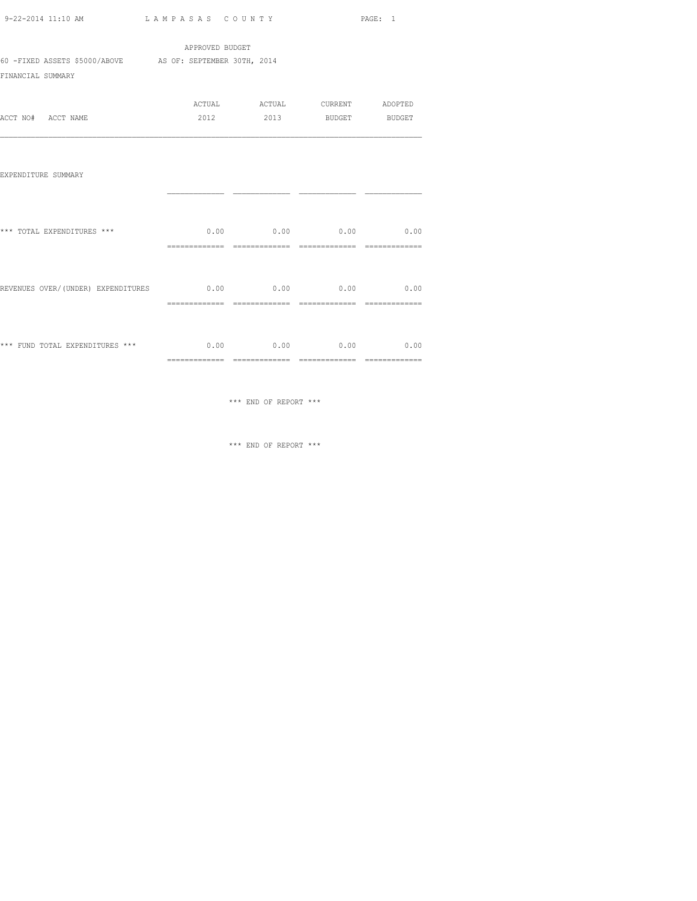| 9-22-2014 11:10 AM | LAMPASAS COUNTY | PAGE: |  |
|--------------------|-----------------|-------|--|

|                                                           | APPROVED BUDGET |        |               |         |
|-----------------------------------------------------------|-----------------|--------|---------------|---------|
| 60 -FIXED ASSETS \$5000/ABOVE AS OF: SEPTEMBER 30TH, 2014 |                 |        |               |         |
| FINANCIAL SUMMARY                                         |                 |        |               |         |
|                                                           | ACTUAL          | ACTUAL | CURRENT       | ADOPTED |
| ACCT NO# ACCT NAME                                        | 2012            | 2013   | <b>BUDGET</b> | BUDGET  |
|                                                           |                 |        |               |         |
| EXPENDITURE SUMMARY                                       |                 |        |               |         |
|                                                           |                 |        |               |         |
| *** TOTAL EXPENDITURES ***                                | 0.00            | 0.00   | 0.00          | 0.00    |

| *** FUND TOTAL EXPENDITURES *** |                                    | 0.00                 | 0.00 | 0.00 | 0.00              |
|---------------------------------|------------------------------------|----------------------|------|------|-------------------|
|                                 | REVENUES OVER/(UNDER) EXPENDITURES | 0.00<br>------------ | 0.00 | 0.00 | 0.00<br>_________ |
|                                 |                                    |                      |      |      |                   |

\*\*\* END OF REPORT \*\*\*

============= ============= ============= =============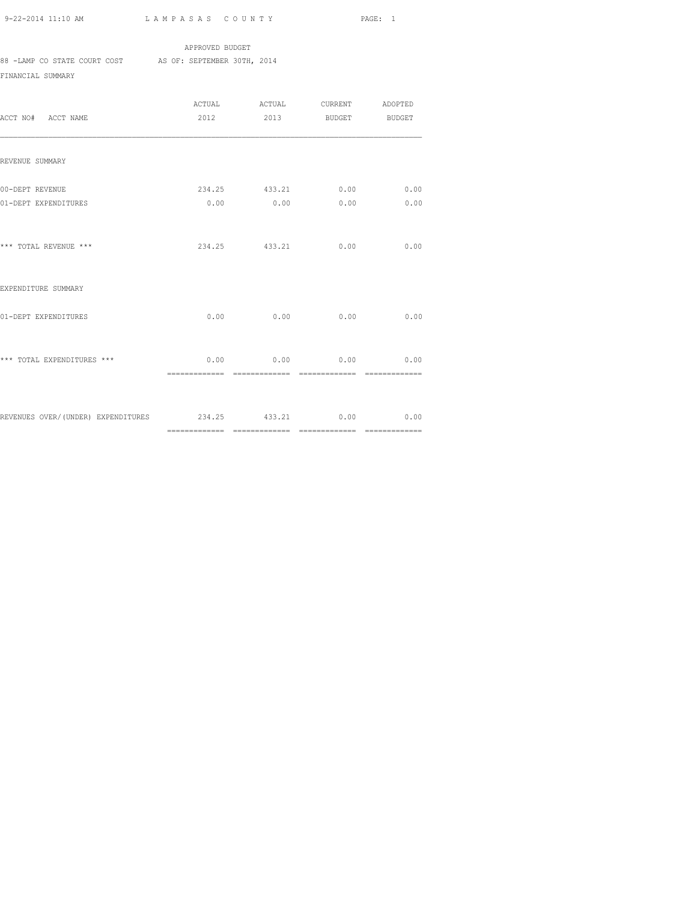APPROVED BUDGET 88 -LAMP CO STATE COURT COST AS OF: SEPTEMBER 30TH, 2014 FINANCIAL SUMMARY

| ACCT NO# ACCT NAME                                         | 2012 |               | 2013 BUDGET BUDGET                                     |      |
|------------------------------------------------------------|------|---------------|--------------------------------------------------------|------|
| REVENUE SUMMARY                                            |      |               |                                                        |      |
| 00-DEPT REVENUE<br>01-DEPT EXPENDITURES                    |      |               | 234.25 433.21 0.00 0.00<br>$0.00$ $0.00$ $0.00$ $0.00$ | 0.00 |
| *** TOTAL REVENUE ***                                      |      | 234.25 433.21 | 0.00                                                   | 0.00 |
| EXPENDITURE SUMMARY                                        |      |               |                                                        |      |
| 01-DEPT EXPENDITURES                                       |      |               | $0.00$ $0.00$ $0.00$                                   | 0.00 |
| *** TOTAL EXPENDITURES ***                                 |      |               | $0.00$ $0.00$ $0.00$ $0.00$ $0.00$                     |      |
| REVENUES OVER/(UNDER) EXPENDITURES 234.25 433.21 0.00 0.00 |      |               |                                                        |      |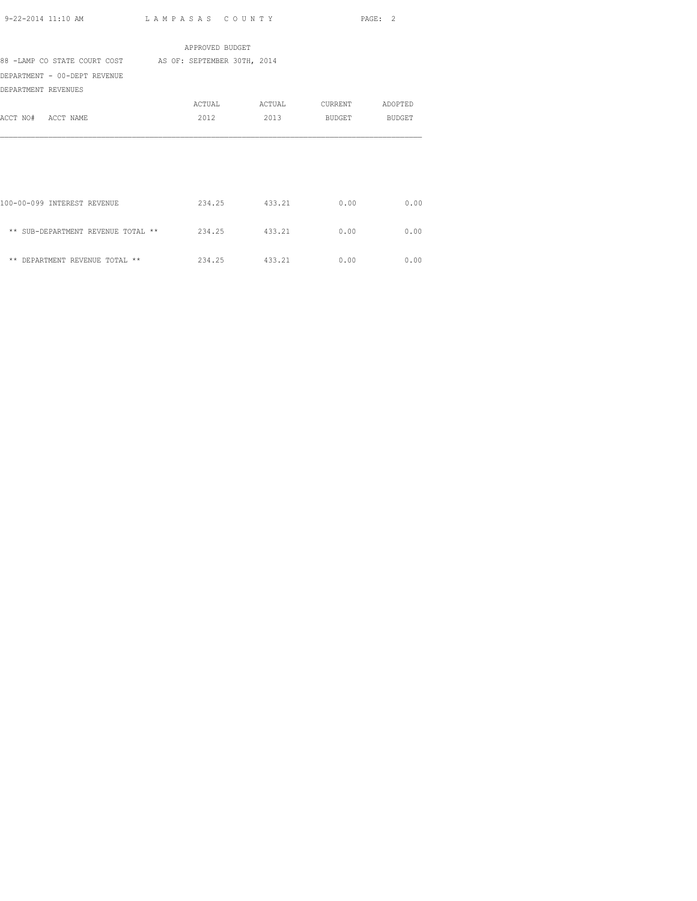|                                                          | APPROVED BUDGET |        |         |               |
|----------------------------------------------------------|-----------------|--------|---------|---------------|
| 88 -LAMP CO STATE COURT COST AS OF: SEPTEMBER 30TH, 2014 |                 |        |         |               |
| DEPARTMENT - 00-DEPT REVENUE                             |                 |        |         |               |
| DEPARTMENT REVENUES                                      |                 |        |         |               |
|                                                          | ACTUAL          | ACTUAL | CURRENT | ADOPTED       |
| ACCT NO# ACCT NAME                                       | 2012            | 2013   | BUDGET  | <b>BUDGET</b> |
|                                                          |                 |        |         |               |
| 100-00-099 INTEREST REVENUE                              | 234.25 433.21   |        | 0.00    | 0.00          |
| ** SUB-DEPARTMENT REVENUE TOTAL **                       | 234.25          | 433.21 | 0.00    | 0.00          |
| ** DEPARTMENT REVENUE TOTAL **                           | 234.25 433.21   |        | 0.00    | 0.00          |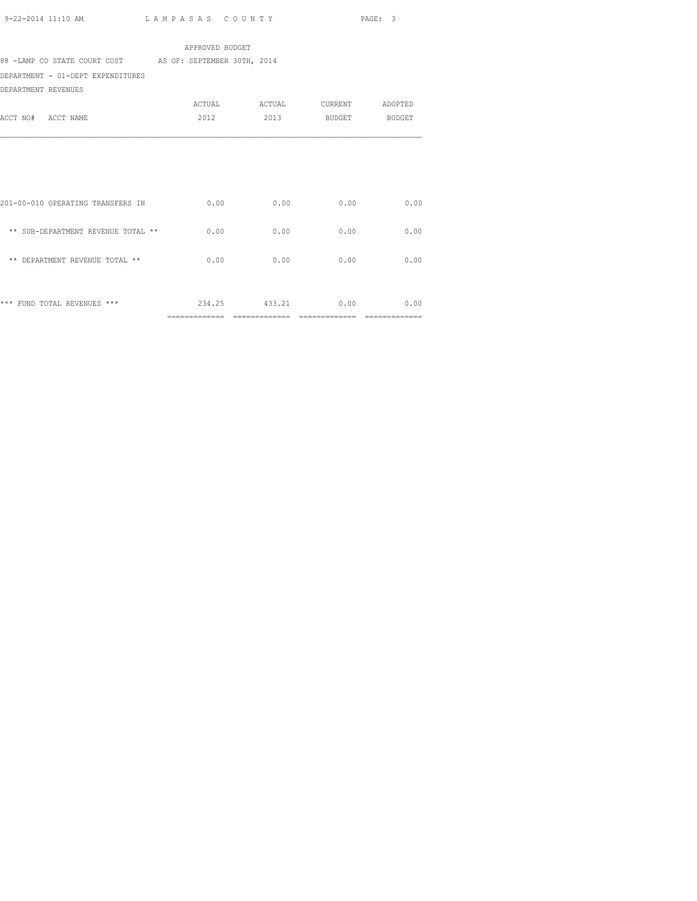APPROVED BUDGET 88 -LAMP CO STATE COURT COST AS OF: SEPTEMBER 30TH, 2014 DEPARTMENT - 01-DEPT EXPENDITURES DEPARTMENT REVENUES ACTUAL ACTUAL CURRENT ADOPTED ACCT NO# ACCT NAME 2012 2013 BUDGET BUDGET

|                                       | ______________<br>------------ | -------------------<br>------------ | _____________<br>----------- | --------------<br>------------ |
|---------------------------------------|--------------------------------|-------------------------------------|------------------------------|--------------------------------|
| $***$<br>$***$<br>FUND TOTAL REVENUES | 234.25                         | 433.21                              | 0.00                         | 0.00                           |
| DEPARTMENT REVENUE TOTAL **<br>**     | 0.00                           | 0.00                                | 0.00                         | 0.00                           |
| ** SUB-DEPARTMENT REVENUE TOTAL **    | 0.00                           | 0.00                                | 0.00                         | 0.00                           |
| 201-00-010 OPERATING TRANSFERS IN     | 0.00                           | 0.00                                | 0.00                         | 0.00                           |
|                                       |                                |                                     |                              |                                |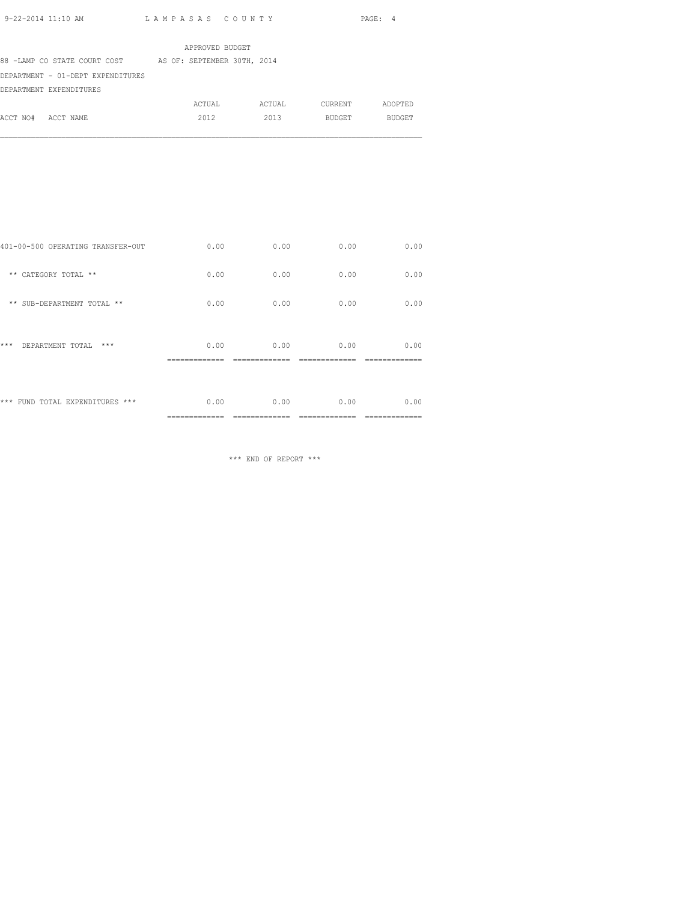|                                   | APPROVED BUDGET             |        |         |         |
|-----------------------------------|-----------------------------|--------|---------|---------|
| 88 -LAMP CO STATE COURT COST      | AS OF: SEPTEMBER 30TH, 2014 |        |         |         |
| DEPARTMENT - 01-DEPT EXPENDITURES |                             |        |         |         |
| DEPARTMENT EXPENDITURES           |                             |        |         |         |
|                                   | ACTUAL                      | ACTUAL | CURRENT | ADOPTED |
| ACCT NO# ACCT NAME                | 2012                        | 2013   | BUDGET  | BUDGET  |

| *** FUND TOTAL EXPENDITURES ***   | 0.00 | 0.00 | 0.00 | 0.00 |
|-----------------------------------|------|------|------|------|
| ***<br>$***$<br>DEPARTMENT TOTAL  | 0.00 | 0.00 | 0.00 | 0.00 |
| ** SUB-DEPARTMENT TOTAL **        | 0.00 | 0.00 | 0.00 | 0.00 |
| ** CATEGORY TOTAL **              | 0.00 | 0.00 | 0.00 | 0.00 |
| 401-00-500 OPERATING TRANSFER-OUT | 0.00 | 0.00 | 0.00 | 0.00 |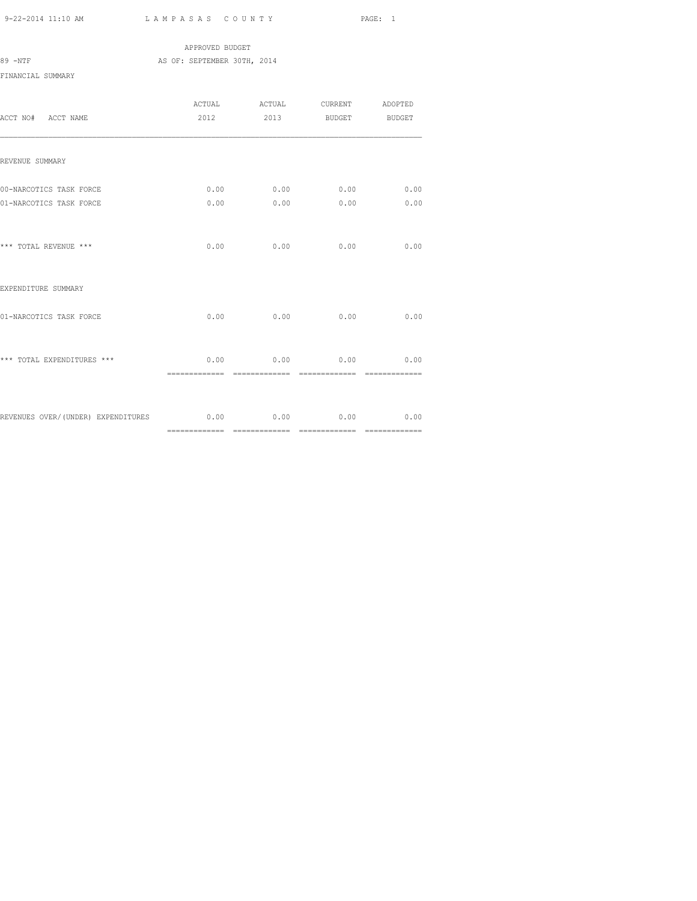APPROVED BUDGET 89 -NTF AS OF: SEPTEMBER 30TH, 2014 FINANCIAL SUMMARY

| ACCT NO# ACCT NAME                                                    |      |             | ACTUAL ACTUAL CURRENT<br>2012 2013 BUDGET BUDGET | ADOPTED        |
|-----------------------------------------------------------------------|------|-------------|--------------------------------------------------|----------------|
| REVENUE SUMMARY                                                       |      |             |                                                  |                |
| 00-NARCOTICS TASK FORCE<br>01-NARCOTICS TASK FORCE                    | 0.00 | 0.00        | $0.00$ 0.00 0.00<br>0.00                         | 0.00<br>0.00   |
| *** TOTAL REVENUE ***                                                 |      | $0.00$ 0.00 | 0.00                                             | 0.00           |
| EXPENDITURE SUMMARY                                                   |      |             |                                                  |                |
| 01-NARCOTICS TASK FORCE                                               | 0.00 | 0.00        | 0.00                                             | 0.00           |
| *** TOTAL EXPENDITURES ***                                            |      |             | $0.00$ 0.00 0.00 0.00                            | ============== |
| REVENUES OVER/(UNDER) EXPENDITURES $0.00$ $0.00$ $0.00$ $0.00$ $0.00$ |      |             |                                                  |                |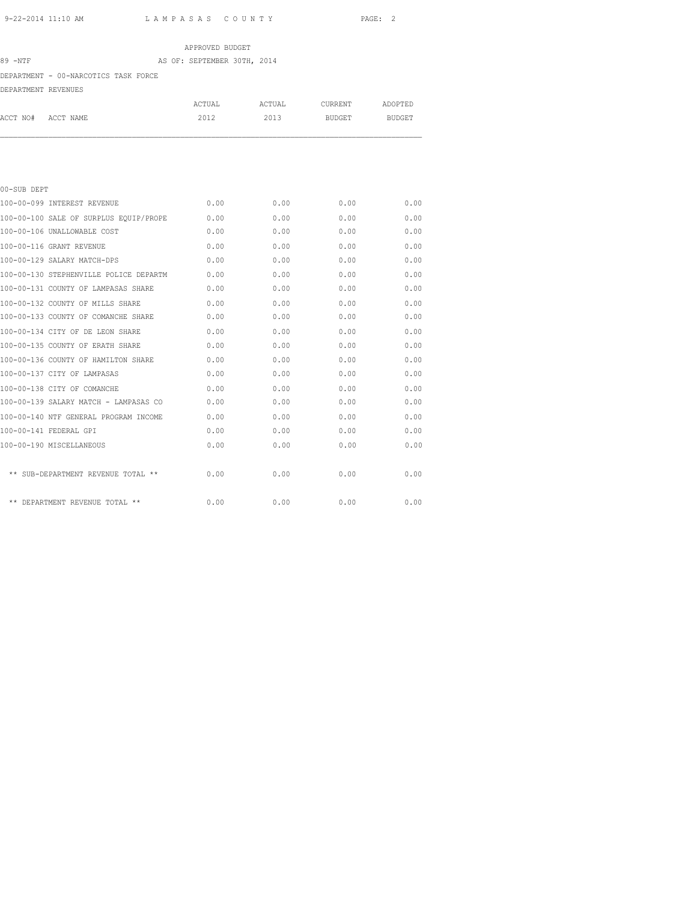# APPROVED BUDGET 89 -NTF AS OF: SEPTEMBER 30TH, 2014 DEPARTMENT - 00-NARCOTICS TASK FORCE DEPARTMENT REVENUES

|                    | ACTUAL | ACTUAL | CURRENT | ADOPTED       |
|--------------------|--------|--------|---------|---------------|
| ACCT NO# ACCT NAME | 2012   | 2013   | BUDGET  | <b>BUDGET</b> |
|                    |        |        |         |               |

| 00-SUB DEPT                            |      |      |      |      |
|----------------------------------------|------|------|------|------|
| 100-00-099 INTEREST REVENUE            | 0.00 | 0.00 | 0.00 | 0.00 |
| 100-00-100 SALE OF SURPLUS EOUIP/PROPE | 0.00 | 0.00 | 0.00 | 0.00 |
| 100-00-106 UNALLOWABLE COST            | 0.00 | 0.00 | 0.00 | 0.00 |
| 100-00-116 GRANT REVENUE               | 0.00 | 0.00 | 0.00 | 0.00 |
| 100-00-129 SALARY MATCH-DPS            | 0.00 | 0.00 | 0.00 | 0.00 |
| 100-00-130 STEPHENVILLE POLICE DEPARTM | 0.00 | 0.00 | 0.00 | 0.00 |
| 100-00-131 COUNTY OF LAMPASAS SHARE    | 0.00 | 0.00 | 0.00 | 0.00 |
| 100-00-132 COUNTY OF MILLS SHARE       | 0.00 | 0.00 | 0.00 | 0.00 |
| 100-00-133 COUNTY OF COMANCHE SHARE    | 0.00 | 0.00 | 0.00 | 0.00 |
| 100-00-134 CITY OF DE LEON SHARE       | 0.00 | 0.00 | 0.00 | 0.00 |
| 100-00-135 COUNTY OF ERATH SHARE       | 0.00 | 0.00 | 0.00 | 0.00 |
| 100-00-136 COUNTY OF HAMILTON SHARE    | 0.00 | 0.00 | 0.00 | 0.00 |
| 100-00-137 CITY OF LAMPASAS            | 0.00 | 0.00 | 0.00 | 0.00 |
| 100-00-138 CITY OF COMANCHE            | 0.00 | 0.00 | 0.00 | 0.00 |
| 100-00-139 SALARY MATCH - LAMPASAS CO  | 0.00 | 0.00 | 0.00 | 0.00 |
| 100-00-140 NTF GENERAL PROGRAM INCOME  | 0.00 | 0.00 | 0.00 | 0.00 |
| 100-00-141 FEDERAL GPI                 | 0.00 | 0.00 | 0.00 | 0.00 |
| 100-00-190 MISCELLANEOUS               | 0.00 | 0.00 | 0.00 | 0.00 |
|                                        |      |      |      |      |
| ** SUB-DEPARTMENT REVENUE TOTAL **     | 0.00 | 0.00 | 0.00 | 0.00 |
|                                        |      |      |      |      |
| $***$<br>DEPARTMENT REVENUE TOTAL **   | 0.00 | 0.00 | 0.00 | 0.00 |
|                                        |      |      |      |      |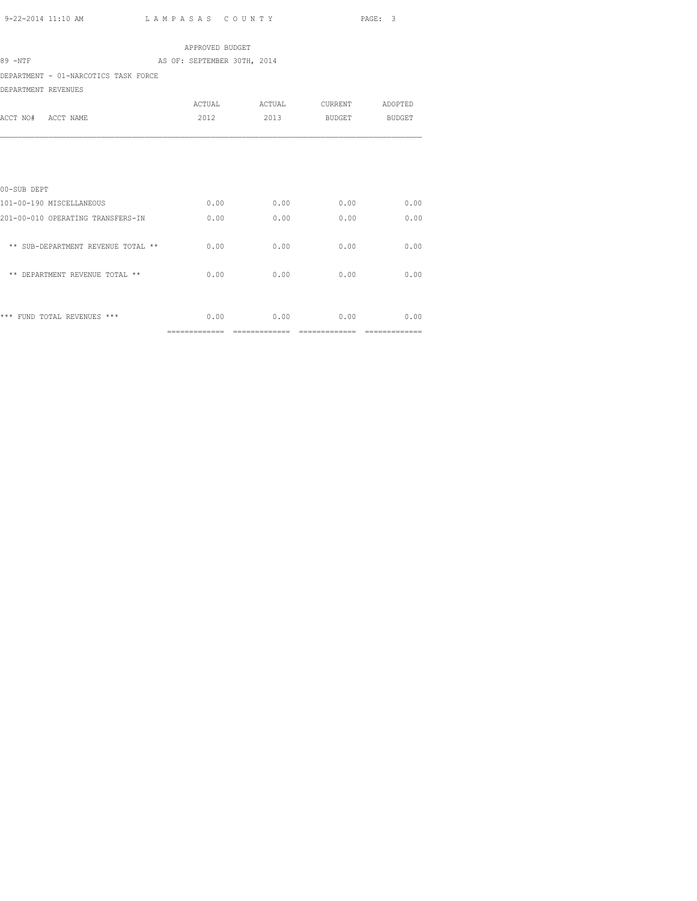============= ============= ============= =============

|                                      | APPROVED BUDGET             |                       |        |               |
|--------------------------------------|-----------------------------|-----------------------|--------|---------------|
| 89 -NTF                              | AS OF: SEPTEMBER 30TH, 2014 |                       |        |               |
| DEPARTMENT - 01-NARCOTICS TASK FORCE |                             |                       |        |               |
| DEPARTMENT REVENUES                  |                             |                       |        |               |
|                                      |                             | ACTUAL ACTUAL CURRENT |        | ADOPTED       |
| ACCT NO# ACCT NAME                   | 2012                        | 2013                  | BUDGET | <b>BUDGET</b> |
|                                      |                             |                       |        |               |
| 00-SUB DEPT                          |                             |                       |        |               |
| 101-00-190 MISCELLANEOUS             | 0.00                        | 0.00                  | 0.00   | 0.00          |
| 201-00-010 OPERATING TRANSFERS-IN    | 0.00                        | 0.00                  | 0.00   | 0.00          |
| ** SUB-DEPARTMENT REVENUE TOTAL **   | 0.00                        | 0.00                  | 0.00   | 0.00          |
| ** DEPARTMENT REVENUE TOTAL **       | 0.00                        | 0.00                  | 0.00   | 0.00          |
|                                      |                             |                       |        |               |
| *** FUND TOTAL REVENUES ***          | 0.00                        | 0.00                  | 0.00   | 0.00          |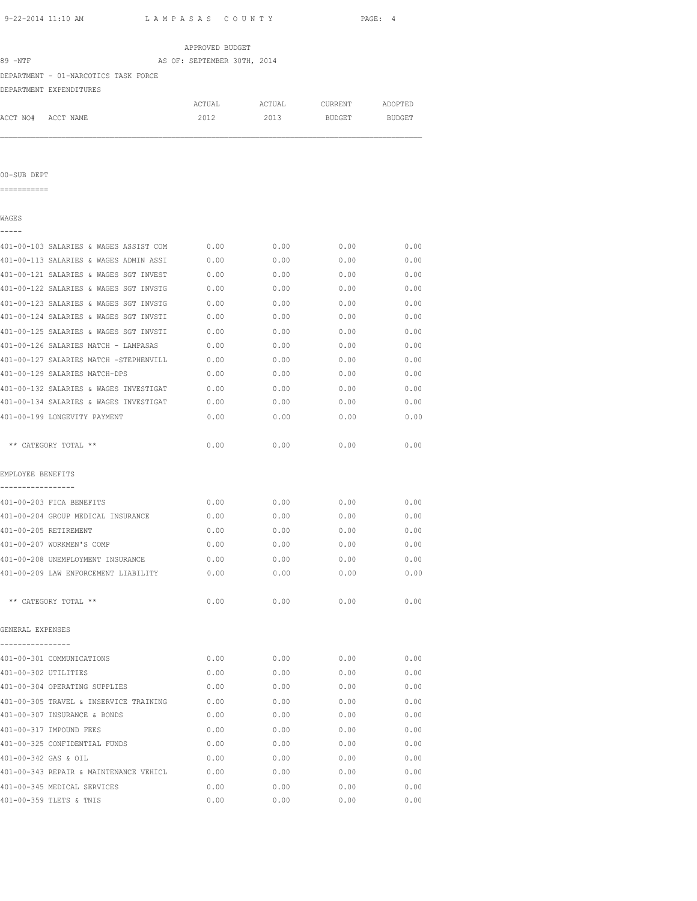| 9-22-2014 11:10 AM                     | LAMPASAS COUNTY                             |                             |        |         | PAGE: 4 |  |
|----------------------------------------|---------------------------------------------|-----------------------------|--------|---------|---------|--|
|                                        |                                             | APPROVED BUDGET             |        |         |         |  |
| 89 -NTF                                |                                             | AS OF: SEPTEMBER 30TH, 2014 |        |         |         |  |
|                                        | DEPARTMENT - 01-NARCOTICS TASK FORCE        |                             |        |         |         |  |
|                                        | DEPARTMENT EXPENDITURES                     |                             |        |         |         |  |
|                                        |                                             | ACTUAL                      | ACTUAL | CURRENT | ADOPTED |  |
| ACCT NO# ACCT NAME                     |                                             | 2012                        | 2013   | BUDGET  | BUDGET  |  |
| 00-SUB DEPT                            |                                             |                             |        |         |         |  |
| ===========                            |                                             |                             |        |         |         |  |
| WAGES                                  |                                             |                             |        |         |         |  |
|                                        | 401-00-103 SALARIES & WAGES ASSIST COM      | 0.00                        | 0.00   | 0.00    | 0.00    |  |
|                                        | 401-00-113 SALARIES & WAGES ADMIN ASSI      | 0.00                        | 0.00   | 0.00    | 0.00    |  |
|                                        | 401-00-121 SALARIES & WAGES SGT INVEST      | 0.00                        | 0.00   | 0.00    | 0.00    |  |
|                                        | 401-00-122 SALARIES & WAGES SGT INVSTG      | 0.00                        | 0.00   | 0.00    | 0.00    |  |
|                                        | 401-00-123 SALARIES & WAGES SGT INVSTG      | 0.00                        | 0.00   | 0.00    | 0.00    |  |
|                                        | 401-00-124 SALARIES & WAGES SGT INVSTI      | 0.00                        | 0.00   | 0.00    | 0.00    |  |
|                                        | 401-00-125 SALARIES & WAGES SGT INVSTI      | 0.00                        | 0.00   | 0.00    | 0.00    |  |
|                                        | 401-00-126 SALARIES MATCH - LAMPASAS        | 0.00                        | 0.00   | 0.00    | 0.00    |  |
|                                        | 401-00-127 SALARIES MATCH -STEPHENVILL      | 0.00                        | 0.00   | 0.00    | 0.00    |  |
|                                        | 401-00-129 SALARIES MATCH-DPS               | 0.00                        | 0.00   | 0.00    | 0.00    |  |
|                                        | 401-00-132 SALARIES & WAGES INVESTIGAT      | 0.00                        | 0.00   | 0.00    | 0.00    |  |
|                                        | 401-00-134 SALARIES & WAGES INVESTIGAT      | 0.00                        | 0.00   | 0.00    | 0.00    |  |
|                                        | 401-00-199 LONGEVITY PAYMENT                | 0.00                        | 0.00   | 0.00    | 0.00    |  |
|                                        | ** CATEGORY TOTAL **                        | 0.00                        | 0.00   | 0.00    | 0.00    |  |
| EMPLOYEE BENEFITS<br>----------------- |                                             |                             |        |         |         |  |
|                                        | 401-00-203 FICA BENEFITS                    | 0.00                        | 0.00   | 0.00    | 0.00    |  |
|                                        | 401-00-204 GROUP MEDICAL INSURANCE          | 0.00                        | 0.00   | 0.00    | 0.00    |  |
|                                        | 401-00-205 RETIREMENT                       | 0.00                        | 0.00   | 0.00    | 0.00    |  |
|                                        | 401-00-207 WORKMEN'S COMP                   | 0.00                        | 0.00   | 0.00    | 0.00    |  |
|                                        | 401-00-208 UNEMPLOYMENT INSURANCE           | 0.00                        | 0.00   | 0.00    | 0.00    |  |
|                                        | 401-00-209 LAW ENFORCEMENT LIABILITY        | 0.00                        | 0.00   | 0.00    | 0.00    |  |
|                                        | ** CATEGORY TOTAL **                        | 0.00                        | 0.00   | 0.00    | 0.00    |  |
| GENERAL EXPENSES                       |                                             |                             |        |         |         |  |
|                                        |                                             |                             |        |         |         |  |
|                                        | 401-00-301 COMMUNICATIONS                   | 0.00                        | 0.00   | 0.00    | 0.00    |  |
| 401-00-302 UTILITIES                   |                                             | 0.00                        | 0.00   | 0.00    | 0.00    |  |
|                                        | 401-00-304 OPERATING SUPPLIES               | 0.00                        | 0.00   | 0.00    | 0.00    |  |
|                                        | 401-00-305 TRAVEL & INSERVICE TRAINING 0.00 |                             | 0.00   | 0.00    | 0.00    |  |
|                                        | 401-00-307 INSURANCE & BONDS                | 0.00                        | 0.00   | 0.00    | 0.00    |  |
|                                        | 401-00-317 IMPOUND FEES                     | 0.00                        | 0.00   | 0.00    | 0.00    |  |
|                                        | 401-00-325 CONFIDENTIAL FUNDS               | 0.00                        | 0.00   | 0.00    | 0.00    |  |

401-00-342 GAS & OIL 0.00 0.00 0.00 0.00 401-00-343 REPAIR & MAINTENANCE VEHICL 0.00 0.00 0.00 0.00 401-00-345 MEDICAL SERVICES 0.00 0.00 0.00 0.00 401-00-359 TLETS & TNIS 0.00 0.00 0.00 0.00